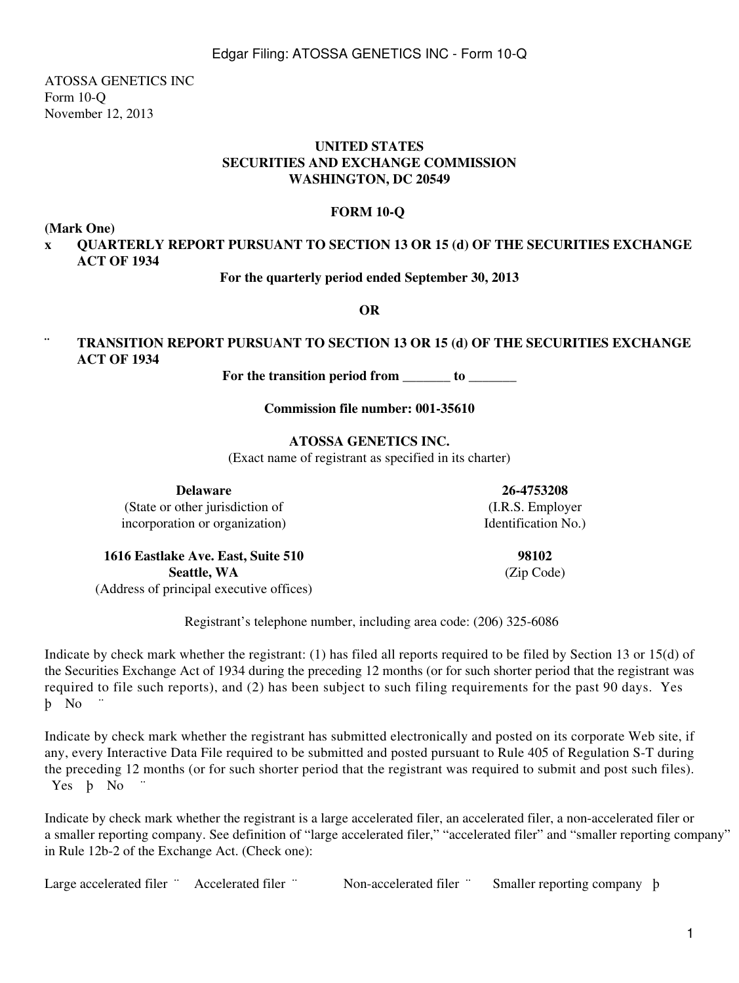ATOSSA GENETICS INC Form 10-Q November 12, 2013

#### **UNITED STATES SECURITIES AND EXCHANGE COMMISSION WASHINGTON, DC 20549**

#### **FORM 10-Q**

**(Mark One)**

## **x QUARTERLY REPORT PURSUANT TO SECTION 13 OR 15 (d) OF THE SECURITIES EXCHANGE ACT OF 1934**

**For the quarterly period ended September 30, 2013**

**OR**

## **¨ TRANSITION REPORT PURSUANT TO SECTION 13 OR 15 (d) OF THE SECURITIES EXCHANGE ACT OF 1934**

For the transition period from to

**Commission file number: 001-35610**

#### **ATOSSA GENETICS INC.**

(Exact name of registrant as specified in its charter)

**Delaware 26-4753208** (State or other jurisdiction of (I.R.S. Employer

incorporation or organization) Identification No.)

**1616 Eastlake Ave. East, Suite 510 98102 Seattle, WA** (Zip Code) (Address of principal executive offices)

Registrant's telephone number, including area code: (206) 325-6086

Indicate by check mark whether the registrant: (1) has filed all reports required to be filed by Section 13 or 15(d) of the Securities Exchange Act of 1934 during the preceding 12 months (or for such shorter period that the registrant was required to file such reports), and (2) has been subject to such filing requirements for the past 90 days. Yes b No

Indicate by check mark whether the registrant has submitted electronically and posted on its corporate Web site, if any, every Interactive Data File required to be submitted and posted pursuant to Rule 405 of Regulation S-T during the preceding 12 months (or for such shorter period that the registrant was required to submit and post such files). Yes **b** No

Indicate by check mark whether the registrant is a large accelerated filer, an accelerated filer, a non-accelerated filer or a smaller reporting company. See definition of "large accelerated filer," "accelerated filer" and "smaller reporting company" in Rule 12b-2 of the Exchange Act. (Check one):

Large accelerated filer " Accelerated filer " Non-accelerated filer " Smaller reporting company b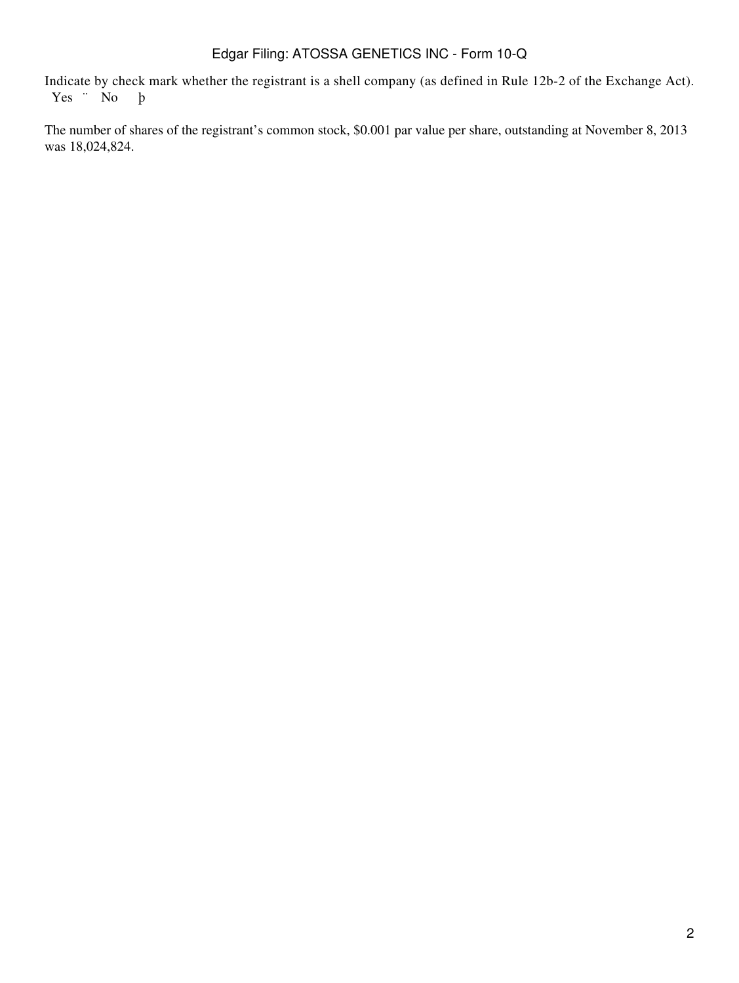Indicate by check mark whether the registrant is a shell company (as defined in Rule 12b-2 of the Exchange Act).<br>
Yes  $\cdot$  No  $\cdot$  b Yes " No

The number of shares of the registrant's common stock, \$0.001 par value per share, outstanding at November 8, 2013 was 18,024,824.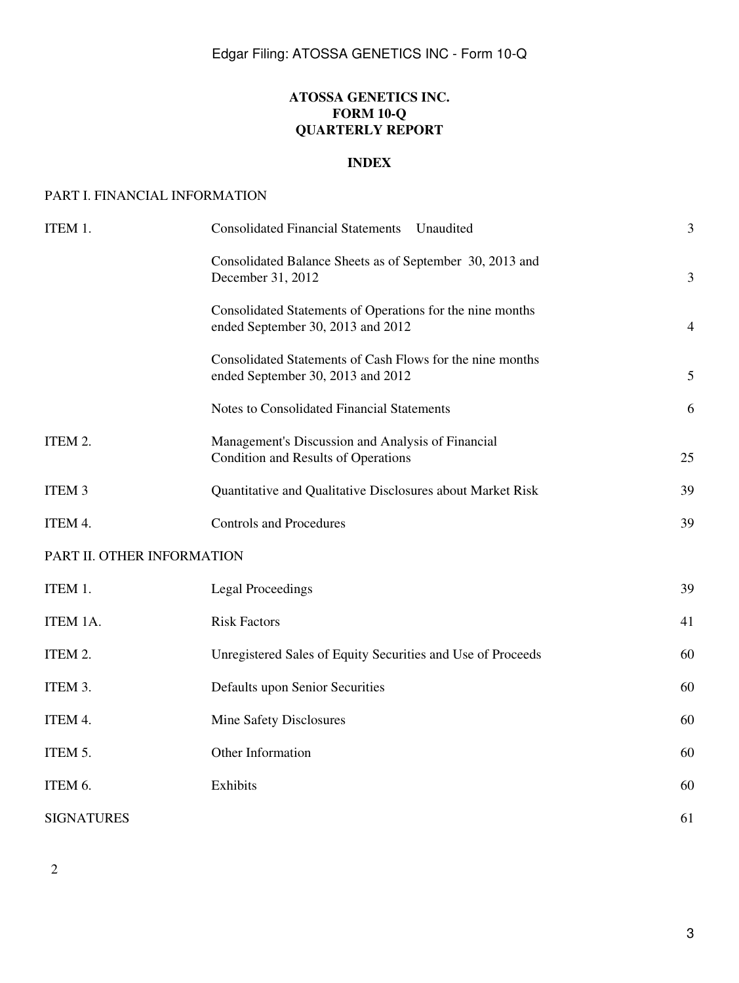## **ATOSSA GENETICS INC. FORM 10-Q QUARTERLY REPORT**

## **INDEX**

#### PART I. FINANCIAL INFORMATION

| ITEM 1.                    | <b>Consolidated Financial Statements</b><br>Unaudited                                          | $\overline{\mathbf{3}}$ |
|----------------------------|------------------------------------------------------------------------------------------------|-------------------------|
|                            | Consolidated Balance Sheets as of September 30, 2013 and<br>December 31, 2012                  | 3                       |
|                            | Consolidated Statements of Operations for the nine months<br>ended September 30, 2013 and 2012 | $\overline{4}$          |
|                            | Consolidated Statements of Cash Flows for the nine months<br>ended September 30, 2013 and 2012 | 5                       |
|                            | Notes to Consolidated Financial Statements                                                     | 6                       |
| ITEM 2.                    | Management's Discussion and Analysis of Financial<br>Condition and Results of Operations       | 25                      |
| ITEM <sub>3</sub>          | Quantitative and Qualitative Disclosures about Market Risk                                     | 39                      |
| ITEM 4.                    | <b>Controls and Procedures</b>                                                                 | 39                      |
| PART II. OTHER INFORMATION |                                                                                                |                         |
| ITEM 1.                    | <b>Legal Proceedings</b>                                                                       | 39                      |
| ITEM 1A.                   | <b>Risk Factors</b>                                                                            | 41                      |
| ITEM 2.                    | Unregistered Sales of Equity Securities and Use of Proceeds                                    | 60                      |
| ITEM 3.                    | Defaults upon Senior Securities                                                                | 60                      |
| ITEM 4.                    | Mine Safety Disclosures                                                                        | 60                      |
| ITEM 5.                    | Other Information                                                                              | 60                      |
| ITEM 6.                    | Exhibits                                                                                       | 60                      |
| <b>SIGNATURES</b>          |                                                                                                | 61                      |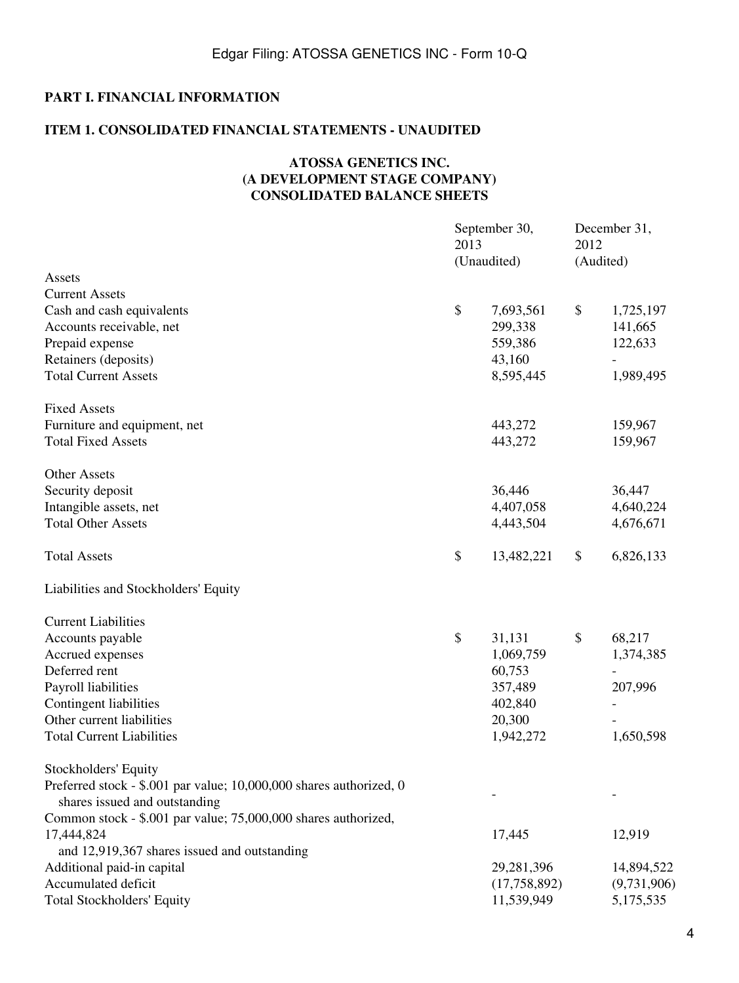# **PART I. FINANCIAL INFORMATION**

# **ITEM 1. CONSOLIDATED FINANCIAL STATEMENTS - UNAUDITED**

## **ATOSSA GENETICS INC. (A DEVELOPMENT STAGE COMPANY) CONSOLIDATED BALANCE SHEETS**

|                                                                                                      | 2013 | September 30,<br>(Unaudited) | 2012 | December 31,<br>(Audited) |
|------------------------------------------------------------------------------------------------------|------|------------------------------|------|---------------------------|
| Assets                                                                                               |      |                              |      |                           |
| <b>Current Assets</b>                                                                                |      |                              |      |                           |
| Cash and cash equivalents                                                                            | \$   | 7,693,561                    | \$   | 1,725,197                 |
| Accounts receivable, net                                                                             |      | 299,338                      |      | 141,665                   |
| Prepaid expense                                                                                      |      | 559,386                      |      | 122,633                   |
| Retainers (deposits)                                                                                 |      | 43,160                       |      | $\overline{a}$            |
| <b>Total Current Assets</b>                                                                          |      | 8,595,445                    |      | 1,989,495                 |
| <b>Fixed Assets</b>                                                                                  |      |                              |      |                           |
| Furniture and equipment, net                                                                         |      | 443,272                      |      | 159,967                   |
| <b>Total Fixed Assets</b>                                                                            |      | 443,272                      |      | 159,967                   |
| <b>Other Assets</b>                                                                                  |      |                              |      |                           |
| Security deposit                                                                                     |      | 36,446                       |      | 36,447                    |
| Intangible assets, net                                                                               |      | 4,407,058                    |      | 4,640,224                 |
| <b>Total Other Assets</b>                                                                            |      | 4,443,504                    |      | 4,676,671                 |
| <b>Total Assets</b>                                                                                  | \$   | 13,482,221                   | \$   | 6,826,133                 |
| Liabilities and Stockholders' Equity                                                                 |      |                              |      |                           |
| <b>Current Liabilities</b>                                                                           |      |                              |      |                           |
| Accounts payable                                                                                     | \$   | 31,131                       | \$   | 68,217                    |
| Accrued expenses                                                                                     |      | 1,069,759                    |      | 1,374,385                 |
| Deferred rent                                                                                        |      | 60,753                       |      | $\overline{a}$            |
| Payroll liabilities                                                                                  |      | 357,489                      |      | 207,996                   |
| Contingent liabilities                                                                               |      | 402,840                      |      |                           |
| Other current liabilities                                                                            |      | 20,300                       |      |                           |
| <b>Total Current Liabilities</b>                                                                     |      | 1,942,272                    |      | 1,650,598                 |
| Stockholders' Equity                                                                                 |      |                              |      |                           |
| Preferred stock - \$.001 par value; 10,000,000 shares authorized, 0<br>shares issued and outstanding |      |                              |      |                           |
| Common stock - \$.001 par value; 75,000,000 shares authorized,                                       |      |                              |      |                           |
| 17,444,824                                                                                           |      | 17,445                       |      | 12,919                    |
| and 12,919,367 shares issued and outstanding                                                         |      |                              |      |                           |
| Additional paid-in capital                                                                           |      | 29,281,396                   |      | 14,894,522                |
| Accumulated deficit                                                                                  |      | (17,758,892)                 |      | (9,731,906)               |
| <b>Total Stockholders' Equity</b>                                                                    |      | 11,539,949                   |      | 5,175,535                 |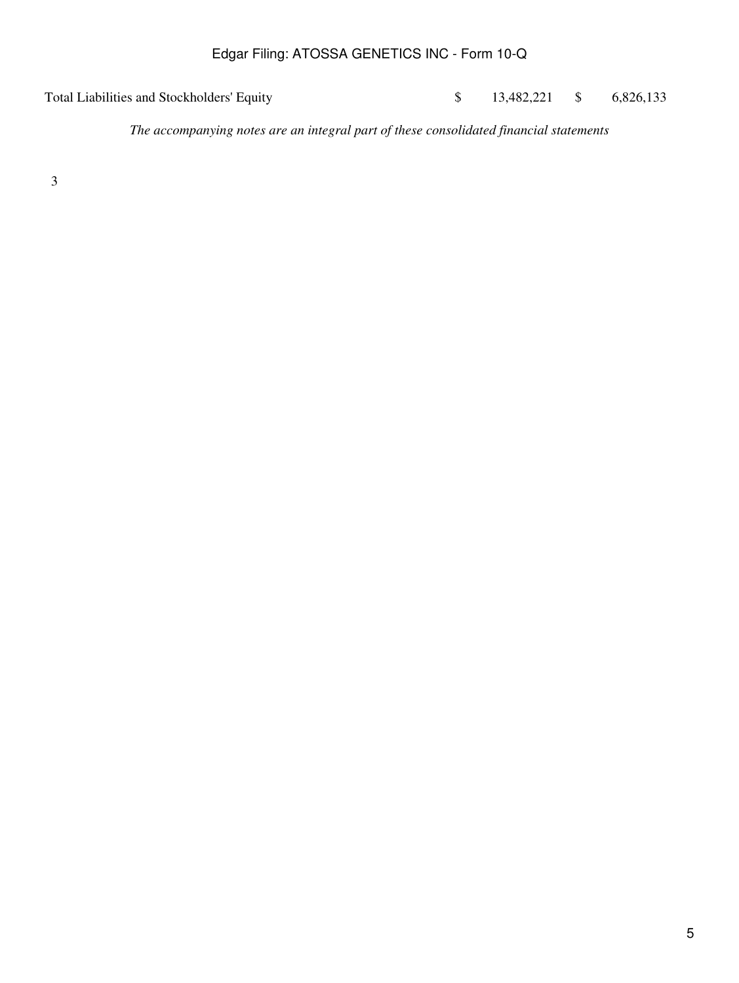Total Liabilities and Stockholders' Equity  $$ 13,482,221 $ 6,826,133$ 

*The accompanying notes are an integral part of these consolidated financial statements*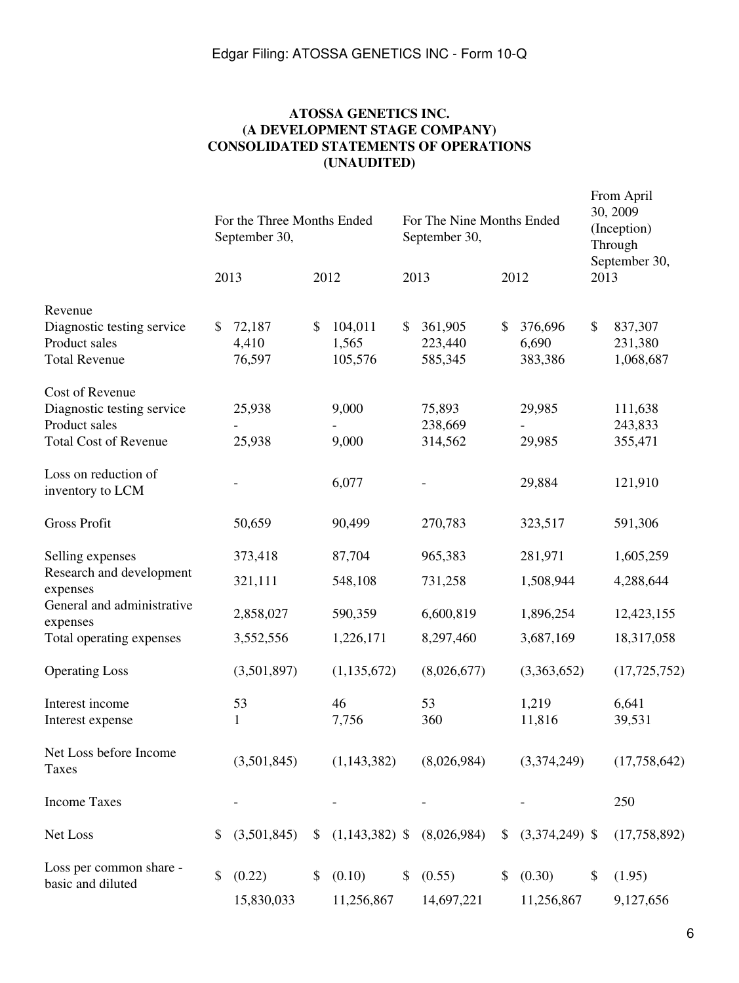## **ATOSSA GENETICS INC. (A DEVELOPMENT STAGE COMPANY) CONSOLIDATED STATEMENTS OF OPERATIONS (UNAUDITED)**

|                                                                                                | For the Three Months Ended<br>September 30, |    | For The Nine Months Ended<br>September 30, |    |                                                    |      | From April<br>30, 2009<br>(Inception)<br>Through |      |                                 |
|------------------------------------------------------------------------------------------------|---------------------------------------------|----|--------------------------------------------|----|----------------------------------------------------|------|--------------------------------------------------|------|---------------------------------|
|                                                                                                | 2013                                        |    | 2012                                       |    | 2013                                               | 2012 |                                                  | 2013 | September 30,                   |
| Revenue<br>Diagnostic testing service<br>Product sales<br><b>Total Revenue</b>                 | \$<br>72,187<br>4,410<br>76,597             | \$ | 104,011<br>1,565<br>105,576                | \$ | 361,905<br>223,440<br>585,345                      | \$   | 376,696<br>6,690<br>383,386                      | \$   | 837,307<br>231,380<br>1,068,687 |
| Cost of Revenue<br>Diagnostic testing service<br>Product sales<br><b>Total Cost of Revenue</b> | 25,938<br>25,938                            |    | 9,000<br>9,000                             |    | 75,893<br>238,669<br>314,562                       |      | 29,985<br>29,985                                 |      | 111,638<br>243,833<br>355,471   |
| Loss on reduction of<br>inventory to LCM                                                       |                                             |    | 6,077                                      |    |                                                    |      | 29,884                                           |      | 121,910                         |
| <b>Gross Profit</b>                                                                            | 50,659                                      |    | 90,499                                     |    | 270,783                                            |      | 323,517                                          |      | 591,306                         |
| Selling expenses<br>Research and development<br>expenses<br>General and administrative         | 373,418<br>321,111                          |    | 87,704<br>548,108                          |    | 965,383<br>731,258                                 |      | 281,971<br>1,508,944                             |      | 1,605,259<br>4,288,644          |
| expenses<br>Total operating expenses                                                           | 2,858,027<br>3,552,556                      |    | 590,359<br>1,226,171                       |    | 6,600,819<br>8,297,460                             |      | 1,896,254<br>3,687,169                           |      | 12,423,155<br>18,317,058        |
| <b>Operating Loss</b>                                                                          | (3,501,897)                                 |    | (1, 135, 672)                              |    | (8,026,677)                                        |      | (3,363,652)                                      |      | (17, 725, 752)                  |
| Interest income<br>Interest expense                                                            | 53<br>1                                     |    | 46<br>7,756                                |    | 53<br>360                                          |      | 1,219<br>11,816                                  |      | 6,641<br>39,531                 |
| Net Loss before Income<br>Taxes                                                                | (3,501,845)                                 |    | (1, 143, 382)                              |    | (8,026,984)                                        |      | (3,374,249)                                      |      | (17,758,642)                    |
| <b>Income Taxes</b>                                                                            |                                             |    |                                            |    |                                                    |      |                                                  |      | 250                             |
| Net Loss                                                                                       | \$<br>(3,501,845)                           |    |                                            |    | $(1,143,382)$ \$ $(8,026,984)$ \$ $(3,374,249)$ \$ |      |                                                  |      | (17,758,892)                    |
| Loss per common share -<br>basic and diluted                                                   | \$<br>(0.22)<br>15,830,033                  |    | (0.10)<br>11,256,867                       |    | (0.55)<br>14,697,221                               |      | (0.30)<br>11,256,867                             | \$   | (1.95)<br>9,127,656             |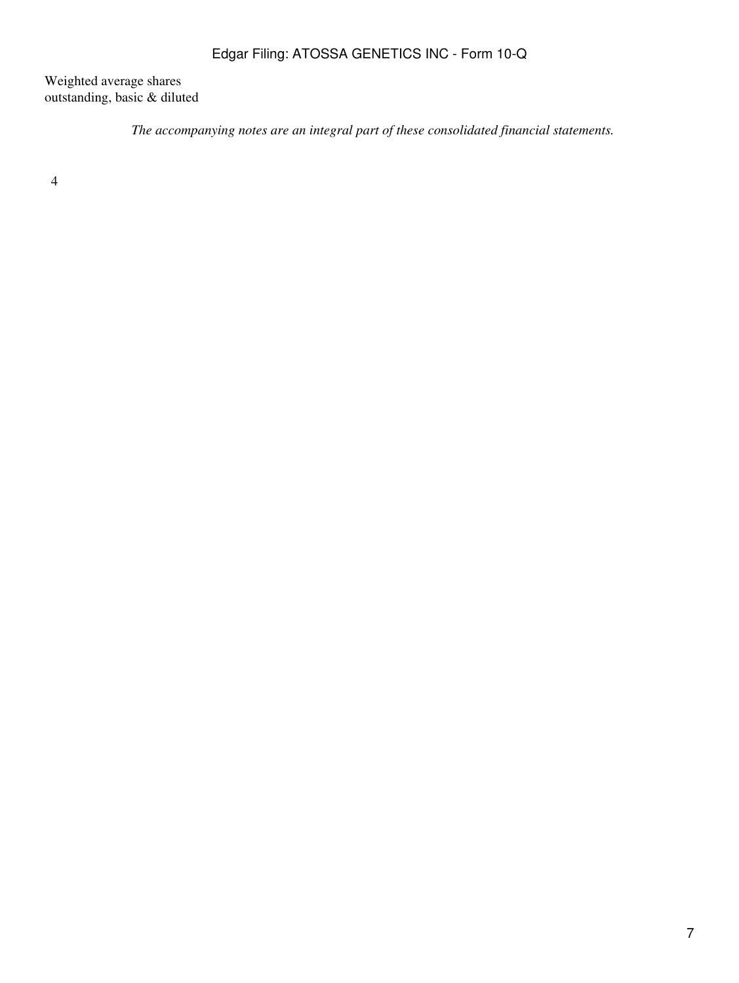Weighted average shares outstanding, basic & diluted

*The accompanying notes are an integral part of these consolidated financial statements.*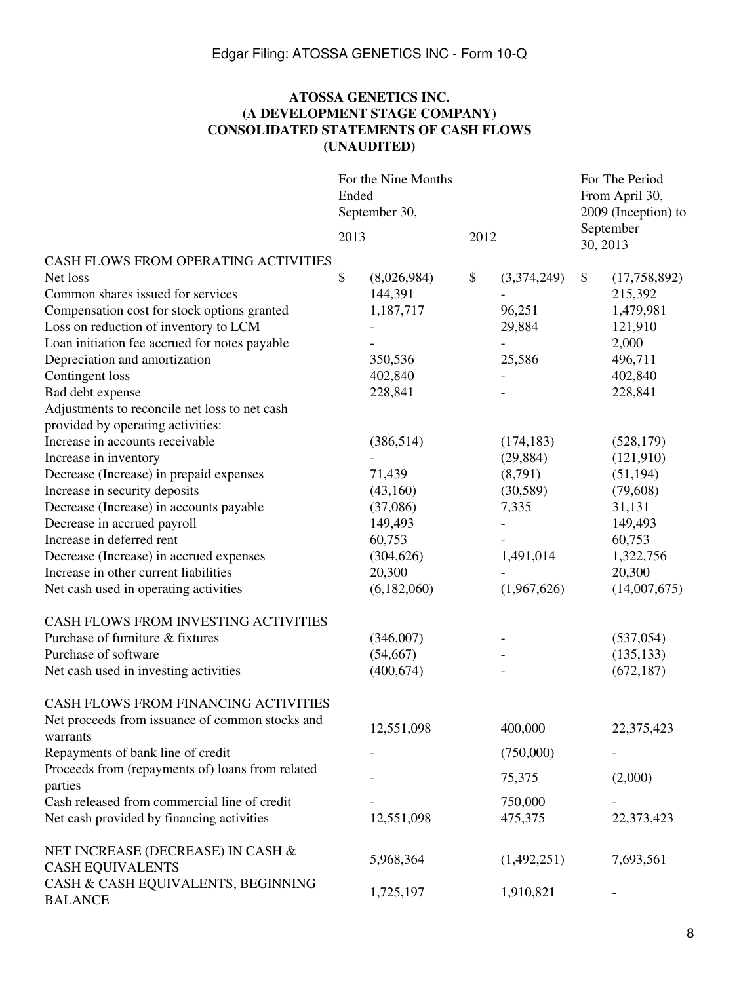## **ATOSSA GENETICS INC. (A DEVELOPMENT STAGE COMPANY) CONSOLIDATED STATEMENTS OF CASH FLOWS (UNAUDITED)**

|                                                             | For the Nine Months<br>Ended<br>September 30, |             |      |             |          | For The Period<br>From April 30,<br>2009 (Inception) to |
|-------------------------------------------------------------|-----------------------------------------------|-------------|------|-------------|----------|---------------------------------------------------------|
|                                                             | 2013                                          |             | 2012 |             | 30, 2013 | September                                               |
| CASH FLOWS FROM OPERATING ACTIVITIES                        |                                               |             |      |             |          |                                                         |
| Net loss                                                    | \$                                            | (8,026,984) | \$   | (3,374,249) | \$       | (17,758,892)                                            |
| Common shares issued for services                           |                                               | 144,391     |      |             |          | 215,392                                                 |
| Compensation cost for stock options granted                 |                                               | 1,187,717   |      | 96,251      |          | 1,479,981                                               |
| Loss on reduction of inventory to LCM                       |                                               |             |      | 29,884      |          | 121,910                                                 |
| Loan initiation fee accrued for notes payable               |                                               |             |      |             |          | 2,000                                                   |
| Depreciation and amortization                               |                                               | 350,536     |      | 25,586      |          | 496,711                                                 |
| Contingent loss                                             |                                               | 402,840     |      |             |          | 402,840                                                 |
| Bad debt expense                                            |                                               | 228,841     |      |             |          | 228,841                                                 |
| Adjustments to reconcile net loss to net cash               |                                               |             |      |             |          |                                                         |
| provided by operating activities:                           |                                               |             |      |             |          |                                                         |
| Increase in accounts receivable                             |                                               | (386, 514)  |      | (174, 183)  |          | (528, 179)                                              |
| Increase in inventory                                       |                                               |             |      | (29, 884)   |          | (121,910)                                               |
| Decrease (Increase) in prepaid expenses                     |                                               | 71,439      |      | (8,791)     |          | (51, 194)                                               |
| Increase in security deposits                               |                                               | (43,160)    |      | (30, 589)   |          | (79,608)                                                |
| Decrease (Increase) in accounts payable                     |                                               | (37,086)    |      | 7,335       |          | 31,131                                                  |
| Decrease in accrued payroll                                 |                                               | 149,493     |      |             |          | 149,493                                                 |
| Increase in deferred rent                                   |                                               | 60,753      |      |             |          | 60,753                                                  |
| Decrease (Increase) in accrued expenses                     |                                               | (304, 626)  |      | 1,491,014   |          | 1,322,756                                               |
| Increase in other current liabilities                       |                                               | 20,300      |      |             |          | 20,300                                                  |
| Net cash used in operating activities                       |                                               | (6,182,060) |      | (1,967,626) |          | (14,007,675)                                            |
| CASH FLOWS FROM INVESTING ACTIVITIES                        |                                               |             |      |             |          |                                                         |
| Purchase of furniture & fixtures                            |                                               | (346,007)   |      |             |          | (537, 054)                                              |
| Purchase of software                                        |                                               | (54, 667)   |      |             |          | (135, 133)                                              |
| Net cash used in investing activities                       |                                               | (400, 674)  |      |             |          | (672, 187)                                              |
| CASH FLOWS FROM FINANCING ACTIVITIES                        |                                               |             |      |             |          |                                                         |
| Net proceeds from issuance of common stocks and<br>warrants |                                               | 12,551,098  |      | 400,000     |          | 22,375,423                                              |
| Repayments of bank line of credit                           |                                               |             |      | (750,000)   |          |                                                         |
| Proceeds from (repayments of) loans from related            |                                               |             |      |             |          |                                                         |
| parties                                                     |                                               |             |      | 75,375      |          | (2,000)                                                 |
| Cash released from commercial line of credit                |                                               |             |      | 750,000     |          |                                                         |
| Net cash provided by financing activities                   |                                               | 12,551,098  |      | 475,375     |          | 22,373,423                                              |
| NET INCREASE (DECREASE) IN CASH &                           |                                               | 5,968,364   |      | (1,492,251) |          | 7,693,561                                               |
| <b>CASH EQUIVALENTS</b>                                     |                                               |             |      |             |          |                                                         |
| CASH & CASH EQUIVALENTS, BEGINNING<br><b>BALANCE</b>        |                                               | 1,725,197   |      | 1,910,821   |          |                                                         |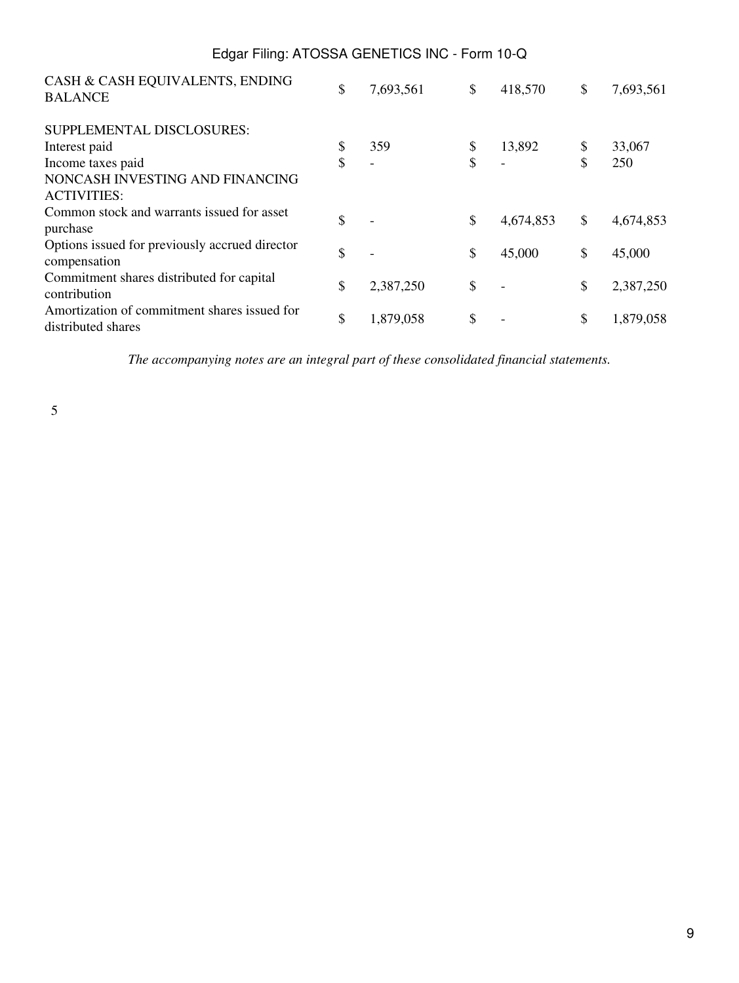| Edgar Filing: ATOSSA GENETICS INC - Form 10-Q                      |                 |                 |                 |
|--------------------------------------------------------------------|-----------------|-----------------|-----------------|
| CASH & CASH EQUIVALENTS, ENDING<br><b>BALANCE</b>                  | \$<br>7,693,561 | \$<br>418,570   | \$<br>7,693,561 |
| SUPPLEMENTAL DISCLOSURES:                                          |                 |                 |                 |
| Interest paid                                                      | \$<br>359       | \$<br>13,892    | \$<br>33,067    |
| Income taxes paid                                                  | \$              | \$              | \$<br>250       |
| NONCASH INVESTING AND FINANCING<br><b>ACTIVITIES:</b>              |                 |                 |                 |
| Common stock and warrants issued for asset<br>purchase             | \$              | \$<br>4,674,853 | \$<br>4,674,853 |
| Options issued for previously accrued director<br>compensation     | \$              | \$<br>45,000    | \$<br>45,000    |
| Commitment shares distributed for capital<br>contribution          | \$<br>2,387,250 | \$              | \$<br>2,387,250 |
| Amortization of commitment shares issued for<br>distributed shares | \$<br>1,879,058 | \$              | \$<br>1,879,058 |

*The accompanying notes are an integral part of these consolidated financial statements.*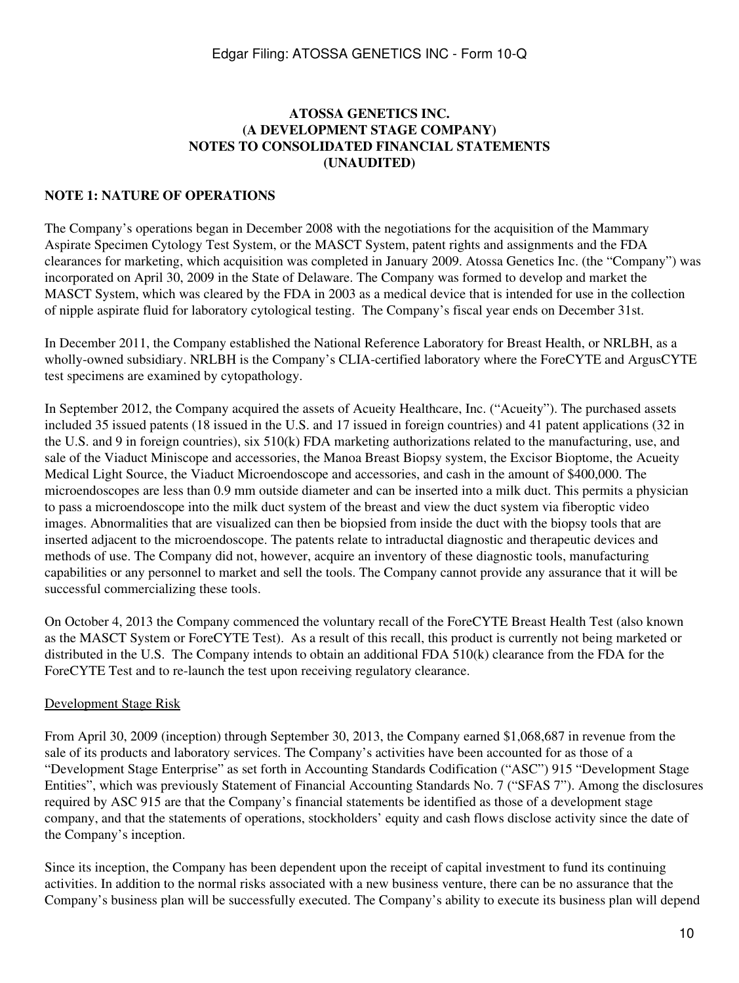## **ATOSSA GENETICS INC. (A DEVELOPMENT STAGE COMPANY) NOTES TO CONSOLIDATED FINANCIAL STATEMENTS (UNAUDITED)**

#### **NOTE 1: NATURE OF OPERATIONS**

The Company's operations began in December 2008 with the negotiations for the acquisition of the Mammary Aspirate Specimen Cytology Test System, or the MASCT System, patent rights and assignments and the FDA clearances for marketing, which acquisition was completed in January 2009. Atossa Genetics Inc. (the "Company") was incorporated on April 30, 2009 in the State of Delaware. The Company was formed to develop and market the MASCT System, which was cleared by the FDA in 2003 as a medical device that is intended for use in the collection of nipple aspirate fluid for laboratory cytological testing. The Company's fiscal year ends on December 31st.

In December 2011, the Company established the National Reference Laboratory for Breast Health, or NRLBH, as a wholly-owned subsidiary. NRLBH is the Company's CLIA-certified laboratory where the ForeCYTE and ArgusCYTE test specimens are examined by cytopathology.

In September 2012, the Company acquired the assets of Acueity Healthcare, Inc. ("Acueity"). The purchased assets included 35 issued patents (18 issued in the U.S. and 17 issued in foreign countries) and 41 patent applications (32 in the U.S. and 9 in foreign countries), six 510(k) FDA marketing authorizations related to the manufacturing, use, and sale of the Viaduct Miniscope and accessories, the Manoa Breast Biopsy system, the Excisor Bioptome, the Acueity Medical Light Source, the Viaduct Microendoscope and accessories, and cash in the amount of \$400,000. The microendoscopes are less than 0.9 mm outside diameter and can be inserted into a milk duct. This permits a physician to pass a microendoscope into the milk duct system of the breast and view the duct system via fiberoptic video images. Abnormalities that are visualized can then be biopsied from inside the duct with the biopsy tools that are inserted adjacent to the microendoscope. The patents relate to intraductal diagnostic and therapeutic devices and methods of use. The Company did not, however, acquire an inventory of these diagnostic tools, manufacturing capabilities or any personnel to market and sell the tools. The Company cannot provide any assurance that it will be successful commercializing these tools.

On October 4, 2013 the Company commenced the voluntary recall of the ForeCYTE Breast Health Test (also known as the MASCT System or ForeCYTE Test). As a result of this recall, this product is currently not being marketed or distributed in the U.S. The Company intends to obtain an additional FDA 510(k) clearance from the FDA for the ForeCYTE Test and to re-launch the test upon receiving regulatory clearance.

#### Development Stage Risk

From April 30, 2009 (inception) through September 30, 2013, the Company earned \$1,068,687 in revenue from the sale of its products and laboratory services. The Company's activities have been accounted for as those of a "Development Stage Enterprise" as set forth in Accounting Standards Codification ("ASC") 915 "Development Stage Entities", which was previously Statement of Financial Accounting Standards No. 7 ("SFAS 7"). Among the disclosures required by ASC 915 are that the Company's financial statements be identified as those of a development stage company, and that the statements of operations, stockholders' equity and cash flows disclose activity since the date of the Company's inception.

Since its inception, the Company has been dependent upon the receipt of capital investment to fund its continuing activities. In addition to the normal risks associated with a new business venture, there can be no assurance that the Company's business plan will be successfully executed. The Company's ability to execute its business plan will depend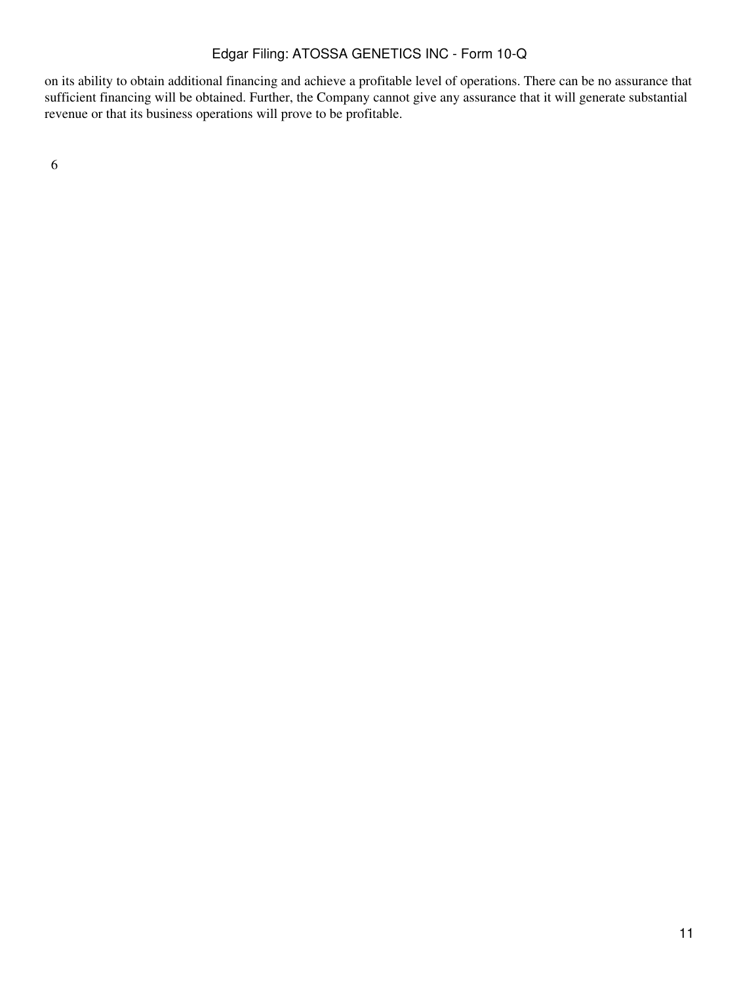on its ability to obtain additional financing and achieve a profitable level of operations. There can be no assurance that sufficient financing will be obtained. Further, the Company cannot give any assurance that it will generate substantial revenue or that its business operations will prove to be profitable.

6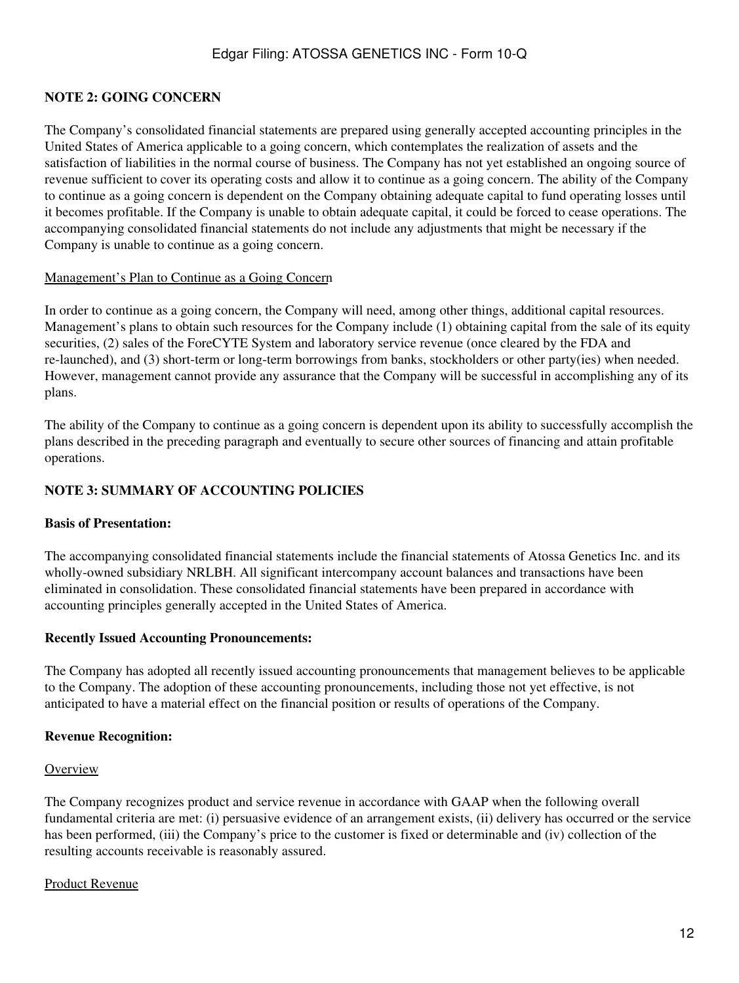## **NOTE 2: GOING CONCERN**

The Company's consolidated financial statements are prepared using generally accepted accounting principles in the United States of America applicable to a going concern, which contemplates the realization of assets and the satisfaction of liabilities in the normal course of business. The Company has not yet established an ongoing source of revenue sufficient to cover its operating costs and allow it to continue as a going concern. The ability of the Company to continue as a going concern is dependent on the Company obtaining adequate capital to fund operating losses until it becomes profitable. If the Company is unable to obtain adequate capital, it could be forced to cease operations. The accompanying consolidated financial statements do not include any adjustments that might be necessary if the Company is unable to continue as a going concern.

#### Management's Plan to Continue as a Going Concern

In order to continue as a going concern, the Company will need, among other things, additional capital resources. Management's plans to obtain such resources for the Company include (1) obtaining capital from the sale of its equity securities, (2) sales of the ForeCYTE System and laboratory service revenue (once cleared by the FDA and re-launched), and (3) short-term or long-term borrowings from banks, stockholders or other party(ies) when needed. However, management cannot provide any assurance that the Company will be successful in accomplishing any of its plans.

The ability of the Company to continue as a going concern is dependent upon its ability to successfully accomplish the plans described in the preceding paragraph and eventually to secure other sources of financing and attain profitable operations.

### **NOTE 3: SUMMARY OF ACCOUNTING POLICIES**

#### **Basis of Presentation:**

The accompanying consolidated financial statements include the financial statements of Atossa Genetics Inc. and its wholly-owned subsidiary NRLBH. All significant intercompany account balances and transactions have been eliminated in consolidation. These consolidated financial statements have been prepared in accordance with accounting principles generally accepted in the United States of America.

#### **Recently Issued Accounting Pronouncements:**

The Company has adopted all recently issued accounting pronouncements that management believes to be applicable to the Company. The adoption of these accounting pronouncements, including those not yet effective, is not anticipated to have a material effect on the financial position or results of operations of the Company.

#### **Revenue Recognition:**

#### **Overview**

The Company recognizes product and service revenue in accordance with GAAP when the following overall fundamental criteria are met: (i) persuasive evidence of an arrangement exists, (ii) delivery has occurred or the service has been performed, (iii) the Company's price to the customer is fixed or determinable and (iv) collection of the resulting accounts receivable is reasonably assured.

#### Product Revenue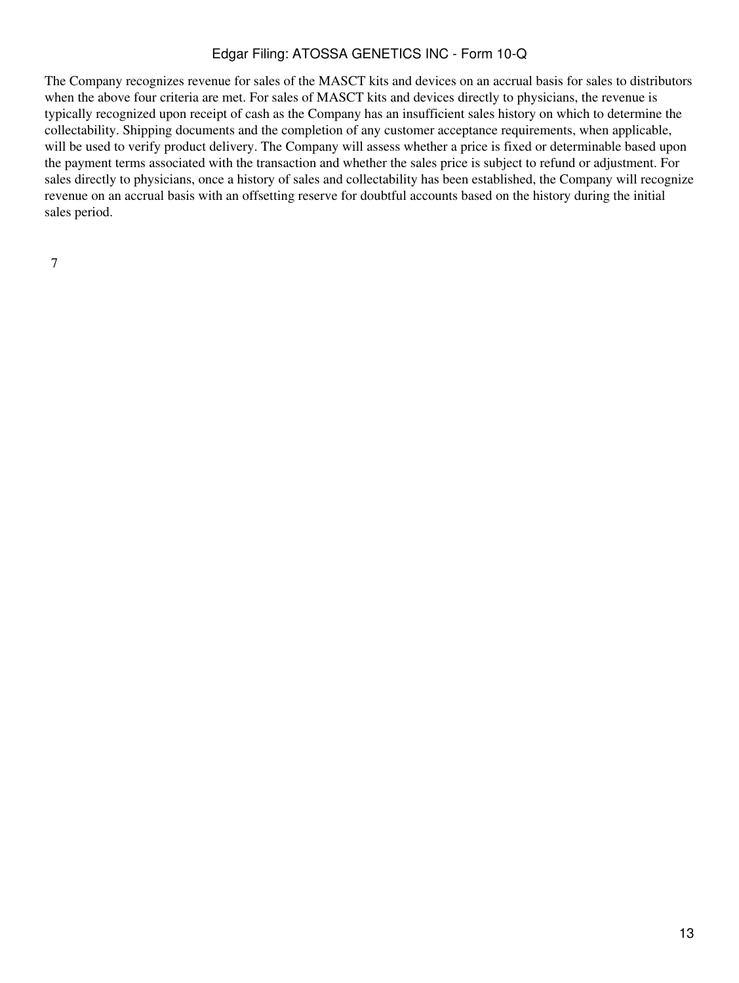The Company recognizes revenue for sales of the MASCT kits and devices on an accrual basis for sales to distributors when the above four criteria are met. For sales of MASCT kits and devices directly to physicians, the revenue is typically recognized upon receipt of cash as the Company has an insufficient sales history on which to determine the collectability. Shipping documents and the completion of any customer acceptance requirements, when applicable, will be used to verify product delivery. The Company will assess whether a price is fixed or determinable based upon the payment terms associated with the transaction and whether the sales price is subject to refund or adjustment. For sales directly to physicians, once a history of sales and collectability has been established, the Company will recognize revenue on an accrual basis with an offsetting reserve for doubtful accounts based on the history during the initial sales period.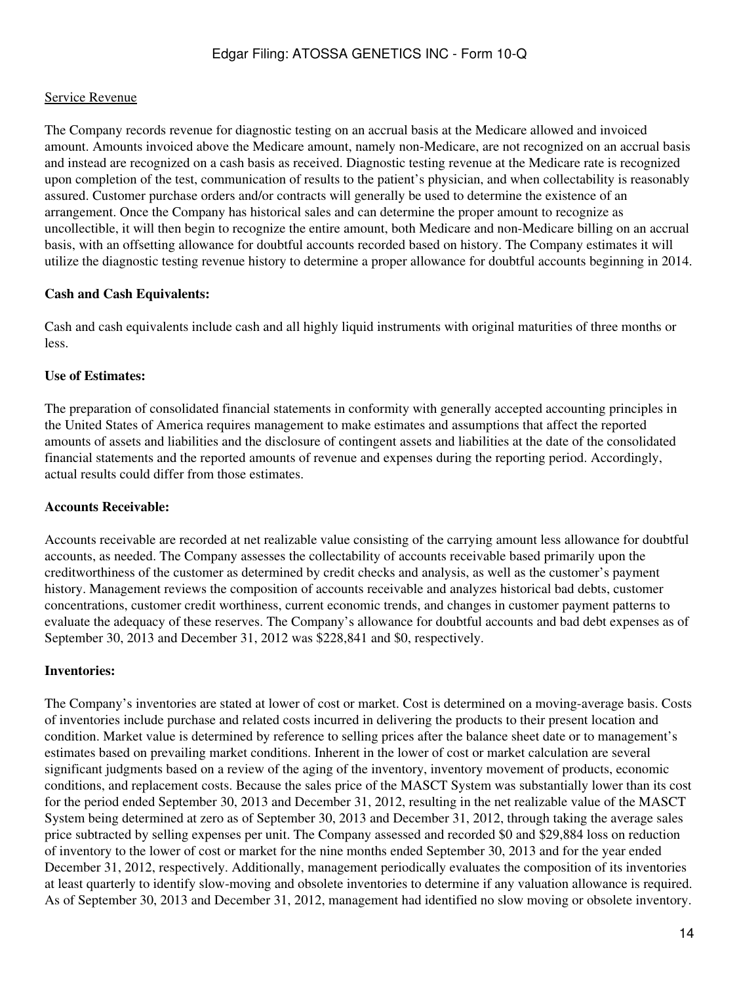## Service Revenue

The Company records revenue for diagnostic testing on an accrual basis at the Medicare allowed and invoiced amount. Amounts invoiced above the Medicare amount, namely non-Medicare, are not recognized on an accrual basis and instead are recognized on a cash basis as received. Diagnostic testing revenue at the Medicare rate is recognized upon completion of the test, communication of results to the patient's physician, and when collectability is reasonably assured. Customer purchase orders and/or contracts will generally be used to determine the existence of an arrangement. Once the Company has historical sales and can determine the proper amount to recognize as uncollectible, it will then begin to recognize the entire amount, both Medicare and non-Medicare billing on an accrual basis, with an offsetting allowance for doubtful accounts recorded based on history. The Company estimates it will utilize the diagnostic testing revenue history to determine a proper allowance for doubtful accounts beginning in 2014.

## **Cash and Cash Equivalents:**

Cash and cash equivalents include cash and all highly liquid instruments with original maturities of three months or less.

## **Use of Estimates:**

The preparation of consolidated financial statements in conformity with generally accepted accounting principles in the United States of America requires management to make estimates and assumptions that affect the reported amounts of assets and liabilities and the disclosure of contingent assets and liabilities at the date of the consolidated financial statements and the reported amounts of revenue and expenses during the reporting period. Accordingly, actual results could differ from those estimates.

## **Accounts Receivable:**

Accounts receivable are recorded at net realizable value consisting of the carrying amount less allowance for doubtful accounts, as needed. The Company assesses the collectability of accounts receivable based primarily upon the creditworthiness of the customer as determined by credit checks and analysis, as well as the customer's payment history. Management reviews the composition of accounts receivable and analyzes historical bad debts, customer concentrations, customer credit worthiness, current economic trends, and changes in customer payment patterns to evaluate the adequacy of these reserves. The Company's allowance for doubtful accounts and bad debt expenses as of September 30, 2013 and December 31, 2012 was \$228,841 and \$0, respectively.

## **Inventories:**

The Company's inventories are stated at lower of cost or market. Cost is determined on a moving-average basis. Costs of inventories include purchase and related costs incurred in delivering the products to their present location and condition. Market value is determined by reference to selling prices after the balance sheet date or to management's estimates based on prevailing market conditions. Inherent in the lower of cost or market calculation are several significant judgments based on a review of the aging of the inventory, inventory movement of products, economic conditions, and replacement costs. Because the sales price of the MASCT System was substantially lower than its cost for the period ended September 30, 2013 and December 31, 2012, resulting in the net realizable value of the MASCT System being determined at zero as of September 30, 2013 and December 31, 2012, through taking the average sales price subtracted by selling expenses per unit. The Company assessed and recorded \$0 and \$29,884 loss on reduction of inventory to the lower of cost or market for the nine months ended September 30, 2013 and for the year ended December 31, 2012, respectively. Additionally, management periodically evaluates the composition of its inventories at least quarterly to identify slow-moving and obsolete inventories to determine if any valuation allowance is required. As of September 30, 2013 and December 31, 2012, management had identified no slow moving or obsolete inventory.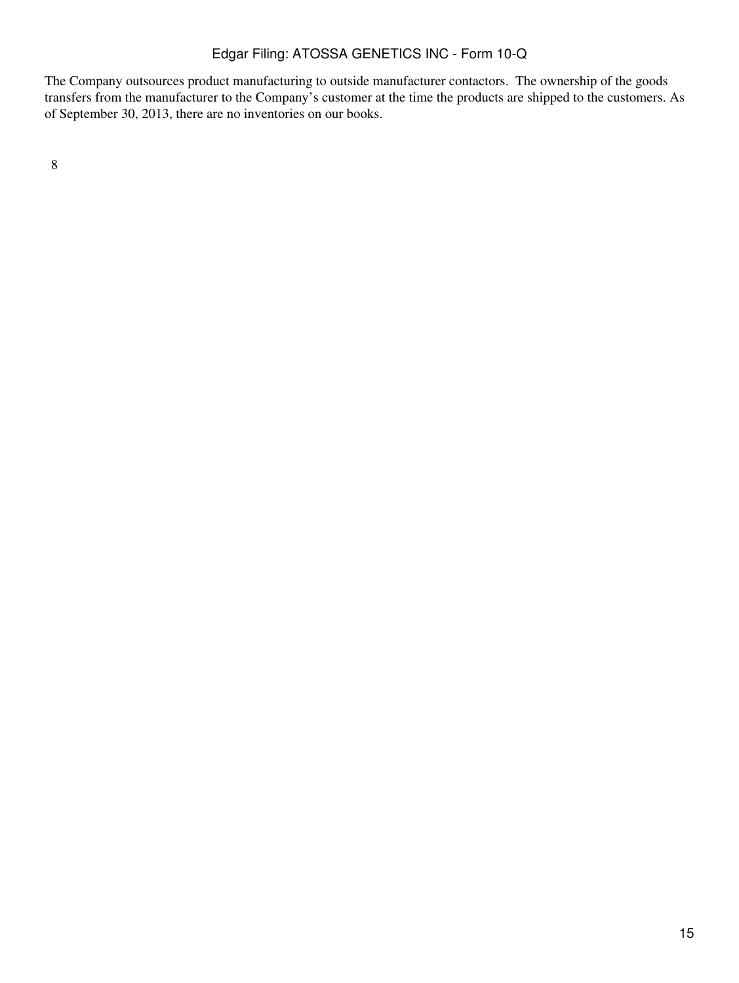The Company outsources product manufacturing to outside manufacturer contactors. The ownership of the goods transfers from the manufacturer to the Company's customer at the time the products are shipped to the customers. As of September 30, 2013, there are no inventories on our books.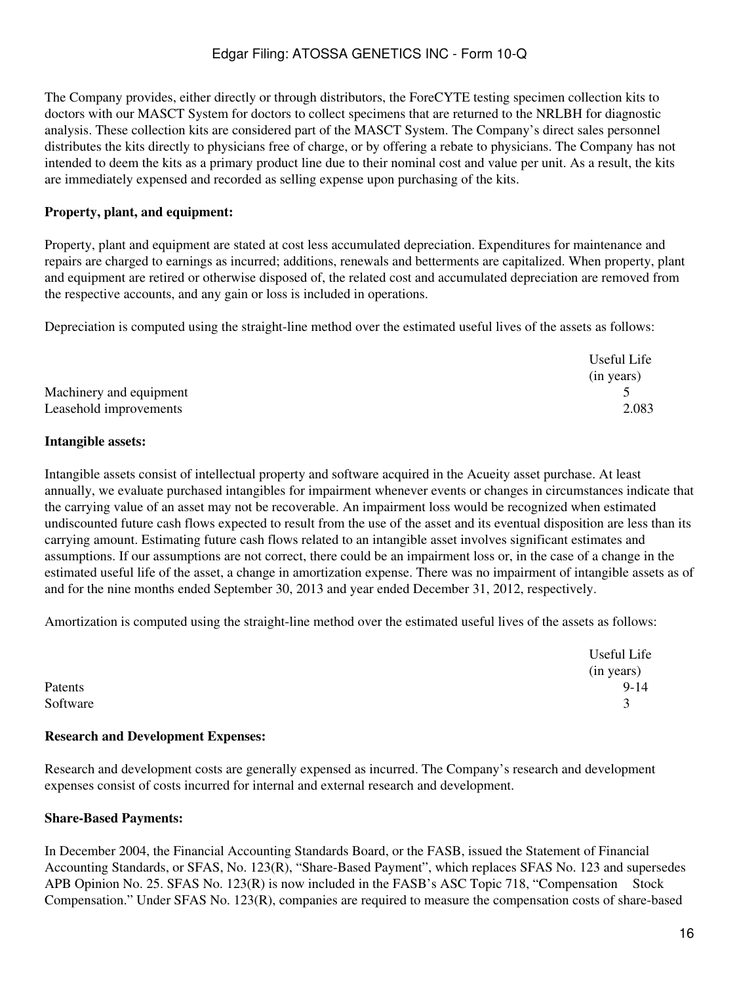The Company provides, either directly or through distributors, the ForeCYTE testing specimen collection kits to doctors with our MASCT System for doctors to collect specimens that are returned to the NRLBH for diagnostic analysis. These collection kits are considered part of the MASCT System. The Company's direct sales personnel distributes the kits directly to physicians free of charge, or by offering a rebate to physicians. The Company has not intended to deem the kits as a primary product line due to their nominal cost and value per unit. As a result, the kits are immediately expensed and recorded as selling expense upon purchasing of the kits.

### **Property, plant, and equipment:**

Property, plant and equipment are stated at cost less accumulated depreciation. Expenditures for maintenance and repairs are charged to earnings as incurred; additions, renewals and betterments are capitalized. When property, plant and equipment are retired or otherwise disposed of, the related cost and accumulated depreciation are removed from the respective accounts, and any gain or loss is included in operations.

Depreciation is computed using the straight-line method over the estimated useful lives of the assets as follows:

|                         | Useful Life |
|-------------------------|-------------|
|                         | (in years)  |
| Machinery and equipment |             |
| Leasehold improvements  | 2.083       |

#### **Intangible assets:**

Intangible assets consist of intellectual property and software acquired in the Acueity asset purchase. At least annually, we evaluate purchased intangibles for impairment whenever events or changes in circumstances indicate that the carrying value of an asset may not be recoverable. An impairment loss would be recognized when estimated undiscounted future cash flows expected to result from the use of the asset and its eventual disposition are less than its carrying amount. Estimating future cash flows related to an intangible asset involves significant estimates and assumptions. If our assumptions are not correct, there could be an impairment loss or, in the case of a change in the estimated useful life of the asset, a change in amortization expense. There was no impairment of intangible assets as of and for the nine months ended September 30, 2013 and year ended December 31, 2012, respectively.

Amortization is computed using the straight-line method over the estimated useful lives of the assets as follows:

|          | Useful Life        |
|----------|--------------------|
|          | (in years)         |
| Patents  | $9-14$             |
| Software | $\rightarrow$<br>ັ |

#### **Research and Development Expenses:**

Research and development costs are generally expensed as incurred. The Company's research and development expenses consist of costs incurred for internal and external research and development.

#### **Share-Based Payments:**

In December 2004, the Financial Accounting Standards Board, or the FASB, issued the Statement of Financial Accounting Standards, or SFAS, No. 123(R), "Share-Based Payment", which replaces SFAS No. 123 and supersedes APB Opinion No. 25. SFAS No. 123(R) is now included in the FASB's ASC Topic 718, "Compensation Stock Compensation." Under SFAS No. 123(R), companies are required to measure the compensation costs of share-based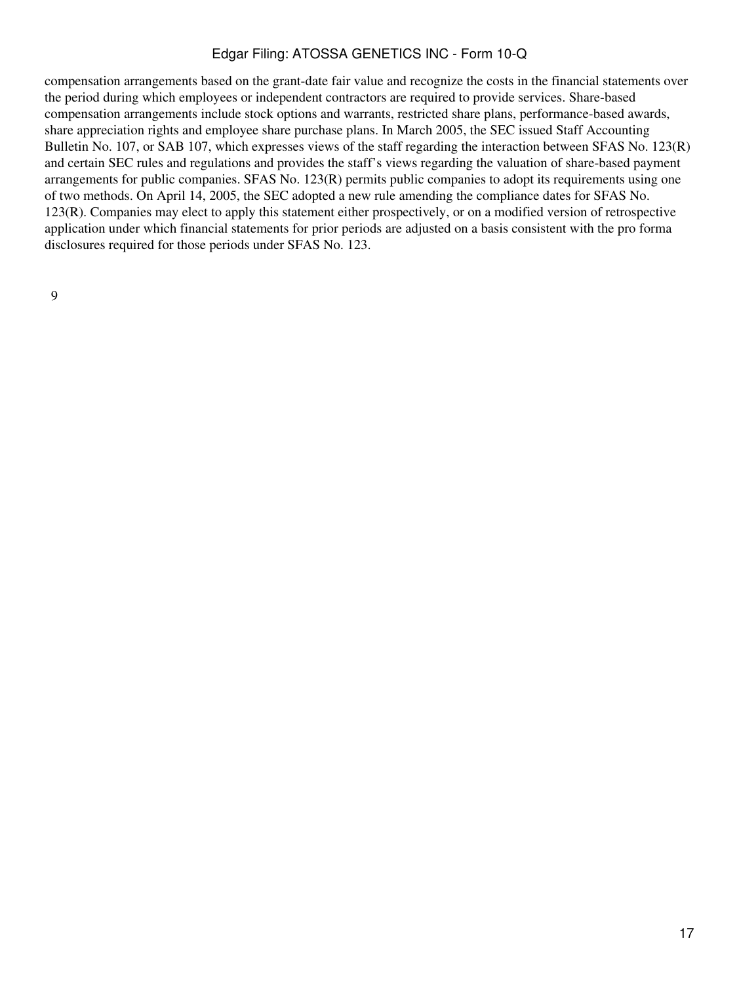compensation arrangements based on the grant-date fair value and recognize the costs in the financial statements over the period during which employees or independent contractors are required to provide services. Share-based compensation arrangements include stock options and warrants, restricted share plans, performance-based awards, share appreciation rights and employee share purchase plans. In March 2005, the SEC issued Staff Accounting Bulletin No. 107, or SAB 107, which expresses views of the staff regarding the interaction between SFAS No. 123(R) and certain SEC rules and regulations and provides the staff's views regarding the valuation of share-based payment arrangements for public companies. SFAS No. 123(R) permits public companies to adopt its requirements using one of two methods. On April 14, 2005, the SEC adopted a new rule amending the compliance dates for SFAS No. 123(R). Companies may elect to apply this statement either prospectively, or on a modified version of retrospective application under which financial statements for prior periods are adjusted on a basis consistent with the pro forma disclosures required for those periods under SFAS No. 123.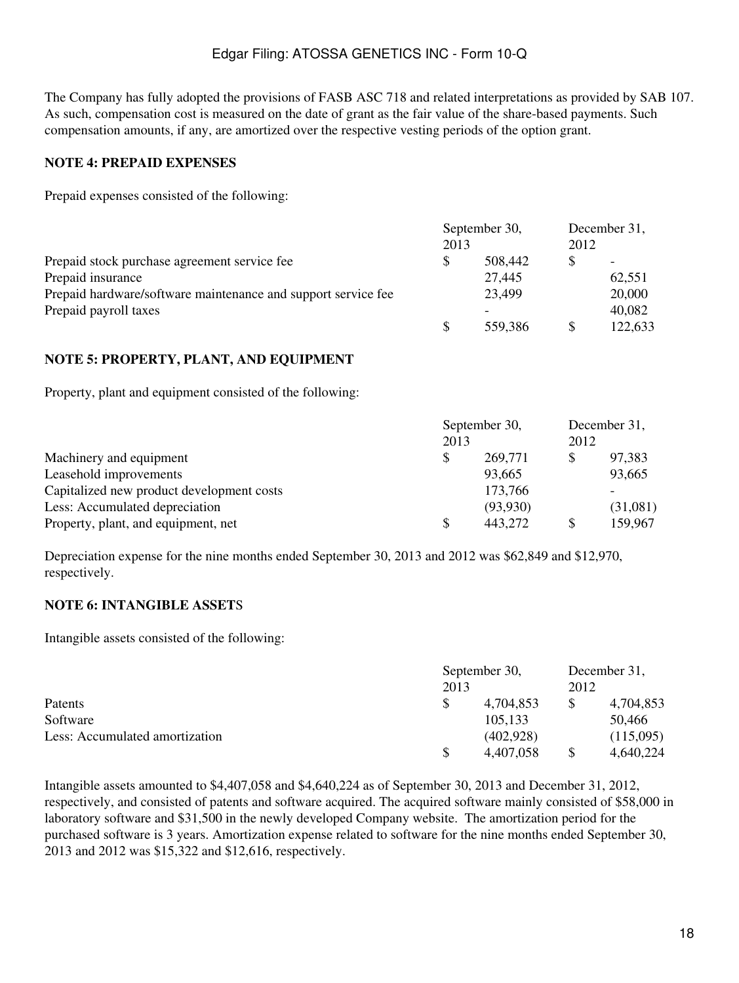The Company has fully adopted the provisions of FASB ASC 718 and related interpretations as provided by SAB 107. As such, compensation cost is measured on the date of grant as the fair value of the share-based payments. Such compensation amounts, if any, are amortized over the respective vesting periods of the option grant.

## **NOTE 4: PREPAID EXPENSES**

Prepaid expenses consisted of the following:

|                                                               | September 30, |         |               | December 31,             |
|---------------------------------------------------------------|---------------|---------|---------------|--------------------------|
|                                                               | 2013          |         | 2012          |                          |
| Prepaid stock purchase agreement service fee                  |               | 508,442 |               | $\overline{\phantom{0}}$ |
| Prepaid insurance                                             |               | 27,445  |               | 62,551                   |
| Prepaid hardware/software maintenance and support service fee |               | 23,499  |               | 20,000                   |
| Prepaid payroll taxes                                         |               |         |               | 40,082                   |
|                                                               |               | 559,386 | <sup>\$</sup> | 122,633                  |

## **NOTE 5: PROPERTY, PLANT, AND EQUIPMENT**

Property, plant and equipment consisted of the following:

|                                           | September 30, |          |      | December 31, |
|-------------------------------------------|---------------|----------|------|--------------|
|                                           | 2013          |          | 2012 |              |
| Machinery and equipment                   |               | 269,771  | S    | 97,383       |
| Leasehold improvements                    |               | 93,665   |      | 93,665       |
| Capitalized new product development costs |               | 173,766  |      |              |
| Less: Accumulated depreciation            |               | (93,930) |      | (31,081)     |
| Property, plant, and equipment, net       |               | 443,272  | S    | 159,967      |

Depreciation expense for the nine months ended September 30, 2013 and 2012 was \$62,849 and \$12,970, respectively.

## **NOTE 6: INTANGIBLE ASSET**S

Intangible assets consisted of the following:

|                                |      | September 30, |      | December 31, |
|--------------------------------|------|---------------|------|--------------|
|                                | 2013 |               | 2012 |              |
| Patents                        |      | 4,704,853     |      | 4,704,853    |
| Software                       |      | 105,133       |      | 50,466       |
| Less: Accumulated amortization |      | (402,928)     |      | (115,095)    |
|                                |      | 4,407,058     |      | 4.640.224    |

Intangible assets amounted to \$4,407,058 and \$4,640,224 as of September 30, 2013 and December 31, 2012, respectively, and consisted of patents and software acquired. The acquired software mainly consisted of \$58,000 in laboratory software and \$31,500 in the newly developed Company website. The amortization period for the purchased software is 3 years. Amortization expense related to software for the nine months ended September 30, 2013 and 2012 was \$15,322 and \$12,616, respectively.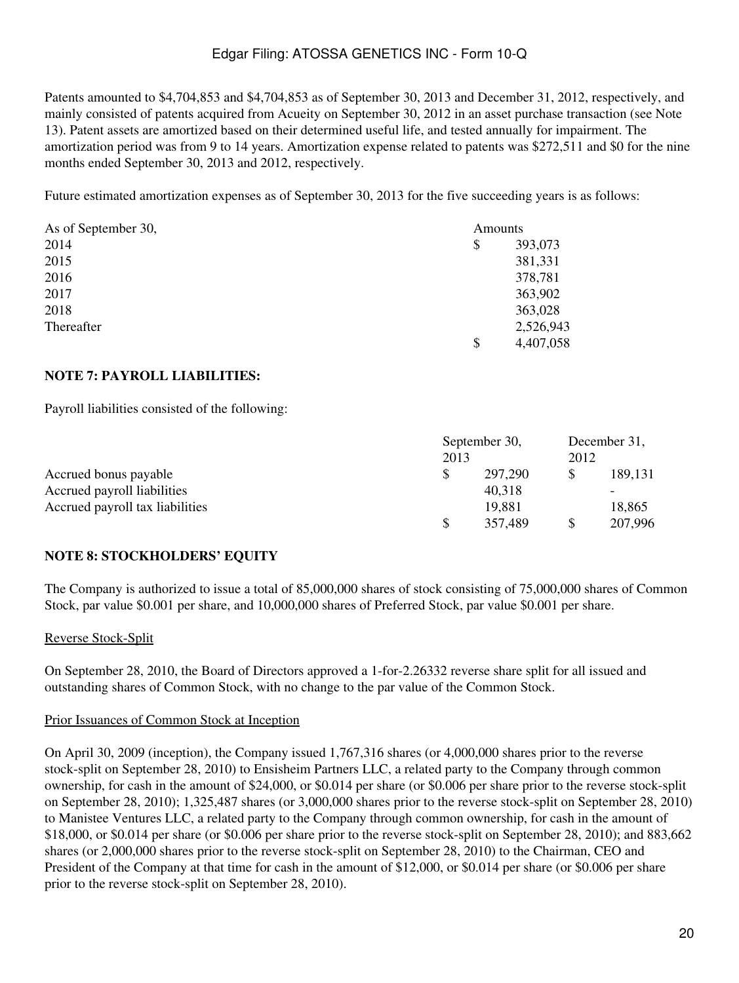Patents amounted to \$4,704,853 and \$4,704,853 as of September 30, 2013 and December 31, 2012, respectively, and mainly consisted of patents acquired from Acueity on September 30, 2012 in an asset purchase transaction (see Note 13). Patent assets are amortized based on their determined useful life, and tested annually for impairment. The amortization period was from 9 to 14 years. Amortization expense related to patents was \$272,511 and \$0 for the nine months ended September 30, 2013 and 2012, respectively.

Future estimated amortization expenses as of September 30, 2013 for the five succeeding years is as follows:

| As of September 30, | Amounts         |  |  |
|---------------------|-----------------|--|--|
| 2014                | \$<br>393,073   |  |  |
| 2015                | 381,331         |  |  |
| 2016                | 378,781         |  |  |
| 2017                | 363,902         |  |  |
| 2018                | 363,028         |  |  |
| Thereafter          | 2,526,943       |  |  |
|                     | \$<br>4,407,058 |  |  |

## **NOTE 7: PAYROLL LIABILITIES:**

Payroll liabilities consisted of the following:

|                                 |      | September 30, |      | December 31, |
|---------------------------------|------|---------------|------|--------------|
|                                 | 2013 |               | 2012 |              |
| Accrued bonus payable           |      | 297,290       |      | 189,131      |
| Accrued payroll liabilities     |      | 40,318        |      | -            |
| Accrued payroll tax liabilities |      | 19,881        |      | 18,865       |
|                                 |      | 357,489       | S    | 207,996      |

# **NOTE 8: STOCKHOLDERS' EQUITY**

The Company is authorized to issue a total of 85,000,000 shares of stock consisting of 75,000,000 shares of Common Stock, par value \$0.001 per share, and 10,000,000 shares of Preferred Stock, par value \$0.001 per share.

## Reverse Stock-Split

On September 28, 2010, the Board of Directors approved a 1-for-2.26332 reverse share split for all issued and outstanding shares of Common Stock, with no change to the par value of the Common Stock.

## Prior Issuances of Common Stock at Inception

On April 30, 2009 (inception), the Company issued 1,767,316 shares (or 4,000,000 shares prior to the reverse stock-split on September 28, 2010) to Ensisheim Partners LLC, a related party to the Company through common ownership, for cash in the amount of \$24,000, or \$0.014 per share (or \$0.006 per share prior to the reverse stock-split on September 28, 2010); 1,325,487 shares (or 3,000,000 shares prior to the reverse stock-split on September 28, 2010) to Manistee Ventures LLC, a related party to the Company through common ownership, for cash in the amount of \$18,000, or \$0.014 per share (or \$0.006 per share prior to the reverse stock-split on September 28, 2010); and 883,662 shares (or 2,000,000 shares prior to the reverse stock-split on September 28, 2010) to the Chairman, CEO and President of the Company at that time for cash in the amount of \$12,000, or \$0.014 per share (or \$0.006 per share prior to the reverse stock-split on September 28, 2010).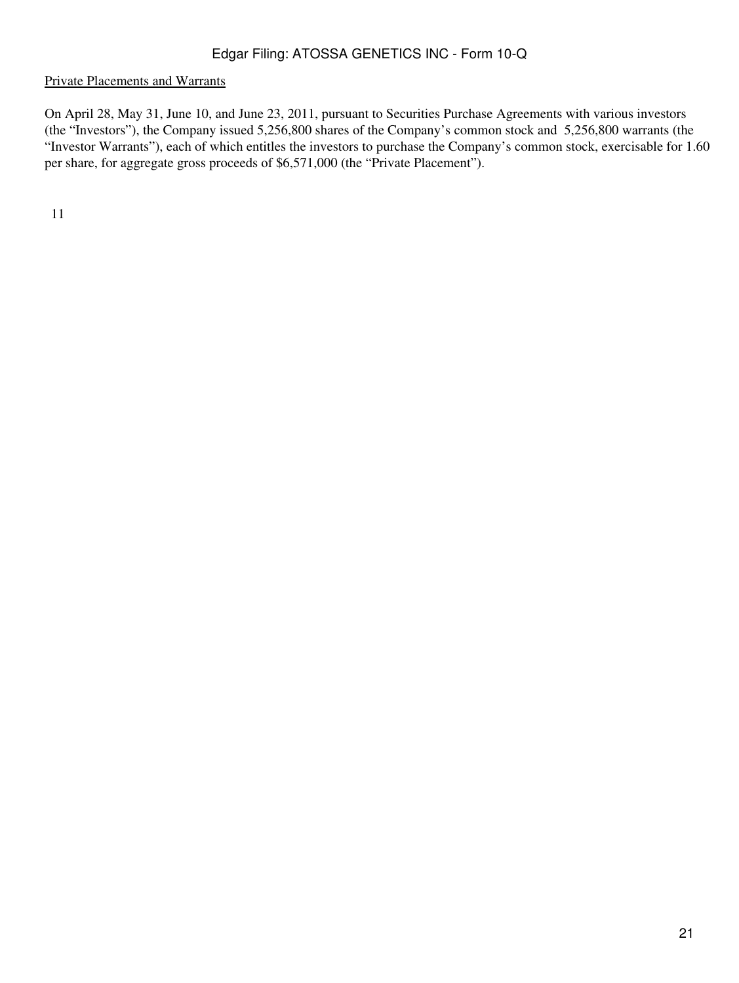#### Private Placements and Warrants

On April 28, May 31, June 10, and June 23, 2011, pursuant to Securities Purchase Agreements with various investors (the "Investors"), the Company issued 5,256,800 shares of the Company's common stock and 5,256,800 warrants (the "Investor Warrants"), each of which entitles the investors to purchase the Company's common stock, exercisable for 1.60 per share, for aggregate gross proceeds of \$6,571,000 (the "Private Placement").

11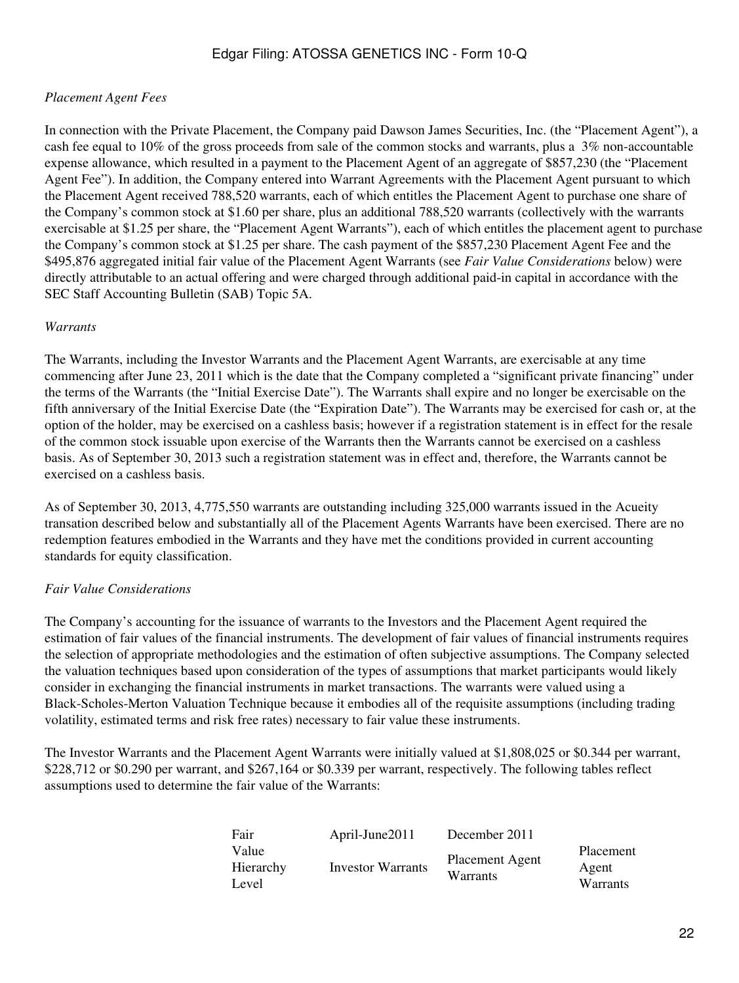## *Placement Agent Fees*

In connection with the Private Placement, the Company paid Dawson James Securities, Inc. (the "Placement Agent"), a cash fee equal to 10% of the gross proceeds from sale of the common stocks and warrants, plus a 3% non-accountable expense allowance, which resulted in a payment to the Placement Agent of an aggregate of \$857,230 (the "Placement Agent Fee"). In addition, the Company entered into Warrant Agreements with the Placement Agent pursuant to which the Placement Agent received 788,520 warrants, each of which entitles the Placement Agent to purchase one share of the Company's common stock at \$1.60 per share, plus an additional 788,520 warrants (collectively with the warrants exercisable at \$1.25 per share, the "Placement Agent Warrants"), each of which entitles the placement agent to purchase the Company's common stock at \$1.25 per share. The cash payment of the \$857,230 Placement Agent Fee and the \$495,876 aggregated initial fair value of the Placement Agent Warrants (see *Fair Value Considerations* below) were directly attributable to an actual offering and were charged through additional paid-in capital in accordance with the SEC Staff Accounting Bulletin (SAB) Topic 5A.

#### *Warrants*

The Warrants, including the Investor Warrants and the Placement Agent Warrants, are exercisable at any time commencing after June 23, 2011 which is the date that the Company completed a "significant private financing" under the terms of the Warrants (the "Initial Exercise Date"). The Warrants shall expire and no longer be exercisable on the fifth anniversary of the Initial Exercise Date (the "Expiration Date"). The Warrants may be exercised for cash or, at the option of the holder, may be exercised on a cashless basis; however if a registration statement is in effect for the resale of the common stock issuable upon exercise of the Warrants then the Warrants cannot be exercised on a cashless basis. As of September 30, 2013 such a registration statement was in effect and, therefore, the Warrants cannot be exercised on a cashless basis.

As of September 30, 2013, 4,775,550 warrants are outstanding including 325,000 warrants issued in the Acueity transation described below and substantially all of the Placement Agents Warrants have been exercised. There are no redemption features embodied in the Warrants and they have met the conditions provided in current accounting standards for equity classification.

## *Fair Value Considerations*

The Company's accounting for the issuance of warrants to the Investors and the Placement Agent required the estimation of fair values of the financial instruments. The development of fair values of financial instruments requires the selection of appropriate methodologies and the estimation of often subjective assumptions. The Company selected the valuation techniques based upon consideration of the types of assumptions that market participants would likely consider in exchanging the financial instruments in market transactions. The warrants were valued using a Black-Scholes-Merton Valuation Technique because it embodies all of the requisite assumptions (including trading volatility, estimated terms and risk free rates) necessary to fair value these instruments.

The Investor Warrants and the Placement Agent Warrants were initially valued at \$1,808,025 or \$0.344 per warrant, \$228,712 or \$0.290 per warrant, and \$267,164 or \$0.339 per warrant, respectively. The following tables reflect assumptions used to determine the fair value of the Warrants:

| Fair      | April-June2011    | December 2011          |           |
|-----------|-------------------|------------------------|-----------|
| Value     |                   | <b>Placement Agent</b> | Placement |
| Hierarchy | Investor Warrants | Warrants               | Agent     |
| Level     |                   |                        | Warrants  |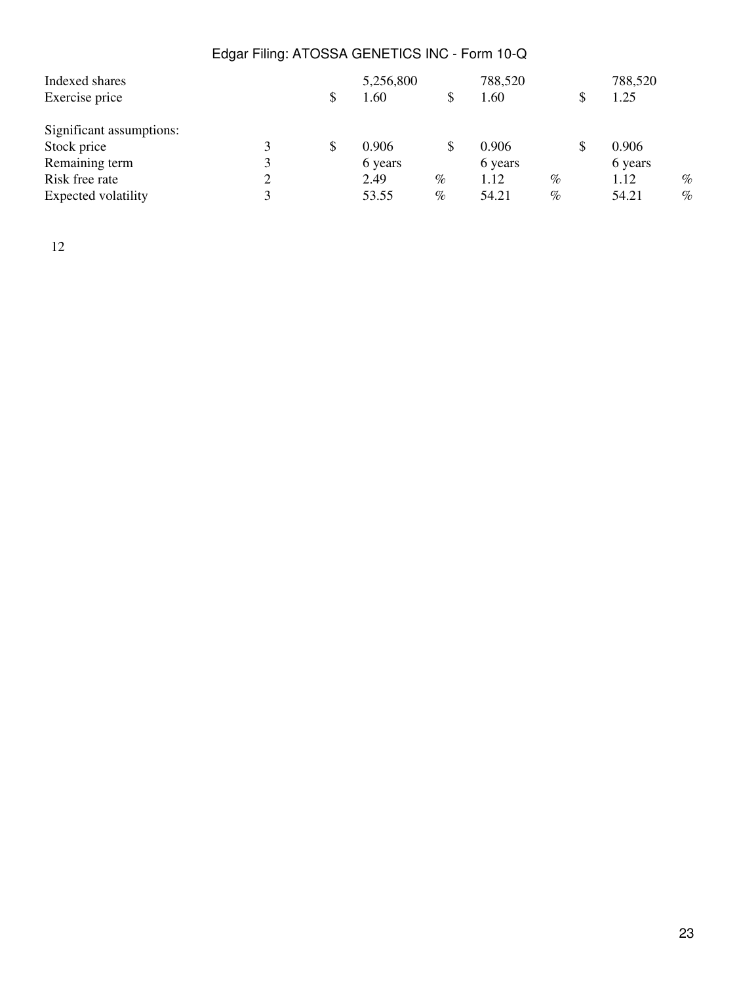|   |  |                                                        | 788,520 |      | 788,520     |      |
|---|--|--------------------------------------------------------|---------|------|-------------|------|
|   |  |                                                        | 1.60    |      | \$<br>1.25  |      |
|   |  |                                                        |         |      |             |      |
|   |  |                                                        | 0.906   |      | \$<br>0.906 |      |
|   |  |                                                        | 6 years |      | 6 years     |      |
| 2 |  | $\%$                                                   | 1.12    | $\%$ | 1.12        | $\%$ |
|   |  |                                                        | 54.21   | $\%$ | 54.21       | $\%$ |
|   |  | 5,256,800<br>1.60<br>0.906<br>6 years<br>2.49<br>53.55 | $\%$    |      |             |      |

12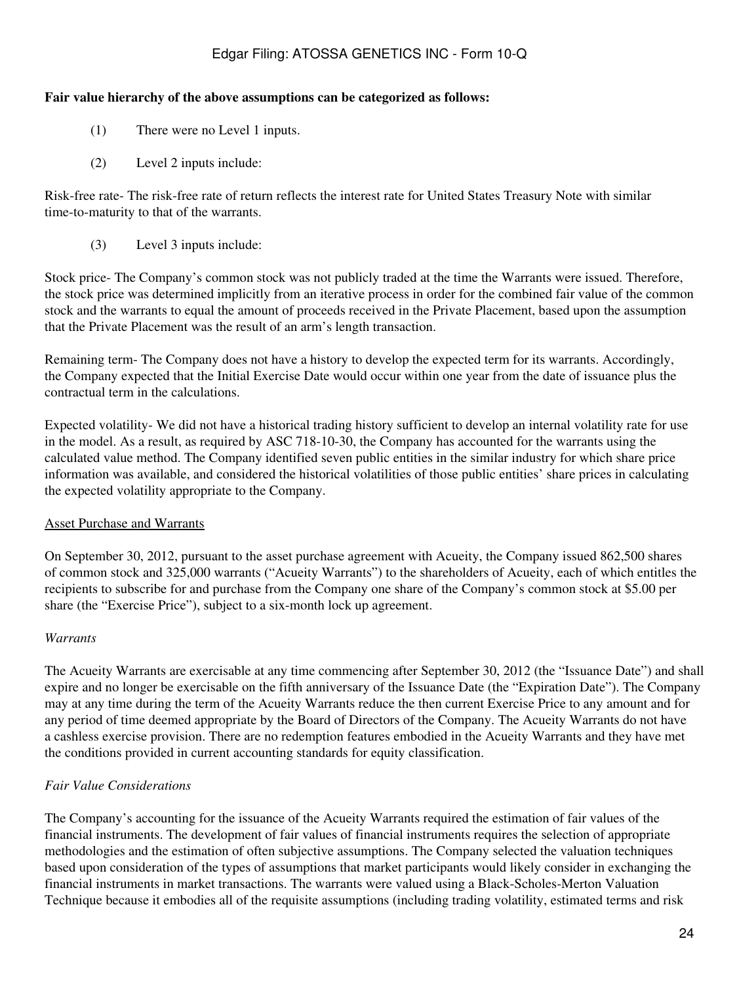#### **Fair value hierarchy of the above assumptions can be categorized as follows:**

- (1) There were no Level 1 inputs.
- (2) Level 2 inputs include:

Risk-free rate- The risk-free rate of return reflects the interest rate for United States Treasury Note with similar time-to-maturity to that of the warrants.

(3) Level 3 inputs include:

Stock price- The Company's common stock was not publicly traded at the time the Warrants were issued. Therefore, the stock price was determined implicitly from an iterative process in order for the combined fair value of the common stock and the warrants to equal the amount of proceeds received in the Private Placement, based upon the assumption that the Private Placement was the result of an arm's length transaction.

Remaining term- The Company does not have a history to develop the expected term for its warrants. Accordingly, the Company expected that the Initial Exercise Date would occur within one year from the date of issuance plus the contractual term in the calculations.

Expected volatility- We did not have a historical trading history sufficient to develop an internal volatility rate for use in the model. As a result, as required by ASC 718-10-30, the Company has accounted for the warrants using the calculated value method. The Company identified seven public entities in the similar industry for which share price information was available, and considered the historical volatilities of those public entities' share prices in calculating the expected volatility appropriate to the Company.

#### Asset Purchase and Warrants

On September 30, 2012, pursuant to the asset purchase agreement with Acueity, the Company issued 862,500 shares of common stock and 325,000 warrants ("Acueity Warrants") to the shareholders of Acueity, each of which entitles the recipients to subscribe for and purchase from the Company one share of the Company's common stock at \$5.00 per share (the "Exercise Price"), subject to a six-month lock up agreement.

#### *Warrants*

The Acueity Warrants are exercisable at any time commencing after September 30, 2012 (the "Issuance Date") and shall expire and no longer be exercisable on the fifth anniversary of the Issuance Date (the "Expiration Date"). The Company may at any time during the term of the Acueity Warrants reduce the then current Exercise Price to any amount and for any period of time deemed appropriate by the Board of Directors of the Company. The Acueity Warrants do not have a cashless exercise provision. There are no redemption features embodied in the Acueity Warrants and they have met the conditions provided in current accounting standards for equity classification.

## *Fair Value Considerations*

The Company's accounting for the issuance of the Acueity Warrants required the estimation of fair values of the financial instruments. The development of fair values of financial instruments requires the selection of appropriate methodologies and the estimation of often subjective assumptions. The Company selected the valuation techniques based upon consideration of the types of assumptions that market participants would likely consider in exchanging the financial instruments in market transactions. The warrants were valued using a Black-Scholes-Merton Valuation Technique because it embodies all of the requisite assumptions (including trading volatility, estimated terms and risk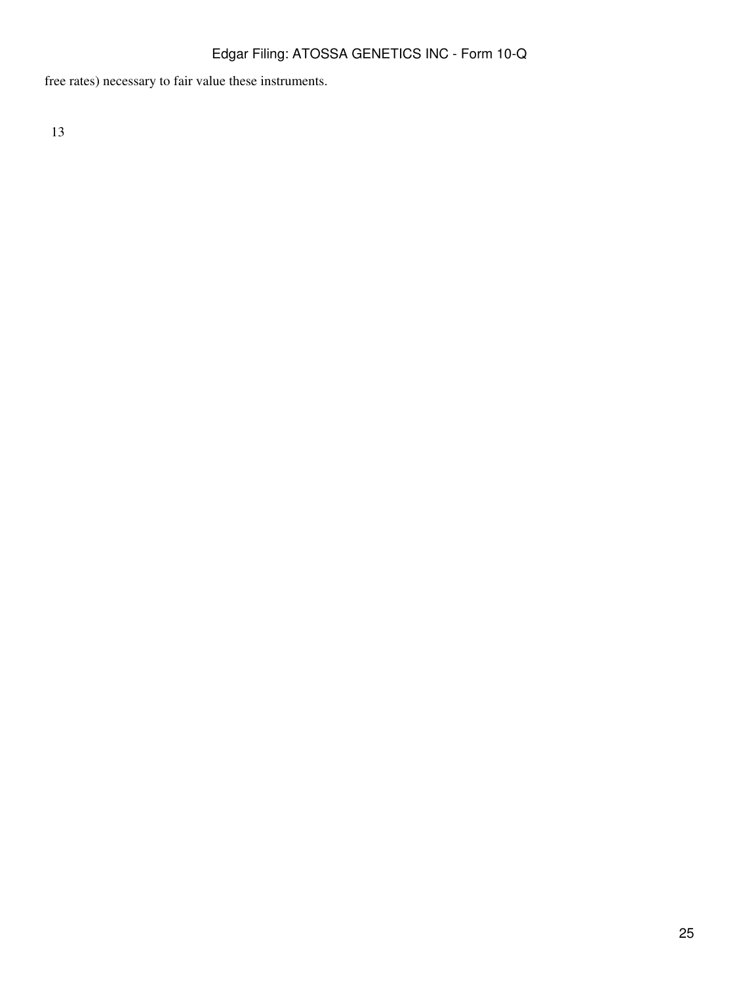free rates) necessary to fair value these instruments.

13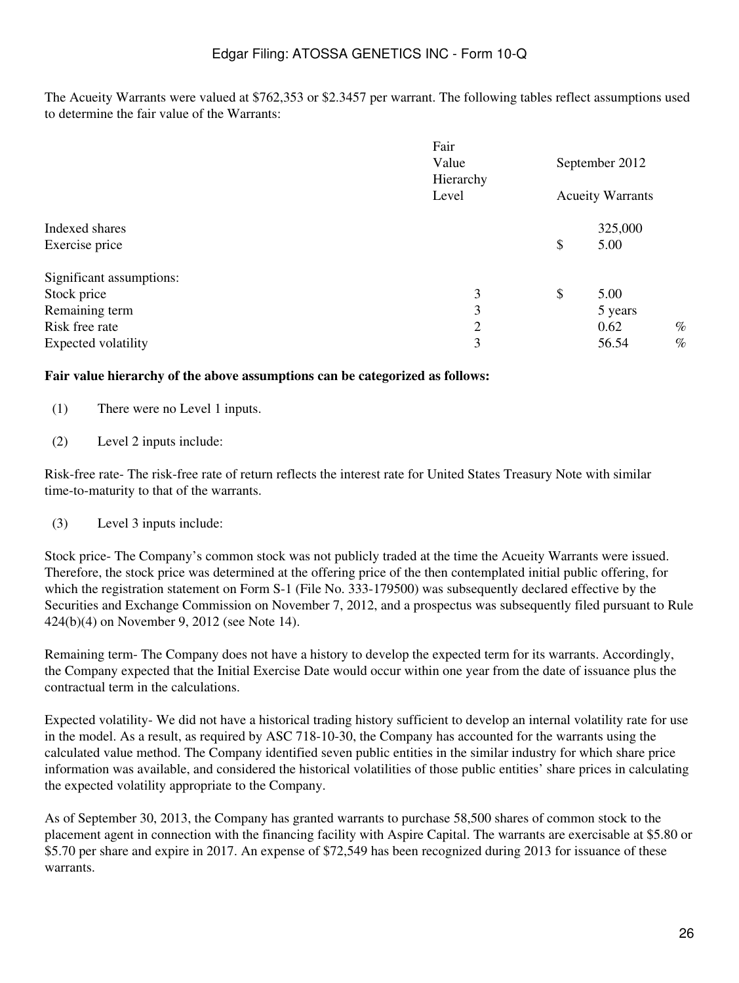The Acueity Warrants were valued at \$762,353 or \$2.3457 per warrant. The following tables reflect assumptions used to determine the fair value of the Warrants:

|                          | Fair<br>Value<br>Hierarchy | September 2012<br><b>Acueity Warrants</b> |         |      |
|--------------------------|----------------------------|-------------------------------------------|---------|------|
|                          | Level                      |                                           |         |      |
| Indexed shares           |                            |                                           | 325,000 |      |
| Exercise price           |                            | \$                                        | 5.00    |      |
| Significant assumptions: |                            |                                           |         |      |
| Stock price              | 3                          | \$                                        | 5.00    |      |
| Remaining term           | 3                          |                                           | 5 years |      |
| Risk free rate           | $\overline{2}$             |                                           | 0.62    | $\%$ |
| Expected volatility      | 3                          |                                           | 56.54   | $\%$ |

#### **Fair value hierarchy of the above assumptions can be categorized as follows:**

- (1) There were no Level 1 inputs.
- (2) Level 2 inputs include:

Risk-free rate- The risk-free rate of return reflects the interest rate for United States Treasury Note with similar time-to-maturity to that of the warrants.

(3) Level 3 inputs include:

Stock price- The Company's common stock was not publicly traded at the time the Acueity Warrants were issued. Therefore, the stock price was determined at the offering price of the then contemplated initial public offering, for which the registration statement on Form S-1 (File No. 333-179500) was subsequently declared effective by the Securities and Exchange Commission on November 7, 2012, and a prospectus was subsequently filed pursuant to Rule 424(b)(4) on November 9, 2012 (see Note 14).

Remaining term- The Company does not have a history to develop the expected term for its warrants. Accordingly, the Company expected that the Initial Exercise Date would occur within one year from the date of issuance plus the contractual term in the calculations.

Expected volatility- We did not have a historical trading history sufficient to develop an internal volatility rate for use in the model. As a result, as required by ASC 718-10-30, the Company has accounted for the warrants using the calculated value method. The Company identified seven public entities in the similar industry for which share price information was available, and considered the historical volatilities of those public entities' share prices in calculating the expected volatility appropriate to the Company.

As of September 30, 2013, the Company has granted warrants to purchase 58,500 shares of common stock to the placement agent in connection with the financing facility with Aspire Capital. The warrants are exercisable at \$5.80 or \$5.70 per share and expire in 2017. An expense of \$72,549 has been recognized during 2013 for issuance of these warrants.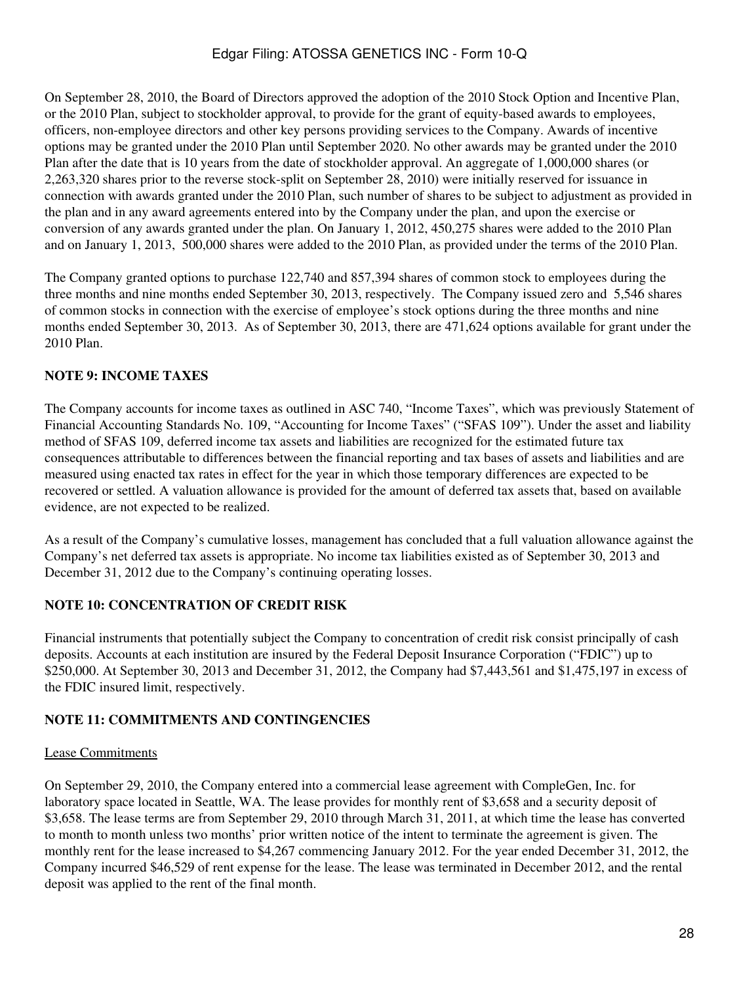On September 28, 2010, the Board of Directors approved the adoption of the 2010 Stock Option and Incentive Plan, or the 2010 Plan, subject to stockholder approval, to provide for the grant of equity-based awards to employees, officers, non-employee directors and other key persons providing services to the Company. Awards of incentive options may be granted under the 2010 Plan until September 2020. No other awards may be granted under the 2010 Plan after the date that is 10 years from the date of stockholder approval. An aggregate of 1,000,000 shares (or 2,263,320 shares prior to the reverse stock-split on September 28, 2010) were initially reserved for issuance in connection with awards granted under the 2010 Plan, such number of shares to be subject to adjustment as provided in the plan and in any award agreements entered into by the Company under the plan, and upon the exercise or conversion of any awards granted under the plan. On January 1, 2012, 450,275 shares were added to the 2010 Plan and on January 1, 2013, 500,000 shares were added to the 2010 Plan, as provided under the terms of the 2010 Plan.

The Company granted options to purchase 122,740 and 857,394 shares of common stock to employees during the three months and nine months ended September 30, 2013, respectively. The Company issued zero and 5,546 shares of common stocks in connection with the exercise of employee's stock options during the three months and nine months ended September 30, 2013. As of September 30, 2013, there are 471,624 options available for grant under the 2010 Plan.

# **NOTE 9: INCOME TAXES**

The Company accounts for income taxes as outlined in ASC 740, "Income Taxes", which was previously Statement of Financial Accounting Standards No. 109, "Accounting for Income Taxes" ("SFAS 109"). Under the asset and liability method of SFAS 109, deferred income tax assets and liabilities are recognized for the estimated future tax consequences attributable to differences between the financial reporting and tax bases of assets and liabilities and are measured using enacted tax rates in effect for the year in which those temporary differences are expected to be recovered or settled. A valuation allowance is provided for the amount of deferred tax assets that, based on available evidence, are not expected to be realized.

As a result of the Company's cumulative losses, management has concluded that a full valuation allowance against the Company's net deferred tax assets is appropriate. No income tax liabilities existed as of September 30, 2013 and December 31, 2012 due to the Company's continuing operating losses.

# **NOTE 10: CONCENTRATION OF CREDIT RISK**

Financial instruments that potentially subject the Company to concentration of credit risk consist principally of cash deposits. Accounts at each institution are insured by the Federal Deposit Insurance Corporation ("FDIC") up to \$250,000. At September 30, 2013 and December 31, 2012, the Company had \$7,443,561 and \$1,475,197 in excess of the FDIC insured limit, respectively.

# **NOTE 11: COMMITMENTS AND CONTINGENCIES**

# Lease Commitments

On September 29, 2010, the Company entered into a commercial lease agreement with CompleGen, Inc. for laboratory space located in Seattle, WA. The lease provides for monthly rent of \$3,658 and a security deposit of \$3,658. The lease terms are from September 29, 2010 through March 31, 2011, at which time the lease has converted to month to month unless two months' prior written notice of the intent to terminate the agreement is given. The monthly rent for the lease increased to \$4,267 commencing January 2012. For the year ended December 31, 2012, the Company incurred \$46,529 of rent expense for the lease. The lease was terminated in December 2012, and the rental deposit was applied to the rent of the final month.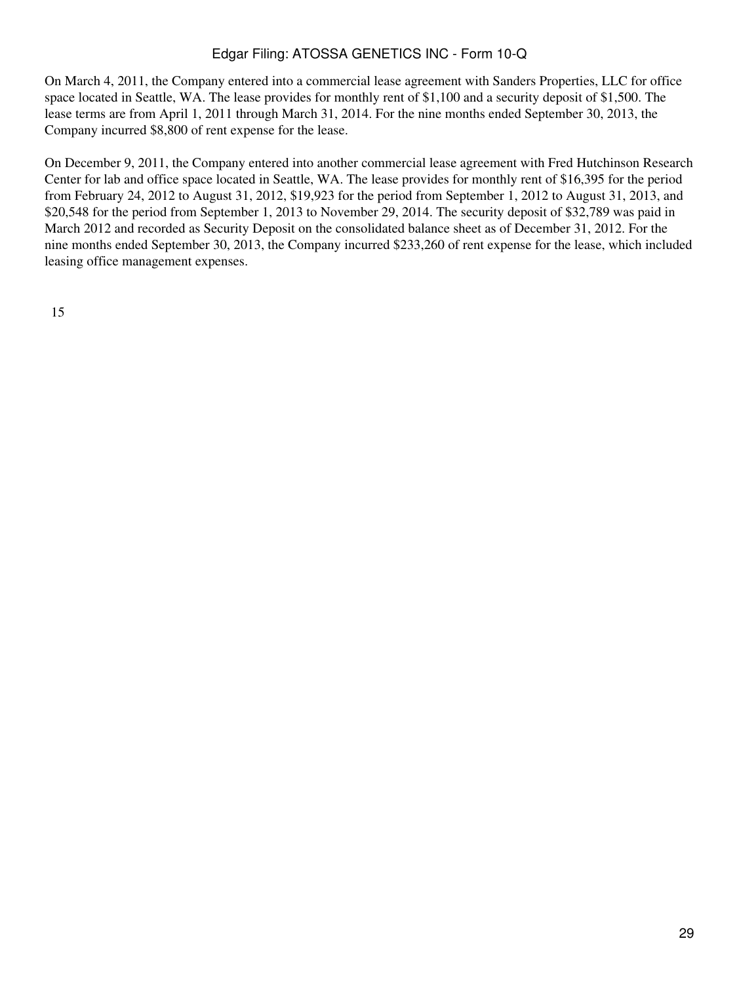On March 4, 2011, the Company entered into a commercial lease agreement with Sanders Properties, LLC for office space located in Seattle, WA. The lease provides for monthly rent of \$1,100 and a security deposit of \$1,500. The lease terms are from April 1, 2011 through March 31, 2014. For the nine months ended September 30, 2013, the Company incurred \$8,800 of rent expense for the lease.

On December 9, 2011, the Company entered into another commercial lease agreement with Fred Hutchinson Research Center for lab and office space located in Seattle, WA. The lease provides for monthly rent of \$16,395 for the period from February 24, 2012 to August 31, 2012, \$19,923 for the period from September 1, 2012 to August 31, 2013, and \$20,548 for the period from September 1, 2013 to November 29, 2014. The security deposit of \$32,789 was paid in March 2012 and recorded as Security Deposit on the consolidated balance sheet as of December 31, 2012. For the nine months ended September 30, 2013, the Company incurred \$233,260 of rent expense for the lease, which included leasing office management expenses.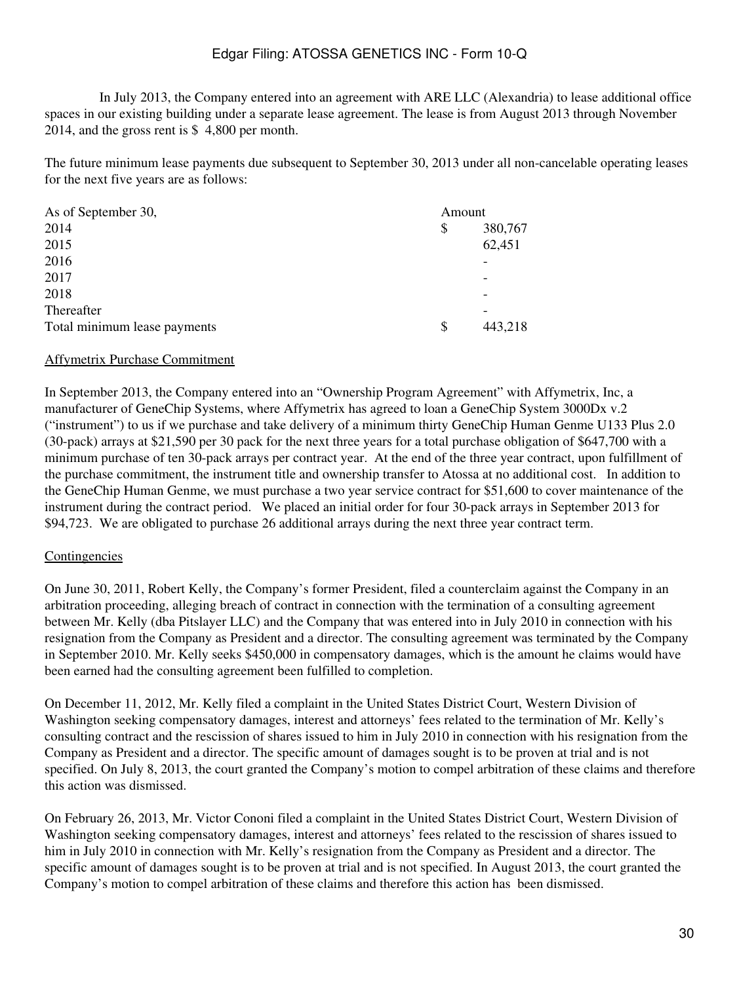In July 2013, the Company entered into an agreement with ARE LLC (Alexandria) to lease additional office spaces in our existing building under a separate lease agreement. The lease is from August 2013 through November 2014, and the gross rent is \$ 4,800 per month.

The future minimum lease payments due subsequent to September 30, 2013 under all non-cancelable operating leases for the next five years are as follows:

| As of September 30,          | Amount |         |  |
|------------------------------|--------|---------|--|
| 2014                         | \$     | 380,767 |  |
| 2015                         |        | 62,451  |  |
| 2016                         |        |         |  |
| 2017                         |        | -       |  |
| 2018                         |        |         |  |
| Thereafter                   |        |         |  |
| Total minimum lease payments | S      | 443,218 |  |

#### Affymetrix Purchase Commitment

In September 2013, the Company entered into an "Ownership Program Agreement" with Affymetrix, Inc, a manufacturer of GeneChip Systems, where Affymetrix has agreed to loan a GeneChip System 3000Dx v.2 ("instrument") to us if we purchase and take delivery of a minimum thirty GeneChip Human Genme U133 Plus 2.0 (30-pack) arrays at \$21,590 per 30 pack for the next three years for a total purchase obligation of \$647,700 with a minimum purchase of ten 30-pack arrays per contract year. At the end of the three year contract, upon fulfillment of the purchase commitment, the instrument title and ownership transfer to Atossa at no additional cost. In addition to the GeneChip Human Genme, we must purchase a two year service contract for \$51,600 to cover maintenance of the instrument during the contract period. We placed an initial order for four 30-pack arrays in September 2013 for \$94,723. We are obligated to purchase 26 additional arrays during the next three year contract term.

#### Contingencies

On June 30, 2011, Robert Kelly, the Company's former President, filed a counterclaim against the Company in an arbitration proceeding, alleging breach of contract in connection with the termination of a consulting agreement between Mr. Kelly (dba Pitslayer LLC) and the Company that was entered into in July 2010 in connection with his resignation from the Company as President and a director. The consulting agreement was terminated by the Company in September 2010. Mr. Kelly seeks \$450,000 in compensatory damages, which is the amount he claims would have been earned had the consulting agreement been fulfilled to completion.

On December 11, 2012, Mr. Kelly filed a complaint in the United States District Court, Western Division of Washington seeking compensatory damages, interest and attorneys' fees related to the termination of Mr. Kelly's consulting contract and the rescission of shares issued to him in July 2010 in connection with his resignation from the Company as President and a director. The specific amount of damages sought is to be proven at trial and is not specified. On July 8, 2013, the court granted the Company's motion to compel arbitration of these claims and therefore this action was dismissed.

On February 26, 2013, Mr. Victor Cononi filed a complaint in the United States District Court, Western Division of Washington seeking compensatory damages, interest and attorneys' fees related to the rescission of shares issued to him in July 2010 in connection with Mr. Kelly's resignation from the Company as President and a director. The specific amount of damages sought is to be proven at trial and is not specified. In August 2013, the court granted the Company's motion to compel arbitration of these claims and therefore this action has been dismissed.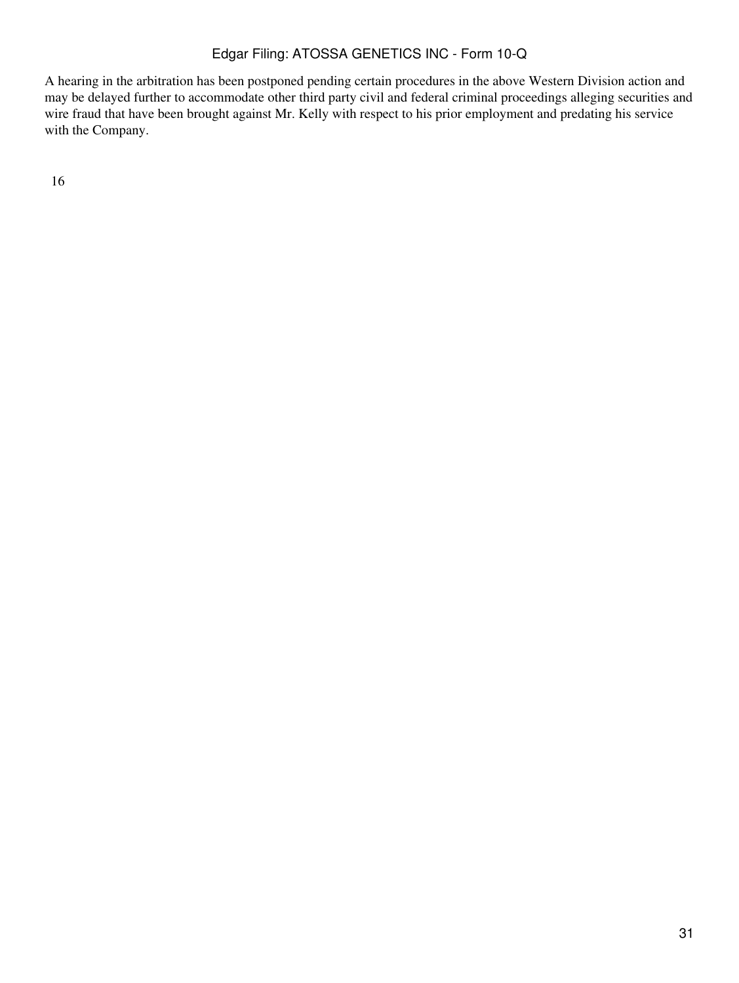A hearing in the arbitration has been postponed pending certain procedures in the above Western Division action and may be delayed further to accommodate other third party civil and federal criminal proceedings alleging securities and wire fraud that have been brought against Mr. Kelly with respect to his prior employment and predating his service with the Company.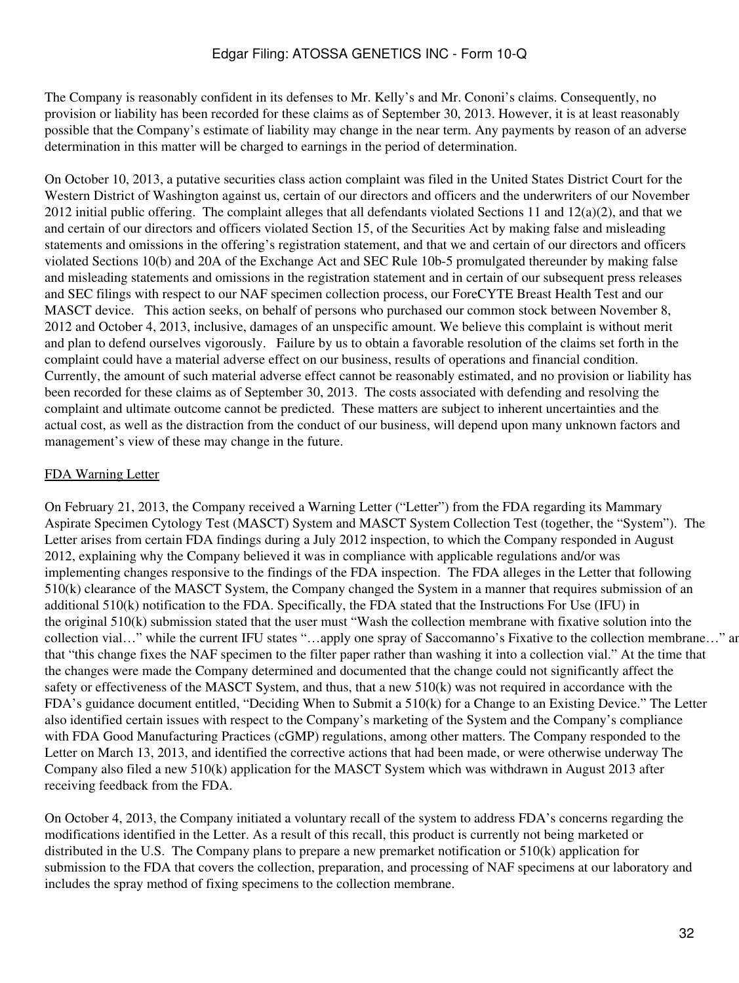The Company is reasonably confident in its defenses to Mr. Kelly's and Mr. Cononi's claims. Consequently, no provision or liability has been recorded for these claims as of September 30, 2013. However, it is at least reasonably possible that the Company's estimate of liability may change in the near term. Any payments by reason of an adverse determination in this matter will be charged to earnings in the period of determination.

On October 10, 2013, a putative securities class action complaint was filed in the United States District Court for the Western District of Washington against us, certain of our directors and officers and the underwriters of our November 2012 initial public offering. The complaint alleges that all defendants violated Sections 11 and  $12(a)(2)$ , and that we and certain of our directors and officers violated Section 15, of the Securities Act by making false and misleading statements and omissions in the offering's registration statement, and that we and certain of our directors and officers violated Sections 10(b) and 20A of the Exchange Act and SEC Rule 10b-5 promulgated thereunder by making false and misleading statements and omissions in the registration statement and in certain of our subsequent press releases and SEC filings with respect to our NAF specimen collection process, our ForeCYTE Breast Health Test and our MASCT device. This action seeks, on behalf of persons who purchased our common stock between November 8, 2012 and October 4, 2013, inclusive, damages of an unspecific amount. We believe this complaint is without merit and plan to defend ourselves vigorously. Failure by us to obtain a favorable resolution of the claims set forth in the complaint could have a material adverse effect on our business, results of operations and financial condition. Currently, the amount of such material adverse effect cannot be reasonably estimated, and no provision or liability has been recorded for these claims as of September 30, 2013. The costs associated with defending and resolving the complaint and ultimate outcome cannot be predicted. These matters are subject to inherent uncertainties and the actual cost, as well as the distraction from the conduct of our business, will depend upon many unknown factors and management's view of these may change in the future.

## FDA Warning Letter

On February 21, 2013, the Company received a Warning Letter ("Letter") from the FDA regarding its Mammary Aspirate Specimen Cytology Test (MASCT) System and MASCT System Collection Test (together, the "System"). The Letter arises from certain FDA findings during a July 2012 inspection, to which the Company responded in August 2012, explaining why the Company believed it was in compliance with applicable regulations and/or was implementing changes responsive to the findings of the FDA inspection. The FDA alleges in the Letter that following 510(k) clearance of the MASCT System, the Company changed the System in a manner that requires submission of an additional 510(k) notification to the FDA. Specifically, the FDA stated that the Instructions For Use (IFU) in the original 510(k) submission stated that the user must "Wash the collection membrane with fixative solution into the collection vial..." while the current IFU states "...apply one spray of Saccomanno's Fixative to the collection membrane..." and that "this change fixes the NAF specimen to the filter paper rather than washing it into a collection vial." At the time that the changes were made the Company determined and documented that the change could not significantly affect the safety or effectiveness of the MASCT System, and thus, that a new 510(k) was not required in accordance with the FDA's guidance document entitled, "Deciding When to Submit a 510(k) for a Change to an Existing Device." The Letter also identified certain issues with respect to the Company's marketing of the System and the Company's compliance with FDA Good Manufacturing Practices (cGMP) regulations, among other matters. The Company responded to the Letter on March 13, 2013, and identified the corrective actions that had been made, or were otherwise underway The Company also filed a new 510(k) application for the MASCT System which was withdrawn in August 2013 after receiving feedback from the FDA.

On October 4, 2013, the Company initiated a voluntary recall of the system to address FDA's concerns regarding the modifications identified in the Letter. As a result of this recall, this product is currently not being marketed or distributed in the U.S. The Company plans to prepare a new premarket notification or 510(k) application for submission to the FDA that covers the collection, preparation, and processing of NAF specimens at our laboratory and includes the spray method of fixing specimens to the collection membrane.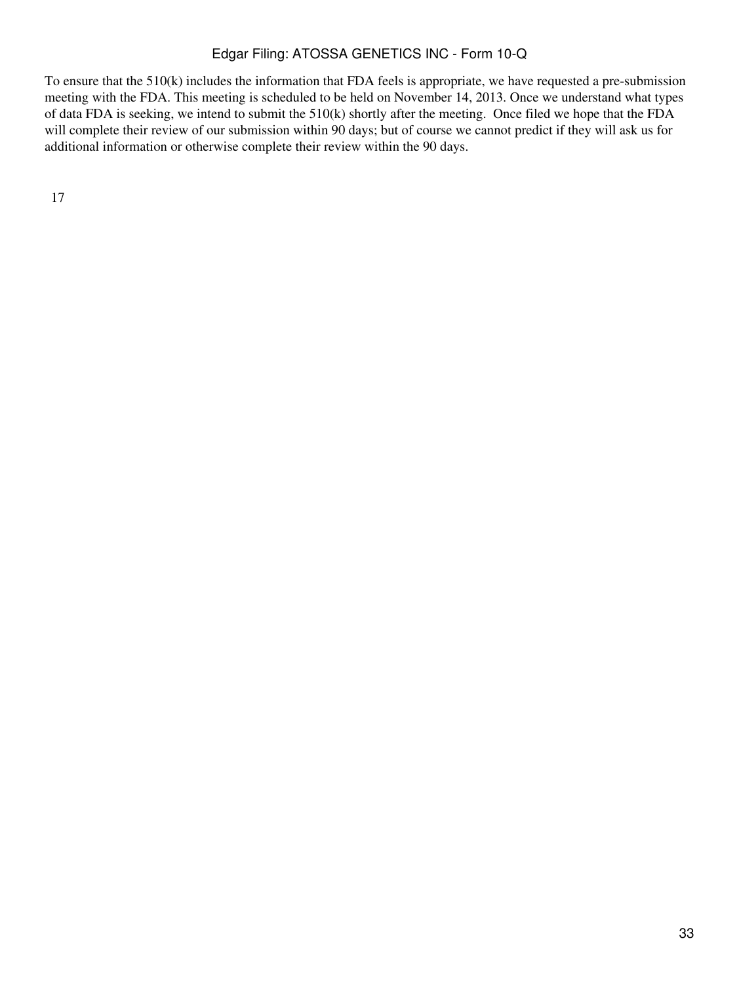To ensure that the 510(k) includes the information that FDA feels is appropriate, we have requested a pre-submission meeting with the FDA. This meeting is scheduled to be held on November 14, 2013. Once we understand what types of data FDA is seeking, we intend to submit the 510(k) shortly after the meeting. Once filed we hope that the FDA will complete their review of our submission within 90 days; but of course we cannot predict if they will ask us for additional information or otherwise complete their review within the 90 days.

17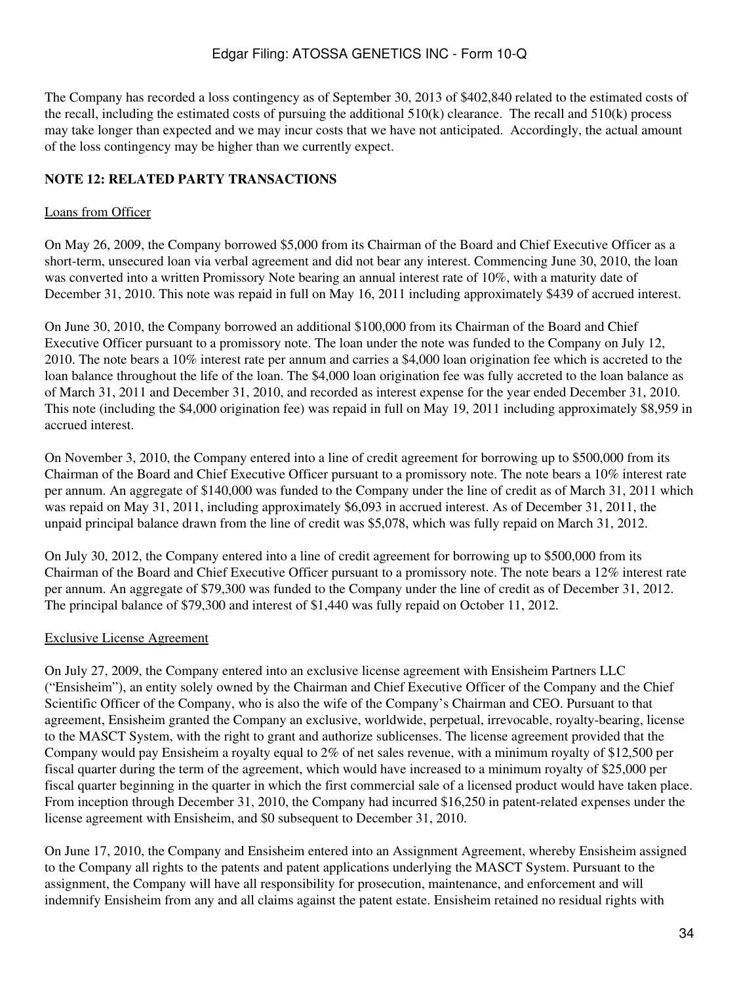The Company has recorded a loss contingency as of September 30, 2013 of \$402,840 related to the estimated costs of the recall, including the estimated costs of pursuing the additional  $510(k)$  clearance. The recall and  $510(k)$  process may take longer than expected and we may incur costs that we have not anticipated. Accordingly, the actual amount of the loss contingency may be higher than we currently expect.

# **NOTE 12: RELATED PARTY TRANSACTIONS**

# Loans from Officer

On May 26, 2009, the Company borrowed \$5,000 from its Chairman of the Board and Chief Executive Officer as a short-term, unsecured loan via verbal agreement and did not bear any interest. Commencing June 30, 2010, the loan was converted into a written Promissory Note bearing an annual interest rate of 10%, with a maturity date of December 31, 2010. This note was repaid in full on May 16, 2011 including approximately \$439 of accrued interest.

On June 30, 2010, the Company borrowed an additional \$100,000 from its Chairman of the Board and Chief Executive Officer pursuant to a promissory note. The loan under the note was funded to the Company on July 12, 2010. The note bears a 10% interest rate per annum and carries a \$4,000 loan origination fee which is accreted to the loan balance throughout the life of the loan. The \$4,000 loan origination fee was fully accreted to the loan balance as of March 31, 2011 and December 31, 2010, and recorded as interest expense for the year ended December 31, 2010. This note (including the \$4,000 origination fee) was repaid in full on May 19, 2011 including approximately \$8,959 in accrued interest.

On November 3, 2010, the Company entered into a line of credit agreement for borrowing up to \$500,000 from its Chairman of the Board and Chief Executive Officer pursuant to a promissory note. The note bears a 10% interest rate per annum. An aggregate of \$140,000 was funded to the Company under the line of credit as of March 31, 2011 which was repaid on May 31, 2011, including approximately \$6,093 in accrued interest. As of December 31, 2011, the unpaid principal balance drawn from the line of credit was \$5,078, which was fully repaid on March 31, 2012.

On July 30, 2012, the Company entered into a line of credit agreement for borrowing up to \$500,000 from its Chairman of the Board and Chief Executive Officer pursuant to a promissory note. The note bears a 12% interest rate per annum. An aggregate of \$79,300 was funded to the Company under the line of credit as of December 31, 2012. The principal balance of \$79,300 and interest of \$1,440 was fully repaid on October 11, 2012.

# Exclusive License Agreement

On July 27, 2009, the Company entered into an exclusive license agreement with Ensisheim Partners LLC ("Ensisheim"), an entity solely owned by the Chairman and Chief Executive Officer of the Company and the Chief Scientific Officer of the Company, who is also the wife of the Company's Chairman and CEO. Pursuant to that agreement, Ensisheim granted the Company an exclusive, worldwide, perpetual, irrevocable, royalty-bearing, license to the MASCT System, with the right to grant and authorize sublicenses. The license agreement provided that the Company would pay Ensisheim a royalty equal to 2% of net sales revenue, with a minimum royalty of \$12,500 per fiscal quarter during the term of the agreement, which would have increased to a minimum royalty of \$25,000 per fiscal quarter beginning in the quarter in which the first commercial sale of a licensed product would have taken place. From inception through December 31, 2010, the Company had incurred \$16,250 in patent-related expenses under the license agreement with Ensisheim, and \$0 subsequent to December 31, 2010.

On June 17, 2010, the Company and Ensisheim entered into an Assignment Agreement, whereby Ensisheim assigned to the Company all rights to the patents and patent applications underlying the MASCT System. Pursuant to the assignment, the Company will have all responsibility for prosecution, maintenance, and enforcement and will indemnify Ensisheim from any and all claims against the patent estate. Ensisheim retained no residual rights with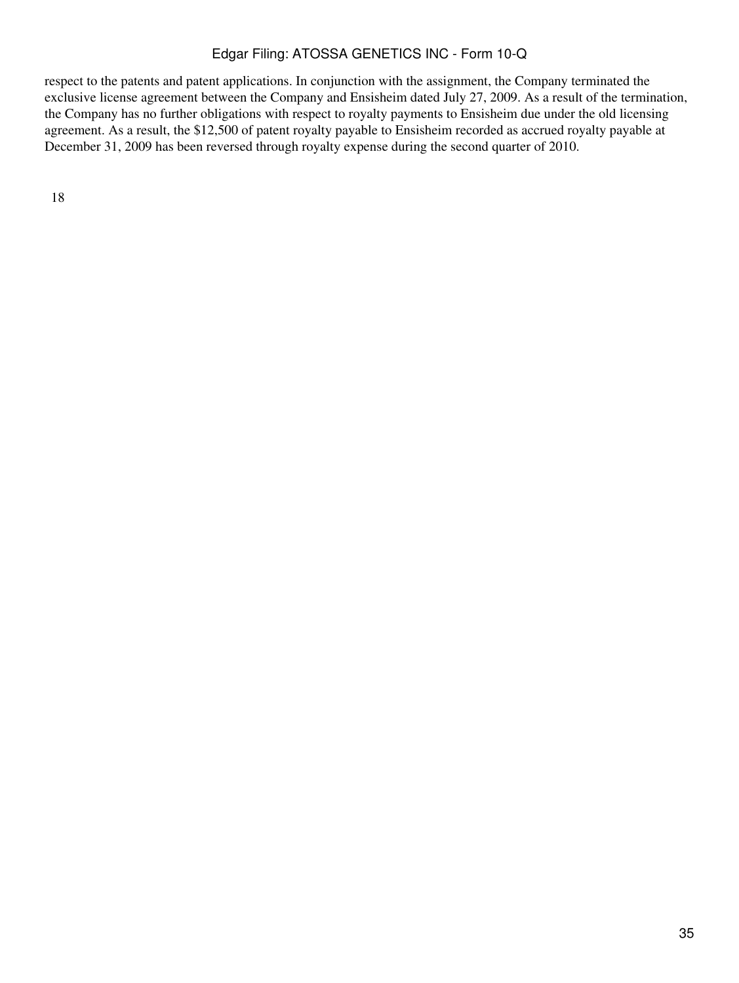respect to the patents and patent applications. In conjunction with the assignment, the Company terminated the exclusive license agreement between the Company and Ensisheim dated July 27, 2009. As a result of the termination, the Company has no further obligations with respect to royalty payments to Ensisheim due under the old licensing agreement. As a result, the \$12,500 of patent royalty payable to Ensisheim recorded as accrued royalty payable at December 31, 2009 has been reversed through royalty expense during the second quarter of 2010.

18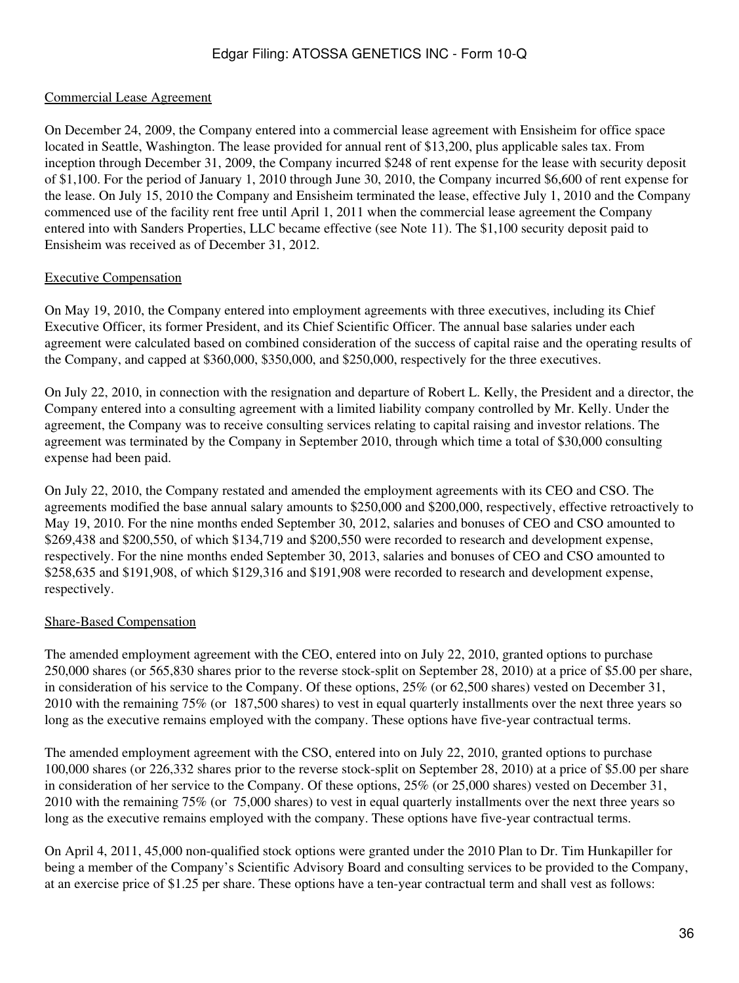#### Commercial Lease Agreement

On December 24, 2009, the Company entered into a commercial lease agreement with Ensisheim for office space located in Seattle, Washington. The lease provided for annual rent of \$13,200, plus applicable sales tax. From inception through December 31, 2009, the Company incurred \$248 of rent expense for the lease with security deposit of \$1,100. For the period of January 1, 2010 through June 30, 2010, the Company incurred \$6,600 of rent expense for the lease. On July 15, 2010 the Company and Ensisheim terminated the lease, effective July 1, 2010 and the Company commenced use of the facility rent free until April 1, 2011 when the commercial lease agreement the Company entered into with Sanders Properties, LLC became effective (see Note 11). The \$1,100 security deposit paid to Ensisheim was received as of December 31, 2012.

#### Executive Compensation

On May 19, 2010, the Company entered into employment agreements with three executives, including its Chief Executive Officer, its former President, and its Chief Scientific Officer. The annual base salaries under each agreement were calculated based on combined consideration of the success of capital raise and the operating results of the Company, and capped at \$360,000, \$350,000, and \$250,000, respectively for the three executives.

On July 22, 2010, in connection with the resignation and departure of Robert L. Kelly, the President and a director, the Company entered into a consulting agreement with a limited liability company controlled by Mr. Kelly. Under the agreement, the Company was to receive consulting services relating to capital raising and investor relations. The agreement was terminated by the Company in September 2010, through which time a total of \$30,000 consulting expense had been paid.

On July 22, 2010, the Company restated and amended the employment agreements with its CEO and CSO. The agreements modified the base annual salary amounts to \$250,000 and \$200,000, respectively, effective retroactively to May 19, 2010. For the nine months ended September 30, 2012, salaries and bonuses of CEO and CSO amounted to \$269,438 and \$200,550, of which \$134,719 and \$200,550 were recorded to research and development expense, respectively. For the nine months ended September 30, 2013, salaries and bonuses of CEO and CSO amounted to \$258,635 and \$191,908, of which \$129,316 and \$191,908 were recorded to research and development expense, respectively.

#### Share-Based Compensation

The amended employment agreement with the CEO, entered into on July 22, 2010, granted options to purchase 250,000 shares (or 565,830 shares prior to the reverse stock-split on September 28, 2010) at a price of \$5.00 per share, in consideration of his service to the Company. Of these options, 25% (or 62,500 shares) vested on December 31, 2010 with the remaining 75% (or 187,500 shares) to vest in equal quarterly installments over the next three years so long as the executive remains employed with the company. These options have five-year contractual terms.

The amended employment agreement with the CSO, entered into on July 22, 2010, granted options to purchase 100,000 shares (or 226,332 shares prior to the reverse stock-split on September 28, 2010) at a price of \$5.00 per share in consideration of her service to the Company. Of these options, 25% (or 25,000 shares) vested on December 31, 2010 with the remaining 75% (or 75,000 shares) to vest in equal quarterly installments over the next three years so long as the executive remains employed with the company. These options have five-year contractual terms.

On April 4, 2011, 45,000 non-qualified stock options were granted under the 2010 Plan to Dr. Tim Hunkapiller for being a member of the Company's Scientific Advisory Board and consulting services to be provided to the Company, at an exercise price of \$1.25 per share. These options have a ten-year contractual term and shall vest as follows: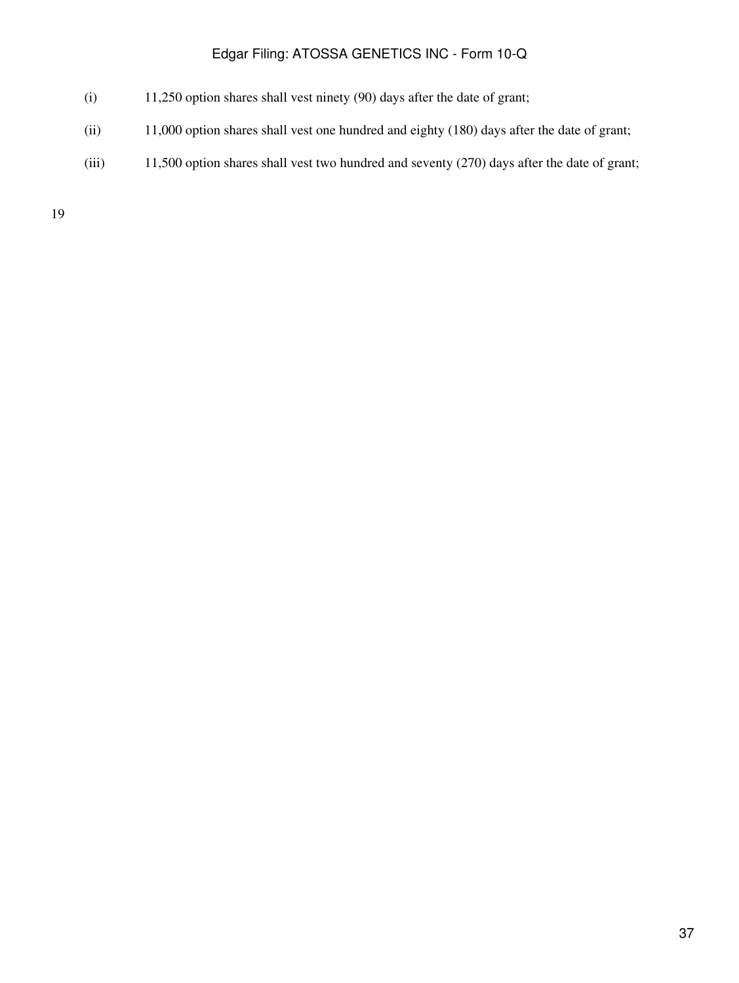- (i) 11,250 option shares shall vest ninety (90) days after the date of grant;
- (ii) 11,000 option shares shall vest one hundred and eighty (180) days after the date of grant;
- (iii) 11,500 option shares shall vest two hundred and seventy (270) days after the date of grant;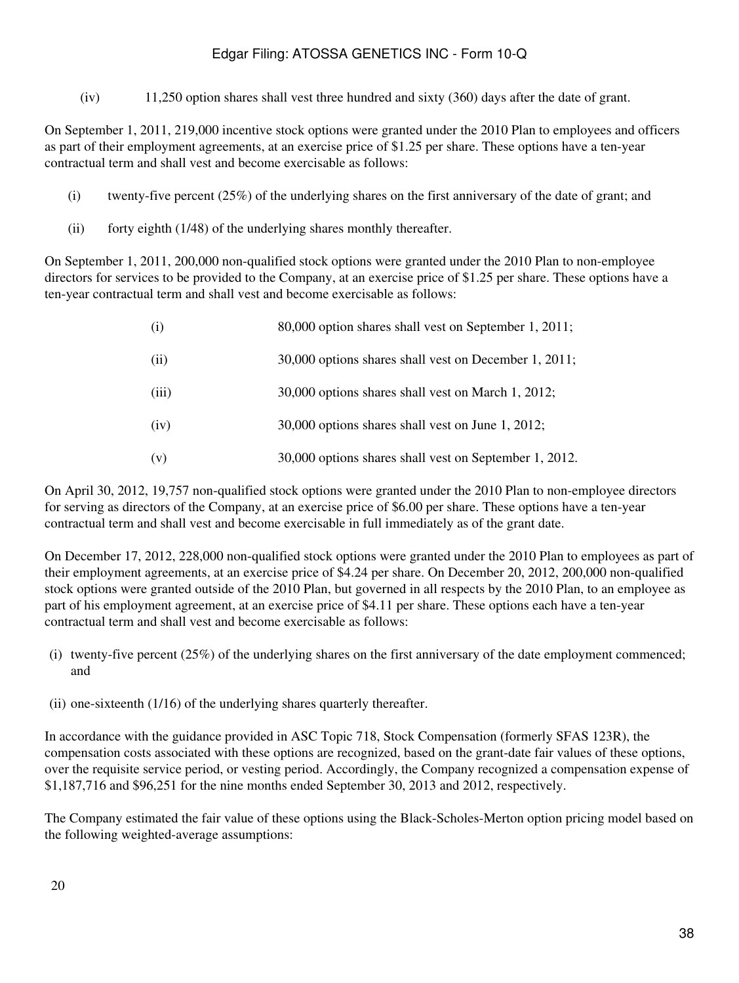(iv) 11,250 option shares shall vest three hundred and sixty (360) days after the date of grant.

On September 1, 2011, 219,000 incentive stock options were granted under the 2010 Plan to employees and officers as part of their employment agreements, at an exercise price of \$1.25 per share. These options have a ten-year contractual term and shall vest and become exercisable as follows:

- (i) twenty-five percent (25%) of the underlying shares on the first anniversary of the date of grant; and
- (ii) forty eighth (1/48) of the underlying shares monthly thereafter.

On September 1, 2011, 200,000 non-qualified stock options were granted under the 2010 Plan to non-employee directors for services to be provided to the Company, at an exercise price of \$1.25 per share. These options have a ten-year contractual term and shall vest and become exercisable as follows:

| (i)   | 80,000 option shares shall vest on September 1, 2011;  |
|-------|--------------------------------------------------------|
| (ii)  | 30,000 options shares shall vest on December 1, 2011;  |
| (iii) | 30,000 options shares shall vest on March 1, 2012;     |
| (iv)  | 30,000 options shares shall vest on June 1, 2012;      |
| (v)   | 30,000 options shares shall vest on September 1, 2012. |

On April 30, 2012, 19,757 non-qualified stock options were granted under the 2010 Plan to non-employee directors for serving as directors of the Company, at an exercise price of \$6.00 per share. These options have a ten-year contractual term and shall vest and become exercisable in full immediately as of the grant date.

On December 17, 2012, 228,000 non-qualified stock options were granted under the 2010 Plan to employees as part of their employment agreements, at an exercise price of \$4.24 per share. On December 20, 2012, 200,000 non-qualified stock options were granted outside of the 2010 Plan, but governed in all respects by the 2010 Plan, to an employee as part of his employment agreement, at an exercise price of \$4.11 per share. These options each have a ten-year contractual term and shall vest and become exercisable as follows:

- (i) twenty-five percent (25%) of the underlying shares on the first anniversary of the date employment commenced; and
- (ii) one-sixteenth (1/16) of the underlying shares quarterly thereafter.

In accordance with the guidance provided in ASC Topic 718, Stock Compensation (formerly SFAS 123R), the compensation costs associated with these options are recognized, based on the grant-date fair values of these options, over the requisite service period, or vesting period. Accordingly, the Company recognized a compensation expense of \$1,187,716 and \$96,251 for the nine months ended September 30, 2013 and 2012, respectively.

The Company estimated the fair value of these options using the Black-Scholes-Merton option pricing model based on the following weighted-average assumptions: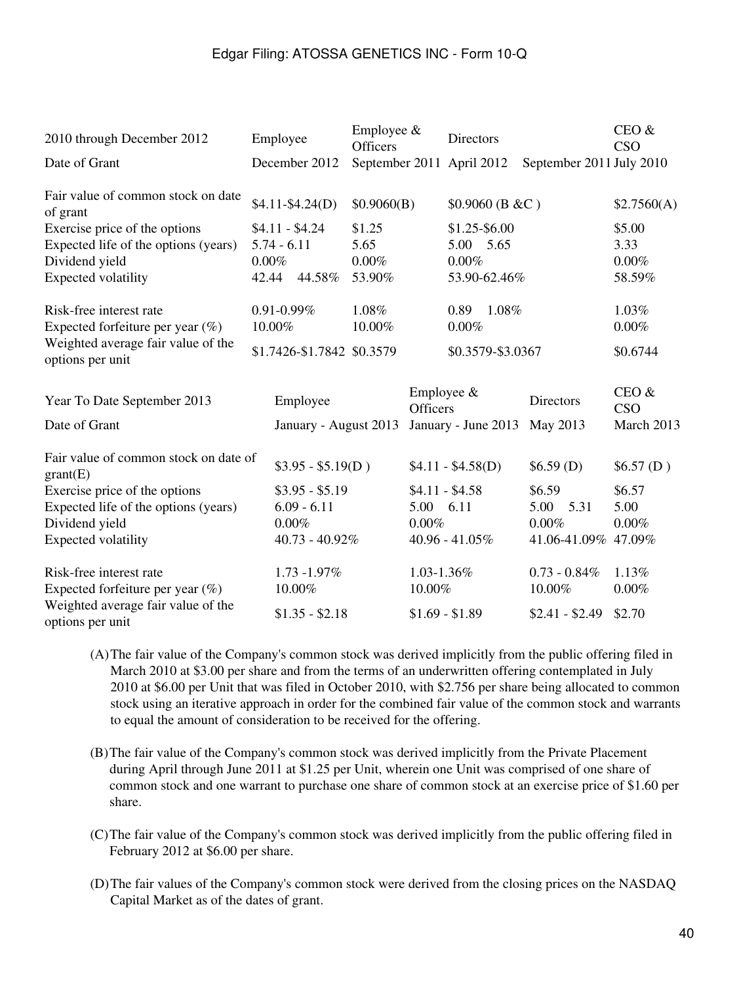| Employee<br>2010 through December 2012                                   |                                  |                                  | Employee $\&$<br><b>Officers</b> |                 | Directors                  |                          | CEO &<br><b>CSO</b> |
|--------------------------------------------------------------------------|----------------------------------|----------------------------------|----------------------------------|-----------------|----------------------------|--------------------------|---------------------|
| Date of Grant                                                            |                                  | December 2012                    | September 2011 April 2012        |                 |                            | September 2011 July 2010 |                     |
| Fair value of common stock on date<br>of grant                           | $$4.11-S4.24(D)$                 |                                  | \$0.9060(B)                      |                 | $$0.9060$ (B &C)           |                          | \$2.7560(A)         |
| Exercise price of the options<br>Expected life of the options (years)    | $$4.11 - $4.24$<br>$5.74 - 6.11$ |                                  | \$1.25<br>5.65                   |                 | \$1.25-\$6.00<br>5.00 5.65 | \$5.00<br>3.33           |                     |
| Dividend yield<br><b>Expected volatility</b>                             | $0.00\%$<br>44.58%<br>42.44      |                                  | $0.00\%$<br>53.90%               |                 | $0.00\%$<br>53.90-62.46%   |                          | $0.00\%$<br>58.59%  |
| Risk-free interest rate<br>Expected forfeiture per year $(\%)$<br>10.00% |                                  | $0.91 - 0.99\%$                  | 1.08%<br>10.00%                  |                 | 0.89 1.08%<br>0.00%        |                          | 1.03%<br>$0.00\%$   |
| Weighted average fair value of the<br>options per unit                   |                                  | \$1.7426-\$1.7842 \$0.3579       |                                  |                 | \$0.3579-\$3.0367          |                          | \$0.6744            |
| Year To Date September 2013                                              |                                  | Employee                         |                                  | <b>Officers</b> | Employee $&$               | <b>Directors</b>         | CEO &<br><b>CSO</b> |
| Date of Grant                                                            |                                  | January - August 2013            |                                  |                 | January - June 2013        | May 2013                 | March 2013          |
| Fair value of common stock on date of<br>grant(E)                        |                                  | $$3.95 - $5.19(D)$               |                                  |                 | $$4.11 - $4.58(D)$         | \$6.59(D)                | \$6.57(D)           |
| Exercise price of the options<br>Expected life of the options (years)    |                                  | $$3.95 - $5.19$<br>$6.09 - 6.11$ |                                  | 5.00 6.11       | $$4.11 - $4.58$            | \$6.59<br>5.00<br>5.31   | \$6.57<br>5.00      |
| Dividend yield                                                           |                                  | 0.00%                            |                                  | 0.00%           |                            | $0.00\%$                 | $0.00\%$            |
| <b>Expected volatility</b>                                               |                                  | $40.73 - 40.92\%$                |                                  |                 | 40.96 - 41.05%             | 41.06-41.09% 47.09%      |                     |
| Risk-free interest rate                                                  |                                  | 1.73 -1.97%                      |                                  | 1.03-1.36%      |                            | $0.73 - 0.84\%$          | 1.13%               |
| Expected forfeiture per year $(\%)$                                      |                                  | 10.00%                           |                                  | 10.00%          |                            | 10.00%                   | $0.00\%$            |
| Weighted average fair value of the<br>options per unit                   |                                  | $$1.35 - $2.18$                  |                                  | $$1.69 - $1.89$ |                            | $$2.41 - $2.49$          | \$2.70              |

- (A)The fair value of the Company's common stock was derived implicitly from the public offering filed in March 2010 at \$3.00 per share and from the terms of an underwritten offering contemplated in July 2010 at \$6.00 per Unit that was filed in October 2010, with \$2.756 per share being allocated to common stock using an iterative approach in order for the combined fair value of the common stock and warrants to equal the amount of consideration to be received for the offering.
- (B)The fair value of the Company's common stock was derived implicitly from the Private Placement during April through June 2011 at \$1.25 per Unit, wherein one Unit was comprised of one share of common stock and one warrant to purchase one share of common stock at an exercise price of \$1.60 per share.
- (C)The fair value of the Company's common stock was derived implicitly from the public offering filed in February 2012 at \$6.00 per share.
- (D)The fair values of the Company's common stock were derived from the closing prices on the NASDAQ Capital Market as of the dates of grant.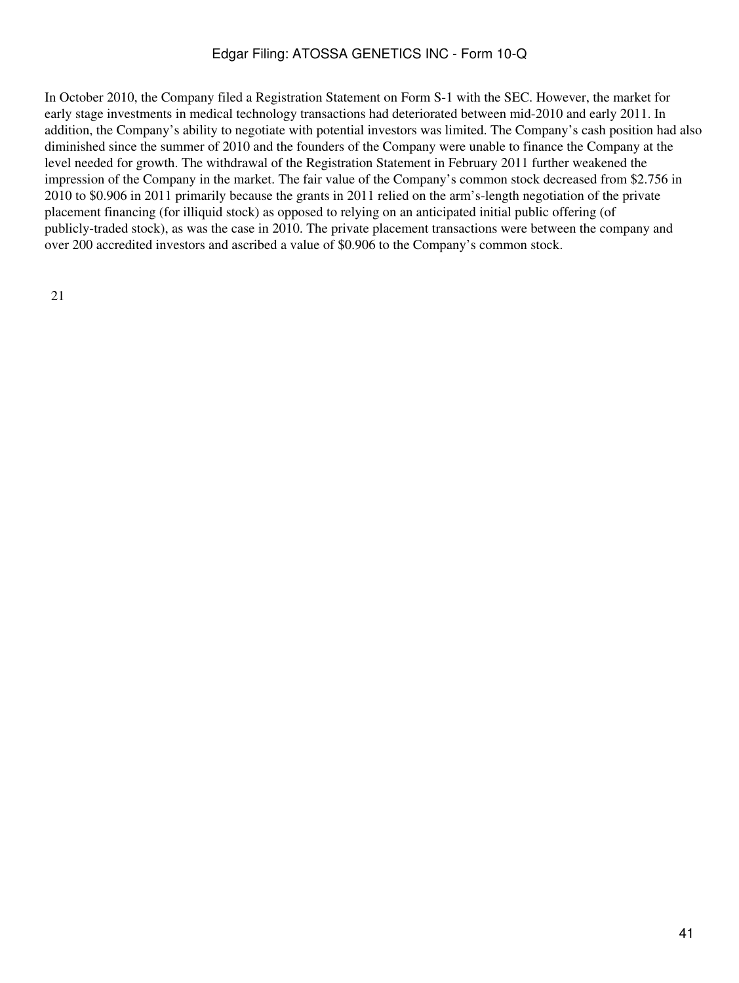In October 2010, the Company filed a Registration Statement on Form S-1 with the SEC. However, the market for early stage investments in medical technology transactions had deteriorated between mid-2010 and early 2011. In addition, the Company's ability to negotiate with potential investors was limited. The Company's cash position had also diminished since the summer of 2010 and the founders of the Company were unable to finance the Company at the level needed for growth. The withdrawal of the Registration Statement in February 2011 further weakened the impression of the Company in the market. The fair value of the Company's common stock decreased from \$2.756 in 2010 to \$0.906 in 2011 primarily because the grants in 2011 relied on the arm's-length negotiation of the private placement financing (for illiquid stock) as opposed to relying on an anticipated initial public offering (of publicly-traded stock), as was the case in 2010. The private placement transactions were between the company and over 200 accredited investors and ascribed a value of \$0.906 to the Company's common stock.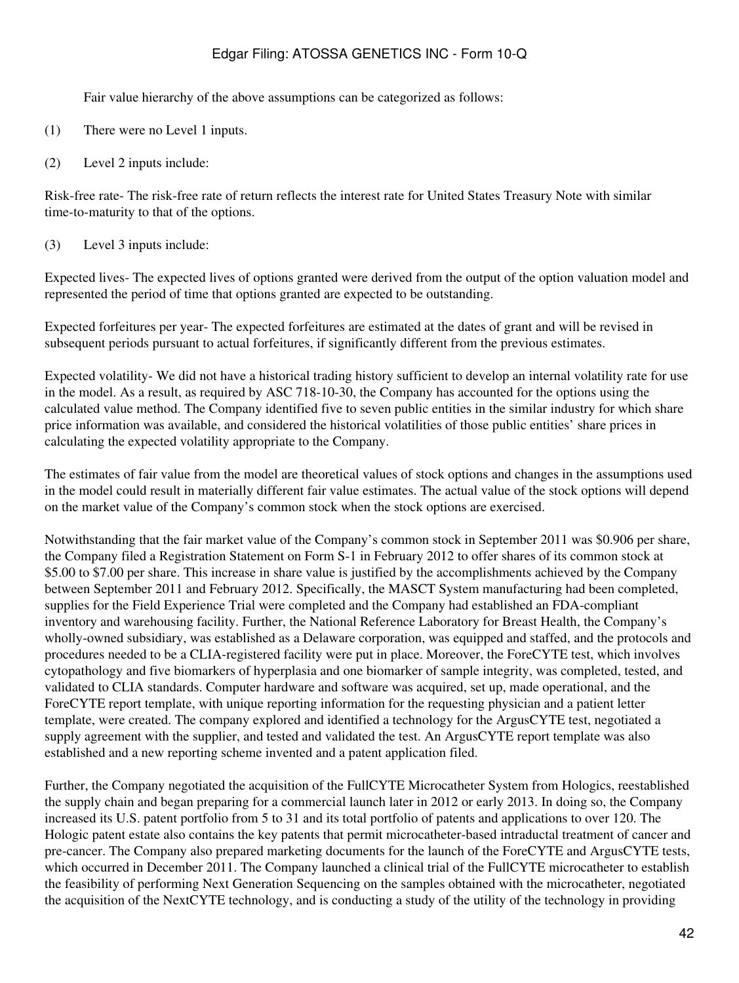Fair value hierarchy of the above assumptions can be categorized as follows:

- (1) There were no Level 1 inputs.
- (2) Level 2 inputs include:

Risk-free rate- The risk-free rate of return reflects the interest rate for United States Treasury Note with similar time-to-maturity to that of the options.

(3) Level 3 inputs include:

Expected lives- The expected lives of options granted were derived from the output of the option valuation model and represented the period of time that options granted are expected to be outstanding.

Expected forfeitures per year- The expected forfeitures are estimated at the dates of grant and will be revised in subsequent periods pursuant to actual forfeitures, if significantly different from the previous estimates.

Expected volatility- We did not have a historical trading history sufficient to develop an internal volatility rate for use in the model. As a result, as required by ASC 718-10-30, the Company has accounted for the options using the calculated value method. The Company identified five to seven public entities in the similar industry for which share price information was available, and considered the historical volatilities of those public entities' share prices in calculating the expected volatility appropriate to the Company.

The estimates of fair value from the model are theoretical values of stock options and changes in the assumptions used in the model could result in materially different fair value estimates. The actual value of the stock options will depend on the market value of the Company's common stock when the stock options are exercised.

Notwithstanding that the fair market value of the Company's common stock in September 2011 was \$0.906 per share, the Company filed a Registration Statement on Form S-1 in February 2012 to offer shares of its common stock at \$5.00 to \$7.00 per share. This increase in share value is justified by the accomplishments achieved by the Company between September 2011 and February 2012. Specifically, the MASCT System manufacturing had been completed, supplies for the Field Experience Trial were completed and the Company had established an FDA-compliant inventory and warehousing facility. Further, the National Reference Laboratory for Breast Health, the Company's wholly-owned subsidiary, was established as a Delaware corporation, was equipped and staffed, and the protocols and procedures needed to be a CLIA-registered facility were put in place. Moreover, the ForeCYTE test, which involves cytopathology and five biomarkers of hyperplasia and one biomarker of sample integrity, was completed, tested, and validated to CLIA standards. Computer hardware and software was acquired, set up, made operational, and the ForeCYTE report template, with unique reporting information for the requesting physician and a patient letter template, were created. The company explored and identified a technology for the ArgusCYTE test, negotiated a supply agreement with the supplier, and tested and validated the test. An ArgusCYTE report template was also established and a new reporting scheme invented and a patent application filed.

Further, the Company negotiated the acquisition of the FullCYTE Microcatheter System from Hologics, reestablished the supply chain and began preparing for a commercial launch later in 2012 or early 2013. In doing so, the Company increased its U.S. patent portfolio from 5 to 31 and its total portfolio of patents and applications to over 120. The Hologic patent estate also contains the key patents that permit microcatheter-based intraductal treatment of cancer and pre-cancer. The Company also prepared marketing documents for the launch of the ForeCYTE and ArgusCYTE tests, which occurred in December 2011. The Company launched a clinical trial of the FullCYTE microcatheter to establish the feasibility of performing Next Generation Sequencing on the samples obtained with the microcatheter, negotiated the acquisition of the NextCYTE technology, and is conducting a study of the utility of the technology in providing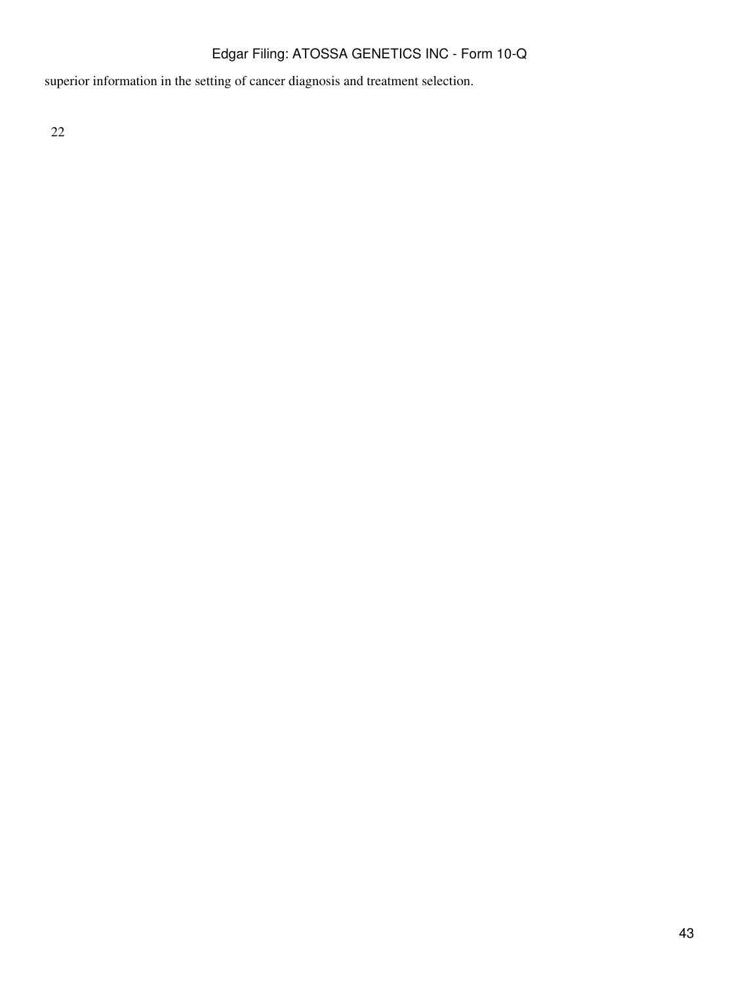superior information in the setting of cancer diagnosis and treatment selection.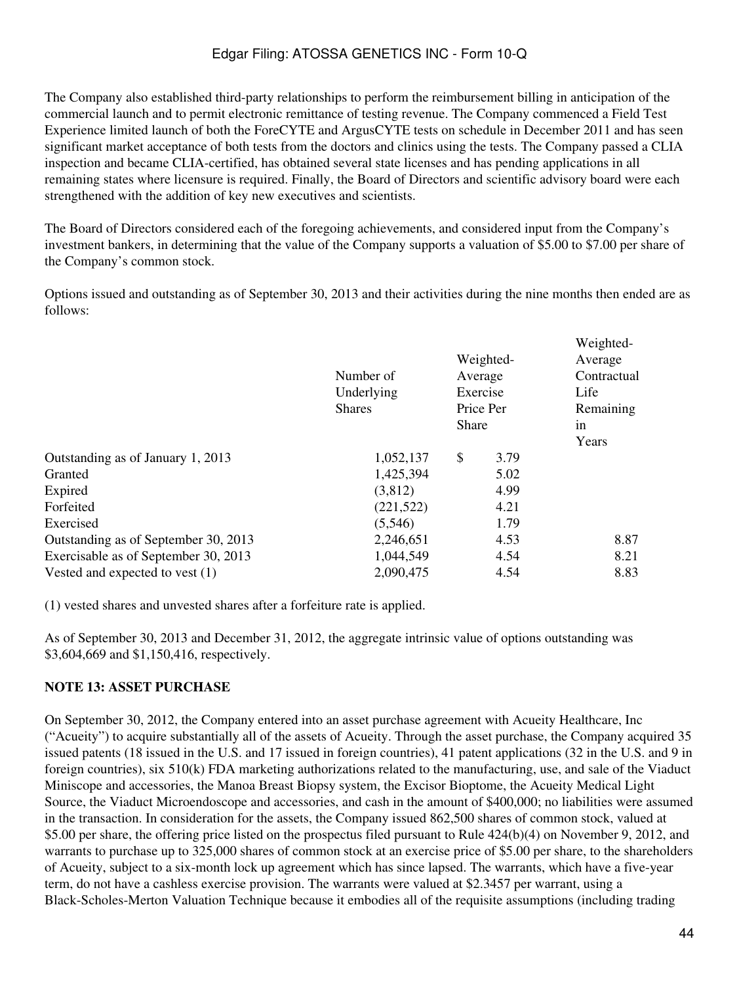The Company also established third-party relationships to perform the reimbursement billing in anticipation of the commercial launch and to permit electronic remittance of testing revenue. The Company commenced a Field Test Experience limited launch of both the ForeCYTE and ArgusCYTE tests on schedule in December 2011 and has seen significant market acceptance of both tests from the doctors and clinics using the tests. The Company passed a CLIA inspection and became CLIA-certified, has obtained several state licenses and has pending applications in all remaining states where licensure is required. Finally, the Board of Directors and scientific advisory board were each strengthened with the addition of key new executives and scientists.

The Board of Directors considered each of the foregoing achievements, and considered input from the Company's investment bankers, in determining that the value of the Company supports a valuation of \$5.00 to \$7.00 per share of the Company's common stock.

Options issued and outstanding as of September 30, 2013 and their activities during the nine months then ended are as follows:

|                                      | Number of<br>Underlying<br><b>Shares</b> | Weighted-<br>Average<br>Exercise<br>Price Per<br><b>Share</b> |      | Weighted-<br>Average<br>Contractual<br>Life<br>Remaining<br>in |  |
|--------------------------------------|------------------------------------------|---------------------------------------------------------------|------|----------------------------------------------------------------|--|
|                                      |                                          |                                                               |      | Years                                                          |  |
| Outstanding as of January 1, 2013    | 1,052,137                                | \$                                                            | 3.79 |                                                                |  |
| Granted                              | 1,425,394                                |                                                               | 5.02 |                                                                |  |
| Expired                              | (3,812)                                  |                                                               | 4.99 |                                                                |  |
| Forfeited                            | (221, 522)                               |                                                               | 4.21 |                                                                |  |
| Exercised                            | (5,546)                                  |                                                               | 1.79 |                                                                |  |
| Outstanding as of September 30, 2013 | 2,246,651                                |                                                               | 4.53 | 8.87                                                           |  |
| Exercisable as of September 30, 2013 | 1,044,549                                |                                                               | 4.54 | 8.21                                                           |  |
| Vested and expected to vest $(1)$    | 2,090,475                                |                                                               | 4.54 | 8.83                                                           |  |
|                                      |                                          |                                                               |      |                                                                |  |

(1) vested shares and unvested shares after a forfeiture rate is applied.

As of September 30, 2013 and December 31, 2012, the aggregate intrinsic value of options outstanding was \$3,604,669 and \$1,150,416, respectively.

### **NOTE 13: ASSET PURCHASE**

On September 30, 2012, the Company entered into an asset purchase agreement with Acueity Healthcare, Inc ("Acueity") to acquire substantially all of the assets of Acueity. Through the asset purchase, the Company acquired 35 issued patents (18 issued in the U.S. and 17 issued in foreign countries), 41 patent applications (32 in the U.S. and 9 in foreign countries), six 510(k) FDA marketing authorizations related to the manufacturing, use, and sale of the Viaduct Miniscope and accessories, the Manoa Breast Biopsy system, the Excisor Bioptome, the Acueity Medical Light Source, the Viaduct Microendoscope and accessories, and cash in the amount of \$400,000; no liabilities were assumed in the transaction. In consideration for the assets, the Company issued 862,500 shares of common stock, valued at \$5.00 per share, the offering price listed on the prospectus filed pursuant to Rule 424(b)(4) on November 9, 2012, and warrants to purchase up to 325,000 shares of common stock at an exercise price of \$5.00 per share, to the shareholders of Acueity, subject to a six-month lock up agreement which has since lapsed. The warrants, which have a five-year term, do not have a cashless exercise provision. The warrants were valued at \$2.3457 per warrant, using a Black-Scholes-Merton Valuation Technique because it embodies all of the requisite assumptions (including trading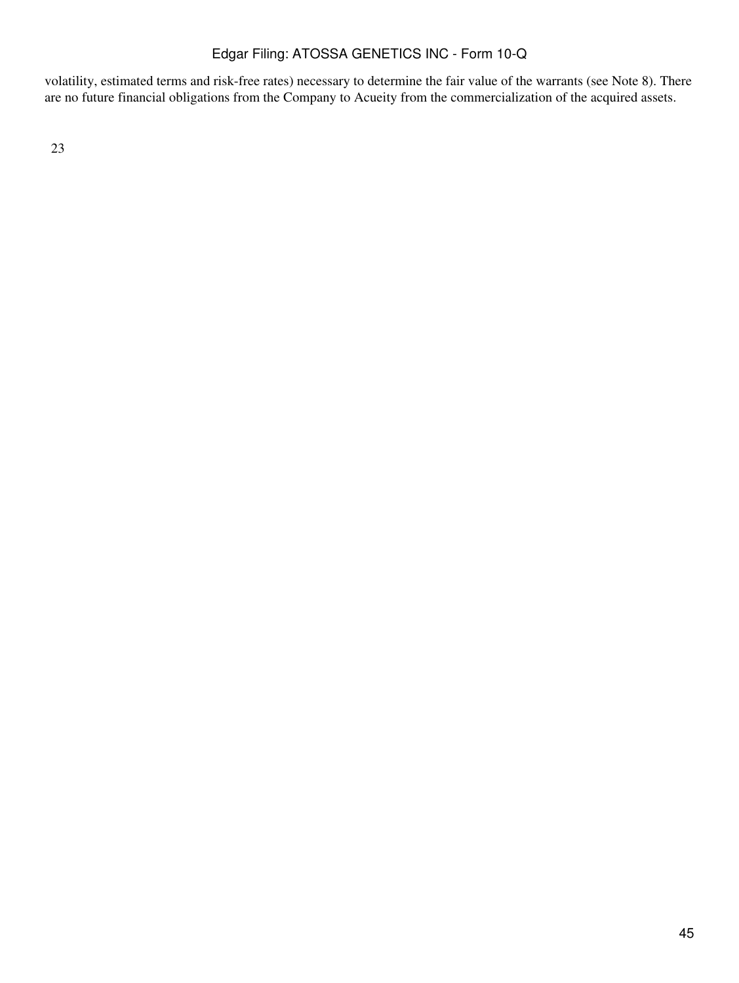volatility, estimated terms and risk-free rates) necessary to determine the fair value of the warrants (see Note 8). There are no future financial obligations from the Company to Acueity from the commercialization of the acquired assets.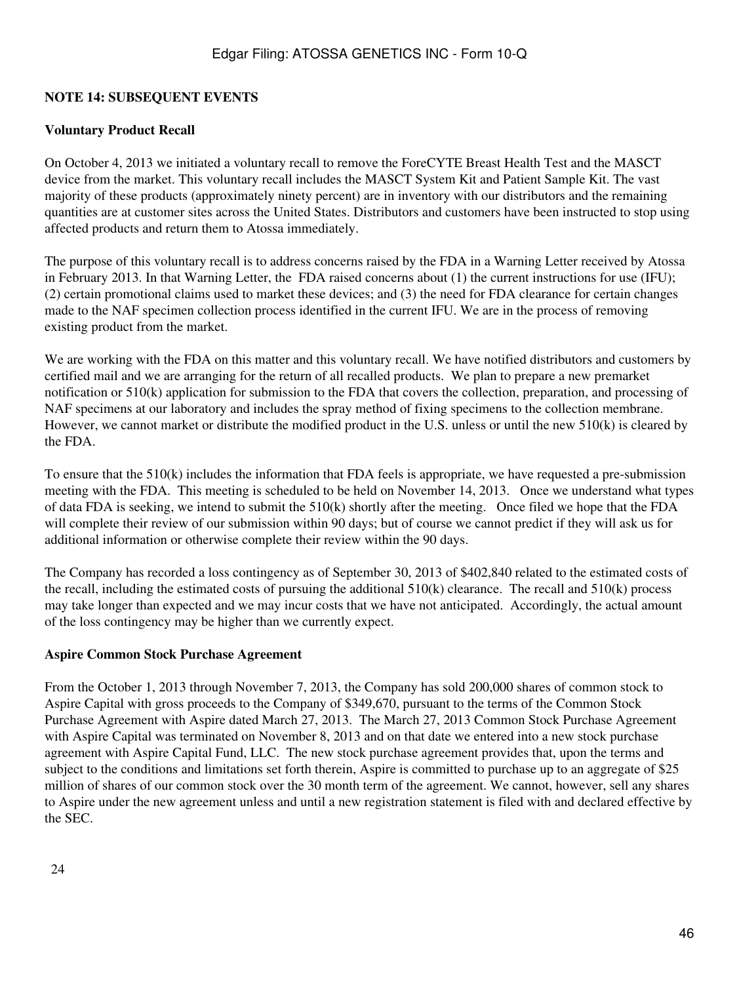### **NOTE 14: SUBSEQUENT EVENTS**

#### **Voluntary Product Recall**

On October 4, 2013 we initiated a voluntary recall to remove the ForeCYTE Breast Health Test and the MASCT device from the market. This voluntary recall includes the MASCT System Kit and Patient Sample Kit. The vast majority of these products (approximately ninety percent) are in inventory with our distributors and the remaining quantities are at customer sites across the United States. Distributors and customers have been instructed to stop using affected products and return them to Atossa immediately.

The purpose of this voluntary recall is to address concerns raised by the FDA in a Warning Letter received by Atossa in February 2013. In that Warning Letter, the FDA raised concerns about (1) the current instructions for use (IFU); (2) certain promotional claims used to market these devices; and (3) the need for FDA clearance for certain changes made to the NAF specimen collection process identified in the current IFU. We are in the process of removing existing product from the market.

We are working with the FDA on this matter and this voluntary recall. We have notified distributors and customers by certified mail and we are arranging for the return of all recalled products. We plan to prepare a new premarket notification or 510(k) application for submission to the FDA that covers the collection, preparation, and processing of NAF specimens at our laboratory and includes the spray method of fixing specimens to the collection membrane. However, we cannot market or distribute the modified product in the U.S. unless or until the new 510(k) is cleared by the FDA.

To ensure that the 510(k) includes the information that FDA feels is appropriate, we have requested a pre-submission meeting with the FDA. This meeting is scheduled to be held on November 14, 2013. Once we understand what types of data FDA is seeking, we intend to submit the  $510(k)$  shortly after the meeting. Once filed we hope that the FDA will complete their review of our submission within 90 days; but of course we cannot predict if they will ask us for additional information or otherwise complete their review within the 90 days.

The Company has recorded a loss contingency as of September 30, 2013 of \$402,840 related to the estimated costs of the recall, including the estimated costs of pursuing the additional  $510(k)$  clearance. The recall and  $510(k)$  process may take longer than expected and we may incur costs that we have not anticipated. Accordingly, the actual amount of the loss contingency may be higher than we currently expect.

#### **Aspire Common Stock Purchase Agreement**

From the October 1, 2013 through November 7, 2013, the Company has sold 200,000 shares of common stock to Aspire Capital with gross proceeds to the Company of \$349,670, pursuant to the terms of the Common Stock Purchase Agreement with Aspire dated March 27, 2013. The March 27, 2013 Common Stock Purchase Agreement with Aspire Capital was terminated on November 8, 2013 and on that date we entered into a new stock purchase agreement with Aspire Capital Fund, LLC. The new stock purchase agreement provides that, upon the terms and subject to the conditions and limitations set forth therein, Aspire is committed to purchase up to an aggregate of \$25 million of shares of our common stock over the 30 month term of the agreement. We cannot, however, sell any shares to Aspire under the new agreement unless and until a new registration statement is filed with and declared effective by the SEC.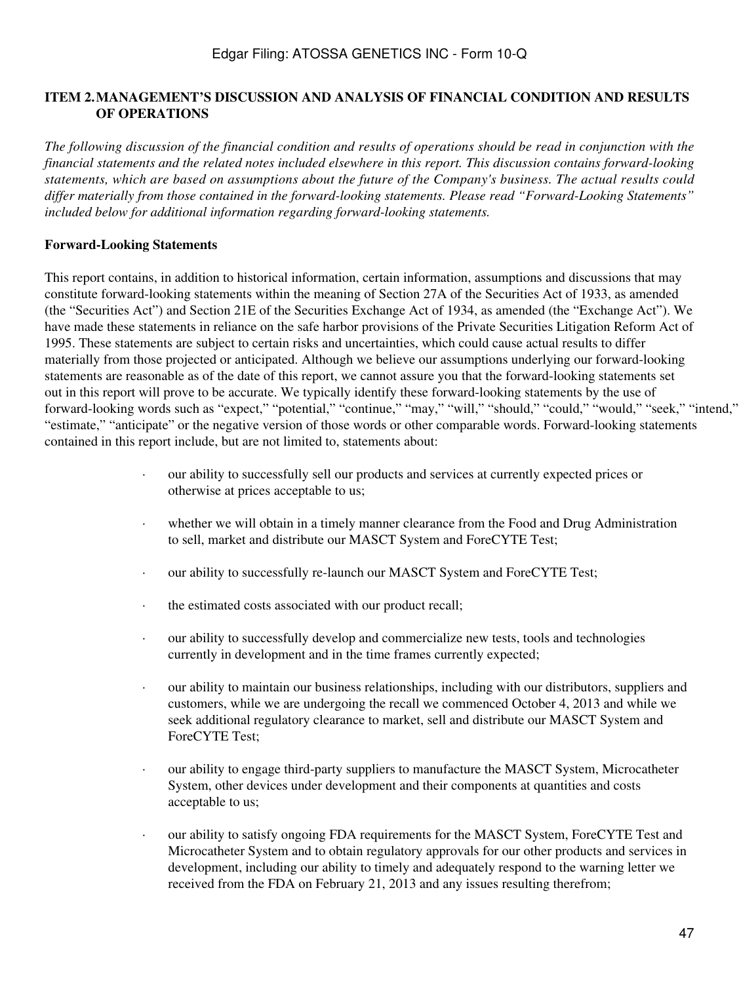### **ITEM 2.MANAGEMENT'S DISCUSSION AND ANALYSIS OF FINANCIAL CONDITION AND RESULTS OF OPERATIONS**

*The following discussion of the financial condition and results of operations should be read in conjunction with the financial statements and the related notes included elsewhere in this report. This discussion contains forward-looking statements, which are based on assumptions about the future of the Company's business. The actual results could differ materially from those contained in the forward-looking statements. Please read "Forward-Looking Statements" included below for additional information regarding forward-looking statements.*

### **Forward-Looking Statements**

This report contains, in addition to historical information, certain information, assumptions and discussions that may constitute forward-looking statements within the meaning of Section 27A of the Securities Act of 1933, as amended (the "Securities Act") and Section 21E of the Securities Exchange Act of 1934, as amended (the "Exchange Act"). We have made these statements in reliance on the safe harbor provisions of the Private Securities Litigation Reform Act of 1995. These statements are subject to certain risks and uncertainties, which could cause actual results to differ materially from those projected or anticipated. Although we believe our assumptions underlying our forward-looking statements are reasonable as of the date of this report, we cannot assure you that the forward-looking statements set out in this report will prove to be accurate. We typically identify these forward-looking statements by the use of forward-looking words such as "expect," "potential," "continue," "may," "will," "should," "could," "would," "seek," "intend," "estimate," "anticipate" or the negative version of those words or other comparable words. Forward-looking statements contained in this report include, but are not limited to, statements about:

- · our ability to successfully sell our products and services at currently expected prices or otherwise at prices acceptable to us;
- · whether we will obtain in a timely manner clearance from the Food and Drug Administration to sell, market and distribute our MASCT System and ForeCYTE Test;
- · our ability to successfully re-launch our MASCT System and ForeCYTE Test;
- · the estimated costs associated with our product recall;
- · our ability to successfully develop and commercialize new tests, tools and technologies currently in development and in the time frames currently expected;
- · our ability to maintain our business relationships, including with our distributors, suppliers and customers, while we are undergoing the recall we commenced October 4, 2013 and while we seek additional regulatory clearance to market, sell and distribute our MASCT System and ForeCYTE Test;
- our ability to engage third-party suppliers to manufacture the MASCT System, Microcatheter System, other devices under development and their components at quantities and costs acceptable to us;
- our ability to satisfy ongoing FDA requirements for the MASCT System, ForeCYTE Test and Microcatheter System and to obtain regulatory approvals for our other products and services in development, including our ability to timely and adequately respond to the warning letter we received from the FDA on February 21, 2013 and any issues resulting therefrom;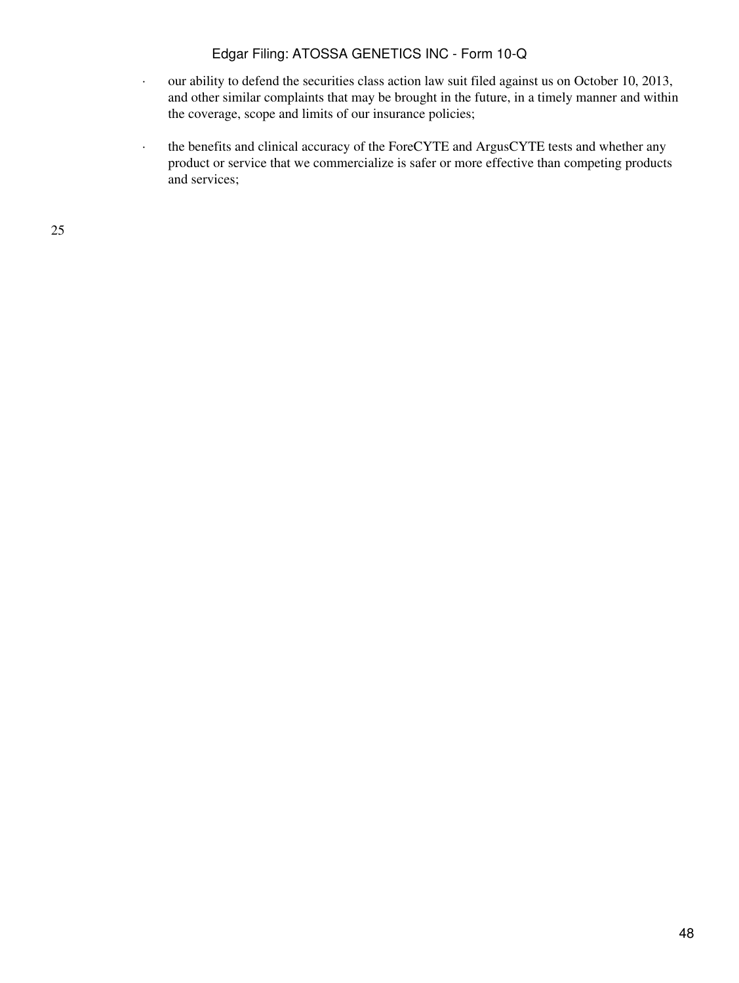- · our ability to defend the securities class action law suit filed against us on October 10, 2013, and other similar complaints that may be brought in the future, in a timely manner and within the coverage, scope and limits of our insurance policies;
- · the benefits and clinical accuracy of the ForeCYTE and ArgusCYTE tests and whether any product or service that we commercialize is safer or more effective than competing products and services;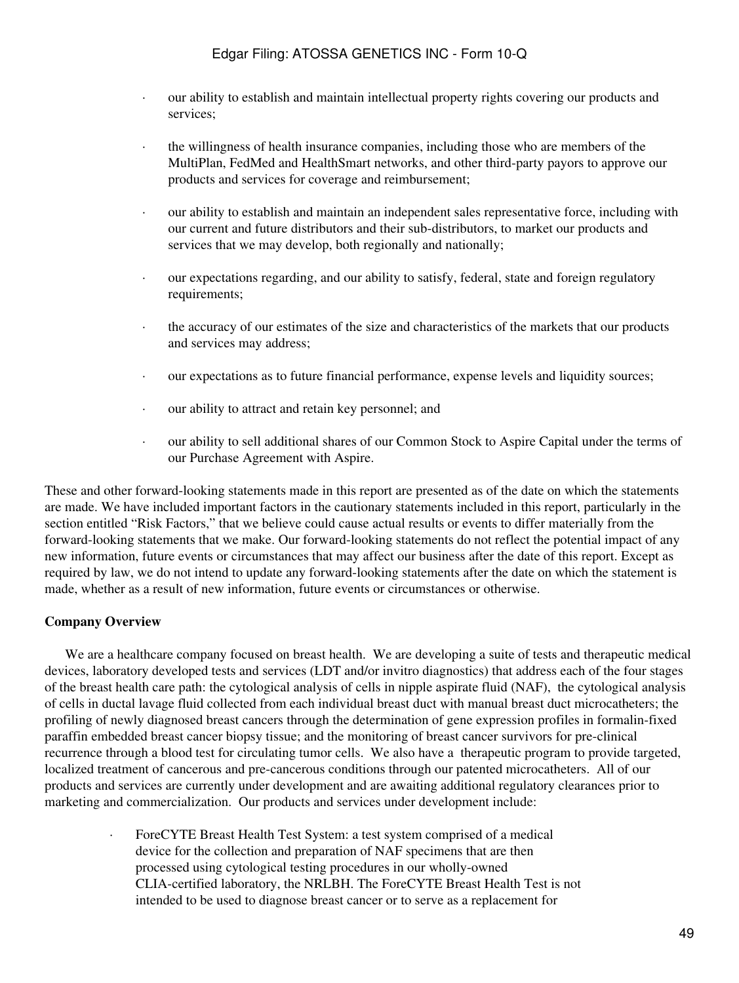- · our ability to establish and maintain intellectual property rights covering our products and services;
- · the willingness of health insurance companies, including those who are members of the MultiPlan, FedMed and HealthSmart networks, and other third-party payors to approve our products and services for coverage and reimbursement;
- · our ability to establish and maintain an independent sales representative force, including with our current and future distributors and their sub-distributors, to market our products and services that we may develop, both regionally and nationally;
- · our expectations regarding, and our ability to satisfy, federal, state and foreign regulatory requirements;
- · the accuracy of our estimates of the size and characteristics of the markets that our products and services may address;
- · our expectations as to future financial performance, expense levels and liquidity sources;
- · our ability to attract and retain key personnel; and
- · our ability to sell additional shares of our Common Stock to Aspire Capital under the terms of our Purchase Agreement with Aspire.

These and other forward-looking statements made in this report are presented as of the date on which the statements are made. We have included important factors in the cautionary statements included in this report, particularly in the section entitled "Risk Factors," that we believe could cause actual results or events to differ materially from the forward-looking statements that we make. Our forward-looking statements do not reflect the potential impact of any new information, future events or circumstances that may affect our business after the date of this report. Except as required by law, we do not intend to update any forward-looking statements after the date on which the statement is made, whether as a result of new information, future events or circumstances or otherwise.

### **Company Overview**

 We are a healthcare company focused on breast health. We are developing a suite of tests and therapeutic medical devices, laboratory developed tests and services (LDT and/or invitro diagnostics) that address each of the four stages of the breast health care path: the cytological analysis of cells in nipple aspirate fluid (NAF), the cytological analysis of cells in ductal lavage fluid collected from each individual breast duct with manual breast duct microcatheters; the profiling of newly diagnosed breast cancers through the determination of gene expression profiles in formalin-fixed paraffin embedded breast cancer biopsy tissue; and the monitoring of breast cancer survivors for pre-clinical recurrence through a blood test for circulating tumor cells. We also have a therapeutic program to provide targeted, localized treatment of cancerous and pre-cancerous conditions through our patented microcatheters. All of our products and services are currently under development and are awaiting additional regulatory clearances prior to marketing and commercialization. Our products and services under development include:

> · ForeCYTE Breast Health Test System: a test system comprised of a medical device for the collection and preparation of NAF specimens that are then processed using cytological testing procedures in our wholly-owned CLIA-certified laboratory, the NRLBH. The ForeCYTE Breast Health Test is not intended to be used to diagnose breast cancer or to serve as a replacement for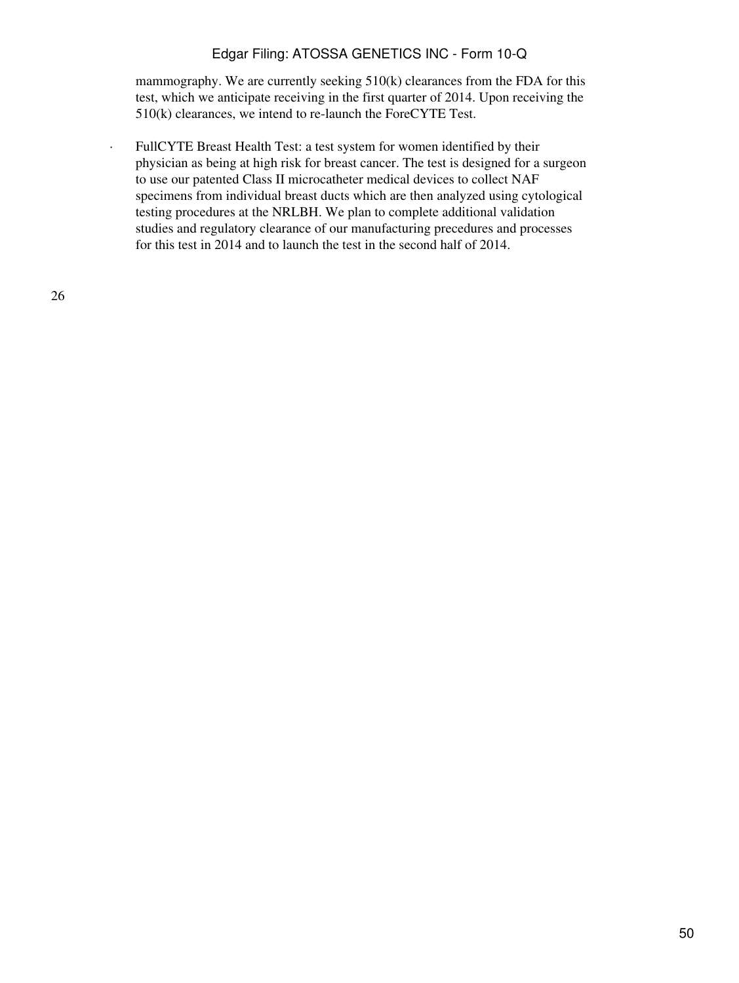mammography. We are currently seeking 510(k) clearances from the FDA for this test, which we anticipate receiving in the first quarter of 2014. Upon receiving the 510(k) clearances, we intend to re-launch the ForeCYTE Test.

· FullCYTE Breast Health Test: a test system for women identified by their physician as being at high risk for breast cancer. The test is designed for a surgeon to use our patented Class II microcatheter medical devices to collect NAF specimens from individual breast ducts which are then analyzed using cytological testing procedures at the NRLBH. We plan to complete additional validation studies and regulatory clearance of our manufacturing precedures and processes for this test in 2014 and to launch the test in the second half of 2014.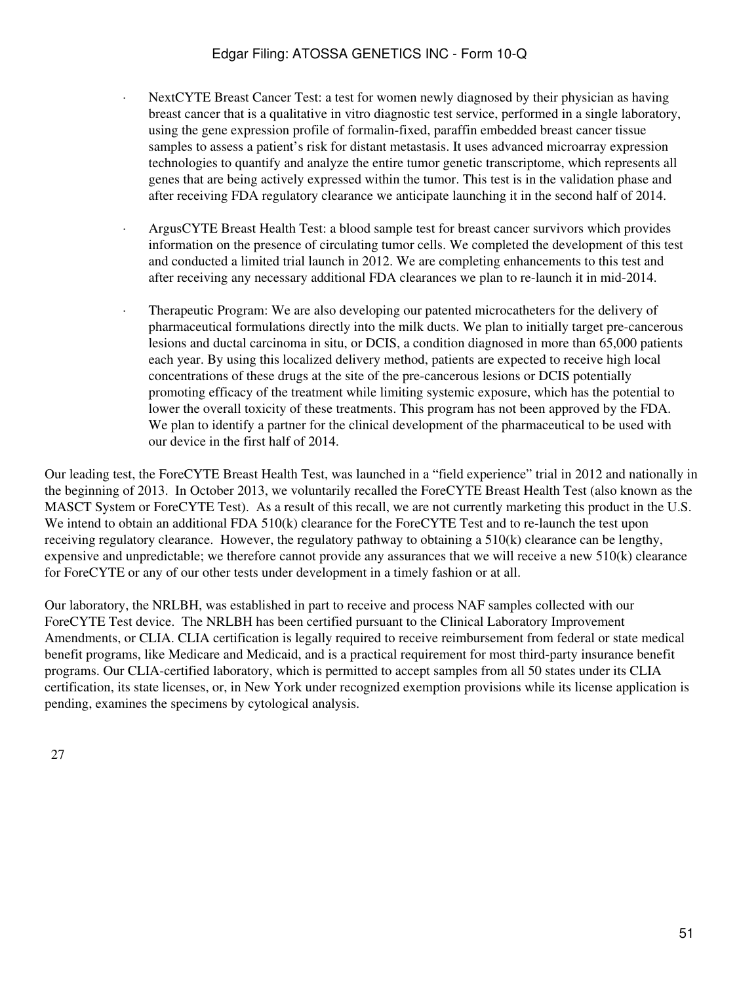- NextCYTE Breast Cancer Test: a test for women newly diagnosed by their physician as having breast cancer that is a qualitative in vitro diagnostic test service, performed in a single laboratory, using the gene expression profile of formalin-fixed, paraffin embedded breast cancer tissue samples to assess a patient's risk for distant metastasis. It uses advanced microarray expression technologies to quantify and analyze the entire tumor genetic transcriptome, which represents all genes that are being actively expressed within the tumor. This test is in the validation phase and after receiving FDA regulatory clearance we anticipate launching it in the second half of 2014.
- · ArgusCYTE Breast Health Test: a blood sample test for breast cancer survivors which provides information on the presence of circulating tumor cells. We completed the development of this test and conducted a limited trial launch in 2012. We are completing enhancements to this test and after receiving any necessary additional FDA clearances we plan to re-launch it in mid-2014.
- · Therapeutic Program: We are also developing our patented microcatheters for the delivery of pharmaceutical formulations directly into the milk ducts. We plan to initially target pre-cancerous lesions and ductal carcinoma in situ, or DCIS, a condition diagnosed in more than 65,000 patients each year. By using this localized delivery method, patients are expected to receive high local concentrations of these drugs at the site of the pre-cancerous lesions or DCIS potentially promoting efficacy of the treatment while limiting systemic exposure, which has the potential to lower the overall toxicity of these treatments. This program has not been approved by the FDA. We plan to identify a partner for the clinical development of the pharmaceutical to be used with our device in the first half of 2014.

Our leading test, the ForeCYTE Breast Health Test, was launched in a "field experience" trial in 2012 and nationally in the beginning of 2013. In October 2013, we voluntarily recalled the ForeCYTE Breast Health Test (also known as the MASCT System or ForeCYTE Test). As a result of this recall, we are not currently marketing this product in the U.S. We intend to obtain an additional FDA 510(k) clearance for the ForeCYTE Test and to re-launch the test upon receiving regulatory clearance. However, the regulatory pathway to obtaining a 510(k) clearance can be lengthy, expensive and unpredictable; we therefore cannot provide any assurances that we will receive a new 510(k) clearance for ForeCYTE or any of our other tests under development in a timely fashion or at all.

Our laboratory, the NRLBH, was established in part to receive and process NAF samples collected with our ForeCYTE Test device. The NRLBH has been certified pursuant to the Clinical Laboratory Improvement Amendments, or CLIA. CLIA certification is legally required to receive reimbursement from federal or state medical benefit programs, like Medicare and Medicaid, and is a practical requirement for most third-party insurance benefit programs. Our CLIA-certified laboratory, which is permitted to accept samples from all 50 states under its CLIA certification, its state licenses, or, in New York under recognized exemption provisions while its license application is pending, examines the specimens by cytological analysis.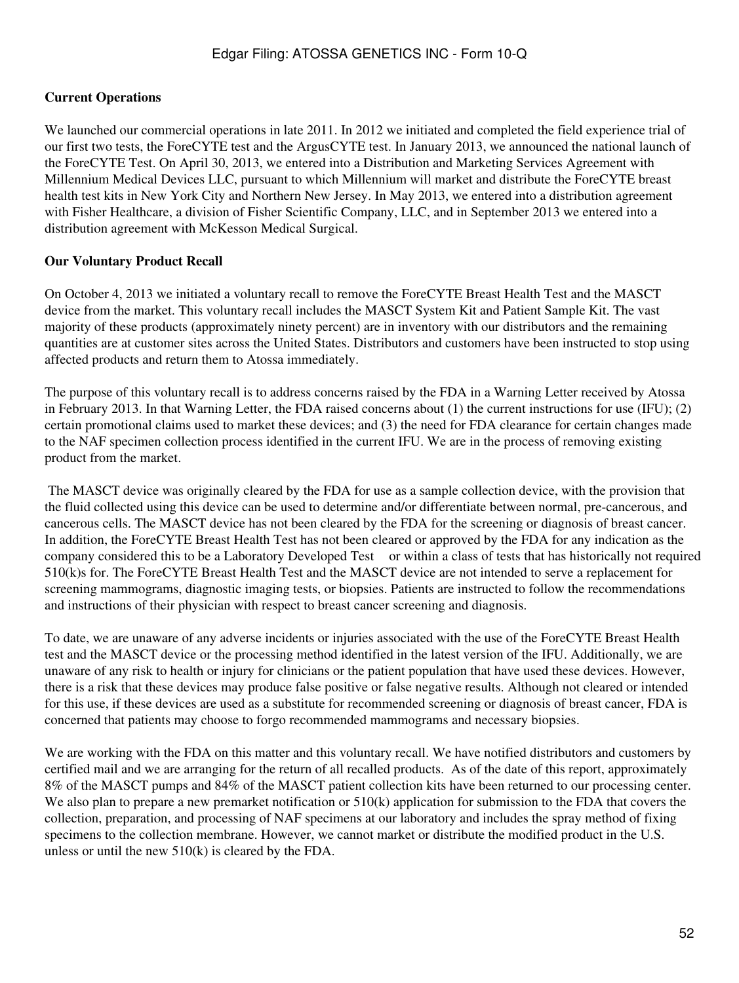### **Current Operations**

We launched our commercial operations in late 2011. In 2012 we initiated and completed the field experience trial of our first two tests, the ForeCYTE test and the ArgusCYTE test. In January 2013, we announced the national launch of the ForeCYTE Test. On April 30, 2013, we entered into a Distribution and Marketing Services Agreement with Millennium Medical Devices LLC, pursuant to which Millennium will market and distribute the ForeCYTE breast health test kits in New York City and Northern New Jersey. In May 2013, we entered into a distribution agreement with Fisher Healthcare, a division of Fisher Scientific Company, LLC, and in September 2013 we entered into a distribution agreement with McKesson Medical Surgical.

#### **Our Voluntary Product Recall**

On October 4, 2013 we initiated a voluntary recall to remove the ForeCYTE Breast Health Test and the MASCT device from the market. This voluntary recall includes the MASCT System Kit and Patient Sample Kit. The vast majority of these products (approximately ninety percent) are in inventory with our distributors and the remaining quantities are at customer sites across the United States. Distributors and customers have been instructed to stop using affected products and return them to Atossa immediately.

The purpose of this voluntary recall is to address concerns raised by the FDA in a Warning Letter received by Atossa in February 2013. In that Warning Letter, the FDA raised concerns about (1) the current instructions for use (IFU); (2) certain promotional claims used to market these devices; and (3) the need for FDA clearance for certain changes made to the NAF specimen collection process identified in the current IFU. We are in the process of removing existing product from the market.

 The MASCT device was originally cleared by the FDA for use as a sample collection device, with the provision that the fluid collected using this device can be used to determine and/or differentiate between normal, pre-cancerous, and cancerous cells. The MASCT device has not been cleared by the FDA for the screening or diagnosis of breast cancer. In addition, the ForeCYTE Breast Health Test has not been cleared or approved by the FDA for any indication as the company considered this to be a Laboratory Developed Test or within a class of tests that has historically not required 510(k)s for. The ForeCYTE Breast Health Test and the MASCT device are not intended to serve a replacement for screening mammograms, diagnostic imaging tests, or biopsies. Patients are instructed to follow the recommendations and instructions of their physician with respect to breast cancer screening and diagnosis.

To date, we are unaware of any adverse incidents or injuries associated with the use of the ForeCYTE Breast Health test and the MASCT device or the processing method identified in the latest version of the IFU. Additionally, we are unaware of any risk to health or injury for clinicians or the patient population that have used these devices. However, there is a risk that these devices may produce false positive or false negative results. Although not cleared or intended for this use, if these devices are used as a substitute for recommended screening or diagnosis of breast cancer, FDA is concerned that patients may choose to forgo recommended mammograms and necessary biopsies.

We are working with the FDA on this matter and this voluntary recall. We have notified distributors and customers by certified mail and we are arranging for the return of all recalled products. As of the date of this report, approximately 8% of the MASCT pumps and 84% of the MASCT patient collection kits have been returned to our processing center. We also plan to prepare a new premarket notification or  $510(k)$  application for submission to the FDA that covers the collection, preparation, and processing of NAF specimens at our laboratory and includes the spray method of fixing specimens to the collection membrane. However, we cannot market or distribute the modified product in the U.S. unless or until the new 510(k) is cleared by the FDA.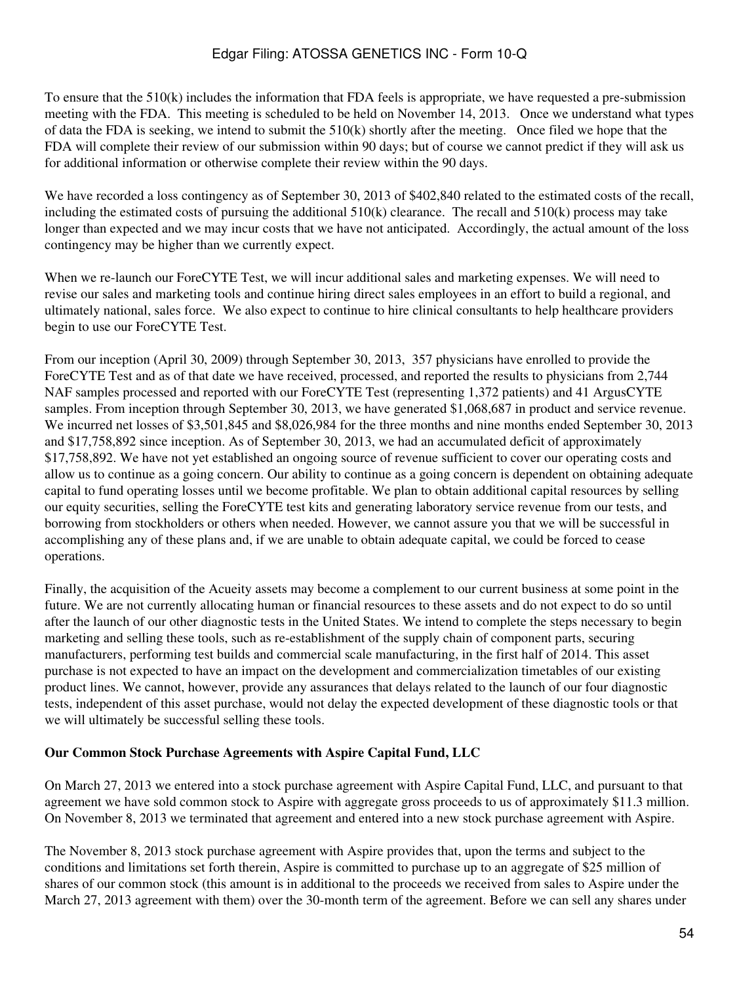To ensure that the 510(k) includes the information that FDA feels is appropriate, we have requested a pre-submission meeting with the FDA. This meeting is scheduled to be held on November 14, 2013. Once we understand what types of data the FDA is seeking, we intend to submit the 510(k) shortly after the meeting. Once filed we hope that the FDA will complete their review of our submission within 90 days; but of course we cannot predict if they will ask us for additional information or otherwise complete their review within the 90 days.

We have recorded a loss contingency as of September 30, 2013 of \$402,840 related to the estimated costs of the recall, including the estimated costs of pursuing the additional 510(k) clearance. The recall and 510(k) process may take longer than expected and we may incur costs that we have not anticipated. Accordingly, the actual amount of the loss contingency may be higher than we currently expect.

When we re-launch our ForeCYTE Test, we will incur additional sales and marketing expenses. We will need to revise our sales and marketing tools and continue hiring direct sales employees in an effort to build a regional, and ultimately national, sales force. We also expect to continue to hire clinical consultants to help healthcare providers begin to use our ForeCYTE Test.

From our inception (April 30, 2009) through September 30, 2013, 357 physicians have enrolled to provide the ForeCYTE Test and as of that date we have received, processed, and reported the results to physicians from 2,744 NAF samples processed and reported with our ForeCYTE Test (representing 1,372 patients) and 41 ArgusCYTE samples. From inception through September 30, 2013, we have generated \$1,068,687 in product and service revenue. We incurred net losses of \$3,501,845 and \$8,026,984 for the three months and nine months ended September 30, 2013 and \$17,758,892 since inception. As of September 30, 2013, we had an accumulated deficit of approximately \$17,758,892. We have not yet established an ongoing source of revenue sufficient to cover our operating costs and allow us to continue as a going concern. Our ability to continue as a going concern is dependent on obtaining adequate capital to fund operating losses until we become profitable. We plan to obtain additional capital resources by selling our equity securities, selling the ForeCYTE test kits and generating laboratory service revenue from our tests, and borrowing from stockholders or others when needed. However, we cannot assure you that we will be successful in accomplishing any of these plans and, if we are unable to obtain adequate capital, we could be forced to cease operations.

Finally, the acquisition of the Acueity assets may become a complement to our current business at some point in the future. We are not currently allocating human or financial resources to these assets and do not expect to do so until after the launch of our other diagnostic tests in the United States. We intend to complete the steps necessary to begin marketing and selling these tools, such as re-establishment of the supply chain of component parts, securing manufacturers, performing test builds and commercial scale manufacturing, in the first half of 2014. This asset purchase is not expected to have an impact on the development and commercialization timetables of our existing product lines. We cannot, however, provide any assurances that delays related to the launch of our four diagnostic tests, independent of this asset purchase, would not delay the expected development of these diagnostic tools or that we will ultimately be successful selling these tools.

### **Our Common Stock Purchase Agreements with Aspire Capital Fund, LLC**

On March 27, 2013 we entered into a stock purchase agreement with Aspire Capital Fund, LLC, and pursuant to that agreement we have sold common stock to Aspire with aggregate gross proceeds to us of approximately \$11.3 million. On November 8, 2013 we terminated that agreement and entered into a new stock purchase agreement with Aspire.

The November 8, 2013 stock purchase agreement with Aspire provides that, upon the terms and subject to the conditions and limitations set forth therein, Aspire is committed to purchase up to an aggregate of \$25 million of shares of our common stock (this amount is in additional to the proceeds we received from sales to Aspire under the March 27, 2013 agreement with them) over the 30-month term of the agreement. Before we can sell any shares under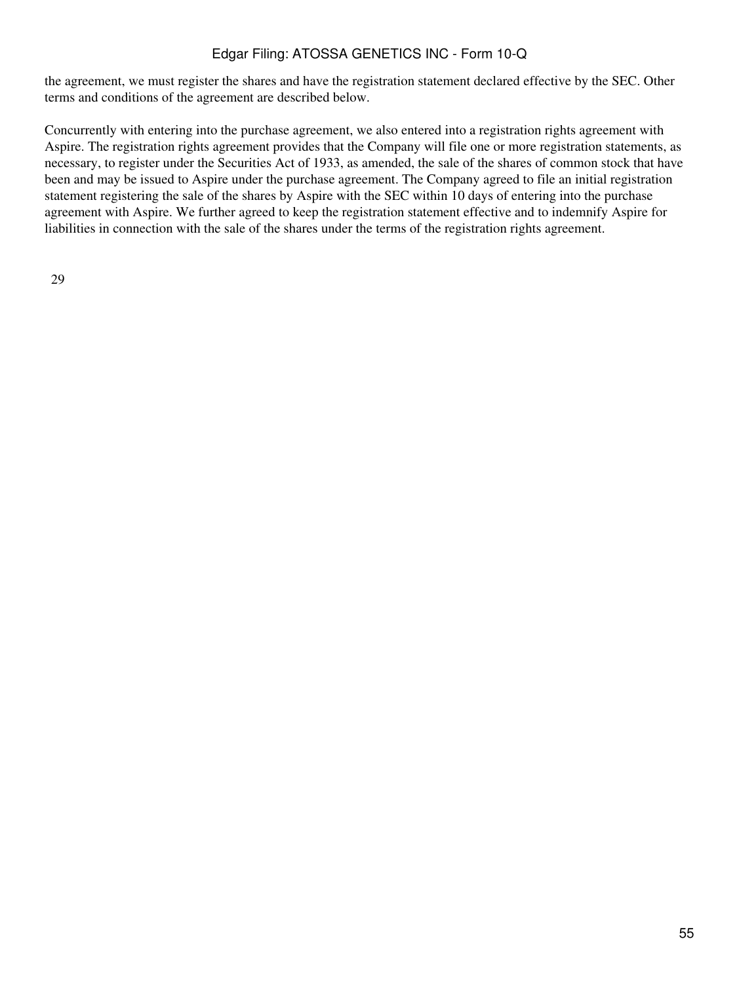the agreement, we must register the shares and have the registration statement declared effective by the SEC. Other terms and conditions of the agreement are described below.

Concurrently with entering into the purchase agreement, we also entered into a registration rights agreement with Aspire. The registration rights agreement provides that the Company will file one or more registration statements, as necessary, to register under the Securities Act of 1933, as amended, the sale of the shares of common stock that have been and may be issued to Aspire under the purchase agreement. The Company agreed to file an initial registration statement registering the sale of the shares by Aspire with the SEC within 10 days of entering into the purchase agreement with Aspire. We further agreed to keep the registration statement effective and to indemnify Aspire for liabilities in connection with the sale of the shares under the terms of the registration rights agreement.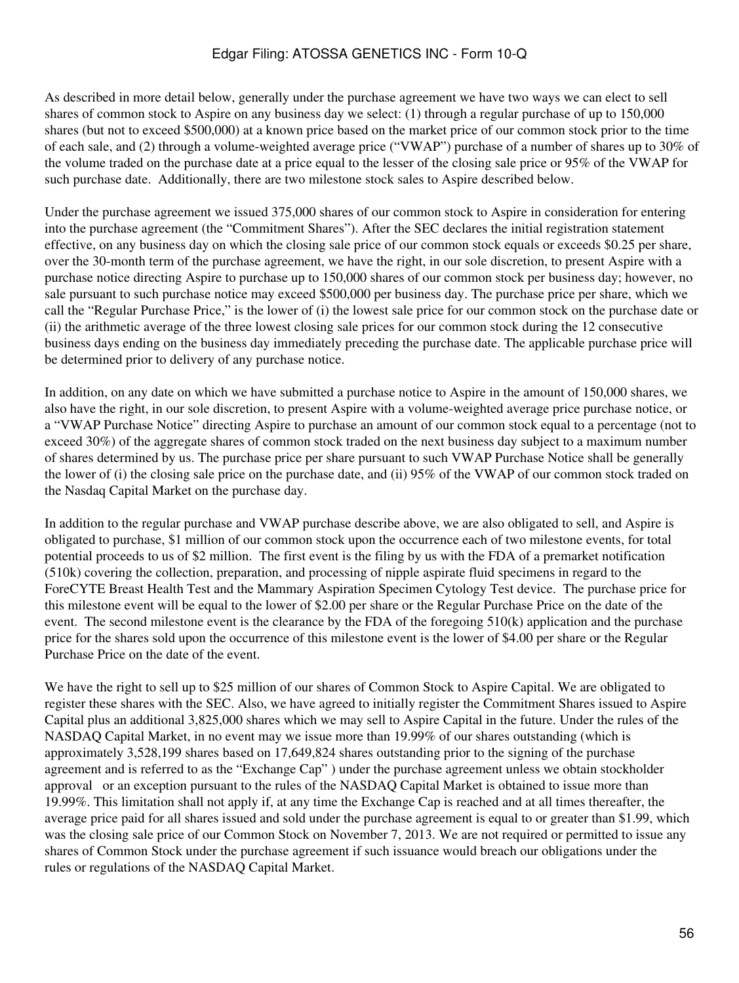As described in more detail below, generally under the purchase agreement we have two ways we can elect to sell shares of common stock to Aspire on any business day we select: (1) through a regular purchase of up to 150,000 shares (but not to exceed \$500,000) at a known price based on the market price of our common stock prior to the time of each sale, and (2) through a volume-weighted average price ("VWAP") purchase of a number of shares up to 30% of the volume traded on the purchase date at a price equal to the lesser of the closing sale price or 95% of the VWAP for such purchase date. Additionally, there are two milestone stock sales to Aspire described below.

Under the purchase agreement we issued 375,000 shares of our common stock to Aspire in consideration for entering into the purchase agreement (the "Commitment Shares"). After the SEC declares the initial registration statement effective, on any business day on which the closing sale price of our common stock equals or exceeds \$0.25 per share, over the 30-month term of the purchase agreement, we have the right, in our sole discretion, to present Aspire with a purchase notice directing Aspire to purchase up to 150,000 shares of our common stock per business day; however, no sale pursuant to such purchase notice may exceed \$500,000 per business day. The purchase price per share, which we call the "Regular Purchase Price," is the lower of (i) the lowest sale price for our common stock on the purchase date or (ii) the arithmetic average of the three lowest closing sale prices for our common stock during the 12 consecutive business days ending on the business day immediately preceding the purchase date. The applicable purchase price will be determined prior to delivery of any purchase notice.

In addition, on any date on which we have submitted a purchase notice to Aspire in the amount of 150,000 shares, we also have the right, in our sole discretion, to present Aspire with a volume-weighted average price purchase notice, or a "VWAP Purchase Notice" directing Aspire to purchase an amount of our common stock equal to a percentage (not to exceed 30%) of the aggregate shares of common stock traded on the next business day subject to a maximum number of shares determined by us. The purchase price per share pursuant to such VWAP Purchase Notice shall be generally the lower of (i) the closing sale price on the purchase date, and (ii) 95% of the VWAP of our common stock traded on the Nasdaq Capital Market on the purchase day.

In addition to the regular purchase and VWAP purchase describe above, we are also obligated to sell, and Aspire is obligated to purchase, \$1 million of our common stock upon the occurrence each of two milestone events, for total potential proceeds to us of \$2 million. The first event is the filing by us with the FDA of a premarket notification (510k) covering the collection, preparation, and processing of nipple aspirate fluid specimens in regard to the ForeCYTE Breast Health Test and the Mammary Aspiration Specimen Cytology Test device. The purchase price for this milestone event will be equal to the lower of \$2.00 per share or the Regular Purchase Price on the date of the event. The second milestone event is the clearance by the FDA of the foregoing  $510(k)$  application and the purchase price for the shares sold upon the occurrence of this milestone event is the lower of \$4.00 per share or the Regular Purchase Price on the date of the event.

We have the right to sell up to \$25 million of our shares of Common Stock to Aspire Capital. We are obligated to register these shares with the SEC. Also, we have agreed to initially register the Commitment Shares issued to Aspire Capital plus an additional 3,825,000 shares which we may sell to Aspire Capital in the future. Under the rules of the NASDAQ Capital Market, in no event may we issue more than 19.99% of our shares outstanding (which is approximately 3,528,199 shares based on 17,649,824 shares outstanding prior to the signing of the purchase agreement and is referred to as the "Exchange Cap" ) under the purchase agreement unless we obtain stockholder approval or an exception pursuant to the rules of the NASDAQ Capital Market is obtained to issue more than 19.99%. This limitation shall not apply if, at any time the Exchange Cap is reached and at all times thereafter, the average price paid for all shares issued and sold under the purchase agreement is equal to or greater than \$1.99, which was the closing sale price of our Common Stock on November 7, 2013. We are not required or permitted to issue any shares of Common Stock under the purchase agreement if such issuance would breach our obligations under the rules or regulations of the NASDAQ Capital Market.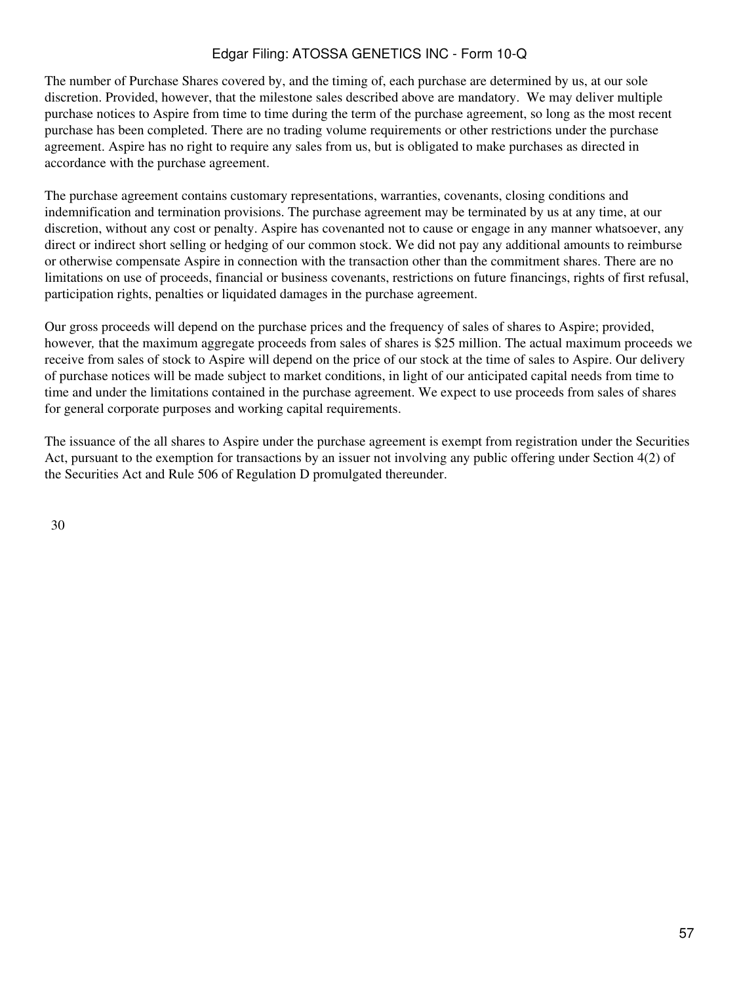The number of Purchase Shares covered by, and the timing of, each purchase are determined by us, at our sole discretion. Provided, however, that the milestone sales described above are mandatory. We may deliver multiple purchase notices to Aspire from time to time during the term of the purchase agreement, so long as the most recent purchase has been completed. There are no trading volume requirements or other restrictions under the purchase agreement. Aspire has no right to require any sales from us, but is obligated to make purchases as directed in accordance with the purchase agreement.

The purchase agreement contains customary representations, warranties, covenants, closing conditions and indemnification and termination provisions. The purchase agreement may be terminated by us at any time, at our discretion, without any cost or penalty. Aspire has covenanted not to cause or engage in any manner whatsoever, any direct or indirect short selling or hedging of our common stock. We did not pay any additional amounts to reimburse or otherwise compensate Aspire in connection with the transaction other than the commitment shares. There are no limitations on use of proceeds, financial or business covenants, restrictions on future financings, rights of first refusal, participation rights, penalties or liquidated damages in the purchase agreement.

Our gross proceeds will depend on the purchase prices and the frequency of sales of shares to Aspire; provided, however*,* that the maximum aggregate proceeds from sales of shares is \$25 million. The actual maximum proceeds we receive from sales of stock to Aspire will depend on the price of our stock at the time of sales to Aspire. Our delivery of purchase notices will be made subject to market conditions, in light of our anticipated capital needs from time to time and under the limitations contained in the purchase agreement. We expect to use proceeds from sales of shares for general corporate purposes and working capital requirements.

The issuance of the all shares to Aspire under the purchase agreement is exempt from registration under the Securities Act, pursuant to the exemption for transactions by an issuer not involving any public offering under Section 4(2) of the Securities Act and Rule 506 of Regulation D promulgated thereunder.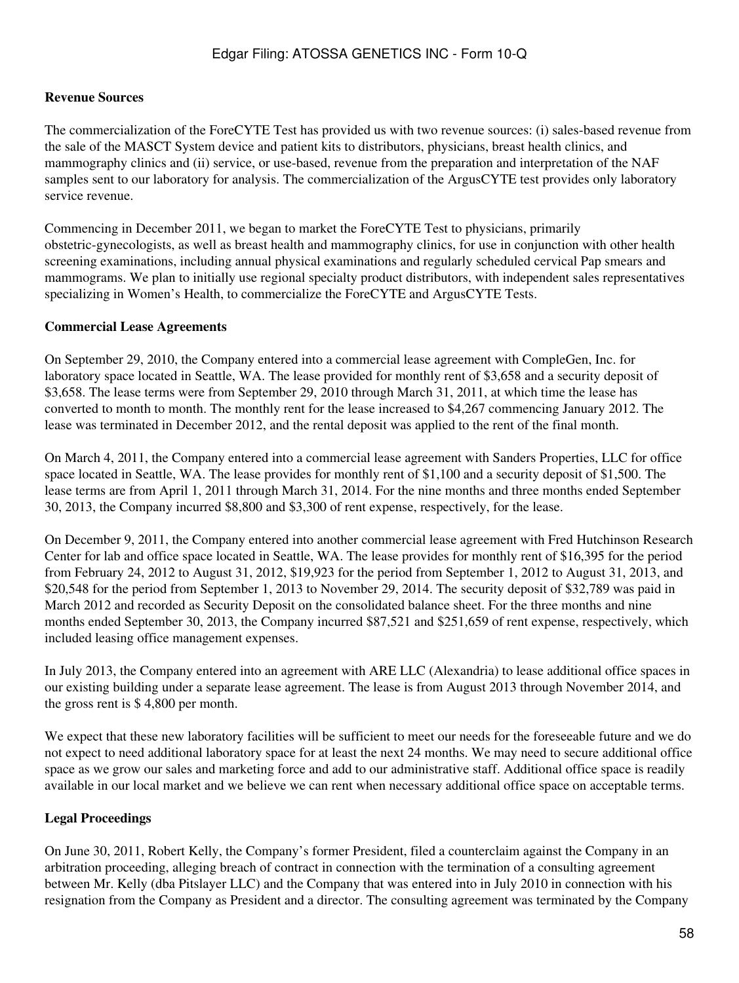### **Revenue Sources**

The commercialization of the ForeCYTE Test has provided us with two revenue sources: (i) sales-based revenue from the sale of the MASCT System device and patient kits to distributors, physicians, breast health clinics, and mammography clinics and (ii) service, or use-based, revenue from the preparation and interpretation of the NAF samples sent to our laboratory for analysis. The commercialization of the ArgusCYTE test provides only laboratory service revenue.

Commencing in December 2011, we began to market the ForeCYTE Test to physicians, primarily obstetric-gynecologists, as well as breast health and mammography clinics, for use in conjunction with other health screening examinations, including annual physical examinations and regularly scheduled cervical Pap smears and mammograms. We plan to initially use regional specialty product distributors, with independent sales representatives specializing in Women's Health, to commercialize the ForeCYTE and ArgusCYTE Tests.

### **Commercial Lease Agreements**

On September 29, 2010, the Company entered into a commercial lease agreement with CompleGen, Inc. for laboratory space located in Seattle, WA. The lease provided for monthly rent of \$3,658 and a security deposit of \$3,658. The lease terms were from September 29, 2010 through March 31, 2011, at which time the lease has converted to month to month. The monthly rent for the lease increased to \$4,267 commencing January 2012. The lease was terminated in December 2012, and the rental deposit was applied to the rent of the final month.

On March 4, 2011, the Company entered into a commercial lease agreement with Sanders Properties, LLC for office space located in Seattle, WA. The lease provides for monthly rent of \$1,100 and a security deposit of \$1,500. The lease terms are from April 1, 2011 through March 31, 2014. For the nine months and three months ended September 30, 2013, the Company incurred \$8,800 and \$3,300 of rent expense, respectively, for the lease.

On December 9, 2011, the Company entered into another commercial lease agreement with Fred Hutchinson Research Center for lab and office space located in Seattle, WA. The lease provides for monthly rent of \$16,395 for the period from February 24, 2012 to August 31, 2012, \$19,923 for the period from September 1, 2012 to August 31, 2013, and \$20,548 for the period from September 1, 2013 to November 29, 2014. The security deposit of \$32,789 was paid in March 2012 and recorded as Security Deposit on the consolidated balance sheet. For the three months and nine months ended September 30, 2013, the Company incurred \$87,521 and \$251,659 of rent expense, respectively, which included leasing office management expenses.

In July 2013, the Company entered into an agreement with ARE LLC (Alexandria) to lease additional office spaces in our existing building under a separate lease agreement. The lease is from August 2013 through November 2014, and the gross rent is \$ 4,800 per month.

We expect that these new laboratory facilities will be sufficient to meet our needs for the foreseeable future and we do not expect to need additional laboratory space for at least the next 24 months. We may need to secure additional office space as we grow our sales and marketing force and add to our administrative staff. Additional office space is readily available in our local market and we believe we can rent when necessary additional office space on acceptable terms.

### **Legal Proceedings**

On June 30, 2011, Robert Kelly, the Company's former President, filed a counterclaim against the Company in an arbitration proceeding, alleging breach of contract in connection with the termination of a consulting agreement between Mr. Kelly (dba Pitslayer LLC) and the Company that was entered into in July 2010 in connection with his resignation from the Company as President and a director. The consulting agreement was terminated by the Company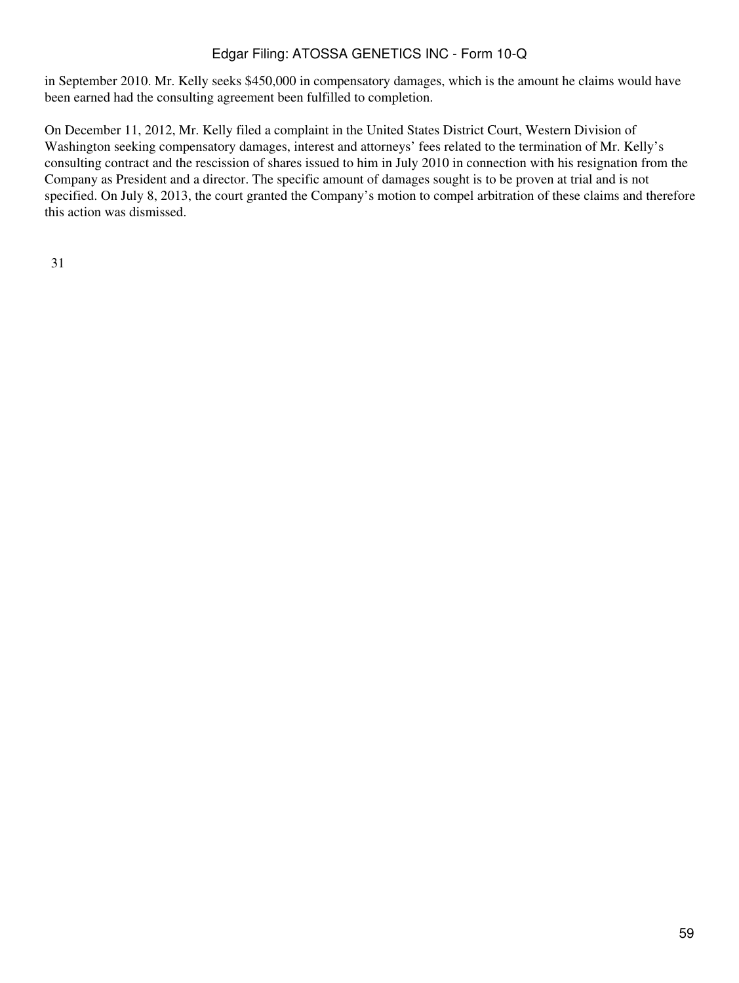in September 2010. Mr. Kelly seeks \$450,000 in compensatory damages, which is the amount he claims would have been earned had the consulting agreement been fulfilled to completion.

On December 11, 2012, Mr. Kelly filed a complaint in the United States District Court, Western Division of Washington seeking compensatory damages, interest and attorneys' fees related to the termination of Mr. Kelly's consulting contract and the rescission of shares issued to him in July 2010 in connection with his resignation from the Company as President and a director. The specific amount of damages sought is to be proven at trial and is not specified. On July 8, 2013, the court granted the Company's motion to compel arbitration of these claims and therefore this action was dismissed.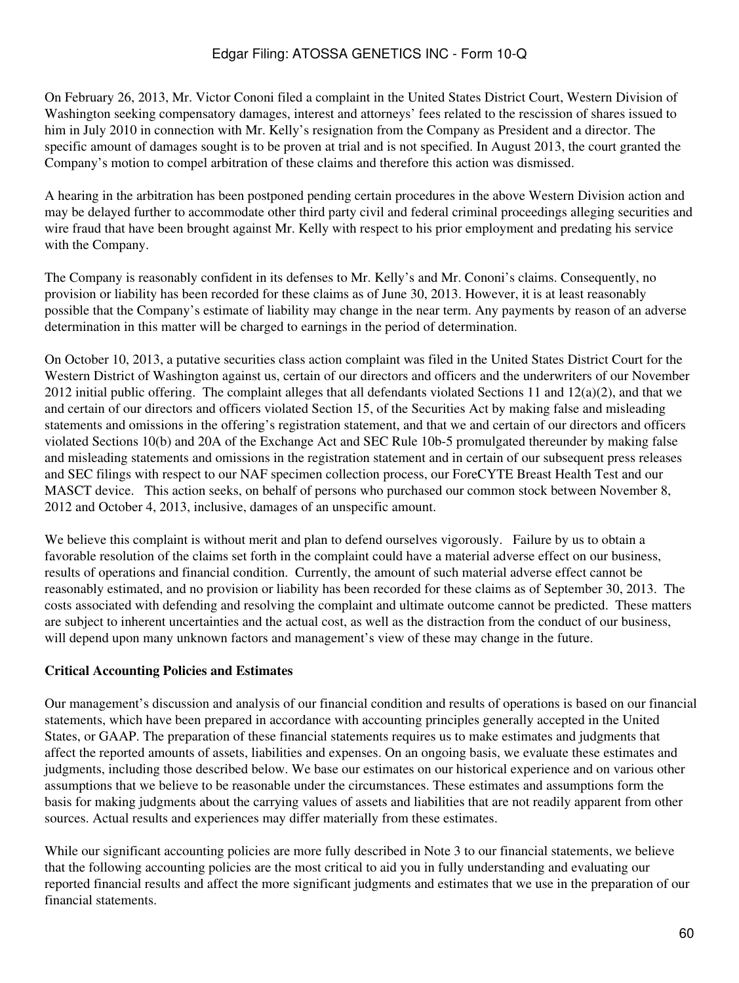On February 26, 2013, Mr. Victor Cononi filed a complaint in the United States District Court, Western Division of Washington seeking compensatory damages, interest and attorneys' fees related to the rescission of shares issued to him in July 2010 in connection with Mr. Kelly's resignation from the Company as President and a director. The specific amount of damages sought is to be proven at trial and is not specified. In August 2013, the court granted the Company's motion to compel arbitration of these claims and therefore this action was dismissed.

A hearing in the arbitration has been postponed pending certain procedures in the above Western Division action and may be delayed further to accommodate other third party civil and federal criminal proceedings alleging securities and wire fraud that have been brought against Mr. Kelly with respect to his prior employment and predating his service with the Company.

The Company is reasonably confident in its defenses to Mr. Kelly's and Mr. Cononi's claims. Consequently, no provision or liability has been recorded for these claims as of June 30, 2013. However, it is at least reasonably possible that the Company's estimate of liability may change in the near term. Any payments by reason of an adverse determination in this matter will be charged to earnings in the period of determination.

On October 10, 2013, a putative securities class action complaint was filed in the United States District Court for the Western District of Washington against us, certain of our directors and officers and the underwriters of our November 2012 initial public offering. The complaint alleges that all defendants violated Sections 11 and  $12(a)(2)$ , and that we and certain of our directors and officers violated Section 15, of the Securities Act by making false and misleading statements and omissions in the offering's registration statement, and that we and certain of our directors and officers violated Sections 10(b) and 20A of the Exchange Act and SEC Rule 10b-5 promulgated thereunder by making false and misleading statements and omissions in the registration statement and in certain of our subsequent press releases and SEC filings with respect to our NAF specimen collection process, our ForeCYTE Breast Health Test and our MASCT device. This action seeks, on behalf of persons who purchased our common stock between November 8, 2012 and October 4, 2013, inclusive, damages of an unspecific amount.

We believe this complaint is without merit and plan to defend ourselves vigorously. Failure by us to obtain a favorable resolution of the claims set forth in the complaint could have a material adverse effect on our business, results of operations and financial condition. Currently, the amount of such material adverse effect cannot be reasonably estimated, and no provision or liability has been recorded for these claims as of September 30, 2013. The costs associated with defending and resolving the complaint and ultimate outcome cannot be predicted. These matters are subject to inherent uncertainties and the actual cost, as well as the distraction from the conduct of our business, will depend upon many unknown factors and management's view of these may change in the future.

### **Critical Accounting Policies and Estimates**

Our management's discussion and analysis of our financial condition and results of operations is based on our financial statements, which have been prepared in accordance with accounting principles generally accepted in the United States, or GAAP. The preparation of these financial statements requires us to make estimates and judgments that affect the reported amounts of assets, liabilities and expenses. On an ongoing basis, we evaluate these estimates and judgments, including those described below. We base our estimates on our historical experience and on various other assumptions that we believe to be reasonable under the circumstances. These estimates and assumptions form the basis for making judgments about the carrying values of assets and liabilities that are not readily apparent from other sources. Actual results and experiences may differ materially from these estimates.

While our significant accounting policies are more fully described in Note 3 to our financial statements, we believe that the following accounting policies are the most critical to aid you in fully understanding and evaluating our reported financial results and affect the more significant judgments and estimates that we use in the preparation of our financial statements.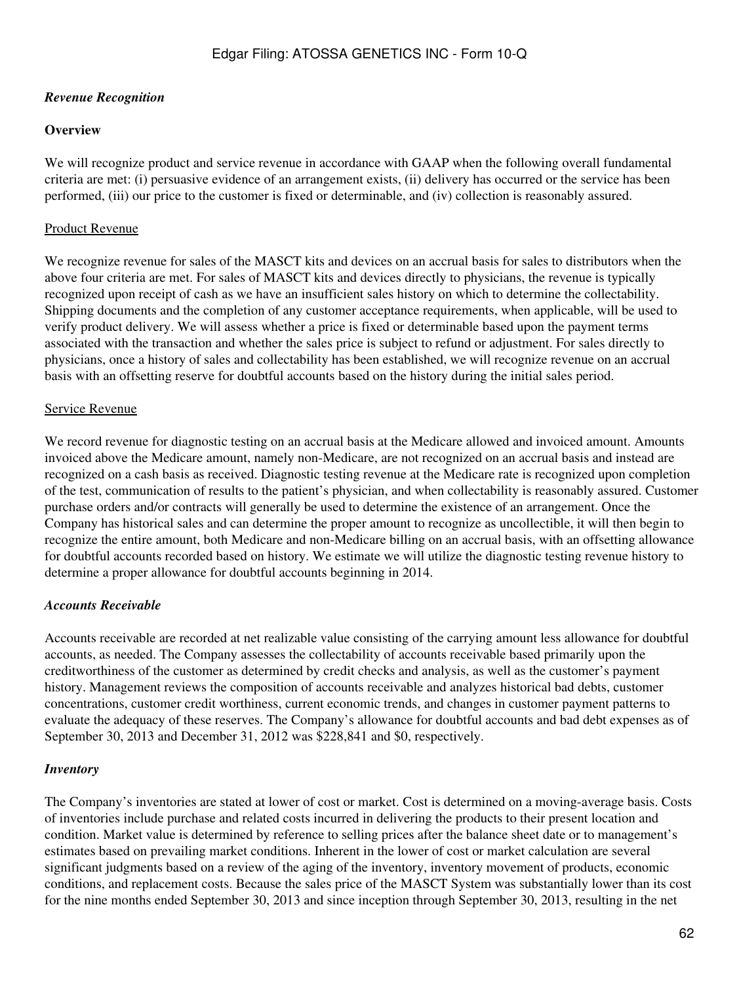### *Revenue Recognition*

### **Overview**

We will recognize product and service revenue in accordance with GAAP when the following overall fundamental criteria are met: (i) persuasive evidence of an arrangement exists, (ii) delivery has occurred or the service has been performed, (iii) our price to the customer is fixed or determinable, and (iv) collection is reasonably assured.

## Product Revenue

We recognize revenue for sales of the MASCT kits and devices on an accrual basis for sales to distributors when the above four criteria are met. For sales of MASCT kits and devices directly to physicians, the revenue is typically recognized upon receipt of cash as we have an insufficient sales history on which to determine the collectability. Shipping documents and the completion of any customer acceptance requirements, when applicable, will be used to verify product delivery. We will assess whether a price is fixed or determinable based upon the payment terms associated with the transaction and whether the sales price is subject to refund or adjustment. For sales directly to physicians, once a history of sales and collectability has been established, we will recognize revenue on an accrual basis with an offsetting reserve for doubtful accounts based on the history during the initial sales period.

### Service Revenue

We record revenue for diagnostic testing on an accrual basis at the Medicare allowed and invoiced amount. Amounts invoiced above the Medicare amount, namely non-Medicare, are not recognized on an accrual basis and instead are recognized on a cash basis as received. Diagnostic testing revenue at the Medicare rate is recognized upon completion of the test, communication of results to the patient's physician, and when collectability is reasonably assured. Customer purchase orders and/or contracts will generally be used to determine the existence of an arrangement. Once the Company has historical sales and can determine the proper amount to recognize as uncollectible, it will then begin to recognize the entire amount, both Medicare and non-Medicare billing on an accrual basis, with an offsetting allowance for doubtful accounts recorded based on history. We estimate we will utilize the diagnostic testing revenue history to determine a proper allowance for doubtful accounts beginning in 2014.

# *Accounts Receivable*

Accounts receivable are recorded at net realizable value consisting of the carrying amount less allowance for doubtful accounts, as needed. The Company assesses the collectability of accounts receivable based primarily upon the creditworthiness of the customer as determined by credit checks and analysis, as well as the customer's payment history. Management reviews the composition of accounts receivable and analyzes historical bad debts, customer concentrations, customer credit worthiness, current economic trends, and changes in customer payment patterns to evaluate the adequacy of these reserves. The Company's allowance for doubtful accounts and bad debt expenses as of September 30, 2013 and December 31, 2012 was \$228,841 and \$0, respectively.

### *Inventory*

The Company's inventories are stated at lower of cost or market. Cost is determined on a moving-average basis. Costs of inventories include purchase and related costs incurred in delivering the products to their present location and condition. Market value is determined by reference to selling prices after the balance sheet date or to management's estimates based on prevailing market conditions. Inherent in the lower of cost or market calculation are several significant judgments based on a review of the aging of the inventory, inventory movement of products, economic conditions, and replacement costs. Because the sales price of the MASCT System was substantially lower than its cost for the nine months ended September 30, 2013 and since inception through September 30, 2013, resulting in the net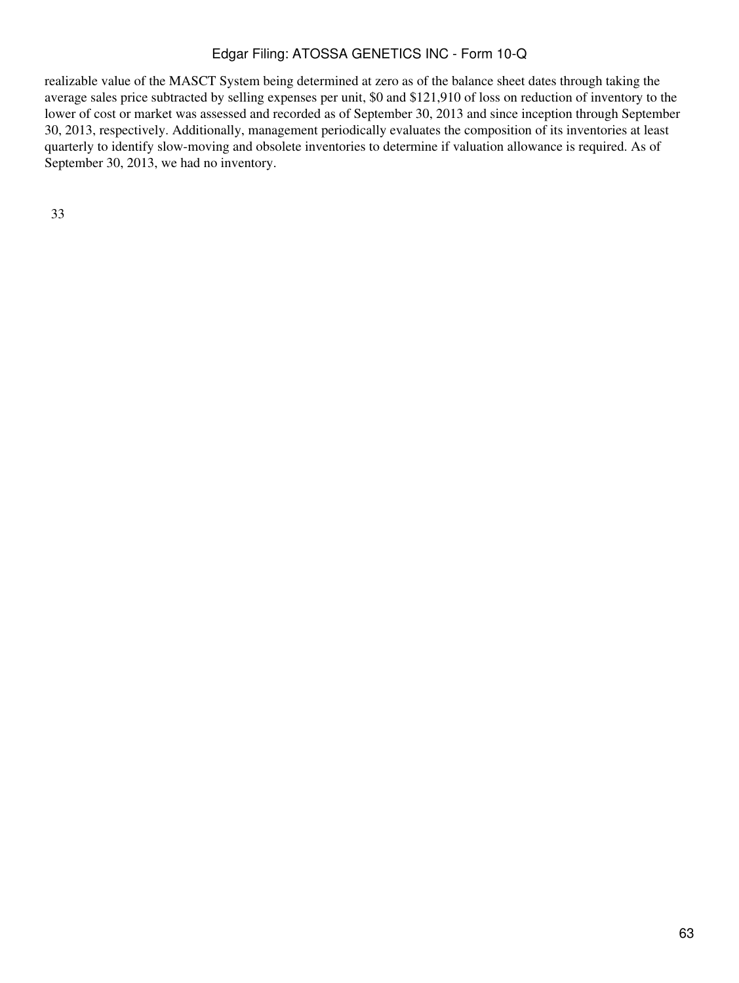realizable value of the MASCT System being determined at zero as of the balance sheet dates through taking the average sales price subtracted by selling expenses per unit, \$0 and \$121,910 of loss on reduction of inventory to the lower of cost or market was assessed and recorded as of September 30, 2013 and since inception through September 30, 2013, respectively. Additionally, management periodically evaluates the composition of its inventories at least quarterly to identify slow-moving and obsolete inventories to determine if valuation allowance is required. As of September 30, 2013, we had no inventory.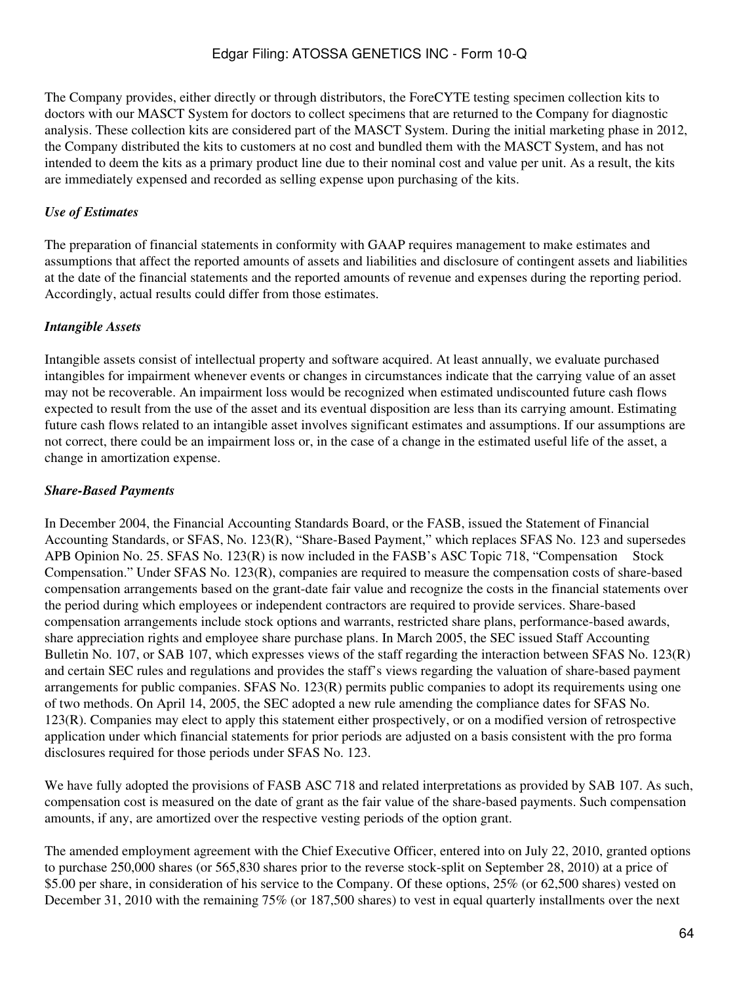The Company provides, either directly or through distributors, the ForeCYTE testing specimen collection kits to doctors with our MASCT System for doctors to collect specimens that are returned to the Company for diagnostic analysis. These collection kits are considered part of the MASCT System. During the initial marketing phase in 2012, the Company distributed the kits to customers at no cost and bundled them with the MASCT System, and has not intended to deem the kits as a primary product line due to their nominal cost and value per unit. As a result, the kits are immediately expensed and recorded as selling expense upon purchasing of the kits.

#### *Use of Estimates*

The preparation of financial statements in conformity with GAAP requires management to make estimates and assumptions that affect the reported amounts of assets and liabilities and disclosure of contingent assets and liabilities at the date of the financial statements and the reported amounts of revenue and expenses during the reporting period. Accordingly, actual results could differ from those estimates.

#### *Intangible Assets*

Intangible assets consist of intellectual property and software acquired. At least annually, we evaluate purchased intangibles for impairment whenever events or changes in circumstances indicate that the carrying value of an asset may not be recoverable. An impairment loss would be recognized when estimated undiscounted future cash flows expected to result from the use of the asset and its eventual disposition are less than its carrying amount. Estimating future cash flows related to an intangible asset involves significant estimates and assumptions. If our assumptions are not correct, there could be an impairment loss or, in the case of a change in the estimated useful life of the asset, a change in amortization expense.

#### *Share-Based Payments*

In December 2004, the Financial Accounting Standards Board, or the FASB, issued the Statement of Financial Accounting Standards, or SFAS, No. 123(R), "Share-Based Payment," which replaces SFAS No. 123 and supersedes APB Opinion No. 25. SFAS No. 123(R) is now included in the FASB's ASC Topic 718, "Compensation Stock Compensation." Under SFAS No. 123(R), companies are required to measure the compensation costs of share-based compensation arrangements based on the grant-date fair value and recognize the costs in the financial statements over the period during which employees or independent contractors are required to provide services. Share-based compensation arrangements include stock options and warrants, restricted share plans, performance-based awards, share appreciation rights and employee share purchase plans. In March 2005, the SEC issued Staff Accounting Bulletin No. 107, or SAB 107, which expresses views of the staff regarding the interaction between SFAS No. 123(R) and certain SEC rules and regulations and provides the staff's views regarding the valuation of share-based payment arrangements for public companies. SFAS No. 123(R) permits public companies to adopt its requirements using one of two methods. On April 14, 2005, the SEC adopted a new rule amending the compliance dates for SFAS No. 123(R). Companies may elect to apply this statement either prospectively, or on a modified version of retrospective application under which financial statements for prior periods are adjusted on a basis consistent with the pro forma disclosures required for those periods under SFAS No. 123.

We have fully adopted the provisions of FASB ASC 718 and related interpretations as provided by SAB 107. As such, compensation cost is measured on the date of grant as the fair value of the share-based payments. Such compensation amounts, if any, are amortized over the respective vesting periods of the option grant.

The amended employment agreement with the Chief Executive Officer, entered into on July 22, 2010, granted options to purchase 250,000 shares (or 565,830 shares prior to the reverse stock-split on September 28, 2010) at a price of \$5.00 per share, in consideration of his service to the Company. Of these options, 25% (or 62,500 shares) vested on December 31, 2010 with the remaining 75% (or 187,500 shares) to vest in equal quarterly installments over the next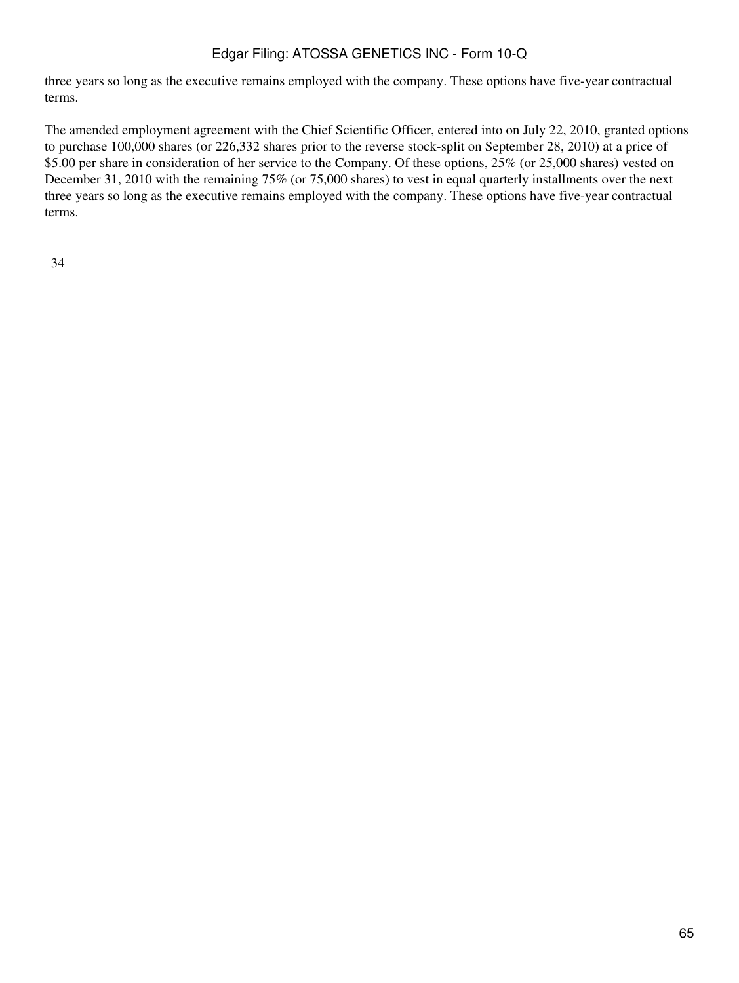three years so long as the executive remains employed with the company. These options have five-year contractual terms.

The amended employment agreement with the Chief Scientific Officer, entered into on July 22, 2010, granted options to purchase 100,000 shares (or 226,332 shares prior to the reverse stock-split on September 28, 2010) at a price of \$5.00 per share in consideration of her service to the Company. Of these options, 25% (or 25,000 shares) vested on December 31, 2010 with the remaining 75% (or 75,000 shares) to vest in equal quarterly installments over the next three years so long as the executive remains employed with the company. These options have five-year contractual terms.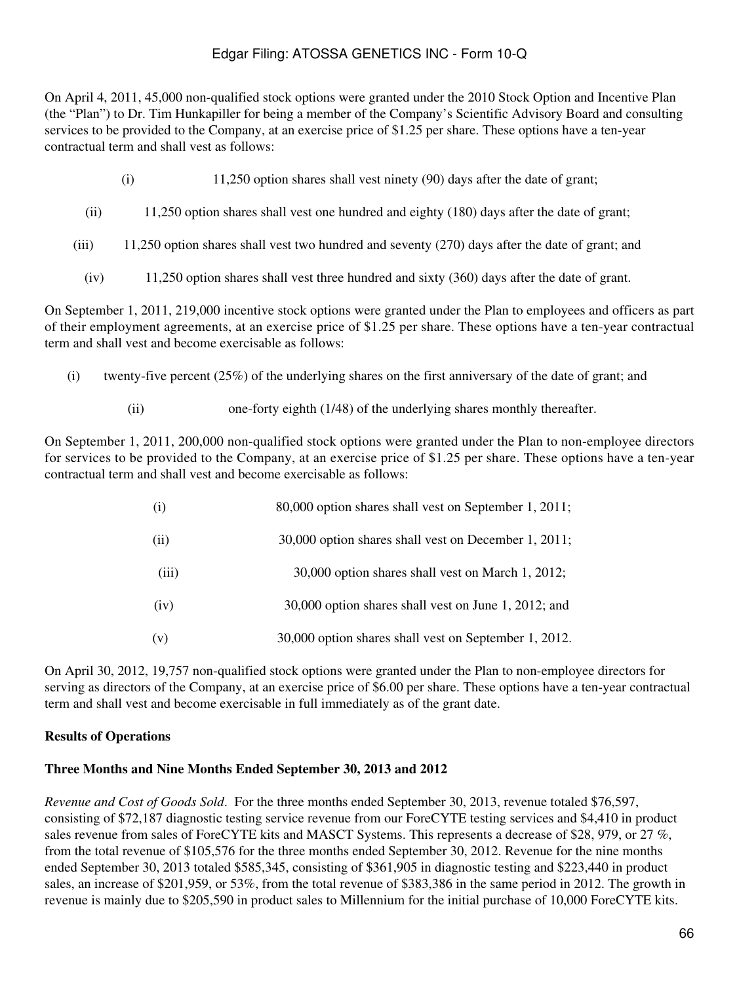On April 4, 2011, 45,000 non-qualified stock options were granted under the 2010 Stock Option and Incentive Plan (the "Plan") to Dr. Tim Hunkapiller for being a member of the Company's Scientific Advisory Board and consulting services to be provided to the Company, at an exercise price of \$1.25 per share. These options have a ten-year contractual term and shall vest as follows:

- (i) 11,250 option shares shall vest ninety (90) days after the date of grant;
- (ii) 11,250 option shares shall vest one hundred and eighty (180) days after the date of grant;
- (iii) 11,250 option shares shall vest two hundred and seventy (270) days after the date of grant; and
	- (iv) 11,250 option shares shall vest three hundred and sixty (360) days after the date of grant.

On September 1, 2011, 219,000 incentive stock options were granted under the Plan to employees and officers as part of their employment agreements, at an exercise price of \$1.25 per share. These options have a ten-year contractual term and shall vest and become exercisable as follows:

- (i) twenty-five percent (25%) of the underlying shares on the first anniversary of the date of grant; and
	- (ii) one-forty eighth (1/48) of the underlying shares monthly thereafter.

On September 1, 2011, 200,000 non-qualified stock options were granted under the Plan to non-employee directors for services to be provided to the Company, at an exercise price of \$1.25 per share. These options have a ten-year contractual term and shall vest and become exercisable as follows:

| (i)   | 80,000 option shares shall vest on September 1, 2011; |
|-------|-------------------------------------------------------|
| (ii)  | 30,000 option shares shall vest on December 1, 2011;  |
| (iii) | 30,000 option shares shall vest on March 1, 2012;     |
| (iv)  | 30,000 option shares shall vest on June 1, 2012; and  |
| (v)   | 30,000 option shares shall vest on September 1, 2012. |

On April 30, 2012, 19,757 non-qualified stock options were granted under the Plan to non-employee directors for serving as directors of the Company, at an exercise price of \$6.00 per share. These options have a ten-year contractual term and shall vest and become exercisable in full immediately as of the grant date.

### **Results of Operations**

#### **Three Months and Nine Months Ended September 30, 2013 and 2012**

*Revenue and Cost of Goods Sold*. For the three months ended September 30, 2013, revenue totaled \$76,597, consisting of \$72,187 diagnostic testing service revenue from our ForeCYTE testing services and \$4,410 in product sales revenue from sales of ForeCYTE kits and MASCT Systems. This represents a decrease of \$28, 979, or 27 %, from the total revenue of \$105,576 for the three months ended September 30, 2012. Revenue for the nine months ended September 30, 2013 totaled \$585,345, consisting of \$361,905 in diagnostic testing and \$223,440 in product sales, an increase of \$201,959, or 53%, from the total revenue of \$383,386 in the same period in 2012. The growth in revenue is mainly due to \$205,590 in product sales to Millennium for the initial purchase of 10,000 ForeCYTE kits.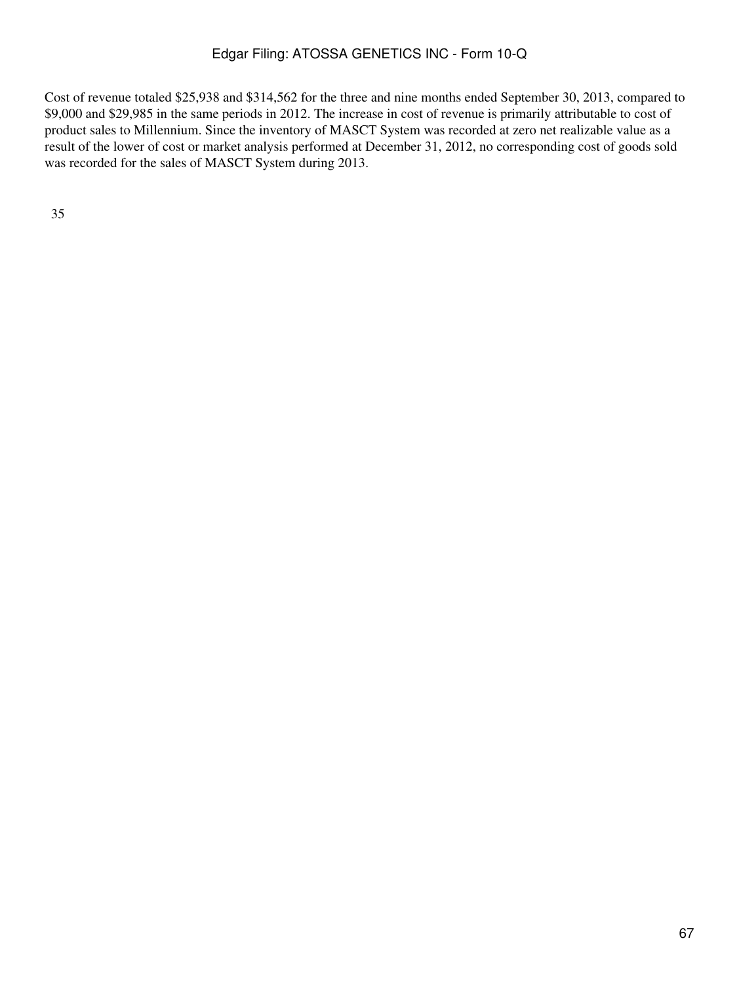Cost of revenue totaled \$25,938 and \$314,562 for the three and nine months ended September 30, 2013, compared to \$9,000 and \$29,985 in the same periods in 2012. The increase in cost of revenue is primarily attributable to cost of product sales to Millennium. Since the inventory of MASCT System was recorded at zero net realizable value as a result of the lower of cost or market analysis performed at December 31, 2012, no corresponding cost of goods sold was recorded for the sales of MASCT System during 2013.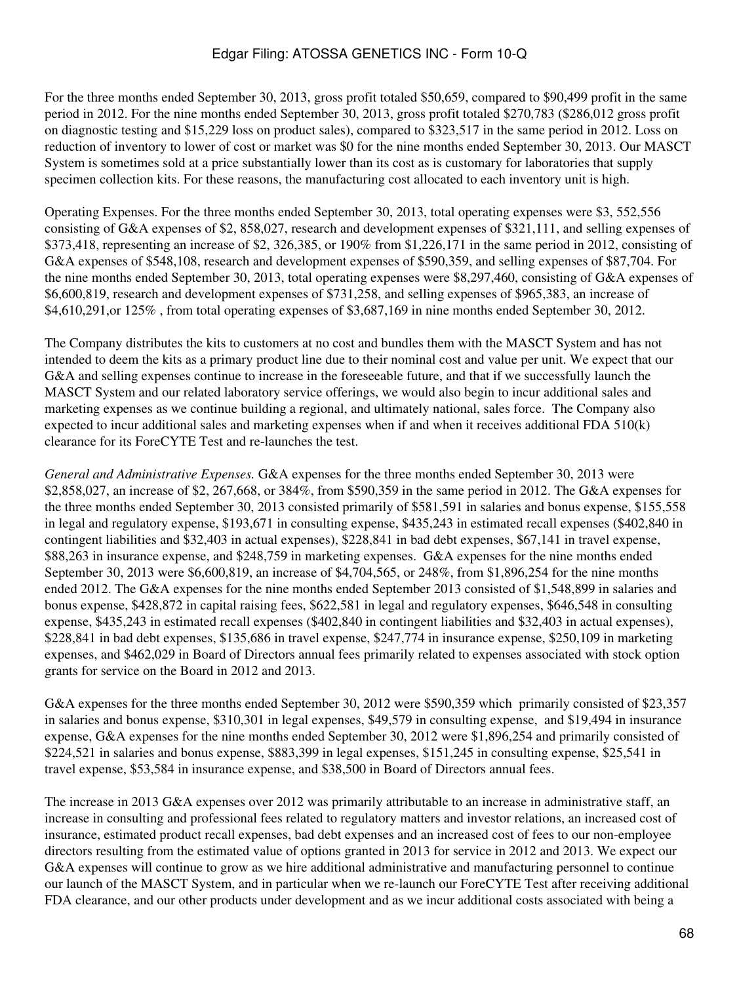For the three months ended September 30, 2013, gross profit totaled \$50,659, compared to \$90,499 profit in the same period in 2012. For the nine months ended September 30, 2013, gross profit totaled \$270,783 (\$286,012 gross profit on diagnostic testing and \$15,229 loss on product sales), compared to \$323,517 in the same period in 2012. Loss on reduction of inventory to lower of cost or market was \$0 for the nine months ended September 30, 2013. Our MASCT System is sometimes sold at a price substantially lower than its cost as is customary for laboratories that supply specimen collection kits. For these reasons, the manufacturing cost allocated to each inventory unit is high.

Operating Expenses. For the three months ended September 30, 2013, total operating expenses were \$3, 552,556 consisting of G&A expenses of \$2, 858,027, research and development expenses of \$321,111, and selling expenses of \$373,418, representing an increase of \$2, 326,385, or 190% from \$1,226,171 in the same period in 2012, consisting of G&A expenses of \$548,108, research and development expenses of \$590,359, and selling expenses of \$87,704. For the nine months ended September 30, 2013, total operating expenses were \$8,297,460, consisting of G&A expenses of \$6,600,819, research and development expenses of \$731,258, and selling expenses of \$965,383, an increase of \$4,610,291,or 125% , from total operating expenses of \$3,687,169 in nine months ended September 30, 2012.

The Company distributes the kits to customers at no cost and bundles them with the MASCT System and has not intended to deem the kits as a primary product line due to their nominal cost and value per unit. We expect that our G&A and selling expenses continue to increase in the foreseeable future, and that if we successfully launch the MASCT System and our related laboratory service offerings, we would also begin to incur additional sales and marketing expenses as we continue building a regional, and ultimately national, sales force. The Company also expected to incur additional sales and marketing expenses when if and when it receives additional FDA 510(k) clearance for its ForeCYTE Test and re-launches the test.

*General and Administrative Expenses.* G&A expenses for the three months ended September 30, 2013 were \$2,858,027, an increase of \$2, 267,668, or 384%, from \$590,359 in the same period in 2012. The G&A expenses for the three months ended September 30, 2013 consisted primarily of \$581,591 in salaries and bonus expense, \$155,558 in legal and regulatory expense, \$193,671 in consulting expense, \$435,243 in estimated recall expenses (\$402,840 in contingent liabilities and \$32,403 in actual expenses), \$228,841 in bad debt expenses, \$67,141 in travel expense, \$88,263 in insurance expense, and \$248,759 in marketing expenses. G&A expenses for the nine months ended September 30, 2013 were \$6,600,819, an increase of \$4,704,565, or 248%, from \$1,896,254 for the nine months ended 2012. The G&A expenses for the nine months ended September 2013 consisted of \$1,548,899 in salaries and bonus expense, \$428,872 in capital raising fees, \$622,581 in legal and regulatory expenses, \$646,548 in consulting expense, \$435,243 in estimated recall expenses (\$402,840 in contingent liabilities and \$32,403 in actual expenses), \$228,841 in bad debt expenses, \$135,686 in travel expense, \$247,774 in insurance expense, \$250,109 in marketing expenses, and \$462,029 in Board of Directors annual fees primarily related to expenses associated with stock option grants for service on the Board in 2012 and 2013.

G&A expenses for the three months ended September 30, 2012 were \$590,359 which primarily consisted of \$23,357 in salaries and bonus expense, \$310,301 in legal expenses, \$49,579 in consulting expense, and \$19,494 in insurance expense, G&A expenses for the nine months ended September 30, 2012 were \$1,896,254 and primarily consisted of \$224,521 in salaries and bonus expense, \$883,399 in legal expenses, \$151,245 in consulting expense, \$25,541 in travel expense, \$53,584 in insurance expense, and \$38,500 in Board of Directors annual fees.

The increase in 2013 G&A expenses over 2012 was primarily attributable to an increase in administrative staff, an increase in consulting and professional fees related to regulatory matters and investor relations, an increased cost of insurance, estimated product recall expenses, bad debt expenses and an increased cost of fees to our non-employee directors resulting from the estimated value of options granted in 2013 for service in 2012 and 2013. We expect our G&A expenses will continue to grow as we hire additional administrative and manufacturing personnel to continue our launch of the MASCT System, and in particular when we re-launch our ForeCYTE Test after receiving additional FDA clearance, and our other products under development and as we incur additional costs associated with being a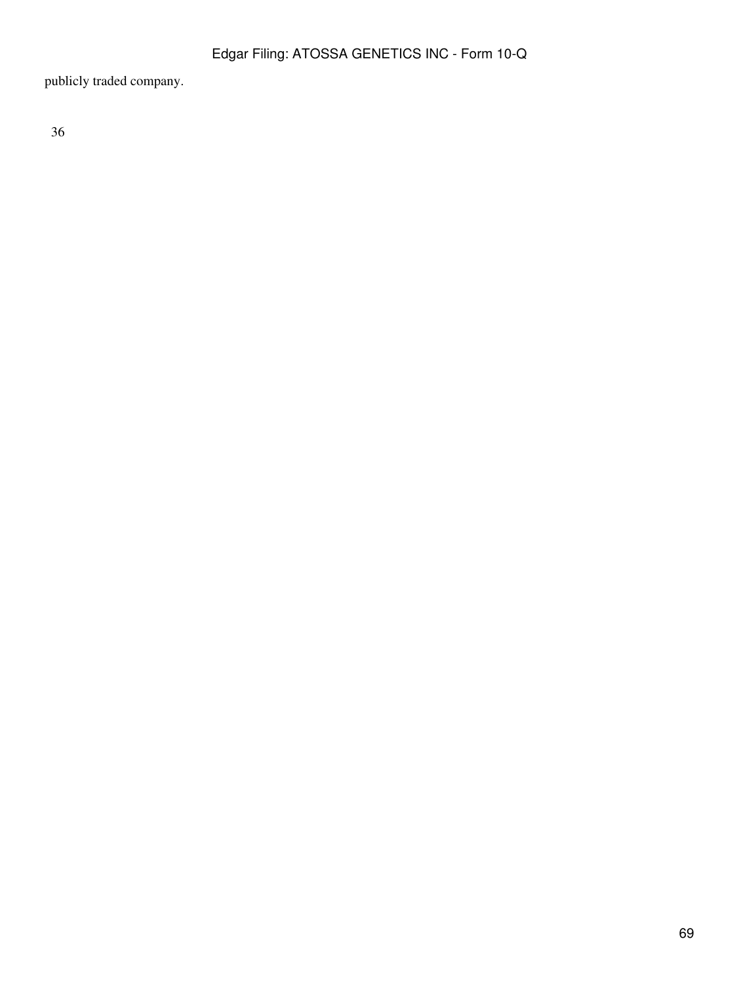publicly traded company.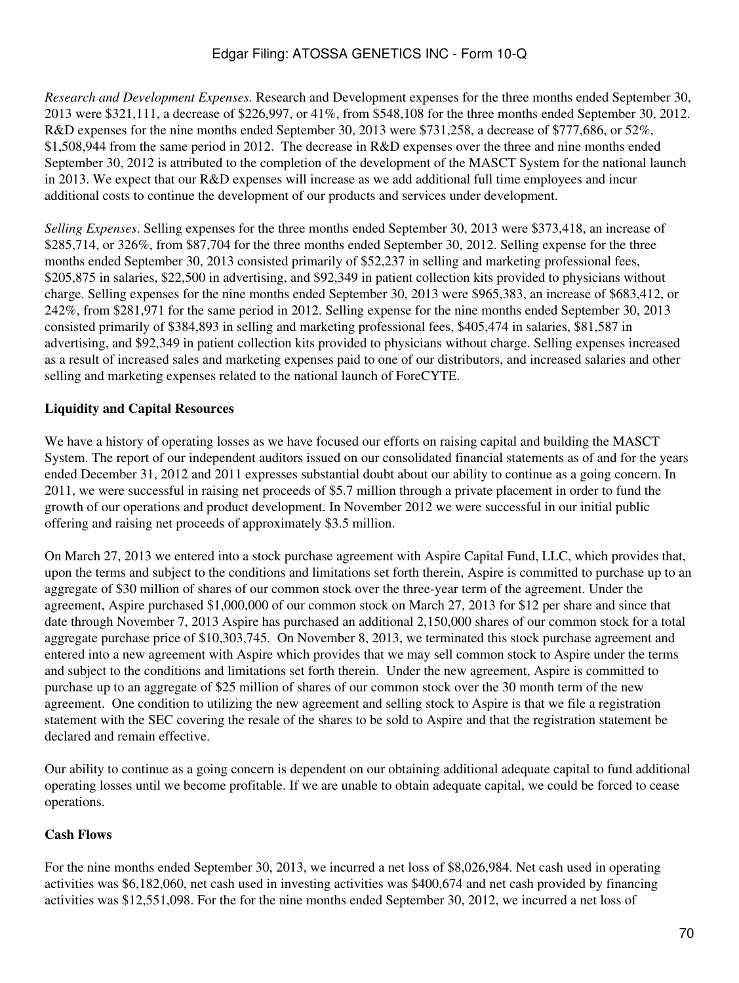*Research and Development Expenses.* Research and Development expenses for the three months ended September 30, 2013 were \$321,111, a decrease of \$226,997, or 41%, from \$548,108 for the three months ended September 30, 2012. R&D expenses for the nine months ended September 30, 2013 were \$731,258, a decrease of \$777,686, or 52%, \$1,508,944 from the same period in 2012. The decrease in R&D expenses over the three and nine months ended September 30, 2012 is attributed to the completion of the development of the MASCT System for the national launch in 2013. We expect that our R&D expenses will increase as we add additional full time employees and incur additional costs to continue the development of our products and services under development.

*Selling Expenses*. Selling expenses for the three months ended September 30, 2013 were \$373,418, an increase of \$285,714, or 326%, from \$87,704 for the three months ended September 30, 2012. Selling expense for the three months ended September 30, 2013 consisted primarily of \$52,237 in selling and marketing professional fees, \$205,875 in salaries, \$22,500 in advertising, and \$92,349 in patient collection kits provided to physicians without charge. Selling expenses for the nine months ended September 30, 2013 were \$965,383, an increase of \$683,412, or 242%, from \$281,971 for the same period in 2012. Selling expense for the nine months ended September 30, 2013 consisted primarily of \$384,893 in selling and marketing professional fees, \$405,474 in salaries, \$81,587 in advertising, and \$92,349 in patient collection kits provided to physicians without charge. Selling expenses increased as a result of increased sales and marketing expenses paid to one of our distributors, and increased salaries and other selling and marketing expenses related to the national launch of ForeCYTE.

### **Liquidity and Capital Resources**

We have a history of operating losses as we have focused our efforts on raising capital and building the MASCT System. The report of our independent auditors issued on our consolidated financial statements as of and for the years ended December 31, 2012 and 2011 expresses substantial doubt about our ability to continue as a going concern. In 2011, we were successful in raising net proceeds of \$5.7 million through a private placement in order to fund the growth of our operations and product development. In November 2012 we were successful in our initial public offering and raising net proceeds of approximately \$3.5 million.

On March 27, 2013 we entered into a stock purchase agreement with Aspire Capital Fund, LLC, which provides that, upon the terms and subject to the conditions and limitations set forth therein, Aspire is committed to purchase up to an aggregate of \$30 million of shares of our common stock over the three-year term of the agreement. Under the agreement, Aspire purchased \$1,000,000 of our common stock on March 27, 2013 for \$12 per share and since that date through November 7, 2013 Aspire has purchased an additional 2,150,000 shares of our common stock for a total aggregate purchase price of \$10,303,745. On November 8, 2013, we terminated this stock purchase agreement and entered into a new agreement with Aspire which provides that we may sell common stock to Aspire under the terms and subject to the conditions and limitations set forth therein. Under the new agreement, Aspire is committed to purchase up to an aggregate of \$25 million of shares of our common stock over the 30 month term of the new agreement. One condition to utilizing the new agreement and selling stock to Aspire is that we file a registration statement with the SEC covering the resale of the shares to be sold to Aspire and that the registration statement be declared and remain effective.

Our ability to continue as a going concern is dependent on our obtaining additional adequate capital to fund additional operating losses until we become profitable. If we are unable to obtain adequate capital, we could be forced to cease operations.

### **Cash Flows**

For the nine months ended September 30, 2013, we incurred a net loss of \$8,026,984. Net cash used in operating activities was \$6,182,060, net cash used in investing activities was \$400,674 and net cash provided by financing activities was \$12,551,098. For the for the nine months ended September 30, 2012, we incurred a net loss of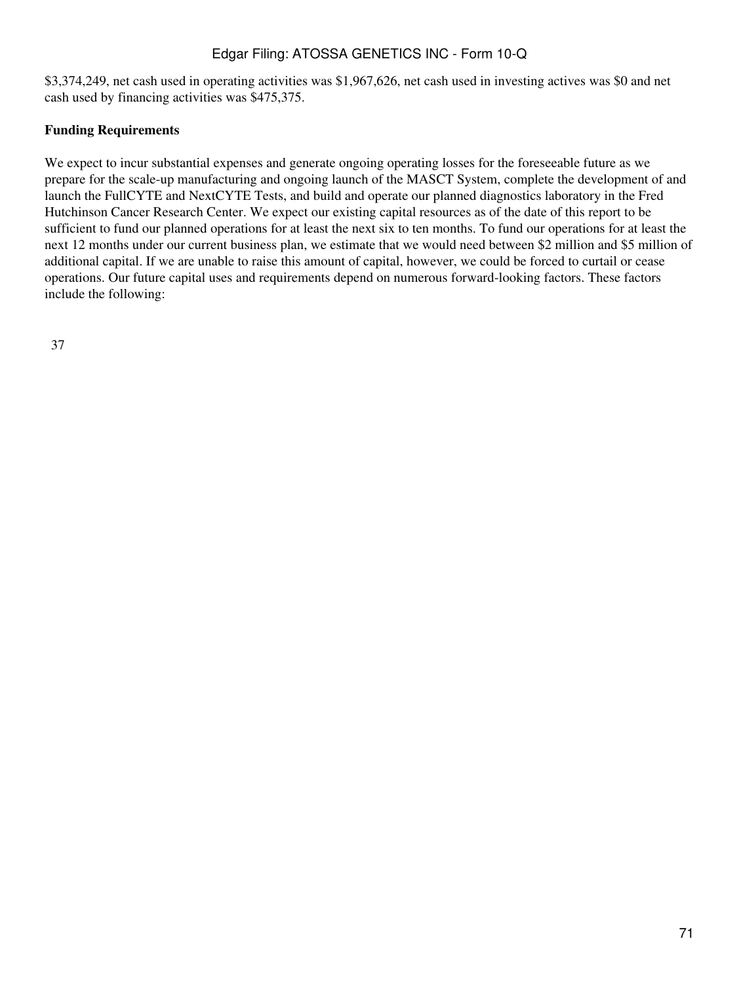\$3,374,249, net cash used in operating activities was \$1,967,626, net cash used in investing actives was \$0 and net cash used by financing activities was \$475,375.

## **Funding Requirements**

We expect to incur substantial expenses and generate ongoing operating losses for the foreseeable future as we prepare for the scale-up manufacturing and ongoing launch of the MASCT System, complete the development of and launch the FullCYTE and NextCYTE Tests, and build and operate our planned diagnostics laboratory in the Fred Hutchinson Cancer Research Center. We expect our existing capital resources as of the date of this report to be sufficient to fund our planned operations for at least the next six to ten months. To fund our operations for at least the next 12 months under our current business plan, we estimate that we would need between \$2 million and \$5 million of additional capital. If we are unable to raise this amount of capital, however, we could be forced to curtail or cease operations. Our future capital uses and requirements depend on numerous forward-looking factors. These factors include the following: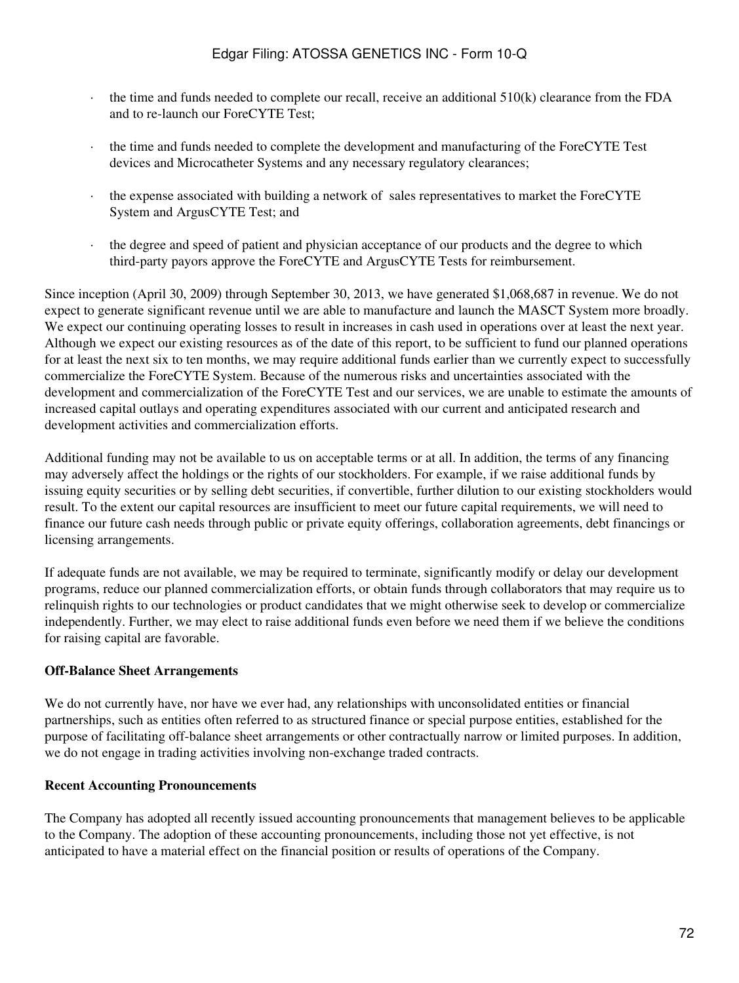- $\cdot$  the time and funds needed to complete our recall, receive an additional 510(k) clearance from the FDA and to re-launch our ForeCYTE Test;
- · the time and funds needed to complete the development and manufacturing of the ForeCYTE Test devices and Microcatheter Systems and any necessary regulatory clearances;
- · the expense associated with building a network of sales representatives to market the ForeCYTE System and ArgusCYTE Test; and
- the degree and speed of patient and physician acceptance of our products and the degree to which third-party payors approve the ForeCYTE and ArgusCYTE Tests for reimbursement.

Since inception (April 30, 2009) through September 30, 2013, we have generated \$1,068,687 in revenue. We do not expect to generate significant revenue until we are able to manufacture and launch the MASCT System more broadly. We expect our continuing operating losses to result in increases in cash used in operations over at least the next year. Although we expect our existing resources as of the date of this report, to be sufficient to fund our planned operations for at least the next six to ten months, we may require additional funds earlier than we currently expect to successfully commercialize the ForeCYTE System. Because of the numerous risks and uncertainties associated with the development and commercialization of the ForeCYTE Test and our services, we are unable to estimate the amounts of increased capital outlays and operating expenditures associated with our current and anticipated research and development activities and commercialization efforts.

Additional funding may not be available to us on acceptable terms or at all. In addition, the terms of any financing may adversely affect the holdings or the rights of our stockholders. For example, if we raise additional funds by issuing equity securities or by selling debt securities, if convertible, further dilution to our existing stockholders would result. To the extent our capital resources are insufficient to meet our future capital requirements, we will need to finance our future cash needs through public or private equity offerings, collaboration agreements, debt financings or licensing arrangements.

If adequate funds are not available, we may be required to terminate, significantly modify or delay our development programs, reduce our planned commercialization efforts, or obtain funds through collaborators that may require us to relinquish rights to our technologies or product candidates that we might otherwise seek to develop or commercialize independently. Further, we may elect to raise additional funds even before we need them if we believe the conditions for raising capital are favorable.

### **Off-Balance Sheet Arrangements**

We do not currently have, nor have we ever had, any relationships with unconsolidated entities or financial partnerships, such as entities often referred to as structured finance or special purpose entities, established for the purpose of facilitating off-balance sheet arrangements or other contractually narrow or limited purposes. In addition, we do not engage in trading activities involving non-exchange traded contracts.

#### **Recent Accounting Pronouncements**

The Company has adopted all recently issued accounting pronouncements that management believes to be applicable to the Company. The adoption of these accounting pronouncements, including those not yet effective, is not anticipated to have a material effect on the financial position or results of operations of the Company.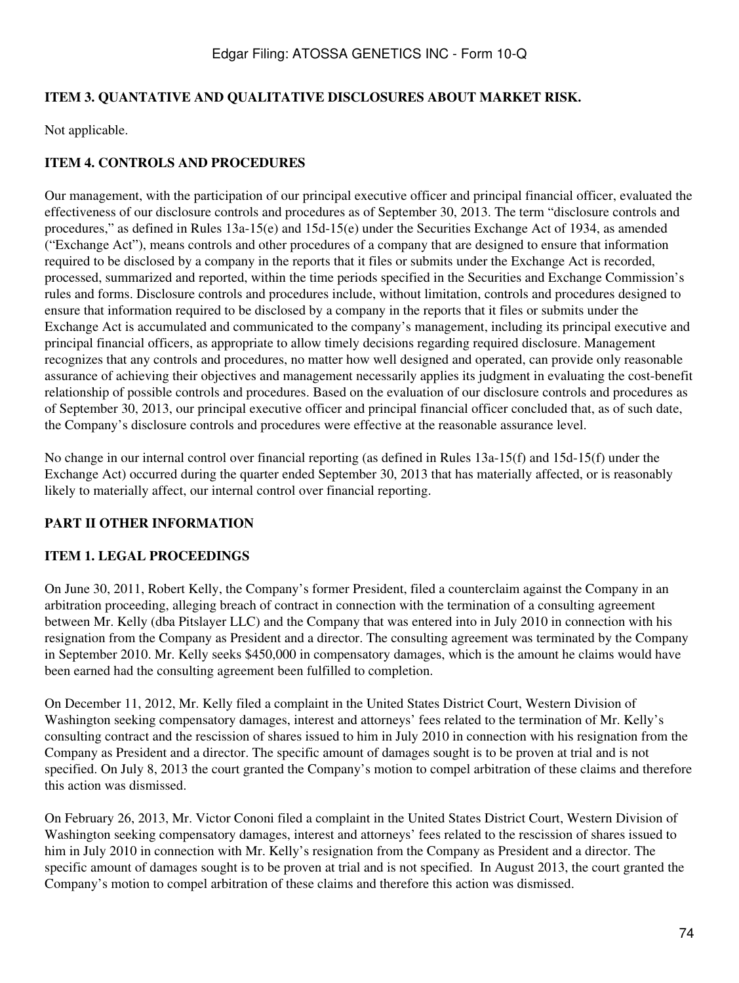### **ITEM 3. QUANTATIVE AND QUALITATIVE DISCLOSURES ABOUT MARKET RISK.**

Not applicable.

# **ITEM 4. CONTROLS AND PROCEDURES**

Our management, with the participation of our principal executive officer and principal financial officer, evaluated the effectiveness of our disclosure controls and procedures as of September 30, 2013. The term "disclosure controls and procedures," as defined in Rules 13a-15(e) and 15d-15(e) under the Securities Exchange Act of 1934, as amended ("Exchange Act"), means controls and other procedures of a company that are designed to ensure that information required to be disclosed by a company in the reports that it files or submits under the Exchange Act is recorded, processed, summarized and reported, within the time periods specified in the Securities and Exchange Commission's rules and forms. Disclosure controls and procedures include, without limitation, controls and procedures designed to ensure that information required to be disclosed by a company in the reports that it files or submits under the Exchange Act is accumulated and communicated to the company's management, including its principal executive and principal financial officers, as appropriate to allow timely decisions regarding required disclosure. Management recognizes that any controls and procedures, no matter how well designed and operated, can provide only reasonable assurance of achieving their objectives and management necessarily applies its judgment in evaluating the cost-benefit relationship of possible controls and procedures. Based on the evaluation of our disclosure controls and procedures as of September 30, 2013, our principal executive officer and principal financial officer concluded that, as of such date, the Company's disclosure controls and procedures were effective at the reasonable assurance level.

No change in our internal control over financial reporting (as defined in Rules 13a-15(f) and 15d-15(f) under the Exchange Act) occurred during the quarter ended September 30, 2013 that has materially affected, or is reasonably likely to materially affect, our internal control over financial reporting.

# **PART II OTHER INFORMATION**

### **ITEM 1. LEGAL PROCEEDINGS**

On June 30, 2011, Robert Kelly, the Company's former President, filed a counterclaim against the Company in an arbitration proceeding, alleging breach of contract in connection with the termination of a consulting agreement between Mr. Kelly (dba Pitslayer LLC) and the Company that was entered into in July 2010 in connection with his resignation from the Company as President and a director. The consulting agreement was terminated by the Company in September 2010. Mr. Kelly seeks \$450,000 in compensatory damages, which is the amount he claims would have been earned had the consulting agreement been fulfilled to completion.

On December 11, 2012, Mr. Kelly filed a complaint in the United States District Court, Western Division of Washington seeking compensatory damages, interest and attorneys' fees related to the termination of Mr. Kelly's consulting contract and the rescission of shares issued to him in July 2010 in connection with his resignation from the Company as President and a director. The specific amount of damages sought is to be proven at trial and is not specified. On July 8, 2013 the court granted the Company's motion to compel arbitration of these claims and therefore this action was dismissed.

On February 26, 2013, Mr. Victor Cononi filed a complaint in the United States District Court, Western Division of Washington seeking compensatory damages, interest and attorneys' fees related to the rescission of shares issued to him in July 2010 in connection with Mr. Kelly's resignation from the Company as President and a director. The specific amount of damages sought is to be proven at trial and is not specified. In August 2013, the court granted the Company's motion to compel arbitration of these claims and therefore this action was dismissed.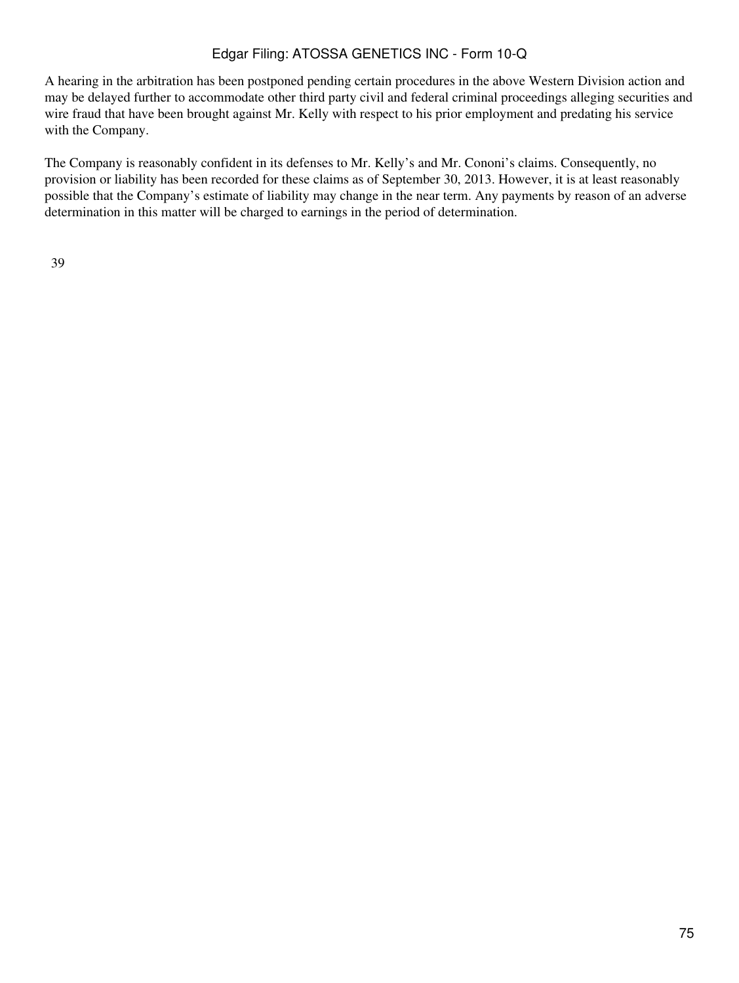A hearing in the arbitration has been postponed pending certain procedures in the above Western Division action and may be delayed further to accommodate other third party civil and federal criminal proceedings alleging securities and wire fraud that have been brought against Mr. Kelly with respect to his prior employment and predating his service with the Company.

The Company is reasonably confident in its defenses to Mr. Kelly's and Mr. Cononi's claims. Consequently, no provision or liability has been recorded for these claims as of September 30, 2013. However, it is at least reasonably possible that the Company's estimate of liability may change in the near term. Any payments by reason of an adverse determination in this matter will be charged to earnings in the period of determination.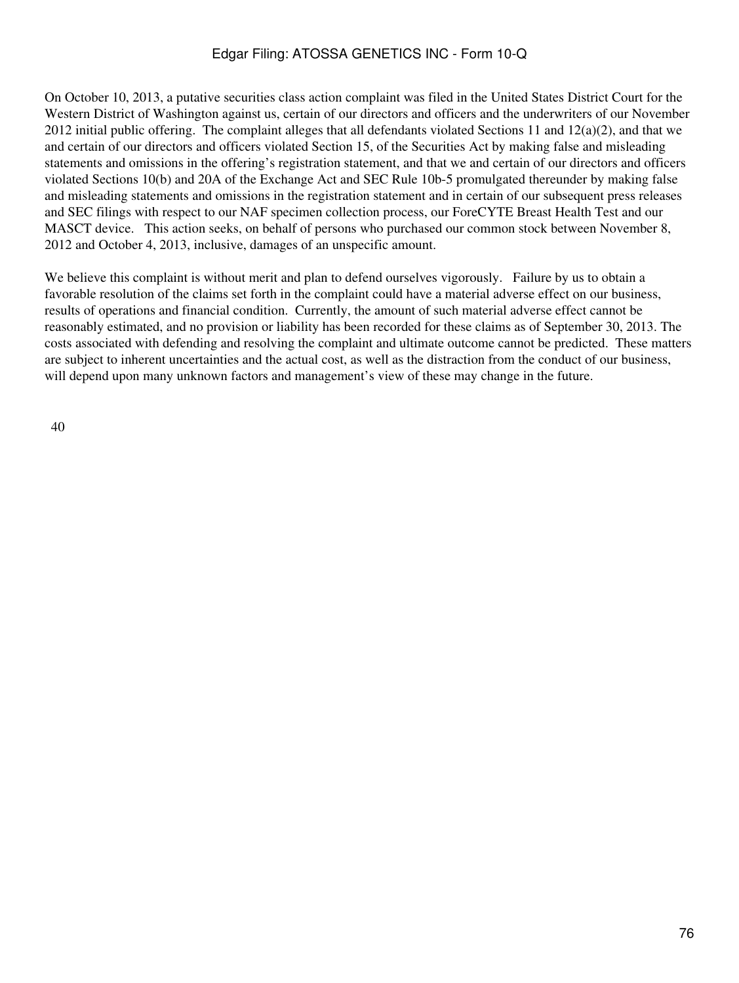On October 10, 2013, a putative securities class action complaint was filed in the United States District Court for the Western District of Washington against us, certain of our directors and officers and the underwriters of our November 2012 initial public offering. The complaint alleges that all defendants violated Sections 11 and  $12(a)(2)$ , and that we and certain of our directors and officers violated Section 15, of the Securities Act by making false and misleading statements and omissions in the offering's registration statement, and that we and certain of our directors and officers violated Sections 10(b) and 20A of the Exchange Act and SEC Rule 10b-5 promulgated thereunder by making false and misleading statements and omissions in the registration statement and in certain of our subsequent press releases and SEC filings with respect to our NAF specimen collection process, our ForeCYTE Breast Health Test and our MASCT device. This action seeks, on behalf of persons who purchased our common stock between November 8, 2012 and October 4, 2013, inclusive, damages of an unspecific amount.

We believe this complaint is without merit and plan to defend ourselves vigorously. Failure by us to obtain a favorable resolution of the claims set forth in the complaint could have a material adverse effect on our business, results of operations and financial condition. Currently, the amount of such material adverse effect cannot be reasonably estimated, and no provision or liability has been recorded for these claims as of September 30, 2013. The costs associated with defending and resolving the complaint and ultimate outcome cannot be predicted. These matters are subject to inherent uncertainties and the actual cost, as well as the distraction from the conduct of our business, will depend upon many unknown factors and management's view of these may change in the future.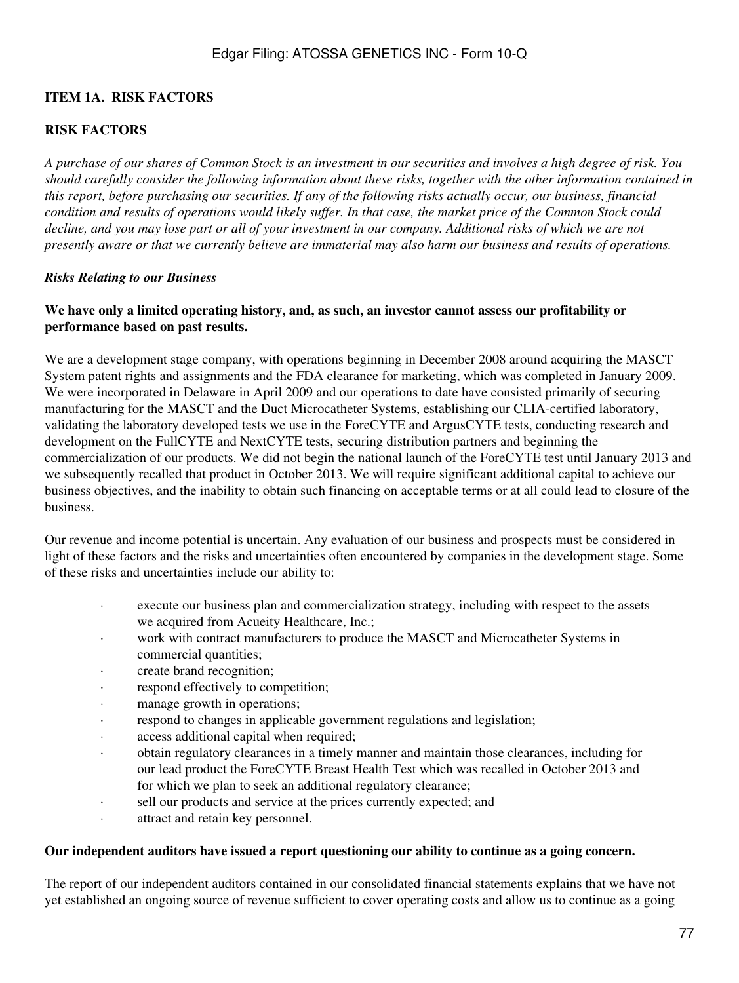### **ITEM 1A. RISK FACTORS**

### **RISK FACTORS**

*A purchase of our shares of Common Stock is an investment in our securities and involves a high degree of risk. You should carefully consider the following information about these risks, together with the other information contained in this report, before purchasing our securities. If any of the following risks actually occur, our business, financial condition and results of operations would likely suffer. In that case, the market price of the Common Stock could decline, and you may lose part or all of your investment in our company. Additional risks of which we are not presently aware or that we currently believe are immaterial may also harm our business and results of operations.*

#### *Risks Relating to our Business*

### **We have only a limited operating history, and, as such, an investor cannot assess our profitability or performance based on past results.**

We are a development stage company, with operations beginning in December 2008 around acquiring the MASCT System patent rights and assignments and the FDA clearance for marketing, which was completed in January 2009. We were incorporated in Delaware in April 2009 and our operations to date have consisted primarily of securing manufacturing for the MASCT and the Duct Microcatheter Systems, establishing our CLIA-certified laboratory, validating the laboratory developed tests we use in the ForeCYTE and ArgusCYTE tests, conducting research and development on the FullCYTE and NextCYTE tests, securing distribution partners and beginning the commercialization of our products. We did not begin the national launch of the ForeCYTE test until January 2013 and we subsequently recalled that product in October 2013. We will require significant additional capital to achieve our business objectives, and the inability to obtain such financing on acceptable terms or at all could lead to closure of the business.

Our revenue and income potential is uncertain. Any evaluation of our business and prospects must be considered in light of these factors and the risks and uncertainties often encountered by companies in the development stage. Some of these risks and uncertainties include our ability to:

- · execute our business plan and commercialization strategy, including with respect to the assets we acquired from Acueity Healthcare, Inc.;
- · work with contract manufacturers to produce the MASCT and Microcatheter Systems in commercial quantities;
- · create brand recognition;
- respond effectively to competition;
- manage growth in operations;
- respond to changes in applicable government regulations and legislation;
- · access additional capital when required;
- obtain regulatory clearances in a timely manner and maintain those clearances, including for our lead product the ForeCYTE Breast Health Test which was recalled in October 2013 and for which we plan to seek an additional regulatory clearance;
- · sell our products and service at the prices currently expected; and
- · attract and retain key personnel.

#### **Our independent auditors have issued a report questioning our ability to continue as a going concern.**

The report of our independent auditors contained in our consolidated financial statements explains that we have not yet established an ongoing source of revenue sufficient to cover operating costs and allow us to continue as a going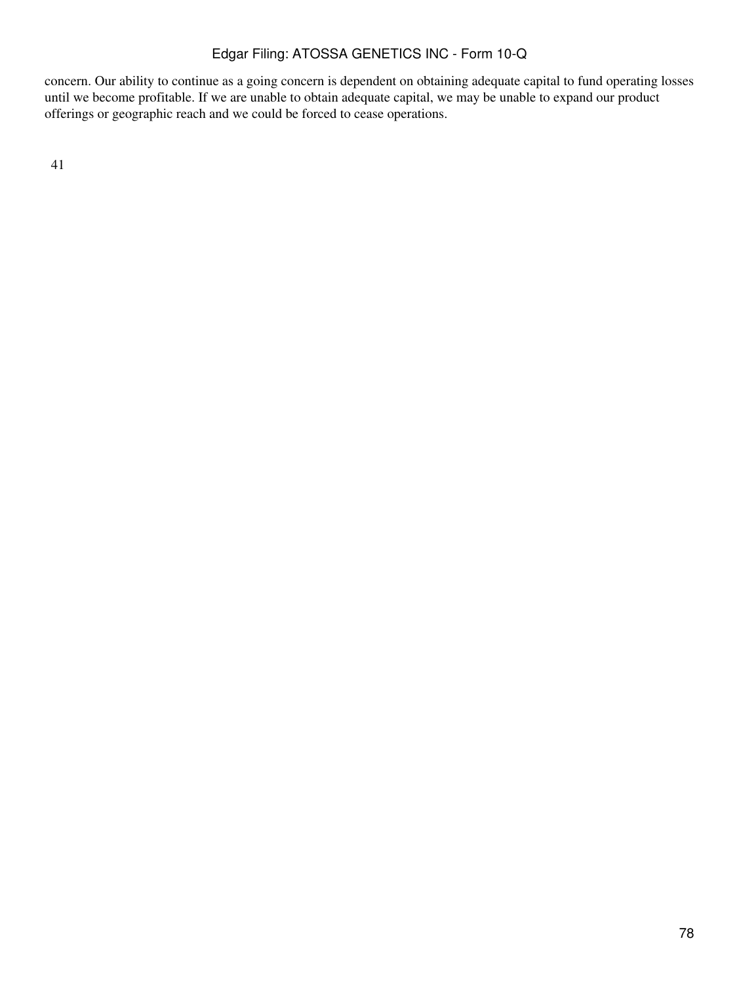concern. Our ability to continue as a going concern is dependent on obtaining adequate capital to fund operating losses until we become profitable. If we are unable to obtain adequate capital, we may be unable to expand our product offerings or geographic reach and we could be forced to cease operations.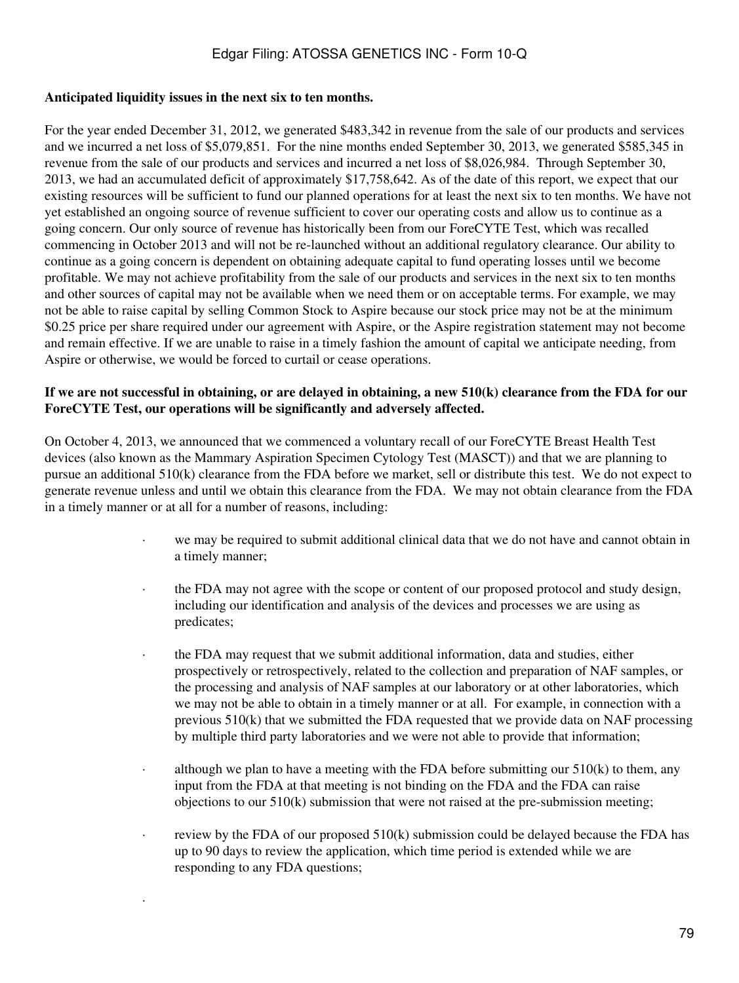#### **Anticipated liquidity issues in the next six to ten months.**

·

For the year ended December 31, 2012, we generated \$483,342 in revenue from the sale of our products and services and we incurred a net loss of \$5,079,851. For the nine months ended September 30, 2013, we generated \$585,345 in revenue from the sale of our products and services and incurred a net loss of \$8,026,984. Through September 30, 2013, we had an accumulated deficit of approximately \$17,758,642. As of the date of this report, we expect that our existing resources will be sufficient to fund our planned operations for at least the next six to ten months. We have not yet established an ongoing source of revenue sufficient to cover our operating costs and allow us to continue as a going concern. Our only source of revenue has historically been from our ForeCYTE Test, which was recalled commencing in October 2013 and will not be re-launched without an additional regulatory clearance. Our ability to continue as a going concern is dependent on obtaining adequate capital to fund operating losses until we become profitable. We may not achieve profitability from the sale of our products and services in the next six to ten months and other sources of capital may not be available when we need them or on acceptable terms. For example, we may not be able to raise capital by selling Common Stock to Aspire because our stock price may not be at the minimum \$0.25 price per share required under our agreement with Aspire, or the Aspire registration statement may not become and remain effective. If we are unable to raise in a timely fashion the amount of capital we anticipate needing, from Aspire or otherwise, we would be forced to curtail or cease operations.

### **If we are not successful in obtaining, or are delayed in obtaining, a new 510(k) clearance from the FDA for our ForeCYTE Test, our operations will be significantly and adversely affected.**

On October 4, 2013, we announced that we commenced a voluntary recall of our ForeCYTE Breast Health Test devices (also known as the Mammary Aspiration Specimen Cytology Test (MASCT)) and that we are planning to pursue an additional 510(k) clearance from the FDA before we market, sell or distribute this test. We do not expect to generate revenue unless and until we obtain this clearance from the FDA. We may not obtain clearance from the FDA in a timely manner or at all for a number of reasons, including:

- we may be required to submit additional clinical data that we do not have and cannot obtain in a timely manner;
- · the FDA may not agree with the scope or content of our proposed protocol and study design, including our identification and analysis of the devices and processes we are using as predicates;
- the FDA may request that we submit additional information, data and studies, either prospectively or retrospectively, related to the collection and preparation of NAF samples, or the processing and analysis of NAF samples at our laboratory or at other laboratories, which we may not be able to obtain in a timely manner or at all. For example, in connection with a previous 510(k) that we submitted the FDA requested that we provide data on NAF processing by multiple third party laboratories and we were not able to provide that information;
- $\cdot$  although we plan to have a meeting with the FDA before submitting our 510(k) to them, any input from the FDA at that meeting is not binding on the FDA and the FDA can raise objections to our 510(k) submission that were not raised at the pre-submission meeting;
- review by the FDA of our proposed  $510(k)$  submission could be delayed because the FDA has up to 90 days to review the application, which time period is extended while we are responding to any FDA questions;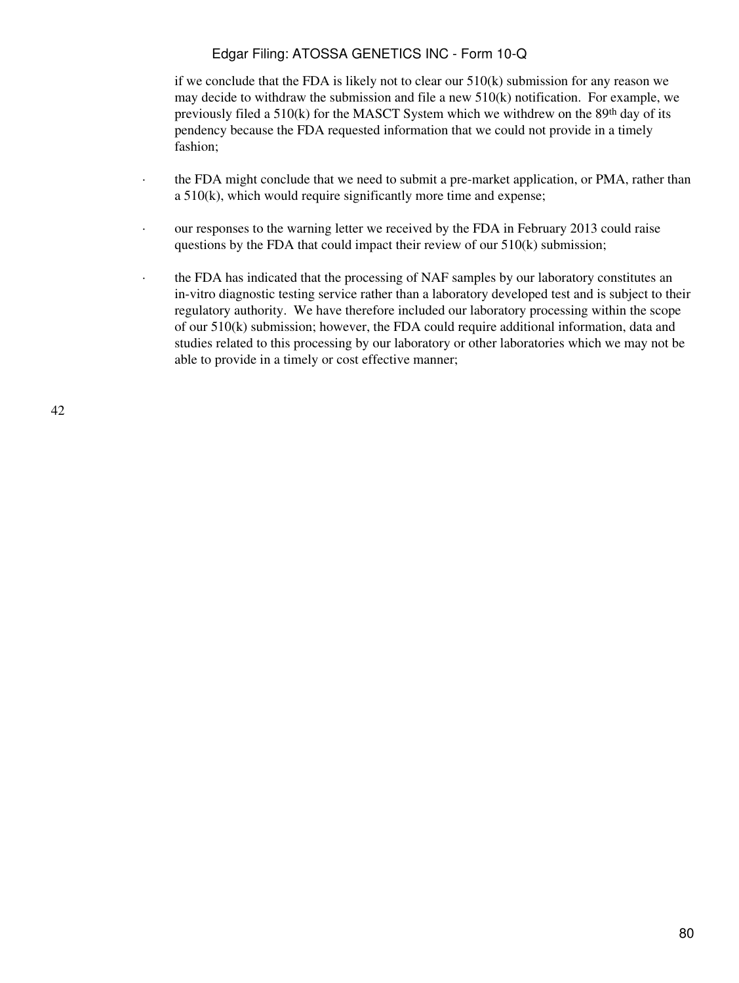if we conclude that the FDA is likely not to clear our 510(k) submission for any reason we may decide to withdraw the submission and file a new  $510(k)$  notification. For example, we previously filed a  $510(k)$  for the MASCT System which we withdrew on the  $89<sup>th</sup>$  day of its pendency because the FDA requested information that we could not provide in a timely fashion;

- the FDA might conclude that we need to submit a pre-market application, or PMA, rather than a 510(k), which would require significantly more time and expense;
- · our responses to the warning letter we received by the FDA in February 2013 could raise questions by the FDA that could impact their review of our 510(k) submission;
- · the FDA has indicated that the processing of NAF samples by our laboratory constitutes an in-vitro diagnostic testing service rather than a laboratory developed test and is subject to their regulatory authority. We have therefore included our laboratory processing within the scope of our 510(k) submission; however, the FDA could require additional information, data and studies related to this processing by our laboratory or other laboratories which we may not be able to provide in a timely or cost effective manner;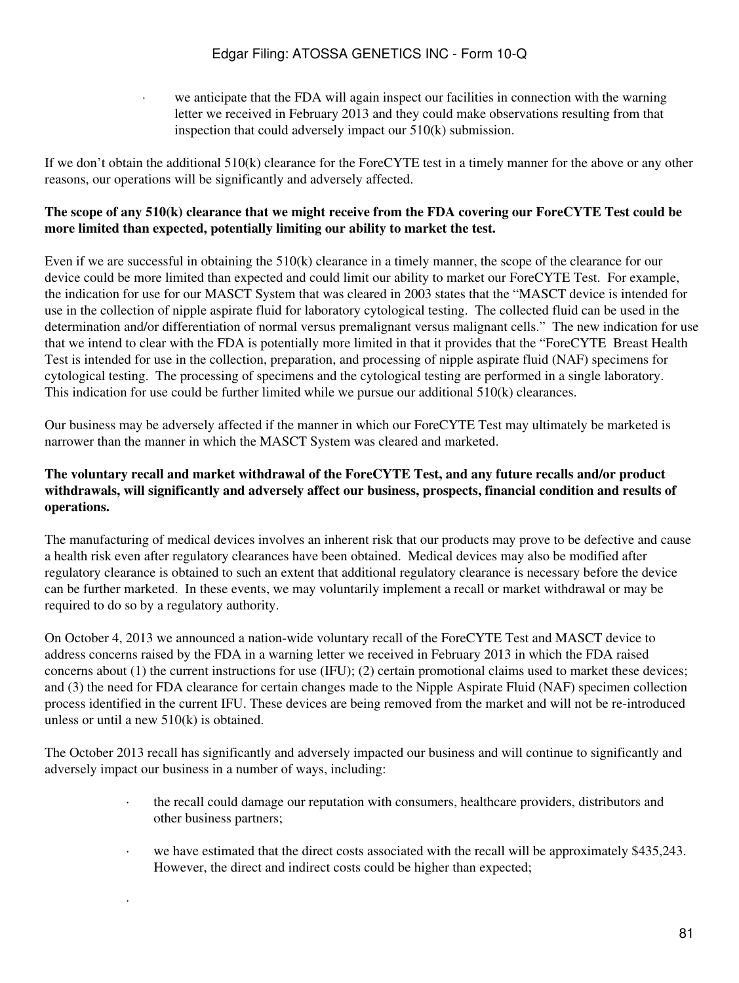we anticipate that the FDA will again inspect our facilities in connection with the warning letter we received in February 2013 and they could make observations resulting from that inspection that could adversely impact our 510(k) submission.

If we don't obtain the additional 510(k) clearance for the ForeCYTE test in a timely manner for the above or any other reasons, our operations will be significantly and adversely affected.

### **The scope of any 510(k) clearance that we might receive from the FDA covering our ForeCYTE Test could be more limited than expected, potentially limiting our ability to market the test.**

Even if we are successful in obtaining the 510(k) clearance in a timely manner, the scope of the clearance for our device could be more limited than expected and could limit our ability to market our ForeCYTE Test. For example, the indication for use for our MASCT System that was cleared in 2003 states that the "MASCT device is intended for use in the collection of nipple aspirate fluid for laboratory cytological testing. The collected fluid can be used in the determination and/or differentiation of normal versus premalignant versus malignant cells." The new indication for use that we intend to clear with the FDA is potentially more limited in that it provides that the "ForeCYTE Breast Health Test is intended for use in the collection, preparation, and processing of nipple aspirate fluid (NAF) specimens for cytological testing. The processing of specimens and the cytological testing are performed in a single laboratory. This indication for use could be further limited while we pursue our additional 510(k) clearances.

Our business may be adversely affected if the manner in which our ForeCYTE Test may ultimately be marketed is narrower than the manner in which the MASCT System was cleared and marketed.

### **The voluntary recall and market withdrawal of the ForeCYTE Test, and any future recalls and/or product withdrawals, will significantly and adversely affect our business, prospects, financial condition and results of operations.**

The manufacturing of medical devices involves an inherent risk that our products may prove to be defective and cause a health risk even after regulatory clearances have been obtained. Medical devices may also be modified after regulatory clearance is obtained to such an extent that additional regulatory clearance is necessary before the device can be further marketed. In these events, we may voluntarily implement a recall or market withdrawal or may be required to do so by a regulatory authority.

On October 4, 2013 we announced a nation-wide voluntary recall of the ForeCYTE Test and MASCT device to address concerns raised by the FDA in a warning letter we received in February 2013 in which the FDA raised concerns about (1) the current instructions for use (IFU); (2) certain promotional claims used to market these devices; and (3) the need for FDA clearance for certain changes made to the Nipple Aspirate Fluid (NAF) specimen collection process identified in the current IFU. These devices are being removed from the market and will not be re-introduced unless or until a new 510(k) is obtained.

The October 2013 recall has significantly and adversely impacted our business and will continue to significantly and adversely impact our business in a number of ways, including:

·

- · the recall could damage our reputation with consumers, healthcare providers, distributors and other business partners;
- we have estimated that the direct costs associated with the recall will be approximately \$435,243. However, the direct and indirect costs could be higher than expected;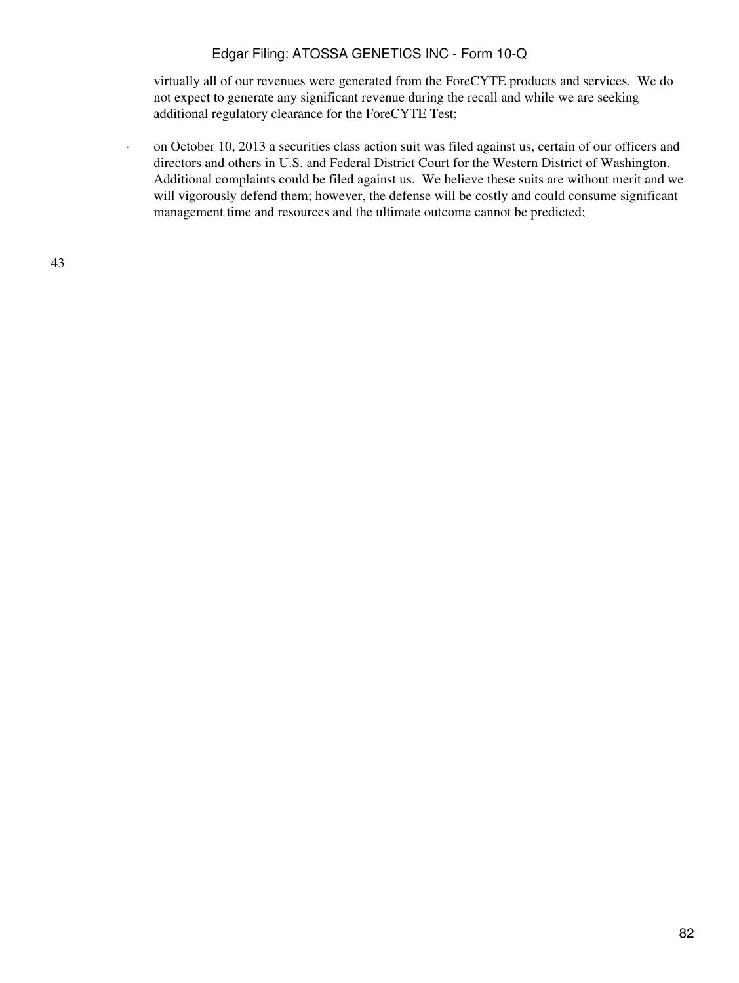virtually all of our revenues were generated from the ForeCYTE products and services. We do not expect to generate any significant revenue during the recall and while we are seeking additional regulatory clearance for the ForeCYTE Test;

· on October 10, 2013 a securities class action suit was filed against us, certain of our officers and directors and others in U.S. and Federal District Court for the Western District of Washington. Additional complaints could be filed against us. We believe these suits are without merit and we will vigorously defend them; however, the defense will be costly and could consume significant management time and resources and the ultimate outcome cannot be predicted;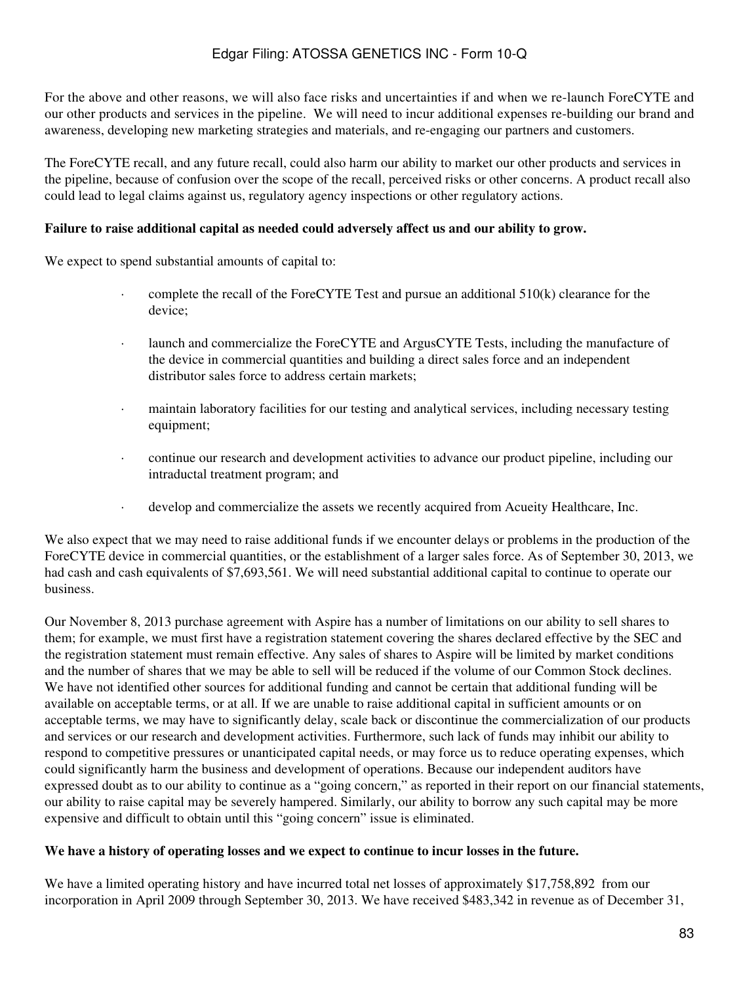For the above and other reasons, we will also face risks and uncertainties if and when we re-launch ForeCYTE and our other products and services in the pipeline. We will need to incur additional expenses re-building our brand and awareness, developing new marketing strategies and materials, and re-engaging our partners and customers.

The ForeCYTE recall, and any future recall, could also harm our ability to market our other products and services in the pipeline, because of confusion over the scope of the recall, perceived risks or other concerns. A product recall also could lead to legal claims against us, regulatory agency inspections or other regulatory actions.

### **Failure to raise additional capital as needed could adversely affect us and our ability to grow.**

We expect to spend substantial amounts of capital to:

- complete the recall of the ForeCYTE Test and pursue an additional  $510(k)$  clearance for the device;
- · launch and commercialize the ForeCYTE and ArgusCYTE Tests, including the manufacture of the device in commercial quantities and building a direct sales force and an independent distributor sales force to address certain markets;
- · maintain laboratory facilities for our testing and analytical services, including necessary testing equipment;
- · continue our research and development activities to advance our product pipeline, including our intraductal treatment program; and
- · develop and commercialize the assets we recently acquired from Acueity Healthcare, Inc.

We also expect that we may need to raise additional funds if we encounter delays or problems in the production of the ForeCYTE device in commercial quantities, or the establishment of a larger sales force. As of September 30, 2013, we had cash and cash equivalents of \$7,693,561. We will need substantial additional capital to continue to operate our business.

Our November 8, 2013 purchase agreement with Aspire has a number of limitations on our ability to sell shares to them; for example, we must first have a registration statement covering the shares declared effective by the SEC and the registration statement must remain effective. Any sales of shares to Aspire will be limited by market conditions and the number of shares that we may be able to sell will be reduced if the volume of our Common Stock declines. We have not identified other sources for additional funding and cannot be certain that additional funding will be available on acceptable terms, or at all. If we are unable to raise additional capital in sufficient amounts or on acceptable terms, we may have to significantly delay, scale back or discontinue the commercialization of our products and services or our research and development activities. Furthermore, such lack of funds may inhibit our ability to respond to competitive pressures or unanticipated capital needs, or may force us to reduce operating expenses, which could significantly harm the business and development of operations. Because our independent auditors have expressed doubt as to our ability to continue as a "going concern," as reported in their report on our financial statements, our ability to raise capital may be severely hampered. Similarly, our ability to borrow any such capital may be more expensive and difficult to obtain until this "going concern" issue is eliminated.

#### **We have a history of operating losses and we expect to continue to incur losses in the future.**

We have a limited operating history and have incurred total net losses of approximately \$17,758,892 from our incorporation in April 2009 through September 30, 2013. We have received \$483,342 in revenue as of December 31,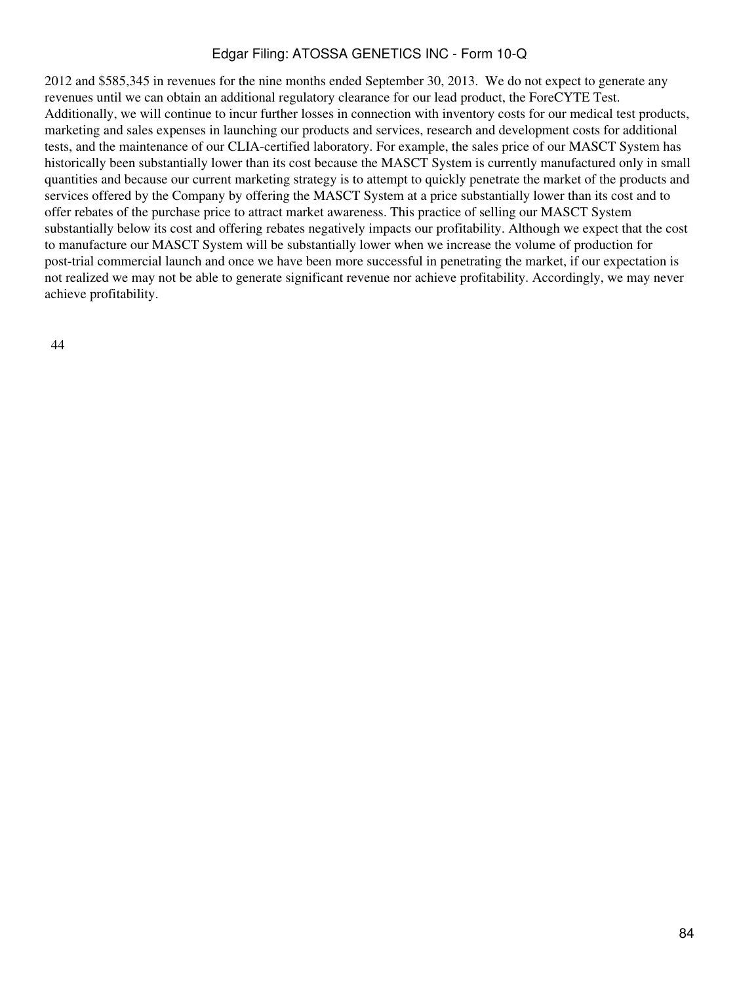2012 and \$585,345 in revenues for the nine months ended September 30, 2013. We do not expect to generate any revenues until we can obtain an additional regulatory clearance for our lead product, the ForeCYTE Test. Additionally, we will continue to incur further losses in connection with inventory costs for our medical test products, marketing and sales expenses in launching our products and services, research and development costs for additional tests, and the maintenance of our CLIA-certified laboratory. For example, the sales price of our MASCT System has historically been substantially lower than its cost because the MASCT System is currently manufactured only in small quantities and because our current marketing strategy is to attempt to quickly penetrate the market of the products and services offered by the Company by offering the MASCT System at a price substantially lower than its cost and to offer rebates of the purchase price to attract market awareness. This practice of selling our MASCT System substantially below its cost and offering rebates negatively impacts our profitability. Although we expect that the cost to manufacture our MASCT System will be substantially lower when we increase the volume of production for post-trial commercial launch and once we have been more successful in penetrating the market, if our expectation is not realized we may not be able to generate significant revenue nor achieve profitability. Accordingly, we may never achieve profitability.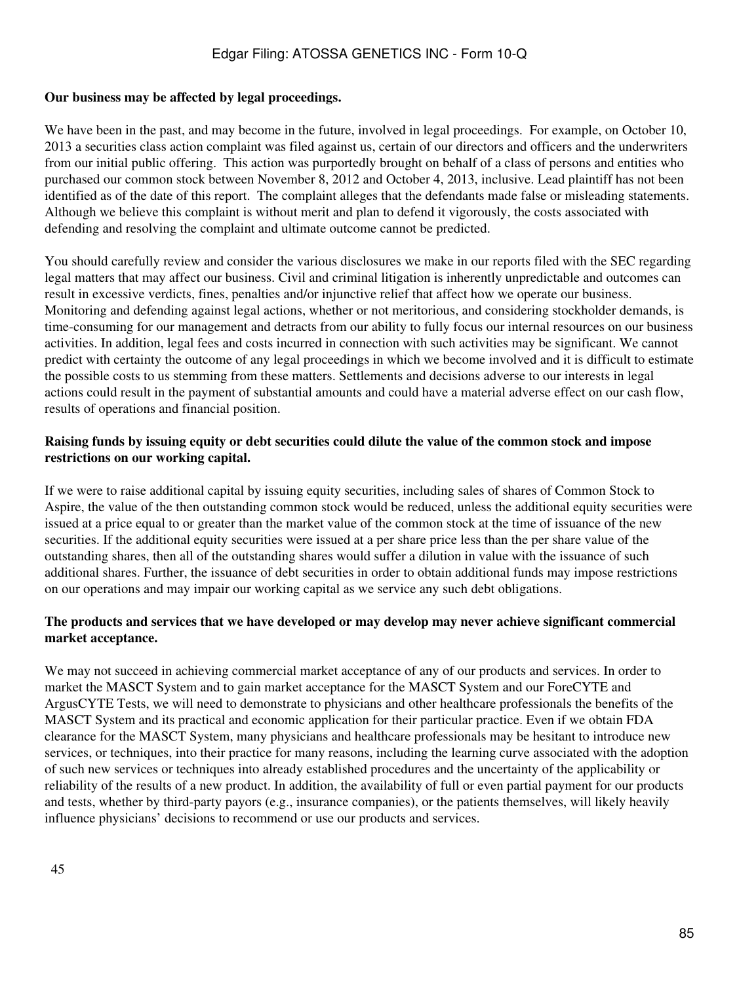#### **Our business may be affected by legal proceedings.**

We have been in the past, and may become in the future, involved in legal proceedings. For example, on October 10, 2013 a securities class action complaint was filed against us, certain of our directors and officers and the underwriters from our initial public offering. This action was purportedly brought on behalf of a class of persons and entities who purchased our common stock between November 8, 2012 and October 4, 2013, inclusive. Lead plaintiff has not been identified as of the date of this report. The complaint alleges that the defendants made false or misleading statements. Although we believe this complaint is without merit and plan to defend it vigorously, the costs associated with defending and resolving the complaint and ultimate outcome cannot be predicted.

You should carefully review and consider the various disclosures we make in our reports filed with the SEC regarding legal matters that may affect our business. Civil and criminal litigation is inherently unpredictable and outcomes can result in excessive verdicts, fines, penalties and/or injunctive relief that affect how we operate our business. Monitoring and defending against legal actions, whether or not meritorious, and considering stockholder demands, is time-consuming for our management and detracts from our ability to fully focus our internal resources on our business activities. In addition, legal fees and costs incurred in connection with such activities may be significant. We cannot predict with certainty the outcome of any legal proceedings in which we become involved and it is difficult to estimate the possible costs to us stemming from these matters. Settlements and decisions adverse to our interests in legal actions could result in the payment of substantial amounts and could have a material adverse effect on our cash flow, results of operations and financial position.

### **Raising funds by issuing equity or debt securities could dilute the value of the common stock and impose restrictions on our working capital.**

If we were to raise additional capital by issuing equity securities, including sales of shares of Common Stock to Aspire, the value of the then outstanding common stock would be reduced, unless the additional equity securities were issued at a price equal to or greater than the market value of the common stock at the time of issuance of the new securities. If the additional equity securities were issued at a per share price less than the per share value of the outstanding shares, then all of the outstanding shares would suffer a dilution in value with the issuance of such additional shares. Further, the issuance of debt securities in order to obtain additional funds may impose restrictions on our operations and may impair our working capital as we service any such debt obligations.

#### **The products and services that we have developed or may develop may never achieve significant commercial market acceptance.**

We may not succeed in achieving commercial market acceptance of any of our products and services. In order to market the MASCT System and to gain market acceptance for the MASCT System and our ForeCYTE and ArgusCYTE Tests, we will need to demonstrate to physicians and other healthcare professionals the benefits of the MASCT System and its practical and economic application for their particular practice. Even if we obtain FDA clearance for the MASCT System, many physicians and healthcare professionals may be hesitant to introduce new services, or techniques, into their practice for many reasons, including the learning curve associated with the adoption of such new services or techniques into already established procedures and the uncertainty of the applicability or reliability of the results of a new product. In addition, the availability of full or even partial payment for our products and tests, whether by third-party payors (e.g., insurance companies), or the patients themselves, will likely heavily influence physicians' decisions to recommend or use our products and services.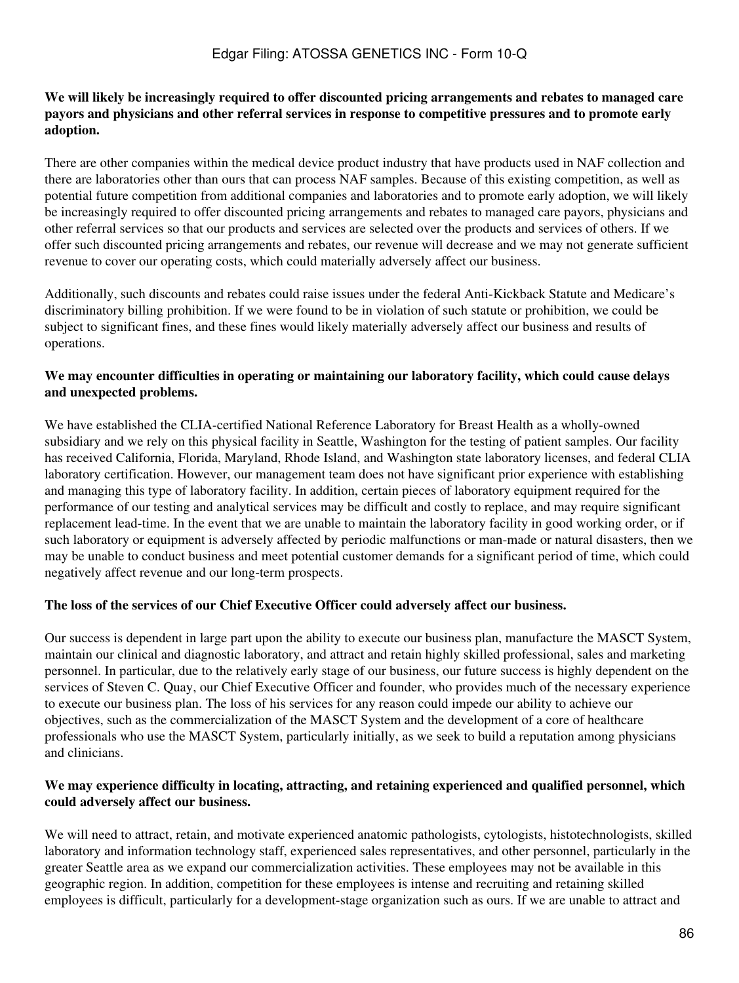### **We will likely be increasingly required to offer discounted pricing arrangements and rebates to managed care payors and physicians and other referral services in response to competitive pressures and to promote early adoption.**

There are other companies within the medical device product industry that have products used in NAF collection and there are laboratories other than ours that can process NAF samples. Because of this existing competition, as well as potential future competition from additional companies and laboratories and to promote early adoption, we will likely be increasingly required to offer discounted pricing arrangements and rebates to managed care payors, physicians and other referral services so that our products and services are selected over the products and services of others. If we offer such discounted pricing arrangements and rebates, our revenue will decrease and we may not generate sufficient revenue to cover our operating costs, which could materially adversely affect our business.

Additionally, such discounts and rebates could raise issues under the federal Anti-Kickback Statute and Medicare's discriminatory billing prohibition. If we were found to be in violation of such statute or prohibition, we could be subject to significant fines, and these fines would likely materially adversely affect our business and results of operations.

### **We may encounter difficulties in operating or maintaining our laboratory facility, which could cause delays and unexpected problems.**

We have established the CLIA-certified National Reference Laboratory for Breast Health as a wholly-owned subsidiary and we rely on this physical facility in Seattle, Washington for the testing of patient samples. Our facility has received California, Florida, Maryland, Rhode Island, and Washington state laboratory licenses, and federal CLIA laboratory certification. However, our management team does not have significant prior experience with establishing and managing this type of laboratory facility. In addition, certain pieces of laboratory equipment required for the performance of our testing and analytical services may be difficult and costly to replace, and may require significant replacement lead-time. In the event that we are unable to maintain the laboratory facility in good working order, or if such laboratory or equipment is adversely affected by periodic malfunctions or man-made or natural disasters, then we may be unable to conduct business and meet potential customer demands for a significant period of time, which could negatively affect revenue and our long-term prospects.

### **The loss of the services of our Chief Executive Officer could adversely affect our business.**

Our success is dependent in large part upon the ability to execute our business plan, manufacture the MASCT System, maintain our clinical and diagnostic laboratory, and attract and retain highly skilled professional, sales and marketing personnel. In particular, due to the relatively early stage of our business, our future success is highly dependent on the services of Steven C. Quay, our Chief Executive Officer and founder, who provides much of the necessary experience to execute our business plan. The loss of his services for any reason could impede our ability to achieve our objectives, such as the commercialization of the MASCT System and the development of a core of healthcare professionals who use the MASCT System, particularly initially, as we seek to build a reputation among physicians and clinicians.

#### **We may experience difficulty in locating, attracting, and retaining experienced and qualified personnel, which could adversely affect our business.**

We will need to attract, retain, and motivate experienced anatomic pathologists, cytologists, histotechnologists, skilled laboratory and information technology staff, experienced sales representatives, and other personnel, particularly in the greater Seattle area as we expand our commercialization activities. These employees may not be available in this geographic region. In addition, competition for these employees is intense and recruiting and retaining skilled employees is difficult, particularly for a development-stage organization such as ours. If we are unable to attract and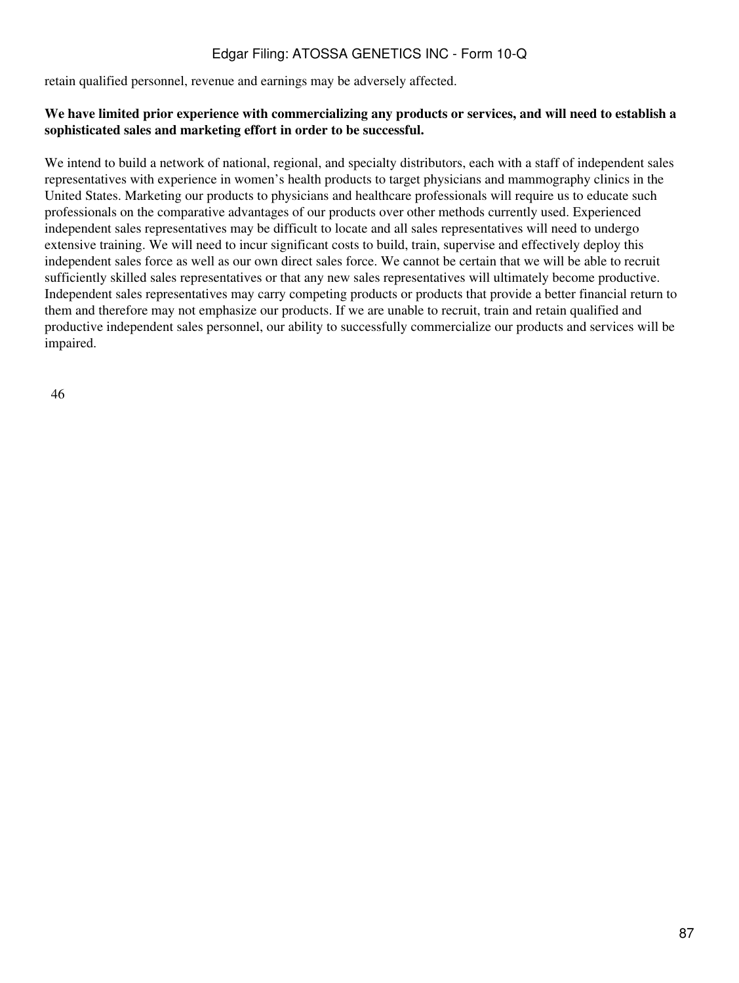retain qualified personnel, revenue and earnings may be adversely affected.

### **We have limited prior experience with commercializing any products or services, and will need to establish a sophisticated sales and marketing effort in order to be successful.**

We intend to build a network of national, regional, and specialty distributors, each with a staff of independent sales representatives with experience in women's health products to target physicians and mammography clinics in the United States. Marketing our products to physicians and healthcare professionals will require us to educate such professionals on the comparative advantages of our products over other methods currently used. Experienced independent sales representatives may be difficult to locate and all sales representatives will need to undergo extensive training. We will need to incur significant costs to build, train, supervise and effectively deploy this independent sales force as well as our own direct sales force. We cannot be certain that we will be able to recruit sufficiently skilled sales representatives or that any new sales representatives will ultimately become productive. Independent sales representatives may carry competing products or products that provide a better financial return to them and therefore may not emphasize our products. If we are unable to recruit, train and retain qualified and productive independent sales personnel, our ability to successfully commercialize our products and services will be impaired.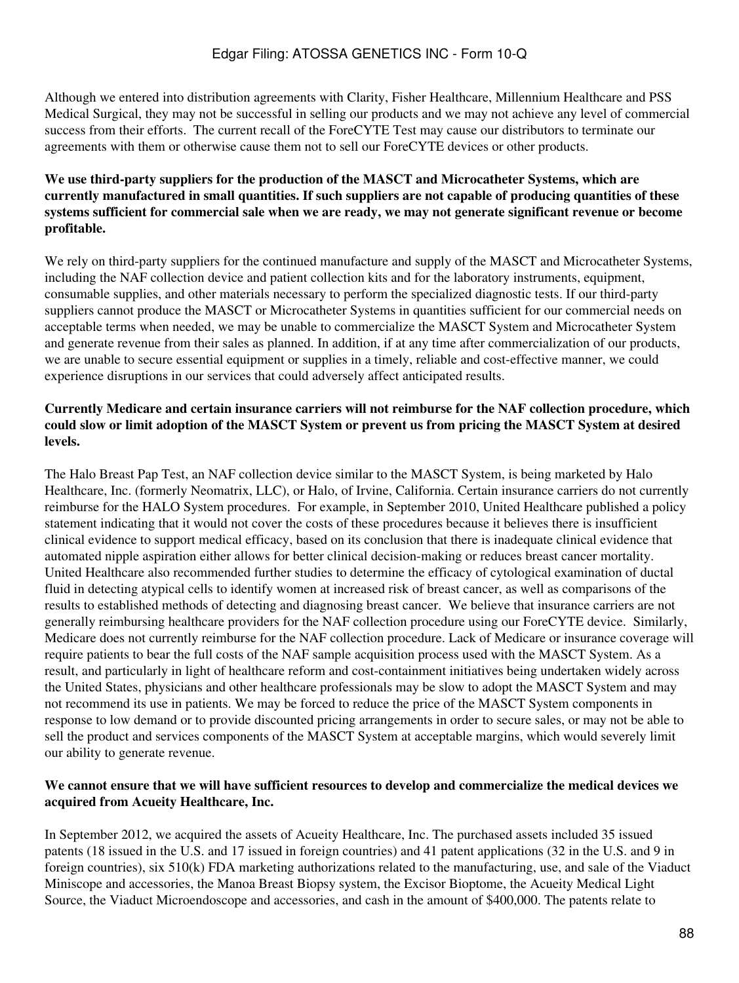Although we entered into distribution agreements with Clarity, Fisher Healthcare, Millennium Healthcare and PSS Medical Surgical, they may not be successful in selling our products and we may not achieve any level of commercial success from their efforts. The current recall of the ForeCYTE Test may cause our distributors to terminate our agreements with them or otherwise cause them not to sell our ForeCYTE devices or other products.

### **We use third-party suppliers for the production of the MASCT and Microcatheter Systems, which are currently manufactured in small quantities. If such suppliers are not capable of producing quantities of these systems sufficient for commercial sale when we are ready, we may not generate significant revenue or become profitable.**

We rely on third-party suppliers for the continued manufacture and supply of the MASCT and Microcatheter Systems, including the NAF collection device and patient collection kits and for the laboratory instruments, equipment, consumable supplies, and other materials necessary to perform the specialized diagnostic tests. If our third-party suppliers cannot produce the MASCT or Microcatheter Systems in quantities sufficient for our commercial needs on acceptable terms when needed, we may be unable to commercialize the MASCT System and Microcatheter System and generate revenue from their sales as planned. In addition, if at any time after commercialization of our products, we are unable to secure essential equipment or supplies in a timely, reliable and cost-effective manner, we could experience disruptions in our services that could adversely affect anticipated results.

### **Currently Medicare and certain insurance carriers will not reimburse for the NAF collection procedure, which could slow or limit adoption of the MASCT System or prevent us from pricing the MASCT System at desired levels.**

The Halo Breast Pap Test, an NAF collection device similar to the MASCT System, is being marketed by Halo Healthcare, Inc. (formerly Neomatrix, LLC), or Halo, of Irvine, California. Certain insurance carriers do not currently reimburse for the HALO System procedures. For example, in September 2010, United Healthcare published a policy statement indicating that it would not cover the costs of these procedures because it believes there is insufficient clinical evidence to support medical efficacy, based on its conclusion that there is inadequate clinical evidence that automated nipple aspiration either allows for better clinical decision-making or reduces breast cancer mortality. United Healthcare also recommended further studies to determine the efficacy of cytological examination of ductal fluid in detecting atypical cells to identify women at increased risk of breast cancer, as well as comparisons of the results to established methods of detecting and diagnosing breast cancer. We believe that insurance carriers are not generally reimbursing healthcare providers for the NAF collection procedure using our ForeCYTE device. Similarly, Medicare does not currently reimburse for the NAF collection procedure. Lack of Medicare or insurance coverage will require patients to bear the full costs of the NAF sample acquisition process used with the MASCT System. As a result, and particularly in light of healthcare reform and cost-containment initiatives being undertaken widely across the United States, physicians and other healthcare professionals may be slow to adopt the MASCT System and may not recommend its use in patients. We may be forced to reduce the price of the MASCT System components in response to low demand or to provide discounted pricing arrangements in order to secure sales, or may not be able to sell the product and services components of the MASCT System at acceptable margins, which would severely limit our ability to generate revenue.

### **We cannot ensure that we will have sufficient resources to develop and commercialize the medical devices we acquired from Acueity Healthcare, Inc.**

In September 2012, we acquired the assets of Acueity Healthcare, Inc. The purchased assets included 35 issued patents (18 issued in the U.S. and 17 issued in foreign countries) and 41 patent applications (32 in the U.S. and 9 in foreign countries), six 510(k) FDA marketing authorizations related to the manufacturing, use, and sale of the Viaduct Miniscope and accessories, the Manoa Breast Biopsy system, the Excisor Bioptome, the Acueity Medical Light Source, the Viaduct Microendoscope and accessories, and cash in the amount of \$400,000. The patents relate to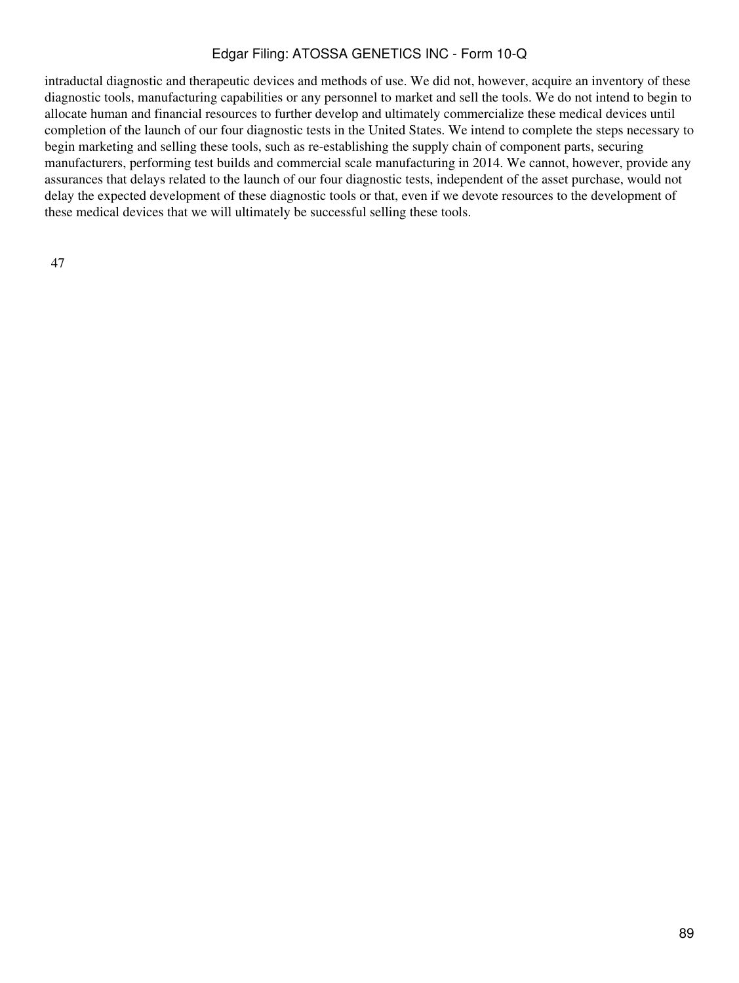intraductal diagnostic and therapeutic devices and methods of use. We did not, however, acquire an inventory of these diagnostic tools, manufacturing capabilities or any personnel to market and sell the tools. We do not intend to begin to allocate human and financial resources to further develop and ultimately commercialize these medical devices until completion of the launch of our four diagnostic tests in the United States. We intend to complete the steps necessary to begin marketing and selling these tools, such as re-establishing the supply chain of component parts, securing manufacturers, performing test builds and commercial scale manufacturing in 2014. We cannot, however, provide any assurances that delays related to the launch of our four diagnostic tests, independent of the asset purchase, would not delay the expected development of these diagnostic tools or that, even if we devote resources to the development of these medical devices that we will ultimately be successful selling these tools.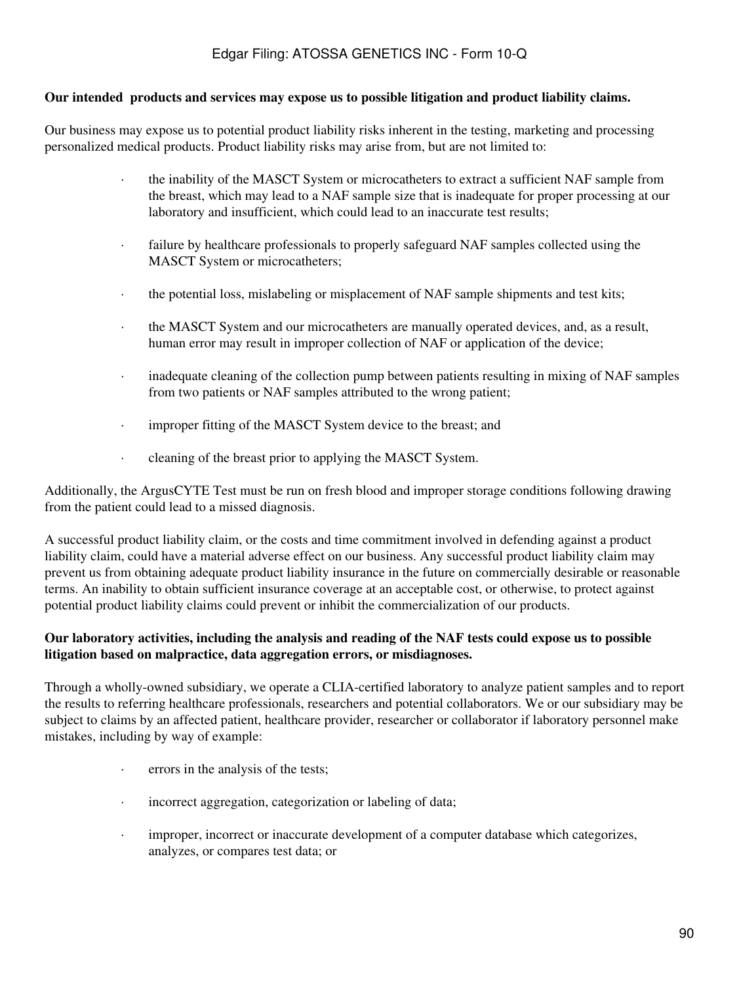#### **Our intended products and services may expose us to possible litigation and product liability claims.**

Our business may expose us to potential product liability risks inherent in the testing, marketing and processing personalized medical products. Product liability risks may arise from, but are not limited to:

- · the inability of the MASCT System or microcatheters to extract a sufficient NAF sample from the breast, which may lead to a NAF sample size that is inadequate for proper processing at our laboratory and insufficient, which could lead to an inaccurate test results;
- · failure by healthcare professionals to properly safeguard NAF samples collected using the MASCT System or microcatheters;
- · the potential loss, mislabeling or misplacement of NAF sample shipments and test kits;
- the MASCT System and our microcatheters are manually operated devices, and, as a result, human error may result in improper collection of NAF or application of the device;
- · inadequate cleaning of the collection pump between patients resulting in mixing of NAF samples from two patients or NAF samples attributed to the wrong patient;
- · improper fitting of the MASCT System device to the breast; and
- · cleaning of the breast prior to applying the MASCT System.

Additionally, the ArgusCYTE Test must be run on fresh blood and improper storage conditions following drawing from the patient could lead to a missed diagnosis.

A successful product liability claim, or the costs and time commitment involved in defending against a product liability claim, could have a material adverse effect on our business. Any successful product liability claim may prevent us from obtaining adequate product liability insurance in the future on commercially desirable or reasonable terms. An inability to obtain sufficient insurance coverage at an acceptable cost, or otherwise, to protect against potential product liability claims could prevent or inhibit the commercialization of our products.

### **Our laboratory activities, including the analysis and reading of the NAF tests could expose us to possible litigation based on malpractice, data aggregation errors, or misdiagnoses.**

Through a wholly-owned subsidiary, we operate a CLIA-certified laboratory to analyze patient samples and to report the results to referring healthcare professionals, researchers and potential collaborators. We or our subsidiary may be subject to claims by an affected patient, healthcare provider, researcher or collaborator if laboratory personnel make mistakes, including by way of example:

- · errors in the analysis of the tests;
- · incorrect aggregation, categorization or labeling of data;
- · improper, incorrect or inaccurate development of a computer database which categorizes, analyzes, or compares test data; or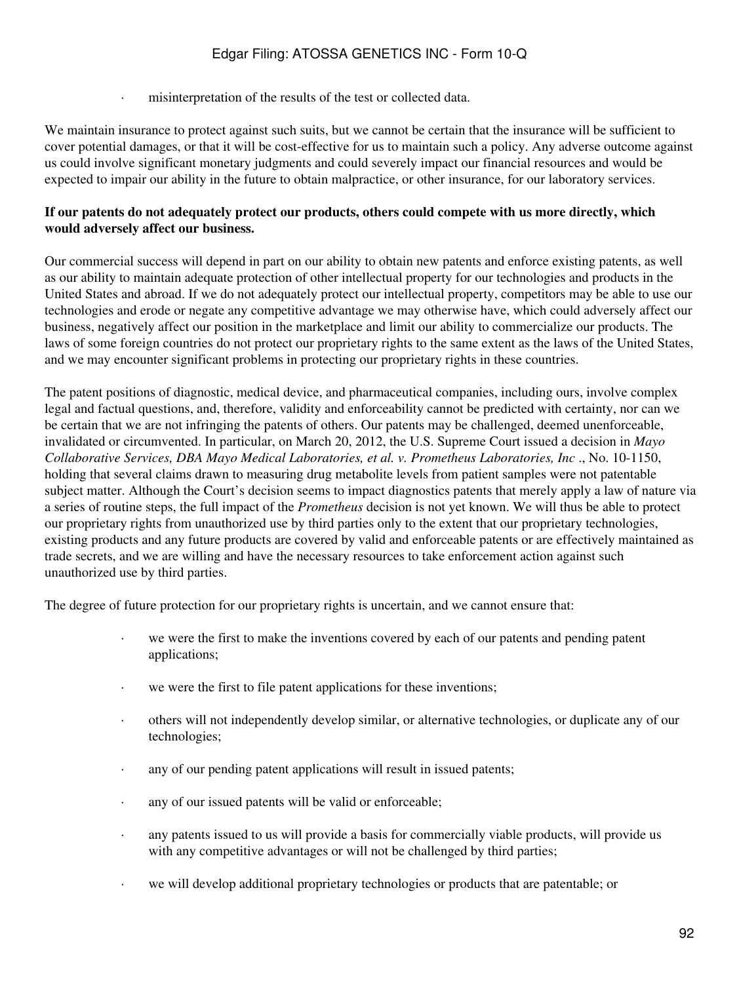· misinterpretation of the results of the test or collected data.

We maintain insurance to protect against such suits, but we cannot be certain that the insurance will be sufficient to cover potential damages, or that it will be cost-effective for us to maintain such a policy. Any adverse outcome against us could involve significant monetary judgments and could severely impact our financial resources and would be expected to impair our ability in the future to obtain malpractice, or other insurance, for our laboratory services.

### **If our patents do not adequately protect our products, others could compete with us more directly, which would adversely affect our business.**

Our commercial success will depend in part on our ability to obtain new patents and enforce existing patents, as well as our ability to maintain adequate protection of other intellectual property for our technologies and products in the United States and abroad. If we do not adequately protect our intellectual property, competitors may be able to use our technologies and erode or negate any competitive advantage we may otherwise have, which could adversely affect our business, negatively affect our position in the marketplace and limit our ability to commercialize our products. The laws of some foreign countries do not protect our proprietary rights to the same extent as the laws of the United States, and we may encounter significant problems in protecting our proprietary rights in these countries.

The patent positions of diagnostic, medical device, and pharmaceutical companies, including ours, involve complex legal and factual questions, and, therefore, validity and enforceability cannot be predicted with certainty, nor can we be certain that we are not infringing the patents of others. Our patents may be challenged, deemed unenforceable, invalidated or circumvented. In particular, on March 20, 2012, the U.S. Supreme Court issued a decision in *Mayo Collaborative Services, DBA Mayo Medical Laboratories, et al. v. Prometheus Laboratories, Inc* ., No. 10-1150, holding that several claims drawn to measuring drug metabolite levels from patient samples were not patentable subject matter. Although the Court's decision seems to impact diagnostics patents that merely apply a law of nature via a series of routine steps, the full impact of the *Prometheus* decision is not yet known. We will thus be able to protect our proprietary rights from unauthorized use by third parties only to the extent that our proprietary technologies, existing products and any future products are covered by valid and enforceable patents or are effectively maintained as trade secrets, and we are willing and have the necessary resources to take enforcement action against such unauthorized use by third parties.

The degree of future protection for our proprietary rights is uncertain, and we cannot ensure that:

- · we were the first to make the inventions covered by each of our patents and pending patent applications;
- · we were the first to file patent applications for these inventions;
- · others will not independently develop similar, or alternative technologies, or duplicate any of our technologies;
- · any of our pending patent applications will result in issued patents;
- · any of our issued patents will be valid or enforceable;
- · any patents issued to us will provide a basis for commercially viable products, will provide us with any competitive advantages or will not be challenged by third parties;
- · we will develop additional proprietary technologies or products that are patentable; or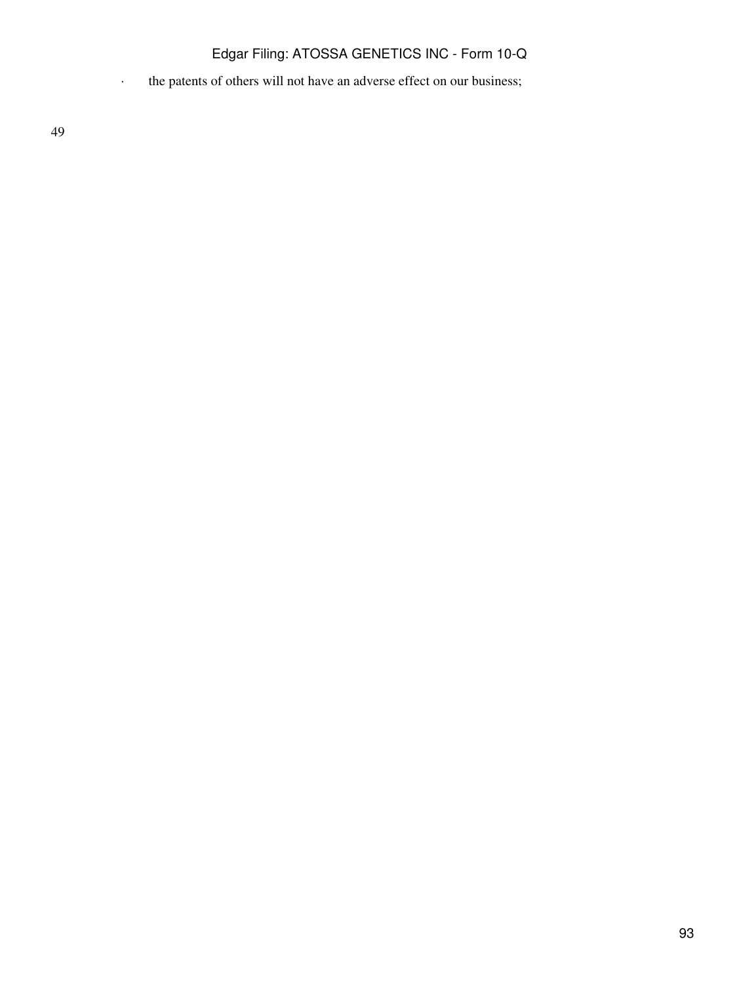· the patents of others will not have an adverse effect on our business;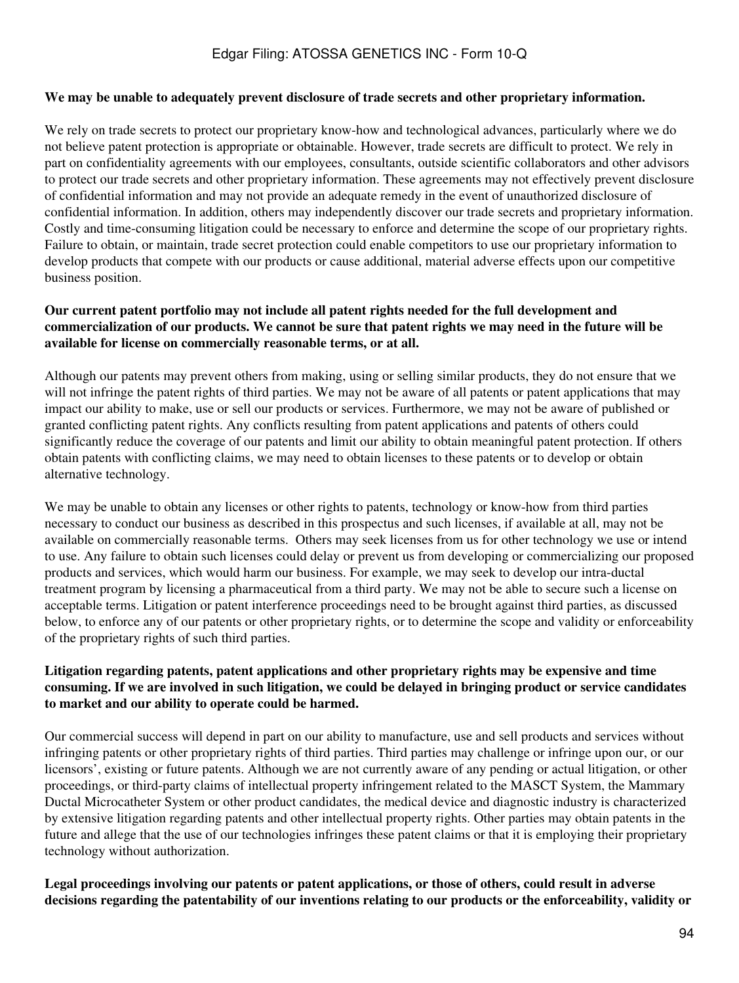#### **We may be unable to adequately prevent disclosure of trade secrets and other proprietary information.**

We rely on trade secrets to protect our proprietary know-how and technological advances, particularly where we do not believe patent protection is appropriate or obtainable. However, trade secrets are difficult to protect. We rely in part on confidentiality agreements with our employees, consultants, outside scientific collaborators and other advisors to protect our trade secrets and other proprietary information. These agreements may not effectively prevent disclosure of confidential information and may not provide an adequate remedy in the event of unauthorized disclosure of confidential information. In addition, others may independently discover our trade secrets and proprietary information. Costly and time-consuming litigation could be necessary to enforce and determine the scope of our proprietary rights. Failure to obtain, or maintain, trade secret protection could enable competitors to use our proprietary information to develop products that compete with our products or cause additional, material adverse effects upon our competitive business position.

### **Our current patent portfolio may not include all patent rights needed for the full development and commercialization of our products. We cannot be sure that patent rights we may need in the future will be available for license on commercially reasonable terms, or at all.**

Although our patents may prevent others from making, using or selling similar products, they do not ensure that we will not infringe the patent rights of third parties. We may not be aware of all patents or patent applications that may impact our ability to make, use or sell our products or services. Furthermore, we may not be aware of published or granted conflicting patent rights. Any conflicts resulting from patent applications and patents of others could significantly reduce the coverage of our patents and limit our ability to obtain meaningful patent protection. If others obtain patents with conflicting claims, we may need to obtain licenses to these patents or to develop or obtain alternative technology.

We may be unable to obtain any licenses or other rights to patents, technology or know-how from third parties necessary to conduct our business as described in this prospectus and such licenses, if available at all, may not be available on commercially reasonable terms. Others may seek licenses from us for other technology we use or intend to use. Any failure to obtain such licenses could delay or prevent us from developing or commercializing our proposed products and services, which would harm our business. For example, we may seek to develop our intra-ductal treatment program by licensing a pharmaceutical from a third party. We may not be able to secure such a license on acceptable terms. Litigation or patent interference proceedings need to be brought against third parties, as discussed below, to enforce any of our patents or other proprietary rights, or to determine the scope and validity or enforceability of the proprietary rights of such third parties.

### **Litigation regarding patents, patent applications and other proprietary rights may be expensive and time consuming. If we are involved in such litigation, we could be delayed in bringing product or service candidates to market and our ability to operate could be harmed.**

Our commercial success will depend in part on our ability to manufacture, use and sell products and services without infringing patents or other proprietary rights of third parties. Third parties may challenge or infringe upon our, or our licensors', existing or future patents. Although we are not currently aware of any pending or actual litigation, or other proceedings, or third-party claims of intellectual property infringement related to the MASCT System, the Mammary Ductal Microcatheter System or other product candidates, the medical device and diagnostic industry is characterized by extensive litigation regarding patents and other intellectual property rights. Other parties may obtain patents in the future and allege that the use of our technologies infringes these patent claims or that it is employing their proprietary technology without authorization.

**Legal proceedings involving our patents or patent applications, or those of others, could result in adverse decisions regarding the patentability of our inventions relating to our products or the enforceability, validity or**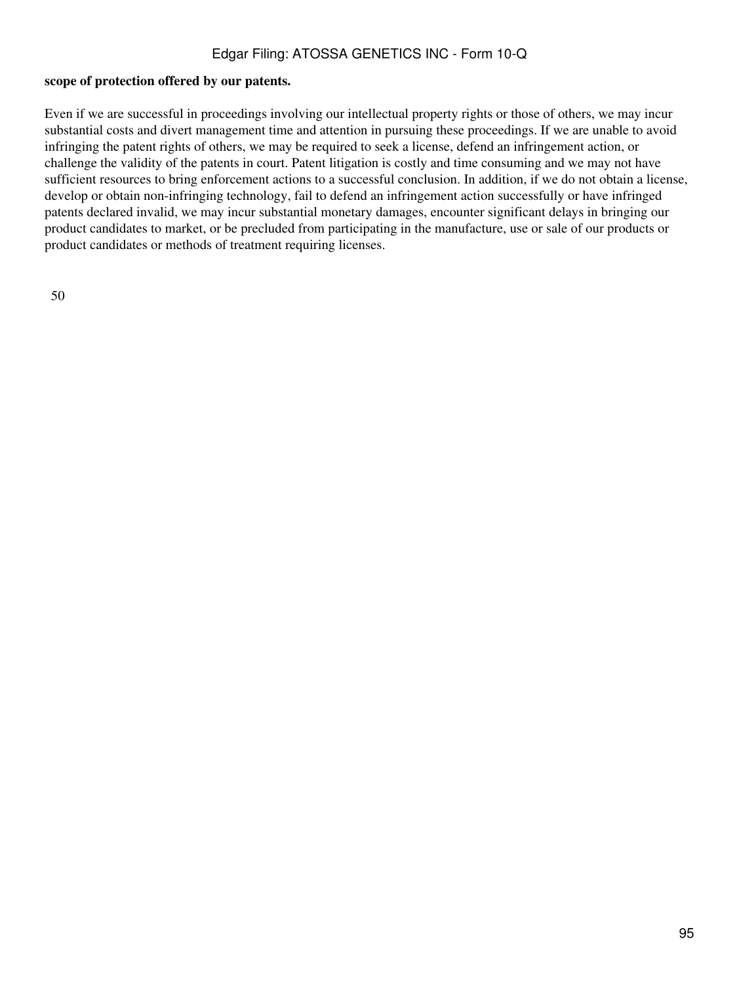#### **scope of protection offered by our patents.**

Even if we are successful in proceedings involving our intellectual property rights or those of others, we may incur substantial costs and divert management time and attention in pursuing these proceedings. If we are unable to avoid infringing the patent rights of others, we may be required to seek a license, defend an infringement action, or challenge the validity of the patents in court. Patent litigation is costly and time consuming and we may not have sufficient resources to bring enforcement actions to a successful conclusion. In addition, if we do not obtain a license, develop or obtain non-infringing technology, fail to defend an infringement action successfully or have infringed patents declared invalid, we may incur substantial monetary damages, encounter significant delays in bringing our product candidates to market, or be precluded from participating in the manufacture, use or sale of our products or product candidates or methods of treatment requiring licenses.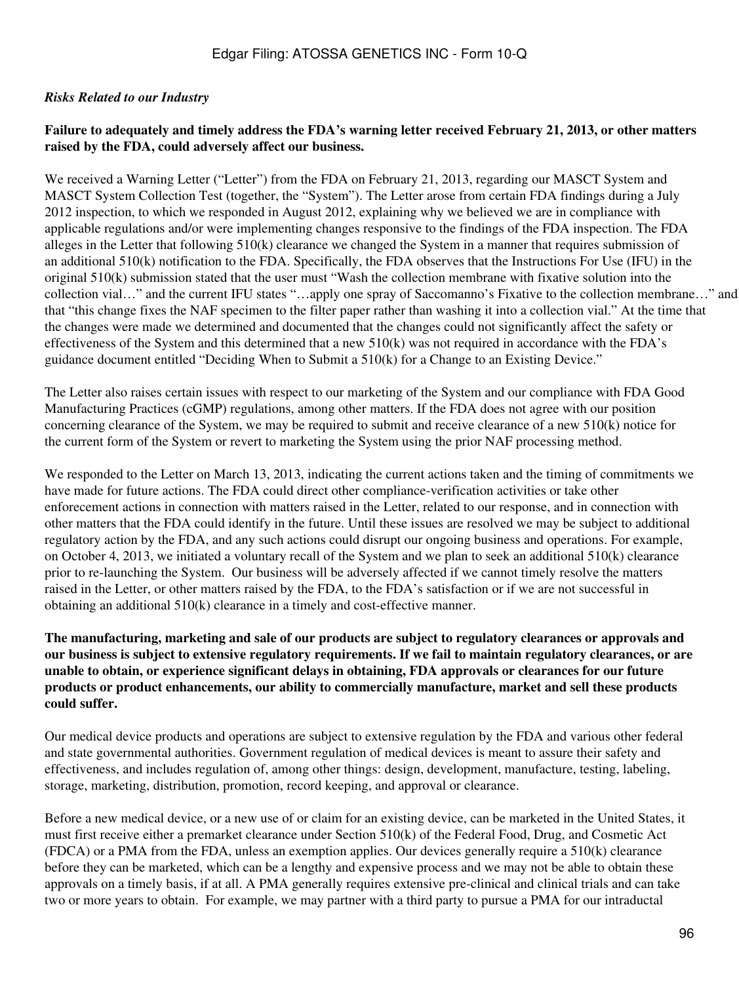### *Risks Related to our Industry*

### **Failure to adequately and timely address the FDA's warning letter received February 21, 2013, or other matters raised by the FDA, could adversely affect our business.**

We received a Warning Letter ("Letter") from the FDA on February 21, 2013, regarding our MASCT System and MASCT System Collection Test (together, the "System"). The Letter arose from certain FDA findings during a July 2012 inspection, to which we responded in August 2012, explaining why we believed we are in compliance with applicable regulations and/or were implementing changes responsive to the findings of the FDA inspection. The FDA alleges in the Letter that following 510(k) clearance we changed the System in a manner that requires submission of an additional 510(k) notification to the FDA. Specifically, the FDA observes that the Instructions For Use (IFU) in the original 510(k) submission stated that the user must "Wash the collection membrane with fixative solution into the collection vial…" and the current IFU states "…apply one spray of Saccomanno's Fixative to the collection membrane…" and that "this change fixes the NAF specimen to the filter paper rather than washing it into a collection vial." At the time that the changes were made we determined and documented that the changes could not significantly affect the safety or effectiveness of the System and this determined that a new 510(k) was not required in accordance with the FDA's guidance document entitled "Deciding When to Submit a 510(k) for a Change to an Existing Device."

The Letter also raises certain issues with respect to our marketing of the System and our compliance with FDA Good Manufacturing Practices (cGMP) regulations, among other matters. If the FDA does not agree with our position concerning clearance of the System, we may be required to submit and receive clearance of a new 510(k) notice for the current form of the System or revert to marketing the System using the prior NAF processing method.

We responded to the Letter on March 13, 2013, indicating the current actions taken and the timing of commitments we have made for future actions. The FDA could direct other compliance-verification activities or take other enforecement actions in connection with matters raised in the Letter, related to our response, and in connection with other matters that the FDA could identify in the future. Until these issues are resolved we may be subject to additional regulatory action by the FDA, and any such actions could disrupt our ongoing business and operations. For example, on October 4, 2013, we initiated a voluntary recall of the System and we plan to seek an additional 510(k) clearance prior to re-launching the System. Our business will be adversely affected if we cannot timely resolve the matters raised in the Letter, or other matters raised by the FDA, to the FDA's satisfaction or if we are not successful in obtaining an additional 510(k) clearance in a timely and cost-effective manner.

### **The manufacturing, marketing and sale of our products are subject to regulatory clearances or approvals and our business is subject to extensive regulatory requirements. If we fail to maintain regulatory clearances, or are unable to obtain, or experience significant delays in obtaining, FDA approvals or clearances for our future products or product enhancements, our ability to commercially manufacture, market and sell these products could suffer.**

Our medical device products and operations are subject to extensive regulation by the FDA and various other federal and state governmental authorities. Government regulation of medical devices is meant to assure their safety and effectiveness, and includes regulation of, among other things: design, development, manufacture, testing, labeling, storage, marketing, distribution, promotion, record keeping, and approval or clearance.

Before a new medical device, or a new use of or claim for an existing device, can be marketed in the United States, it must first receive either a premarket clearance under Section 510(k) of the Federal Food, Drug, and Cosmetic Act (FDCA) or a PMA from the FDA, unless an exemption applies. Our devices generally require a 510(k) clearance before they can be marketed, which can be a lengthy and expensive process and we may not be able to obtain these approvals on a timely basis, if at all. A PMA generally requires extensive pre-clinical and clinical trials and can take two or more years to obtain. For example, we may partner with a third party to pursue a PMA for our intraductal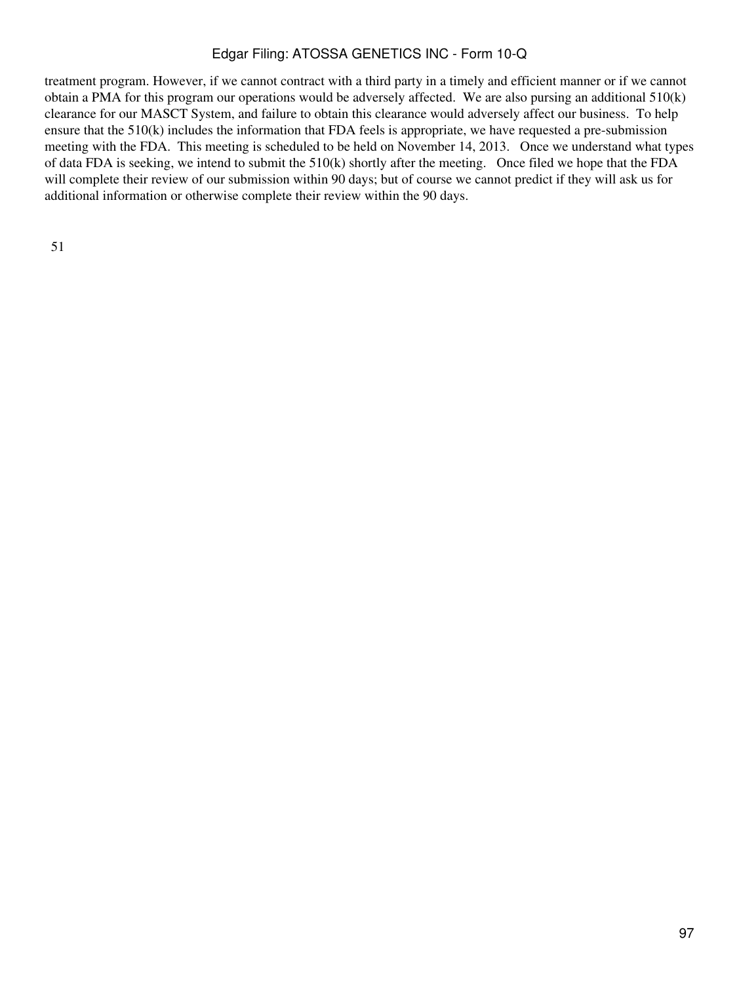treatment program. However, if we cannot contract with a third party in a timely and efficient manner or if we cannot obtain a PMA for this program our operations would be adversely affected. We are also pursing an additional 510(k) clearance for our MASCT System, and failure to obtain this clearance would adversely affect our business. To help ensure that the 510(k) includes the information that FDA feels is appropriate, we have requested a pre-submission meeting with the FDA. This meeting is scheduled to be held on November 14, 2013. Once we understand what types of data FDA is seeking, we intend to submit the 510(k) shortly after the meeting. Once filed we hope that the FDA will complete their review of our submission within 90 days; but of course we cannot predict if they will ask us for additional information or otherwise complete their review within the 90 days.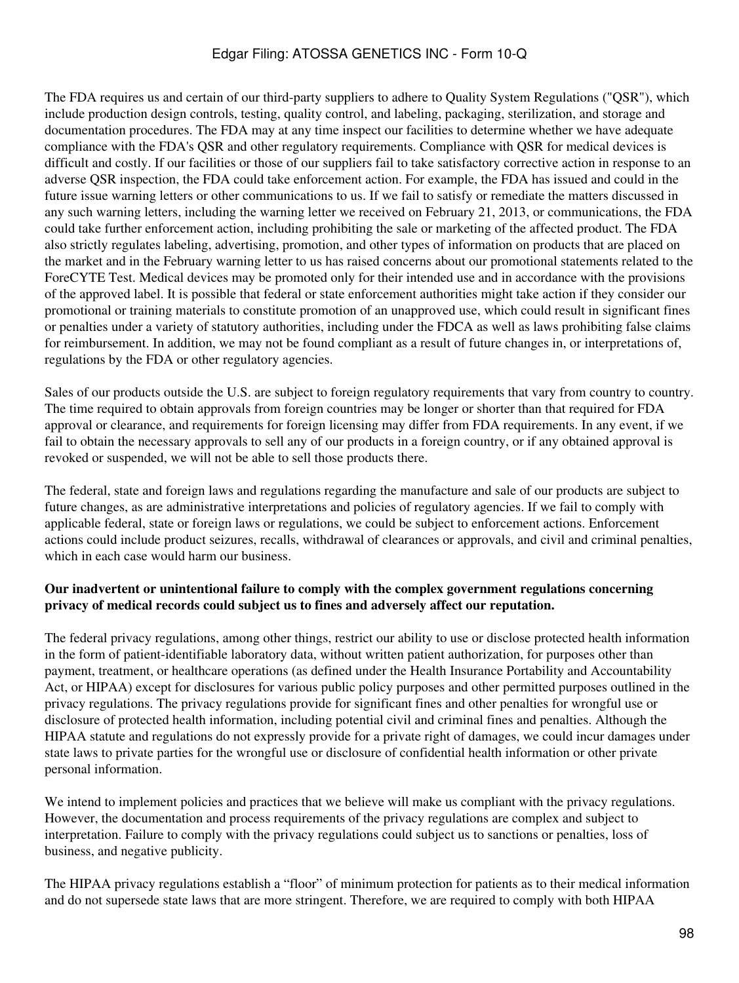The FDA requires us and certain of our third-party suppliers to adhere to Quality System Regulations ("QSR"), which include production design controls, testing, quality control, and labeling, packaging, sterilization, and storage and documentation procedures. The FDA may at any time inspect our facilities to determine whether we have adequate compliance with the FDA's QSR and other regulatory requirements. Compliance with QSR for medical devices is difficult and costly. If our facilities or those of our suppliers fail to take satisfactory corrective action in response to an adverse QSR inspection, the FDA could take enforcement action. For example, the FDA has issued and could in the future issue warning letters or other communications to us. If we fail to satisfy or remediate the matters discussed in any such warning letters, including the warning letter we received on February 21, 2013, or communications, the FDA could take further enforcement action, including prohibiting the sale or marketing of the affected product. The FDA also strictly regulates labeling, advertising, promotion, and other types of information on products that are placed on the market and in the February warning letter to us has raised concerns about our promotional statements related to the ForeCYTE Test. Medical devices may be promoted only for their intended use and in accordance with the provisions of the approved label. It is possible that federal or state enforcement authorities might take action if they consider our promotional or training materials to constitute promotion of an unapproved use, which could result in significant fines or penalties under a variety of statutory authorities, including under the FDCA as well as laws prohibiting false claims for reimbursement. In addition, we may not be found compliant as a result of future changes in, or interpretations of, regulations by the FDA or other regulatory agencies.

Sales of our products outside the U.S. are subject to foreign regulatory requirements that vary from country to country. The time required to obtain approvals from foreign countries may be longer or shorter than that required for FDA approval or clearance, and requirements for foreign licensing may differ from FDA requirements. In any event, if we fail to obtain the necessary approvals to sell any of our products in a foreign country, or if any obtained approval is revoked or suspended, we will not be able to sell those products there.

The federal, state and foreign laws and regulations regarding the manufacture and sale of our products are subject to future changes, as are administrative interpretations and policies of regulatory agencies. If we fail to comply with applicable federal, state or foreign laws or regulations, we could be subject to enforcement actions. Enforcement actions could include product seizures, recalls, withdrawal of clearances or approvals, and civil and criminal penalties, which in each case would harm our business.

### **Our inadvertent or unintentional failure to comply with the complex government regulations concerning privacy of medical records could subject us to fines and adversely affect our reputation.**

The federal privacy regulations, among other things, restrict our ability to use or disclose protected health information in the form of patient-identifiable laboratory data, without written patient authorization, for purposes other than payment, treatment, or healthcare operations (as defined under the Health Insurance Portability and Accountability Act, or HIPAA) except for disclosures for various public policy purposes and other permitted purposes outlined in the privacy regulations. The privacy regulations provide for significant fines and other penalties for wrongful use or disclosure of protected health information, including potential civil and criminal fines and penalties. Although the HIPAA statute and regulations do not expressly provide for a private right of damages, we could incur damages under state laws to private parties for the wrongful use or disclosure of confidential health information or other private personal information.

We intend to implement policies and practices that we believe will make us compliant with the privacy regulations. However, the documentation and process requirements of the privacy regulations are complex and subject to interpretation. Failure to comply with the privacy regulations could subject us to sanctions or penalties, loss of business, and negative publicity.

The HIPAA privacy regulations establish a "floor" of minimum protection for patients as to their medical information and do not supersede state laws that are more stringent. Therefore, we are required to comply with both HIPAA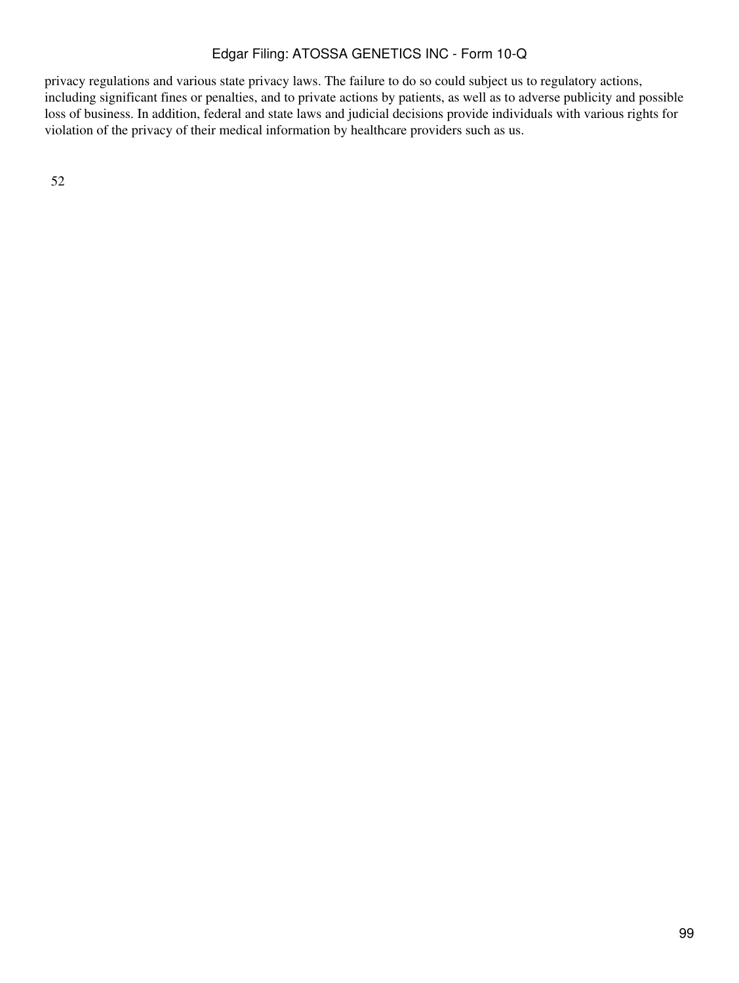privacy regulations and various state privacy laws. The failure to do so could subject us to regulatory actions, including significant fines or penalties, and to private actions by patients, as well as to adverse publicity and possible loss of business. In addition, federal and state laws and judicial decisions provide individuals with various rights for violation of the privacy of their medical information by healthcare providers such as us.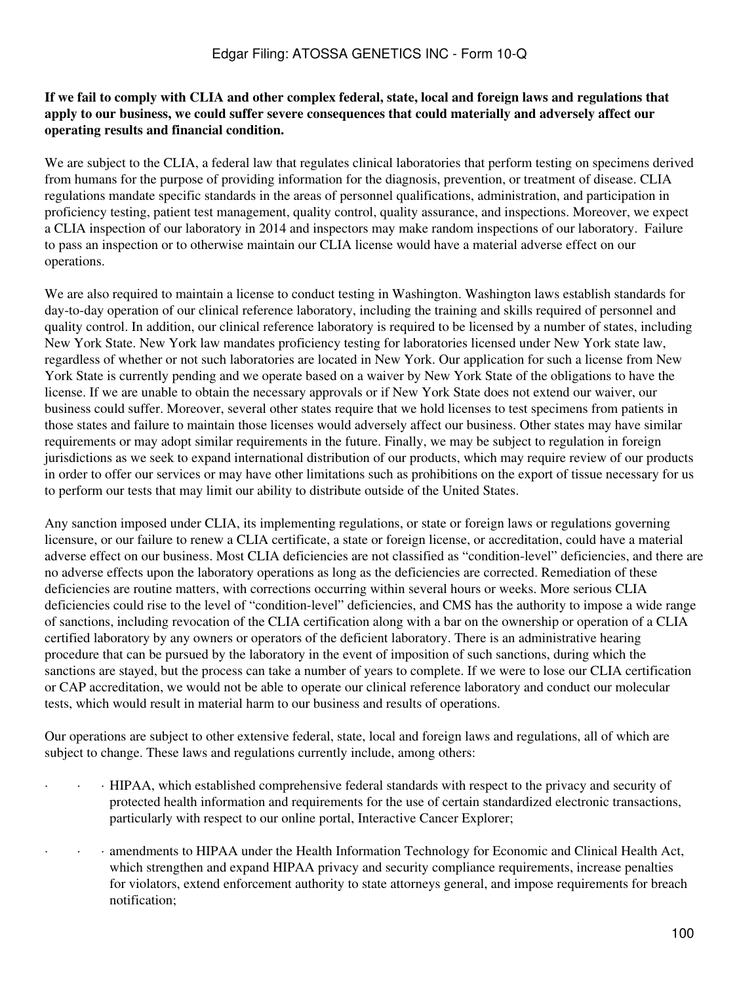### **If we fail to comply with CLIA and other complex federal, state, local and foreign laws and regulations that apply to our business, we could suffer severe consequences that could materially and adversely affect our operating results and financial condition.**

We are subject to the CLIA, a federal law that regulates clinical laboratories that perform testing on specimens derived from humans for the purpose of providing information for the diagnosis, prevention, or treatment of disease. CLIA regulations mandate specific standards in the areas of personnel qualifications, administration, and participation in proficiency testing, patient test management, quality control, quality assurance, and inspections. Moreover, we expect a CLIA inspection of our laboratory in 2014 and inspectors may make random inspections of our laboratory. Failure to pass an inspection or to otherwise maintain our CLIA license would have a material adverse effect on our operations.

We are also required to maintain a license to conduct testing in Washington. Washington laws establish standards for day-to-day operation of our clinical reference laboratory, including the training and skills required of personnel and quality control. In addition, our clinical reference laboratory is required to be licensed by a number of states, including New York State. New York law mandates proficiency testing for laboratories licensed under New York state law, regardless of whether or not such laboratories are located in New York. Our application for such a license from New York State is currently pending and we operate based on a waiver by New York State of the obligations to have the license. If we are unable to obtain the necessary approvals or if New York State does not extend our waiver, our business could suffer. Moreover, several other states require that we hold licenses to test specimens from patients in those states and failure to maintain those licenses would adversely affect our business. Other states may have similar requirements or may adopt similar requirements in the future. Finally, we may be subject to regulation in foreign jurisdictions as we seek to expand international distribution of our products, which may require review of our products in order to offer our services or may have other limitations such as prohibitions on the export of tissue necessary for us to perform our tests that may limit our ability to distribute outside of the United States.

Any sanction imposed under CLIA, its implementing regulations, or state or foreign laws or regulations governing licensure, or our failure to renew a CLIA certificate, a state or foreign license, or accreditation, could have a material adverse effect on our business. Most CLIA deficiencies are not classified as "condition-level" deficiencies, and there are no adverse effects upon the laboratory operations as long as the deficiencies are corrected. Remediation of these deficiencies are routine matters, with corrections occurring within several hours or weeks. More serious CLIA deficiencies could rise to the level of "condition-level" deficiencies, and CMS has the authority to impose a wide range of sanctions, including revocation of the CLIA certification along with a bar on the ownership or operation of a CLIA certified laboratory by any owners or operators of the deficient laboratory. There is an administrative hearing procedure that can be pursued by the laboratory in the event of imposition of such sanctions, during which the sanctions are stayed, but the process can take a number of years to complete. If we were to lose our CLIA certification or CAP accreditation, we would not be able to operate our clinical reference laboratory and conduct our molecular tests, which would result in material harm to our business and results of operations.

Our operations are subject to other extensive federal, state, local and foreign laws and regulations, all of which are subject to change. These laws and regulations currently include, among others:

- · · · HIPAA, which established comprehensive federal standards with respect to the privacy and security of protected health information and requirements for the use of certain standardized electronic transactions, particularly with respect to our online portal, Interactive Cancer Explorer;
- · · · amendments to HIPAA under the Health Information Technology for Economic and Clinical Health Act, which strengthen and expand HIPAA privacy and security compliance requirements, increase penalties for violators, extend enforcement authority to state attorneys general, and impose requirements for breach notification;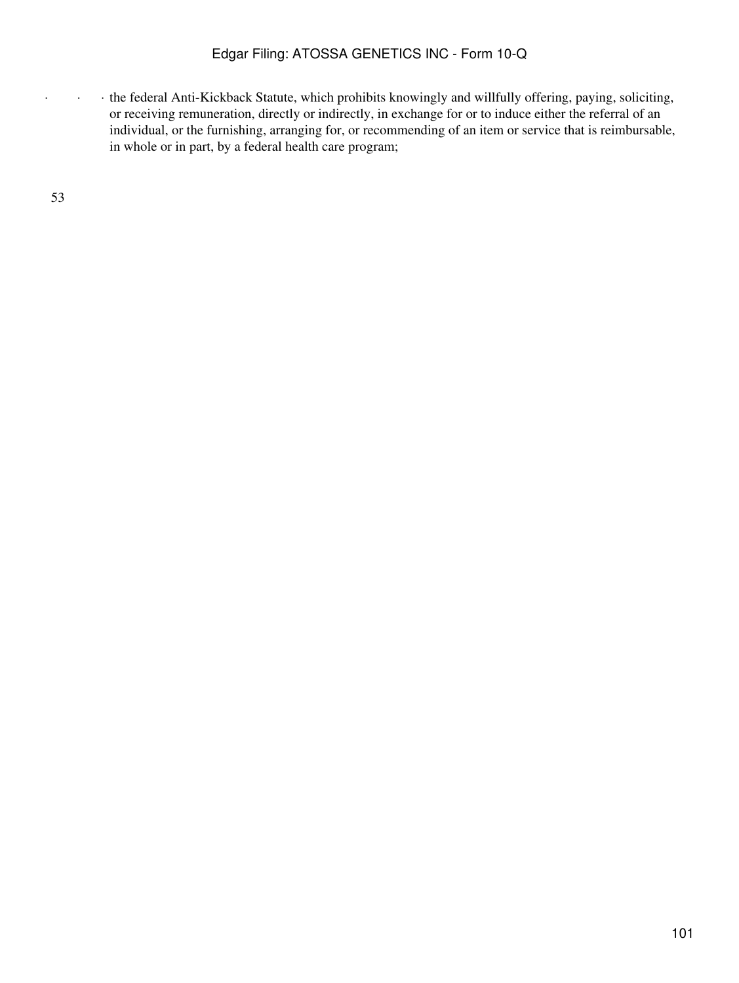· · · the federal Anti-Kickback Statute, which prohibits knowingly and willfully offering, paying, soliciting, or receiving remuneration, directly or indirectly, in exchange for or to induce either the referral of an individual, or the furnishing, arranging for, or recommending of an item or service that is reimbursable, in whole or in part, by a federal health care program;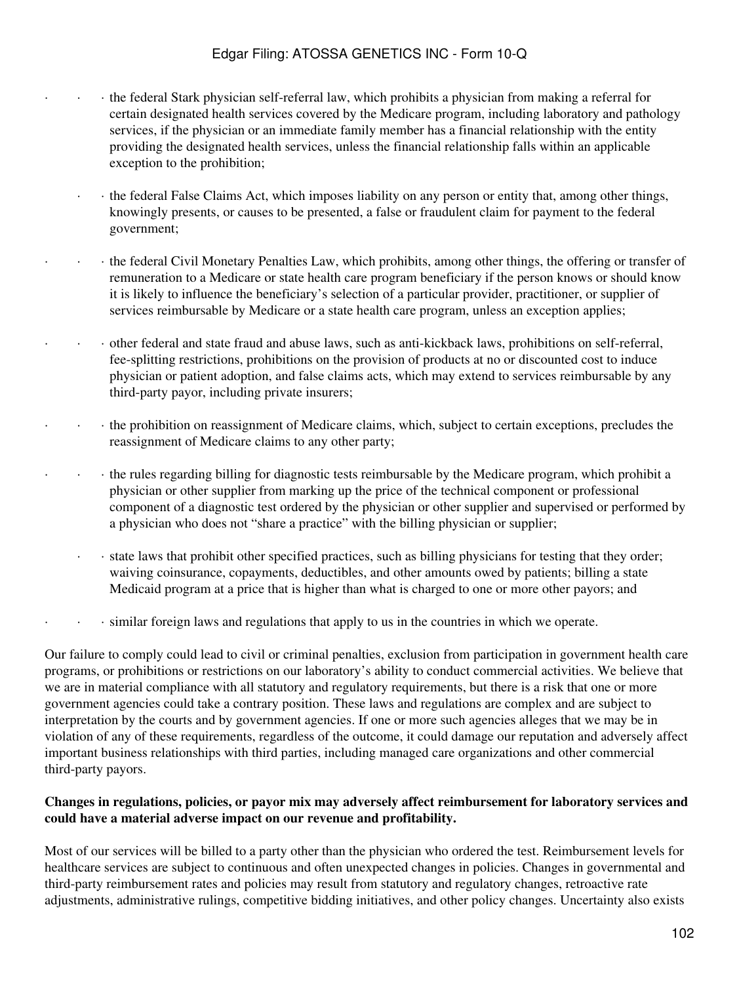- · · · the federal Stark physician self-referral law, which prohibits a physician from making a referral for certain designated health services covered by the Medicare program, including laboratory and pathology services, if the physician or an immediate family member has a financial relationship with the entity providing the designated health services, unless the financial relationship falls within an applicable exception to the prohibition;
	- · · the federal False Claims Act, which imposes liability on any person or entity that, among other things, knowingly presents, or causes to be presented, a false or fraudulent claim for payment to the federal government;
- · · · the federal Civil Monetary Penalties Law, which prohibits, among other things, the offering or transfer of remuneration to a Medicare or state health care program beneficiary if the person knows or should know it is likely to influence the beneficiary's selection of a particular provider, practitioner, or supplier of services reimbursable by Medicare or a state health care program, unless an exception applies;
- · · · other federal and state fraud and abuse laws, such as anti-kickback laws, prohibitions on self-referral, fee-splitting restrictions, prohibitions on the provision of products at no or discounted cost to induce physician or patient adoption, and false claims acts, which may extend to services reimbursable by any third-party payor, including private insurers;
- · · · the prohibition on reassignment of Medicare claims, which, subject to certain exceptions, precludes the reassignment of Medicare claims to any other party;
	- · · · the rules regarding billing for diagnostic tests reimbursable by the Medicare program, which prohibit a physician or other supplier from marking up the price of the technical component or professional component of a diagnostic test ordered by the physician or other supplier and supervised or performed by a physician who does not "share a practice" with the billing physician or supplier;
		- · · state laws that prohibit other specified practices, such as billing physicians for testing that they order; waiving coinsurance, copayments, deductibles, and other amounts owed by patients; billing a state Medicaid program at a price that is higher than what is charged to one or more other payors; and
- · · · similar foreign laws and regulations that apply to us in the countries in which we operate.

Our failure to comply could lead to civil or criminal penalties, exclusion from participation in government health care programs, or prohibitions or restrictions on our laboratory's ability to conduct commercial activities. We believe that we are in material compliance with all statutory and regulatory requirements, but there is a risk that one or more government agencies could take a contrary position. These laws and regulations are complex and are subject to interpretation by the courts and by government agencies. If one or more such agencies alleges that we may be in violation of any of these requirements, regardless of the outcome, it could damage our reputation and adversely affect important business relationships with third parties, including managed care organizations and other commercial third-party payors.

### **Changes in regulations, policies, or payor mix may adversely affect reimbursement for laboratory services and could have a material adverse impact on our revenue and profitability.**

Most of our services will be billed to a party other than the physician who ordered the test. Reimbursement levels for healthcare services are subject to continuous and often unexpected changes in policies. Changes in governmental and third-party reimbursement rates and policies may result from statutory and regulatory changes, retroactive rate adjustments, administrative rulings, competitive bidding initiatives, and other policy changes. Uncertainty also exists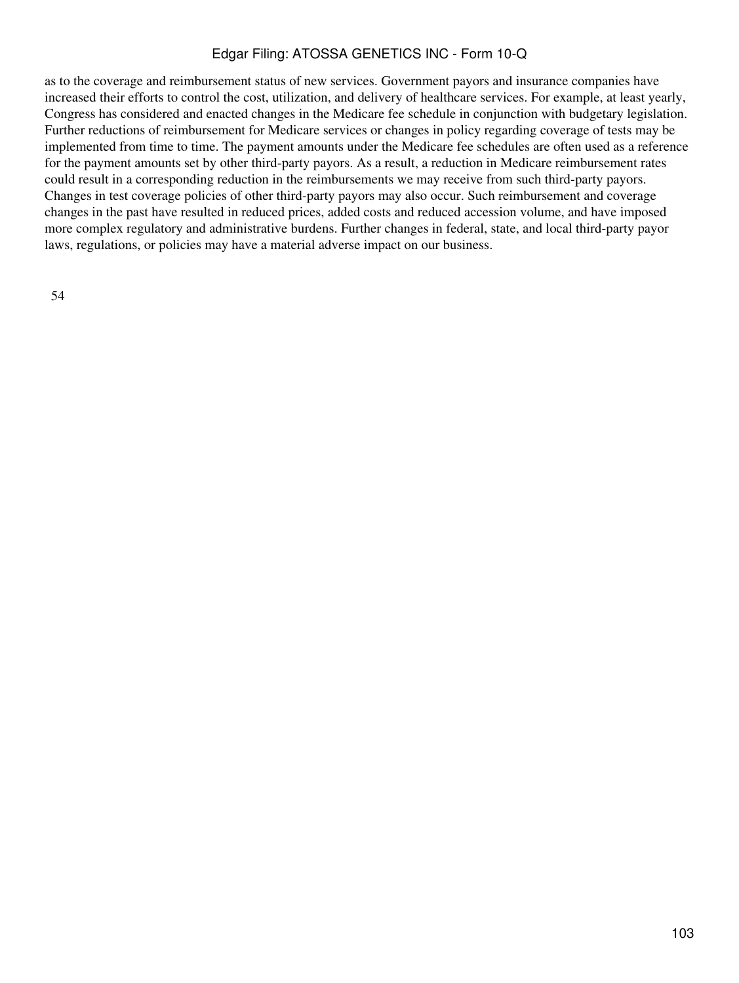as to the coverage and reimbursement status of new services. Government payors and insurance companies have increased their efforts to control the cost, utilization, and delivery of healthcare services. For example, at least yearly, Congress has considered and enacted changes in the Medicare fee schedule in conjunction with budgetary legislation. Further reductions of reimbursement for Medicare services or changes in policy regarding coverage of tests may be implemented from time to time. The payment amounts under the Medicare fee schedules are often used as a reference for the payment amounts set by other third-party payors. As a result, a reduction in Medicare reimbursement rates could result in a corresponding reduction in the reimbursements we may receive from such third-party payors. Changes in test coverage policies of other third-party payors may also occur. Such reimbursement and coverage changes in the past have resulted in reduced prices, added costs and reduced accession volume, and have imposed more complex regulatory and administrative burdens. Further changes in federal, state, and local third-party payor laws, regulations, or policies may have a material adverse impact on our business.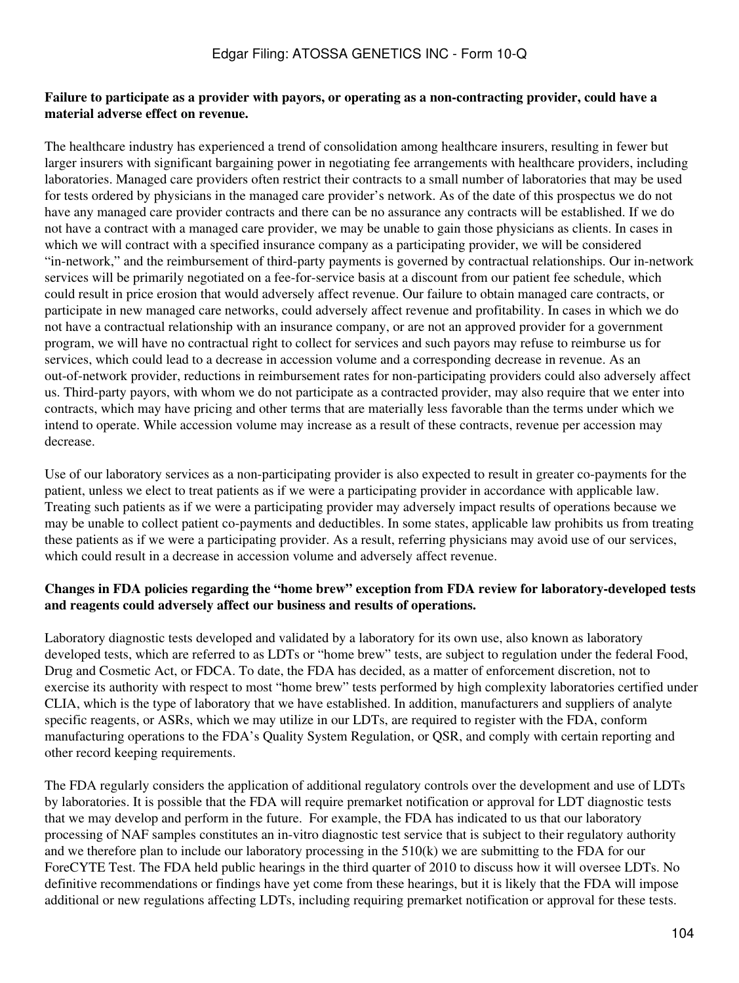#### **Failure to participate as a provider with payors, or operating as a non-contracting provider, could have a material adverse effect on revenue.**

The healthcare industry has experienced a trend of consolidation among healthcare insurers, resulting in fewer but larger insurers with significant bargaining power in negotiating fee arrangements with healthcare providers, including laboratories. Managed care providers often restrict their contracts to a small number of laboratories that may be used for tests ordered by physicians in the managed care provider's network. As of the date of this prospectus we do not have any managed care provider contracts and there can be no assurance any contracts will be established. If we do not have a contract with a managed care provider, we may be unable to gain those physicians as clients. In cases in which we will contract with a specified insurance company as a participating provider, we will be considered "in-network," and the reimbursement of third-party payments is governed by contractual relationships. Our in-network services will be primarily negotiated on a fee-for-service basis at a discount from our patient fee schedule, which could result in price erosion that would adversely affect revenue. Our failure to obtain managed care contracts, or participate in new managed care networks, could adversely affect revenue and profitability. In cases in which we do not have a contractual relationship with an insurance company, or are not an approved provider for a government program, we will have no contractual right to collect for services and such payors may refuse to reimburse us for services, which could lead to a decrease in accession volume and a corresponding decrease in revenue. As an out-of-network provider, reductions in reimbursement rates for non-participating providers could also adversely affect us. Third-party payors, with whom we do not participate as a contracted provider, may also require that we enter into contracts, which may have pricing and other terms that are materially less favorable than the terms under which we intend to operate. While accession volume may increase as a result of these contracts, revenue per accession may decrease.

Use of our laboratory services as a non-participating provider is also expected to result in greater co-payments for the patient, unless we elect to treat patients as if we were a participating provider in accordance with applicable law. Treating such patients as if we were a participating provider may adversely impact results of operations because we may be unable to collect patient co-payments and deductibles. In some states, applicable law prohibits us from treating these patients as if we were a participating provider. As a result, referring physicians may avoid use of our services, which could result in a decrease in accession volume and adversely affect revenue.

#### **Changes in FDA policies regarding the "home brew" exception from FDA review for laboratory-developed tests and reagents could adversely affect our business and results of operations.**

Laboratory diagnostic tests developed and validated by a laboratory for its own use, also known as laboratory developed tests, which are referred to as LDTs or "home brew" tests, are subject to regulation under the federal Food, Drug and Cosmetic Act, or FDCA. To date, the FDA has decided, as a matter of enforcement discretion, not to exercise its authority with respect to most "home brew" tests performed by high complexity laboratories certified under CLIA, which is the type of laboratory that we have established. In addition, manufacturers and suppliers of analyte specific reagents, or ASRs, which we may utilize in our LDTs, are required to register with the FDA, conform manufacturing operations to the FDA's Quality System Regulation, or QSR, and comply with certain reporting and other record keeping requirements.

The FDA regularly considers the application of additional regulatory controls over the development and use of LDTs by laboratories. It is possible that the FDA will require premarket notification or approval for LDT diagnostic tests that we may develop and perform in the future. For example, the FDA has indicated to us that our laboratory processing of NAF samples constitutes an in-vitro diagnostic test service that is subject to their regulatory authority and we therefore plan to include our laboratory processing in the 510(k) we are submitting to the FDA for our ForeCYTE Test. The FDA held public hearings in the third quarter of 2010 to discuss how it will oversee LDTs. No definitive recommendations or findings have yet come from these hearings, but it is likely that the FDA will impose additional or new regulations affecting LDTs, including requiring premarket notification or approval for these tests.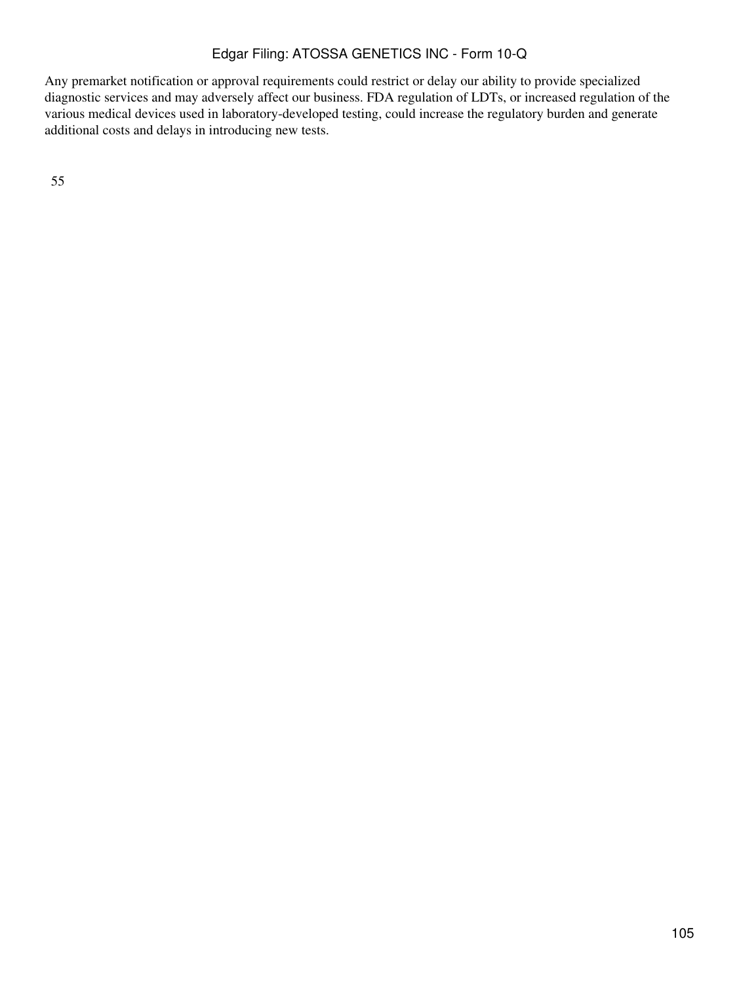Any premarket notification or approval requirements could restrict or delay our ability to provide specialized diagnostic services and may adversely affect our business. FDA regulation of LDTs, or increased regulation of the various medical devices used in laboratory-developed testing, could increase the regulatory burden and generate additional costs and delays in introducing new tests.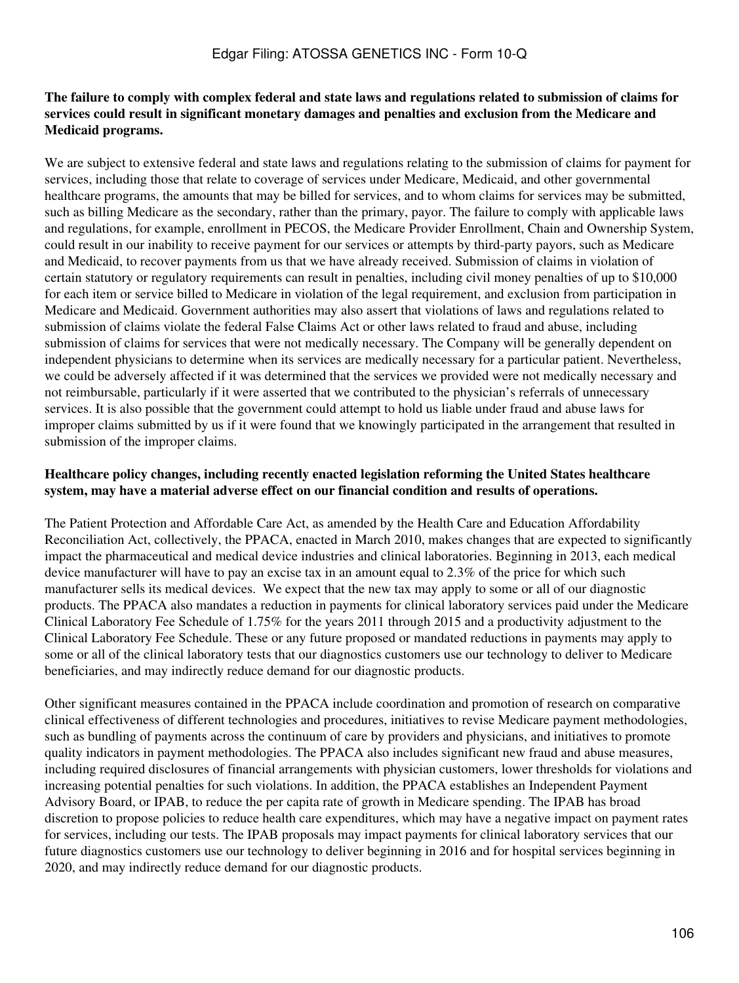### **The failure to comply with complex federal and state laws and regulations related to submission of claims for services could result in significant monetary damages and penalties and exclusion from the Medicare and Medicaid programs.**

We are subject to extensive federal and state laws and regulations relating to the submission of claims for payment for services, including those that relate to coverage of services under Medicare, Medicaid, and other governmental healthcare programs, the amounts that may be billed for services, and to whom claims for services may be submitted, such as billing Medicare as the secondary, rather than the primary, payor. The failure to comply with applicable laws and regulations, for example, enrollment in PECOS, the Medicare Provider Enrollment, Chain and Ownership System, could result in our inability to receive payment for our services or attempts by third-party payors, such as Medicare and Medicaid, to recover payments from us that we have already received. Submission of claims in violation of certain statutory or regulatory requirements can result in penalties, including civil money penalties of up to \$10,000 for each item or service billed to Medicare in violation of the legal requirement, and exclusion from participation in Medicare and Medicaid. Government authorities may also assert that violations of laws and regulations related to submission of claims violate the federal False Claims Act or other laws related to fraud and abuse, including submission of claims for services that were not medically necessary. The Company will be generally dependent on independent physicians to determine when its services are medically necessary for a particular patient. Nevertheless, we could be adversely affected if it was determined that the services we provided were not medically necessary and not reimbursable, particularly if it were asserted that we contributed to the physician's referrals of unnecessary services. It is also possible that the government could attempt to hold us liable under fraud and abuse laws for improper claims submitted by us if it were found that we knowingly participated in the arrangement that resulted in submission of the improper claims.

### **Healthcare policy changes, including recently enacted legislation reforming the United States healthcare system, may have a material adverse effect on our financial condition and results of operations.**

The Patient Protection and Affordable Care Act, as amended by the Health Care and Education Affordability Reconciliation Act, collectively, the PPACA, enacted in March 2010, makes changes that are expected to significantly impact the pharmaceutical and medical device industries and clinical laboratories. Beginning in 2013, each medical device manufacturer will have to pay an excise tax in an amount equal to 2.3% of the price for which such manufacturer sells its medical devices. We expect that the new tax may apply to some or all of our diagnostic products. The PPACA also mandates a reduction in payments for clinical laboratory services paid under the Medicare Clinical Laboratory Fee Schedule of 1.75% for the years 2011 through 2015 and a productivity adjustment to the Clinical Laboratory Fee Schedule. These or any future proposed or mandated reductions in payments may apply to some or all of the clinical laboratory tests that our diagnostics customers use our technology to deliver to Medicare beneficiaries, and may indirectly reduce demand for our diagnostic products.

Other significant measures contained in the PPACA include coordination and promotion of research on comparative clinical effectiveness of different technologies and procedures, initiatives to revise Medicare payment methodologies, such as bundling of payments across the continuum of care by providers and physicians, and initiatives to promote quality indicators in payment methodologies. The PPACA also includes significant new fraud and abuse measures, including required disclosures of financial arrangements with physician customers, lower thresholds for violations and increasing potential penalties for such violations. In addition, the PPACA establishes an Independent Payment Advisory Board, or IPAB, to reduce the per capita rate of growth in Medicare spending. The IPAB has broad discretion to propose policies to reduce health care expenditures, which may have a negative impact on payment rates for services, including our tests. The IPAB proposals may impact payments for clinical laboratory services that our future diagnostics customers use our technology to deliver beginning in 2016 and for hospital services beginning in 2020, and may indirectly reduce demand for our diagnostic products.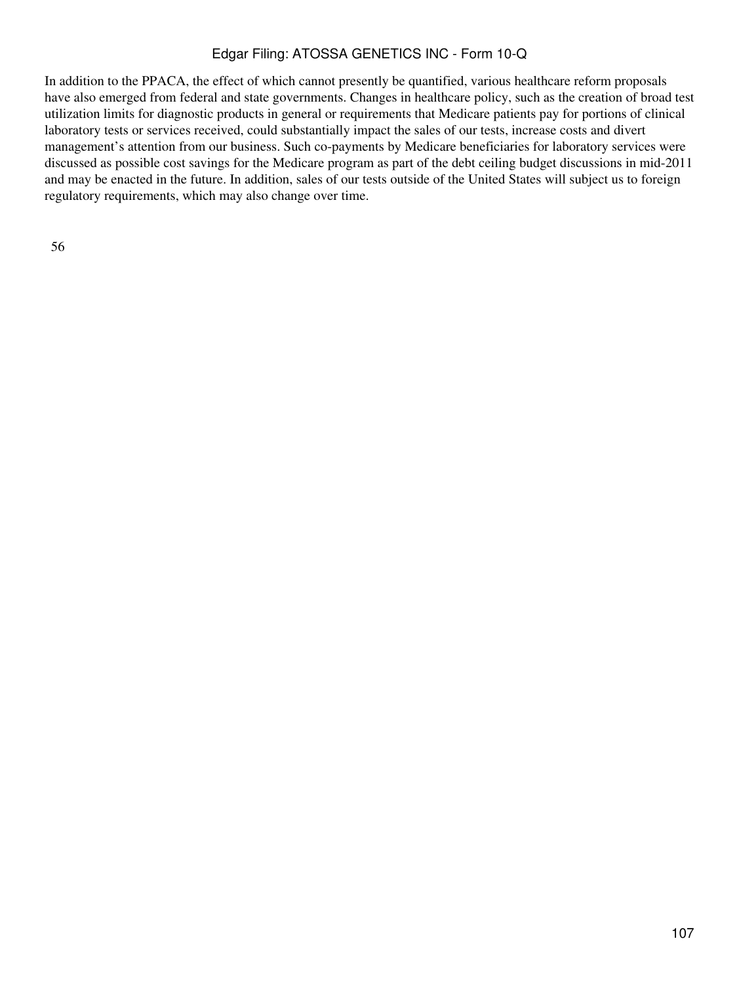In addition to the PPACA, the effect of which cannot presently be quantified, various healthcare reform proposals have also emerged from federal and state governments. Changes in healthcare policy, such as the creation of broad test utilization limits for diagnostic products in general or requirements that Medicare patients pay for portions of clinical laboratory tests or services received, could substantially impact the sales of our tests, increase costs and divert management's attention from our business. Such co-payments by Medicare beneficiaries for laboratory services were discussed as possible cost savings for the Medicare program as part of the debt ceiling budget discussions in mid-2011 and may be enacted in the future. In addition, sales of our tests outside of the United States will subject us to foreign regulatory requirements, which may also change over time.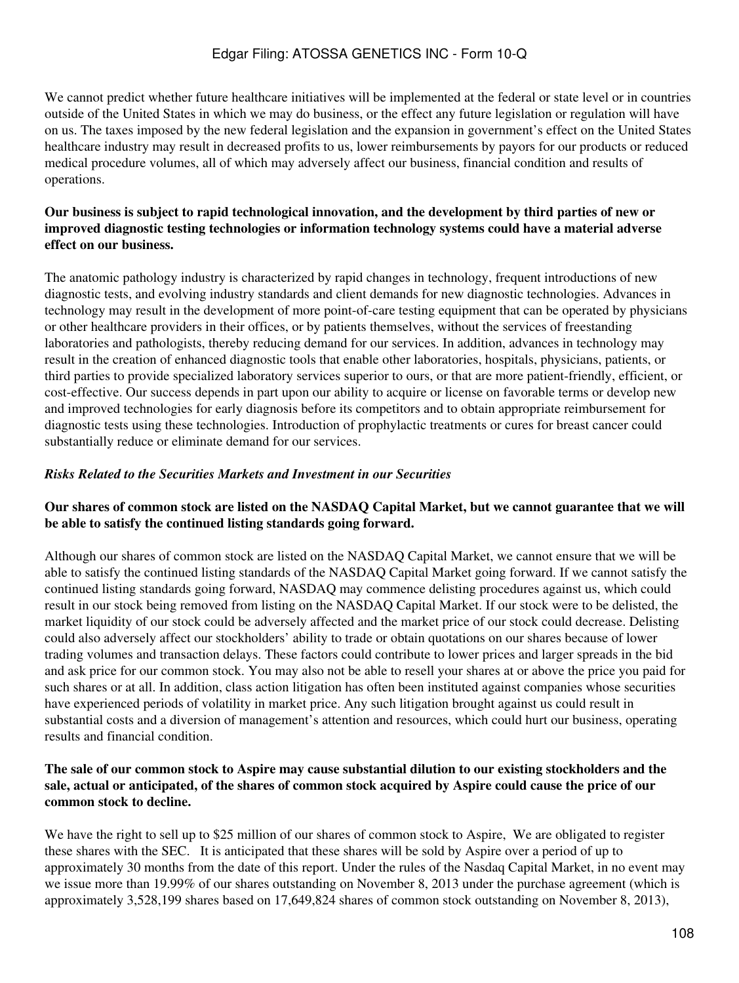We cannot predict whether future healthcare initiatives will be implemented at the federal or state level or in countries outside of the United States in which we may do business, or the effect any future legislation or regulation will have on us. The taxes imposed by the new federal legislation and the expansion in government's effect on the United States healthcare industry may result in decreased profits to us, lower reimbursements by payors for our products or reduced medical procedure volumes, all of which may adversely affect our business, financial condition and results of operations.

### **Our business is subject to rapid technological innovation, and the development by third parties of new or improved diagnostic testing technologies or information technology systems could have a material adverse effect on our business.**

The anatomic pathology industry is characterized by rapid changes in technology, frequent introductions of new diagnostic tests, and evolving industry standards and client demands for new diagnostic technologies. Advances in technology may result in the development of more point-of-care testing equipment that can be operated by physicians or other healthcare providers in their offices, or by patients themselves, without the services of freestanding laboratories and pathologists, thereby reducing demand for our services. In addition, advances in technology may result in the creation of enhanced diagnostic tools that enable other laboratories, hospitals, physicians, patients, or third parties to provide specialized laboratory services superior to ours, or that are more patient-friendly, efficient, or cost-effective. Our success depends in part upon our ability to acquire or license on favorable terms or develop new and improved technologies for early diagnosis before its competitors and to obtain appropriate reimbursement for diagnostic tests using these technologies. Introduction of prophylactic treatments or cures for breast cancer could substantially reduce or eliminate demand for our services.

### *Risks Related to the Securities Markets and Investment in our Securities*

#### **Our shares of common stock are listed on the NASDAQ Capital Market, but we cannot guarantee that we will be able to satisfy the continued listing standards going forward.**

Although our shares of common stock are listed on the NASDAQ Capital Market, we cannot ensure that we will be able to satisfy the continued listing standards of the NASDAQ Capital Market going forward. If we cannot satisfy the continued listing standards going forward, NASDAQ may commence delisting procedures against us, which could result in our stock being removed from listing on the NASDAQ Capital Market. If our stock were to be delisted, the market liquidity of our stock could be adversely affected and the market price of our stock could decrease. Delisting could also adversely affect our stockholders' ability to trade or obtain quotations on our shares because of lower trading volumes and transaction delays. These factors could contribute to lower prices and larger spreads in the bid and ask price for our common stock. You may also not be able to resell your shares at or above the price you paid for such shares or at all. In addition, class action litigation has often been instituted against companies whose securities have experienced periods of volatility in market price. Any such litigation brought against us could result in substantial costs and a diversion of management's attention and resources, which could hurt our business, operating results and financial condition.

### **The sale of our common stock to Aspire may cause substantial dilution to our existing stockholders and the sale, actual or anticipated, of the shares of common stock acquired by Aspire could cause the price of our common stock to decline.**

We have the right to sell up to \$25 million of our shares of common stock to Aspire, We are obligated to register these shares with the SEC. It is anticipated that these shares will be sold by Aspire over a period of up to approximately 30 months from the date of this report. Under the rules of the Nasdaq Capital Market, in no event may we issue more than 19.99% of our shares outstanding on November 8, 2013 under the purchase agreement (which is approximately 3,528,199 shares based on 17,649,824 shares of common stock outstanding on November 8, 2013),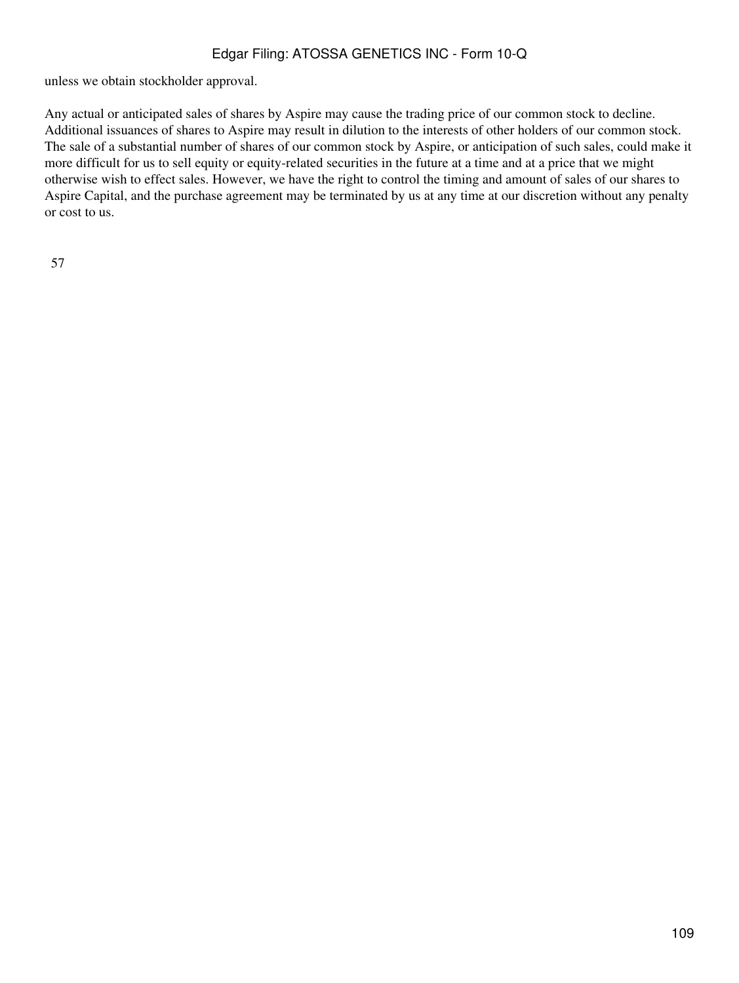unless we obtain stockholder approval.

Any actual or anticipated sales of shares by Aspire may cause the trading price of our common stock to decline. Additional issuances of shares to Aspire may result in dilution to the interests of other holders of our common stock. The sale of a substantial number of shares of our common stock by Aspire, or anticipation of such sales, could make it more difficult for us to sell equity or equity-related securities in the future at a time and at a price that we might otherwise wish to effect sales. However, we have the right to control the timing and amount of sales of our shares to Aspire Capital, and the purchase agreement may be terminated by us at any time at our discretion without any penalty or cost to us.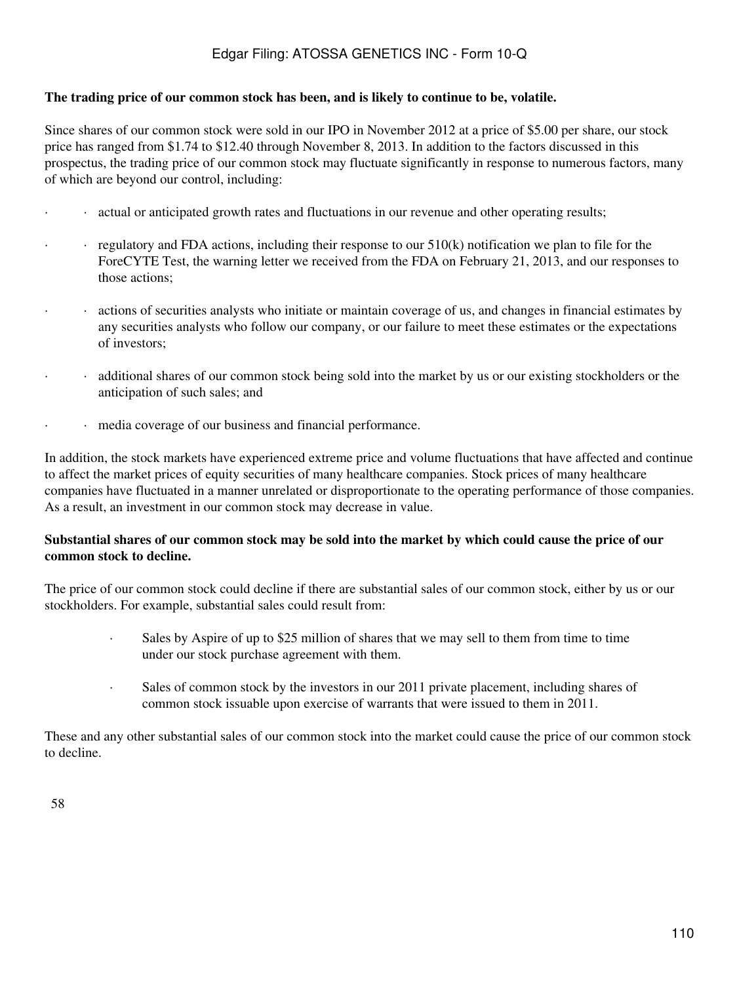#### **The trading price of our common stock has been, and is likely to continue to be, volatile.**

Since shares of our common stock were sold in our IPO in November 2012 at a price of \$5.00 per share, our stock price has ranged from \$1.74 to \$12.40 through November 8, 2013. In addition to the factors discussed in this prospectus, the trading price of our common stock may fluctuate significantly in response to numerous factors, many of which are beyond our control, including:

- · · actual or anticipated growth rates and fluctuations in our revenue and other operating results;
- $\cdot$  regulatory and FDA actions, including their response to our  $510(k)$  notification we plan to file for the ForeCYTE Test, the warning letter we received from the FDA on February 21, 2013, and our responses to those actions;
- · · actions of securities analysts who initiate or maintain coverage of us, and changes in financial estimates by any securities analysts who follow our company, or our failure to meet these estimates or the expectations of investors;
- · · additional shares of our common stock being sold into the market by us or our existing stockholders or the anticipation of such sales; and
- · media coverage of our business and financial performance.

In addition, the stock markets have experienced extreme price and volume fluctuations that have affected and continue to affect the market prices of equity securities of many healthcare companies. Stock prices of many healthcare companies have fluctuated in a manner unrelated or disproportionate to the operating performance of those companies. As a result, an investment in our common stock may decrease in value.

#### **Substantial shares of our common stock may be sold into the market by which could cause the price of our common stock to decline.**

The price of our common stock could decline if there are substantial sales of our common stock, either by us or our stockholders. For example, substantial sales could result from:

- · Sales by Aspire of up to \$25 million of shares that we may sell to them from time to time under our stock purchase agreement with them.
- · Sales of common stock by the investors in our 2011 private placement, including shares of common stock issuable upon exercise of warrants that were issued to them in 2011.

These and any other substantial sales of our common stock into the market could cause the price of our common stock to decline.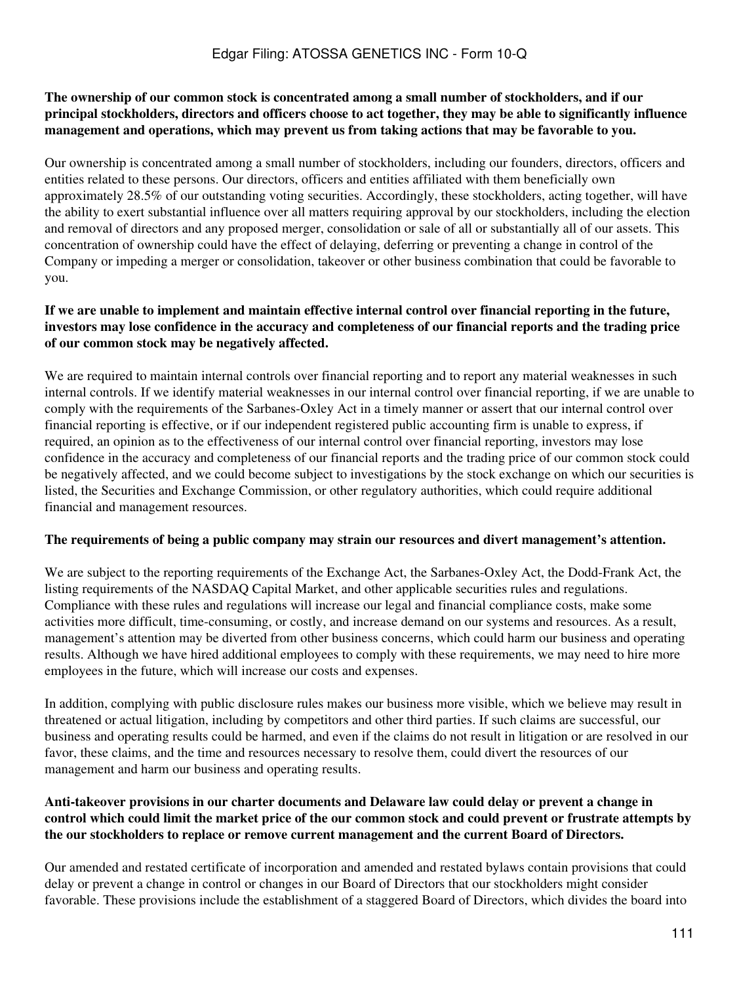#### **The ownership of our common stock is concentrated among a small number of stockholders, and if our principal stockholders, directors and officers choose to act together, they may be able to significantly influence management and operations, which may prevent us from taking actions that may be favorable to you.**

Our ownership is concentrated among a small number of stockholders, including our founders, directors, officers and entities related to these persons. Our directors, officers and entities affiliated with them beneficially own approximately 28.5% of our outstanding voting securities. Accordingly, these stockholders, acting together, will have the ability to exert substantial influence over all matters requiring approval by our stockholders, including the election and removal of directors and any proposed merger, consolidation or sale of all or substantially all of our assets. This concentration of ownership could have the effect of delaying, deferring or preventing a change in control of the Company or impeding a merger or consolidation, takeover or other business combination that could be favorable to you.

### **If we are unable to implement and maintain effective internal control over financial reporting in the future, investors may lose confidence in the accuracy and completeness of our financial reports and the trading price of our common stock may be negatively affected.**

We are required to maintain internal controls over financial reporting and to report any material weaknesses in such internal controls. If we identify material weaknesses in our internal control over financial reporting, if we are unable to comply with the requirements of the Sarbanes-Oxley Act in a timely manner or assert that our internal control over financial reporting is effective, or if our independent registered public accounting firm is unable to express, if required, an opinion as to the effectiveness of our internal control over financial reporting, investors may lose confidence in the accuracy and completeness of our financial reports and the trading price of our common stock could be negatively affected, and we could become subject to investigations by the stock exchange on which our securities is listed, the Securities and Exchange Commission, or other regulatory authorities, which could require additional financial and management resources.

#### **The requirements of being a public company may strain our resources and divert management's attention.**

We are subject to the reporting requirements of the Exchange Act, the Sarbanes-Oxley Act, the Dodd-Frank Act, the listing requirements of the NASDAQ Capital Market, and other applicable securities rules and regulations. Compliance with these rules and regulations will increase our legal and financial compliance costs, make some activities more difficult, time-consuming, or costly, and increase demand on our systems and resources. As a result, management's attention may be diverted from other business concerns, which could harm our business and operating results. Although we have hired additional employees to comply with these requirements, we may need to hire more employees in the future, which will increase our costs and expenses.

In addition, complying with public disclosure rules makes our business more visible, which we believe may result in threatened or actual litigation, including by competitors and other third parties. If such claims are successful, our business and operating results could be harmed, and even if the claims do not result in litigation or are resolved in our favor, these claims, and the time and resources necessary to resolve them, could divert the resources of our management and harm our business and operating results.

#### **Anti-takeover provisions in our charter documents and Delaware law could delay or prevent a change in control which could limit the market price of the our common stock and could prevent or frustrate attempts by the our stockholders to replace or remove current management and the current Board of Directors.**

Our amended and restated certificate of incorporation and amended and restated bylaws contain provisions that could delay or prevent a change in control or changes in our Board of Directors that our stockholders might consider favorable. These provisions include the establishment of a staggered Board of Directors, which divides the board into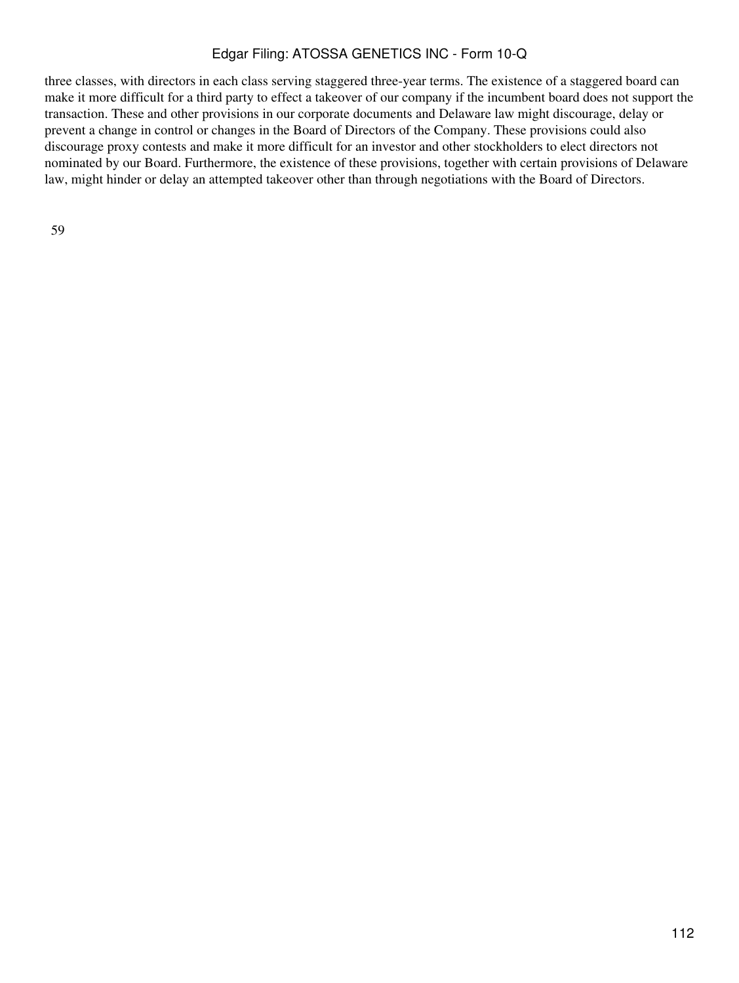three classes, with directors in each class serving staggered three-year terms. The existence of a staggered board can make it more difficult for a third party to effect a takeover of our company if the incumbent board does not support the transaction. These and other provisions in our corporate documents and Delaware law might discourage, delay or prevent a change in control or changes in the Board of Directors of the Company. These provisions could also discourage proxy contests and make it more difficult for an investor and other stockholders to elect directors not nominated by our Board. Furthermore, the existence of these provisions, together with certain provisions of Delaware law, might hinder or delay an attempted takeover other than through negotiations with the Board of Directors.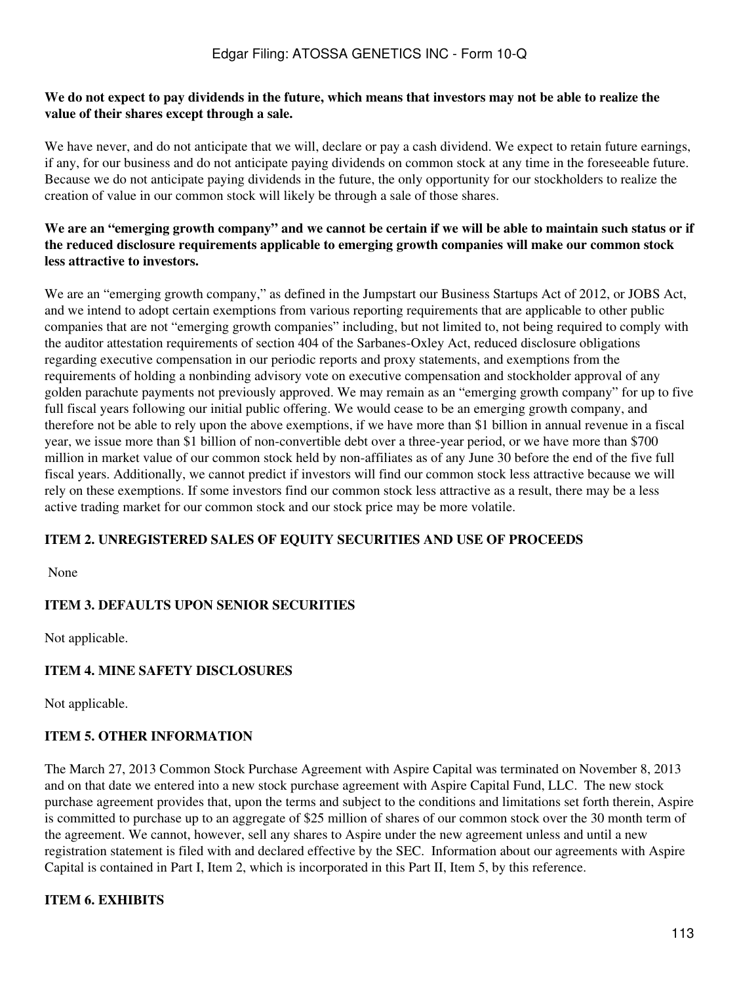#### **We do not expect to pay dividends in the future, which means that investors may not be able to realize the value of their shares except through a sale.**

We have never, and do not anticipate that we will, declare or pay a cash dividend. We expect to retain future earnings, if any, for our business and do not anticipate paying dividends on common stock at any time in the foreseeable future. Because we do not anticipate paying dividends in the future, the only opportunity for our stockholders to realize the creation of value in our common stock will likely be through a sale of those shares.

### **We are an "emerging growth company" and we cannot be certain if we will be able to maintain such status or if the reduced disclosure requirements applicable to emerging growth companies will make our common stock less attractive to investors.**

We are an "emerging growth company," as defined in the Jumpstart our Business Startups Act of 2012, or JOBS Act, and we intend to adopt certain exemptions from various reporting requirements that are applicable to other public companies that are not "emerging growth companies" including, but not limited to, not being required to comply with the auditor attestation requirements of section 404 of the Sarbanes-Oxley Act, reduced disclosure obligations regarding executive compensation in our periodic reports and proxy statements, and exemptions from the requirements of holding a nonbinding advisory vote on executive compensation and stockholder approval of any golden parachute payments not previously approved. We may remain as an "emerging growth company" for up to five full fiscal years following our initial public offering. We would cease to be an emerging growth company, and therefore not be able to rely upon the above exemptions, if we have more than \$1 billion in annual revenue in a fiscal year, we issue more than \$1 billion of non-convertible debt over a three-year period, or we have more than \$700 million in market value of our common stock held by non-affiliates as of any June 30 before the end of the five full fiscal years. Additionally, we cannot predict if investors will find our common stock less attractive because we will rely on these exemptions. If some investors find our common stock less attractive as a result, there may be a less active trading market for our common stock and our stock price may be more volatile.

### **ITEM 2. UNREGISTERED SALES OF EQUITY SECURITIES AND USE OF PROCEEDS**

None

### **ITEM 3. DEFAULTS UPON SENIOR SECURITIES**

Not applicable.

### **ITEM 4. MINE SAFETY DISCLOSURES**

Not applicable.

### **ITEM 5. OTHER INFORMATION**

The March 27, 2013 Common Stock Purchase Agreement with Aspire Capital was terminated on November 8, 2013 and on that date we entered into a new stock purchase agreement with Aspire Capital Fund, LLC. The new stock purchase agreement provides that, upon the terms and subject to the conditions and limitations set forth therein, Aspire is committed to purchase up to an aggregate of \$25 million of shares of our common stock over the 30 month term of the agreement. We cannot, however, sell any shares to Aspire under the new agreement unless and until a new registration statement is filed with and declared effective by the SEC. Information about our agreements with Aspire Capital is contained in Part I, Item 2, which is incorporated in this Part II, Item 5, by this reference.

### **ITEM 6. EXHIBITS**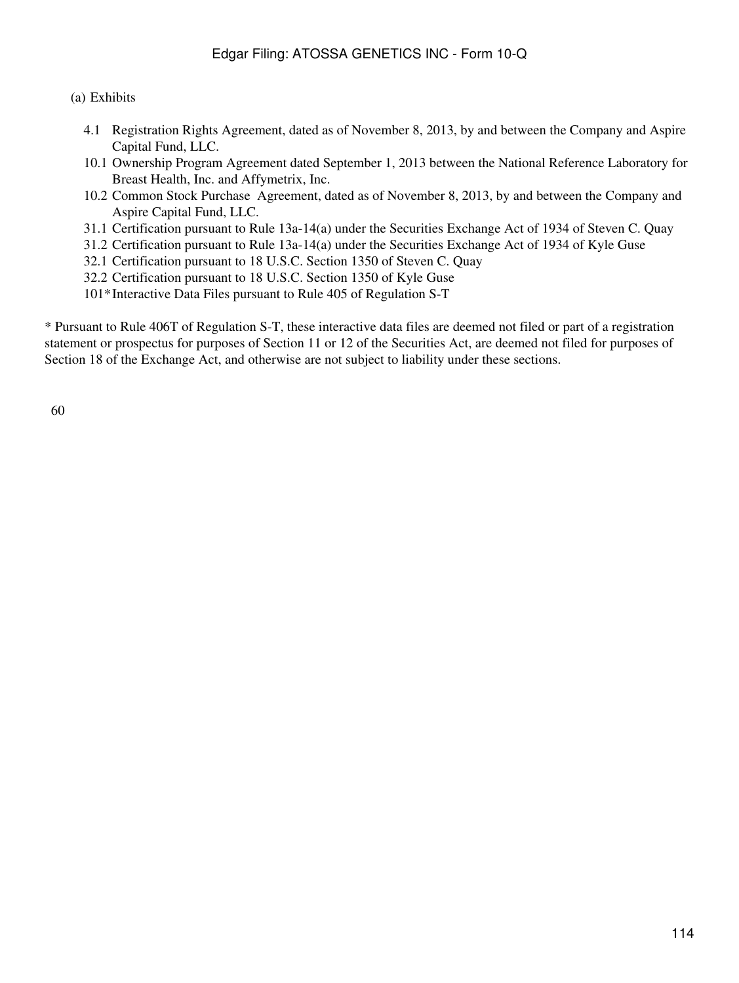(a) Exhibits

- 4.1 Registration Rights Agreement, dated as of November 8, 2013, by and between the Company and Aspire Capital Fund, LLC.
- 10.1 Ownership Program Agreement dated September 1, 2013 between the National Reference Laboratory for Breast Health, Inc. and Affymetrix, Inc.
- 10.2 Common Stock Purchase Agreement, dated as of November 8, 2013, by and between the Company and Aspire Capital Fund, LLC.
- 31.1 Certification pursuant to Rule 13a-14(a) under the Securities Exchange Act of 1934 of Steven C. Quay
- 31.2 Certification pursuant to Rule 13a-14(a) under the Securities Exchange Act of 1934 of Kyle Guse
- 32.1 Certification pursuant to 18 U.S.C. Section 1350 of Steven C. Quay
- 32.2 Certification pursuant to 18 U.S.C. Section 1350 of Kyle Guse
- 101\*Interactive Data Files pursuant to Rule 405 of Regulation S-T

\* Pursuant to Rule 406T of Regulation S-T, these interactive data files are deemed not filed or part of a registration statement or prospectus for purposes of Section 11 or 12 of the Securities Act, are deemed not filed for purposes of Section 18 of the Exchange Act, and otherwise are not subject to liability under these sections.